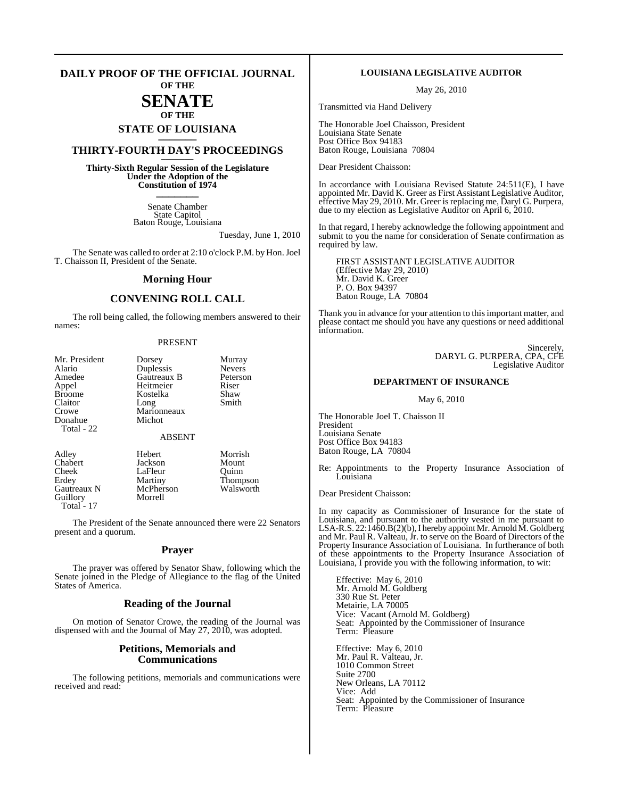#### **DAILY PROOF OF THE OFFICIAL JOURNAL OF THE**

# **SENATE**

# **OF THE STATE OF LOUISIANA \_\_\_\_\_\_\_**

# **THIRTY-FOURTH DAY'S PROCEEDINGS \_\_\_\_\_\_\_**

**Thirty-Sixth Regular Session of the Legislature Under the Adoption of the Constitution of 1974 \_\_\_\_\_\_\_**

> Senate Chamber State Capitol Baton Rouge, Louisiana

> > Tuesday, June 1, 2010

The Senate was called to order at 2:10 o'clock P.M. by Hon. Joel T. Chaisson II, President of the Senate.

#### **Morning Hour**

#### **CONVENING ROLL CALL**

The roll being called, the following members answered to their names:

#### PRESENT

| Mr. President<br>Alario<br>Amedee<br>Appel<br><b>Broome</b><br>Claitor<br>Crowe<br>Donahue | Dorsey<br>Duplessis<br>Gautreaux B<br>Heitmeier<br>Kostelka<br>Long<br>Marionneaux<br>Michot | Murray<br><b>Nevers</b><br>Peterson<br>Riser<br>Shaw<br>Smith |
|--------------------------------------------------------------------------------------------|----------------------------------------------------------------------------------------------|---------------------------------------------------------------|
| Total - 22                                                                                 | <b>ABSENT</b>                                                                                |                                                               |
| Adley<br>Chabert<br>Cheek                                                                  | Hebert<br>Jackson<br>LaFleur                                                                 | Morrish<br>Mount<br>Ouinn                                     |

Gautreaux N McPher<br>
Guillorv Morrell Guillory Total - 17

Erdey Martiny Thompson<br>
Gautreaux N McPherson Walsworth

The President of the Senate announced there were 22 Senators present and a quorum.

#### **Prayer**

The prayer was offered by Senator Shaw, following which the Senate joined in the Pledge of Allegiance to the flag of the United States of America.

#### **Reading of the Journal**

On motion of Senator Crowe, the reading of the Journal was dispensed with and the Journal of May 27, 2010, was adopted.

#### **Petitions, Memorials and Communications**

The following petitions, memorials and communications were received and read:

#### **LOUISIANA LEGISLATIVE AUDITOR**

May 26, 2010

Transmitted via Hand Delivery

The Honorable Joel Chaisson, President Louisiana State Senate Post Office Box 94183 Baton Rouge, Louisiana 70804

Dear President Chaisson:

In accordance with Louisiana Revised Statute 24:511(E), I have appointed Mr. David K. Greer as First Assistant Legislative Auditor, effective May 29, 2010. Mr. Greer isreplacing me, Daryl G. Purpera, due to my election as Legislative Auditor on April 6, 2010.

In that regard, I hereby acknowledge the following appointment and submit to you the name for consideration of Senate confirmation as required by law.

FIRST ASSISTANT LEGISLATIVE AUDITOR (Effective May 29, 2010) Mr. David K. Greer P. O. Box 94397 Baton Rouge, LA 70804

Thank you in advance for your attention to this important matter, and please contact me should you have any questions or need additional information.

> Sincerely, DARYL G. PURPERA, CPA, CFE Legislative Auditor

#### **DEPARTMENT OF INSURANCE**

May 6, 2010

The Honorable Joel T. Chaisson II President Louisiana Senate Post Office Box 94183 Baton Rouge, LA 70804

Re: Appointments to the Property Insurance Association of Louisiana

Dear President Chaisson:

In my capacity as Commissioner of Insurance for the state of Louisiana, and pursuant to the authority vested in me pursuant to LSA-R.S. 22:1460.B(2)(b), I hereby appoint Mr. Arnold M. Goldberg and Mr. Paul R. Valteau, Jr. to serve on the Board of Directors of the Property Insurance Association of Louisiana. In furtherance of both of these appointments to the Property Insurance Association of Louisiana, I provide you with the following information, to wit:

Effective: May 6, 2010 Mr. Arnold M. Goldberg 330 Rue St. Peter Metairie, LA 70005 Vice: Vacant (Arnold M. Goldberg) Seat: Appointed by the Commissioner of Insurance Term: Pleasure

Effective: May 6, 2010 Mr. Paul R. Valteau, Jr. 1010 Common Street Suite 2700 New Orleans, LA 70112 Vice: Add Seat: Appointed by the Commissioner of Insurance Term: Pleasure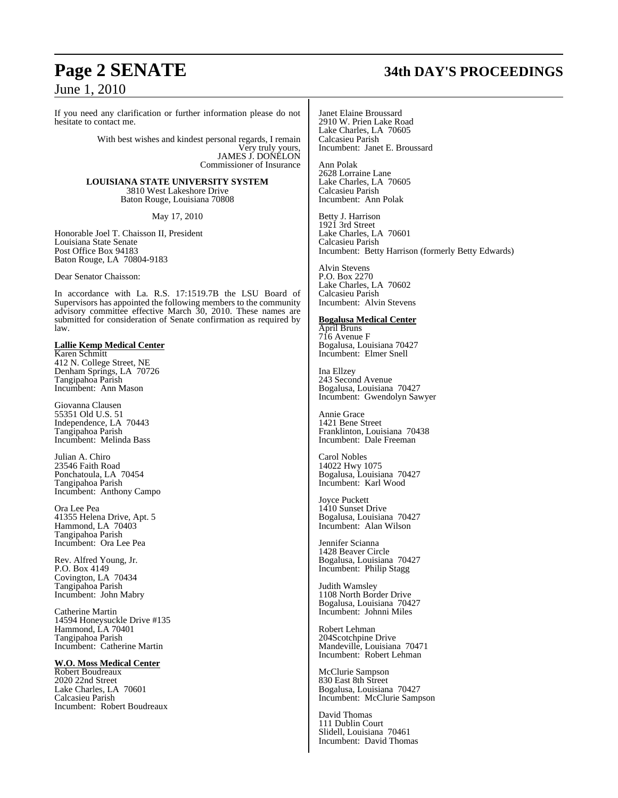#### If you need any clarification or further information please do not hesitate to contact me.

With best wishes and kindest personal regards, I remain Very truly yours, JAMES J. DOŇĚLON Commissioner of Insurance

**LOUISIANA STATE UNIVERSITY SYSTEM** 3810 West Lakeshore Drive Baton Rouge, Louisiana 70808

May 17, 2010

Honorable Joel T. Chaisson II, President Louisiana State Senate Post Office Box 94183 Baton Rouge, LA 70804-9183

Dear Senator Chaisson:

In accordance with La. R.S. 17:1519.7B the LSU Board of Supervisors has appointed the following members to the community advisory committee effective March 30, 2010. These names are submitted for consideration of Senate confirmation as required by law.

#### **Lallie Kemp Medical Center**

Karen Schmitt 412 N. College Street, NE Denham Springs, LA 70726 Tangipahoa Parish Incumbent: Ann Mason

Giovanna Clausen 55351 Old U.S. 51 Independence, LA 70443 Tangipahoa Parish Incumbent: Melinda Bass

Julian A. Chiro 23546 Faith Road Ponchatoula, LA 70454 Tangipahoa Parish Incumbent: Anthony Campo

Ora Lee Pea 41355 Helena Drive, Apt. 5 Hammond, LA 70403 Tangipahoa Parish Incumbent: Ora Lee Pea

Rev. Alfred Young, Jr. P.O. Box 4149 Covington, LA 70434 Tangipahoa Parish Incumbent: John Mabry

Catherine Martin 14594 Honeysuckle Drive #135 Hammond, LA 70401 Tangipahoa Parish Incumbent: Catherine Martin

#### **W.O. Moss Medical Center**

Robert Boudreaux 2020 22nd Street Lake Charles, LA 70601 Calcasieu Parish Incumbent: Robert Boudreaux

# **Page 2 SENATE 34th DAY'S PROCEEDINGS**

Janet Elaine Broussard 2910 W. Prien Lake Road Lake Charles, LA 70605 Calcasieu Parish Incumbent: Janet E. Broussard

Ann Polak 2628 Lorraine Lane Lake Charles, LA 70605 Calcasieu Parish Incumbent: Ann Polak

Betty J. Harrison 1921 3rd Street Lake Charles, LA 70601 Calcasieu Parish Incumbent: Betty Harrison (formerly Betty Edwards)

Alvin Stevens P.O. Box 2270 Lake Charles, LA 70602 Calcasieu Parish Incumbent: Alvin Stevens

#### **Bogalusa Medical Center**

April Bruns 716 Avenue F Bogalusa, Louisiana 70427 Incumbent: Elmer Snell

Ina Ellzey 243 Second Avenue Bogalusa, Louisiana 70427 Incumbent: Gwendolyn Sawyer

Annie Grace 1421 Bene Street Franklinton, Louisiana 70438 Incumbent: Dale Freeman

Carol Nobles 14022 Hwy 1075 Bogalusa, Louisiana 70427 Incumbent: Karl Wood

Joyce Puckett 1410 Sunset Drive Bogalusa, Louisiana 70427 Incumbent: Alan Wilson

Jennifer Scianna 1428 Beaver Circle Bogalusa, Louisiana 70427 Incumbent: Philip Stagg

Judith Wamsley 1108 North Border Drive Bogalusa, Louisiana 70427 Incumbent: Johnni Miles

Robert Lehman 204Scotchpine Drive Mandeville, Louisiana 70471 Incumbent: Robert Lehman

McClurie Sampson 830 East 8th Street Bogalusa, Louisiana 70427 Incumbent: McClurie Sampson

David Thomas 111 Dublin Court Slidell, Louisiana 70461 Incumbent: David Thomas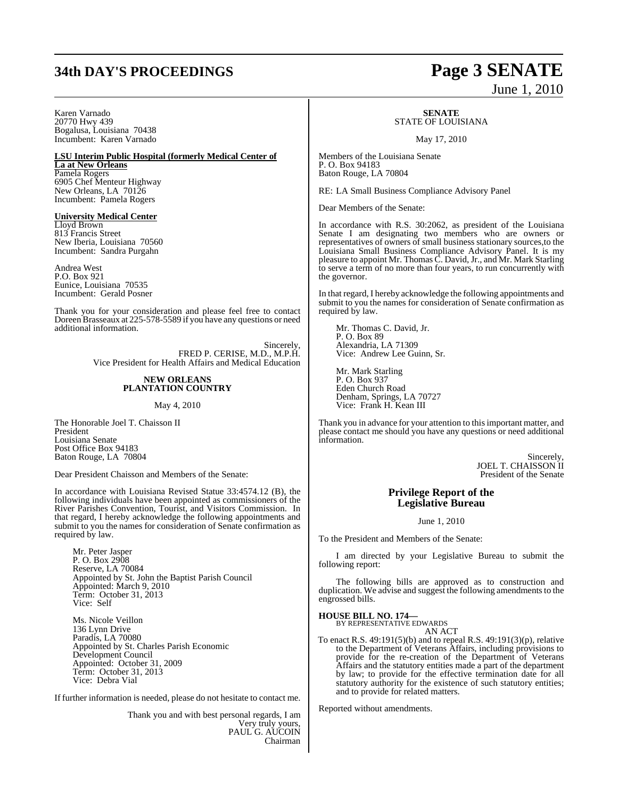# **34th DAY'S PROCEEDINGS Page 3 SENATE**

#### Karen Varnado 20770 Hwy 439 Bogalusa, Louisiana 70438 Incumbent: Karen Varnado

#### **LSU Interim Public Hospital (formerly Medical Center of La at New Orleans**

Pamela Rogers 6905 Chef Menteur Highway New Orleans, LA 70126 Incumbent: Pamela Rogers

**University Medical Center** Lloyd Brown 813 Francis Street New Iberia, Louisiana 70560 Incumbent: Sandra Purgahn

Andrea West P.O. Box 921 Eunice, Louisiana 70535 Incumbent: Gerald Posner

Thank you for your consideration and please feel free to contact Doreen Brasseaux at 225-578-5589 if you have any questions or need additional information.

> Sincerely, FRED P. CERISE, M.D., M.P.H. Vice President for Health Affairs and Medical Education

#### **NEW ORLEANS PLANTATION COUNTRY**

#### May 4, 2010

The Honorable Joel T. Chaisson II President Louisiana Senate Post Office Box 94183 Baton Rouge, LA 70804

Dear President Chaisson and Members of the Senate:

In accordance with Louisiana Revised Statue 33:4574.12 (B), the following individuals have been appointed as commissioners of the River Parishes Convention, Tourist, and Visitors Commission. In that regard, I hereby acknowledge the following appointments and submit to you the names for consideration of Senate confirmation as required by law.

Mr. Peter Jasper P. O. Box 2908 Reserve, LA 70084 Appointed by St. John the Baptist Parish Council Appointed: March 9, 2010 Term: October 31, 2013 Vice: Self

Ms. Nicole Veillon 136 Lynn Drive Paradis, LA 70080 Appointed by St. Charles Parish Economic Development Council Appointed: October 31, 2009 Term: October 31, 2013 Vice: Debra Vial

If further information is needed, please do not hesitate to contact me.

Thank you and with best personal regards, I am Very truly yours, PAUL G. AUCOIN Chairman

# June 1, 2010

**SENATE**

## STATE OF LOUISIANA

May 17, 2010

Members of the Louisiana Senate P. O. Box 94183 Baton Rouge, LA 70804

RE: LA Small Business Compliance Advisory Panel

Dear Members of the Senate:

In accordance with R.S. 30:2062, as president of the Louisiana Senate I am designating two members who are owners or representatives of owners of small business stationary sources,to the Louisiana Small Business Compliance Advisory Panel. It is my pleasure to appoint Mr. Thomas C. David, Jr., and Mr. Mark Starling to serve a term of no more than four years, to run concurrently with the governor.

In that regard, I hereby acknowledge the following appointments and submit to you the names for consideration of Senate confirmation as required by law.

Mr. Thomas C. David, Jr. P. O. Box 89 Alexandria, LA 71309 Vice: Andrew Lee Guinn, Sr.

Mr. Mark Starling P. O. Box 937 Eden Church Road Denham, Springs, LA 70727 Vice: Frank H. Kean III

Thank you in advance for your attention to thisimportant matter, and please contact me should you have any questions or need additional information.

> Sincerely, JOEL T. CHAISSON II President of the Senate

#### **Privilege Report of the Legislative Bureau**

June 1, 2010

To the President and Members of the Senate:

I am directed by your Legislative Bureau to submit the following report:

The following bills are approved as to construction and duplication. We advise and suggest the following amendments to the engrossed bills.

#### **HOUSE BILL NO. 174—**

BY REPRESENTATIVE EDWARDS AN ACT

To enact R.S. 49:191(5)(b) and to repeal R.S. 49:191(3)(p), relative to the Department of Veterans Affairs, including provisions to provide for the re-creation of the Department of Veterans Affairs and the statutory entities made a part of the department by law; to provide for the effective termination date for all statutory authority for the existence of such statutory entities; and to provide for related matters.

Reported without amendments.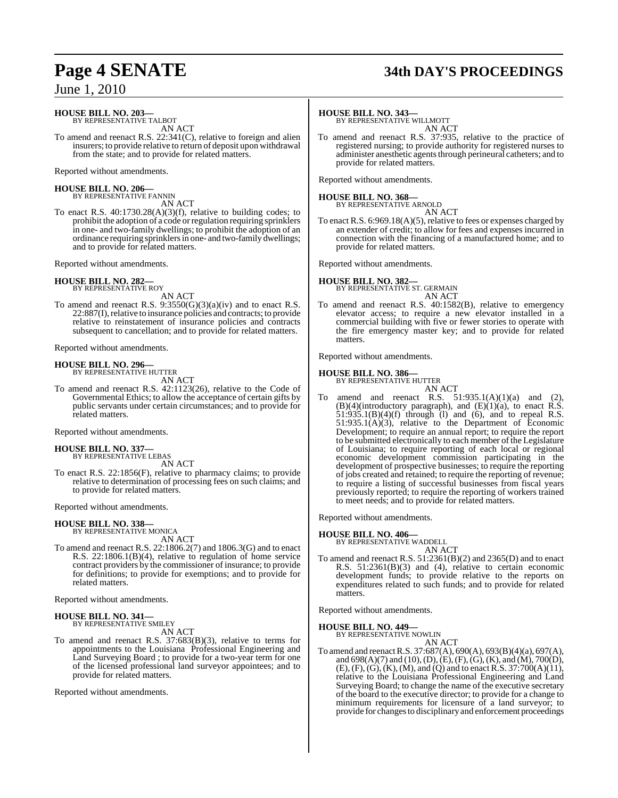#### **HOUSE BILL NO. 203—** BY REPRESENTATIVE TALBOT

AN ACT

To amend and reenact R.S. 22:341(C), relative to foreign and alien insurers; to provide relative to return of deposit upon withdrawal from the state; and to provide for related matters.

Reported without amendments.

#### **HOUSE BILL NO. 206—** BY REPRESENTATIVE FANNIN

AN ACT

To enact R.S. 40:1730.28(A)(3)(f), relative to building codes; to prohibit the adoption of a code orregulation requiring sprinklers in one- and two-family dwellings; to prohibit the adoption of an ordinance requiring sprinklersin one- and two-family dwellings; and to provide for related matters.

Reported without amendments.

#### **HOUSE BILL NO. 282—** BY REPRESENTATIVE ROY

AN ACT

To amend and reenact R.S. 9:3550(G)(3)(a)(iv) and to enact R.S. 22:887(I), relative to insurance policies and contracts; to provide relative to reinstatement of insurance policies and contracts subsequent to cancellation; and to provide for related matters.

Reported without amendments.

# **HOUSE BILL NO. 296—** BY REPRESENTATIVE HUTTER

AN ACT

To amend and reenact R.S. 42:1123(26), relative to the Code of Governmental Ethics; to allow the acceptance of certain gifts by public servants under certain circumstances; and to provide for related matters.

Reported without amendments.

#### **HOUSE BILL NO. 337—**

BY REPRESENTATIVE LEBAS AN ACT

To enact R.S. 22:1856(F), relative to pharmacy claims; to provide relative to determination of processing fees on such claims; and to provide for related matters.

Reported without amendments.

#### **HOUSE BILL NO. 338—**

BY REPRESENTATIVE MONICA AN ACT

To amend and reenact R.S. 22:1806.2(7) and 1806.3(G) and to enact R.S. 22:1806.1(B)(4), relative to regulation of home service contract providers by the commissioner of insurance; to provide for definitions; to provide for exemptions; and to provide for related matters.

Reported without amendments.

#### **HOUSE BILL NO. 341—**

BY REPRESENTATIVE SMILEY

- AN ACT
- To amend and reenact R.S. 37:683(B)(3), relative to terms for appointments to the Louisiana Professional Engineering and Land Surveying Board ; to provide for a two-year term for one of the licensed professional land surveyor appointees; and to provide for related matters.

Reported without amendments.

# **Page 4 SENATE 34th DAY'S PROCEEDINGS**

#### **HOUSE BILL NO. 343—**

BY REPRESENTATIVE WILLMOTT AN ACT

To amend and reenact R.S. 37:935, relative to the practice of registered nursing; to provide authority for registered nurses to administer anesthetic agents through perineural catheters; and to provide for related matters.

Reported without amendments.

# **HOUSE BILL NO. 368—** BY REPRESENTATIVE ARNOLD

AN ACT

To enact R.S. 6:969.18(A)(5), relative to fees or expenses charged by an extender of credit; to allow for fees and expenses incurred in connection with the financing of a manufactured home; and to provide for related matters.

Reported without amendments.

**HOUSE BILL NO. 382—** BY REPRESENTATIVE ST. GERMAIN AN ACT

To amend and reenact R.S. 40:1582(B), relative to emergency elevator access; to require a new elevator installed in a commercial building with five or fewer stories to operate with the fire emergency master key; and to provide for related matters.

Reported without amendments.

# **HOUSE BILL NO. 386—** BY REPRESENTATIVE HUTTER

AN ACT To amend and reenact R.S.  $51:935.1(A)(1)(a)$  and (2),  $(B)(4)$ (introductory paragraph), and  $(E)(1)(a)$ , to enact R.S.  $51:935.1(B)(4)(f)$  through (1) and (6), and to repeal R.S.  $51:935.1(A)(3)$ , relative to the Department of Economic Development; to require an annual report; to require the report to be submitted electronically to each member of the Legislature of Louisiana; to require reporting of each local or regional economic development commission participating in the development of prospective businesses; to require the reporting of jobs created and retained; to require the reporting of revenue; to require a listing of successful businesses from fiscal years previously reported; to require the reporting of workers trained to meet needs; and to provide for related matters.

Reported without amendments.

### **HOUSE BILL NO. 406—**

BY REPRESENTATIVE WADDELL

AN ACT To amend and reenact R.S. 51:2361(B)(2) and 2365(D) and to enact R.S. 51:2361(B)(3) and (4), relative to certain economic development funds; to provide relative to the reports on expenditures related to such funds; and to provide for related matters.

Reported without amendments.

# **HOUSE BILL NO. 449—** BY REPRESENTATIVE NOWLIN

AN ACT

To amend and reenactR.S. 37:687(A), 690(A), 693(B)(4)(a), 697(A), and 698(A)(7) and (10),(D),(E),(F),(G),(K), and (M), 700(D),  $(E)$ ,  $(F)$ ,  $(G)$ ,  $(K)$ ,  $(M)$ , and  $(Q)$  and to enact R.S. 37:700 $(A)(11)$ , relative to the Louisiana Professional Engineering and Land Surveying Board; to change the name of the executive secretary of the board to the executive director; to provide for a change to minimum requirements for licensure of a land surveyor; to provide for changes to disciplinary and enforcement proceedings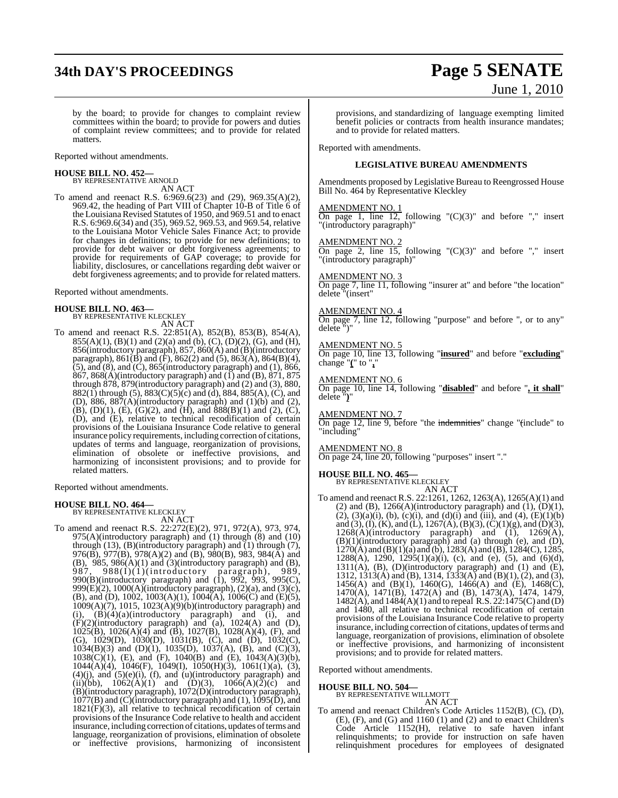# **34th DAY'S PROCEEDINGS Page 5 SENATE**

# June 1, 2010

by the board; to provide for changes to complaint review committees within the board; to provide for powers and duties of complaint review committees; and to provide for related matters.

Reported without amendments.

# **HOUSE BILL NO. 452—** BY REPRESENTATIVE ARNOLD

AN ACT

To amend and reenact R.S. 6:969.6(23) and (29), 969.35(A)(2), 969.42, the heading of Part VIII of Chapter 10-B of Title 6 of the Louisiana Revised Statutes of 1950, and 969.51 and to enact R.S. 6:969.6(34) and (35), 969.52, 969.53, and 969.54, relative to the Louisiana Motor Vehicle Sales Finance Act; to provide for changes in definitions; to provide for new definitions; to provide for debt waiver or debt forgiveness agreements; to provide for requirements of GAP coverage; to provide for liability, disclosures, or cancellations regarding debt waiver or debt forgiveness agreements; and to provide for related matters.

Reported without amendments.

#### **HOUSE BILL NO. 463—**

BY REPRESENTATIVE KLECKLEY AN ACT

To amend and reenact R.S. 22:851(A), 852(B), 853(B), 854(A),  $855(A)(1)$ ,  $(B)(1)$  and  $(2)(a)$  and  $(b)$ ,  $(C)$ ,  $(D)(2)$ ,  $(G)$ , and  $(H)$ , 856(introductory paragraph), 857, 860(A) and (B)(introductory paragraph),  $861(\overline{B})$  and  $(\overline{F})$ ,  $862(2)$  and  $(5)$ ,  $863(\overline{A})$ ,  $864(\overline{B})(4)$ ,  $(5)$ , and  $(8)$ , and  $(C)$ ,  $865$ (introductory paragraph) and  $(1)$ ,  $866$ ,  $867$ ,  $868(A)$ (introductory paragraph) and (I) and (B),  $871$ ,  $875$ through 878, 879(introductory paragraph) and (2) and (3), 880, 882(1) through (5),  $883(C)(5)(c)$  and (d),  $884, 885(A)$ , (C), and (D), 886, 887 $(A)$ (introductory paragraph) and  $(1)(b)$  and  $(2)$ , (B), (D)(1), (E), (G)(2), and (H), and  $\delta 88(B)(1)$  and (2), (C), (D), and (E), relative to technical recodification of certain provisions of the Louisiana Insurance Code relative to general insurance policy requirements, including correction of citations, updates of terms and language, reorganization of provisions, elimination of obsolete or ineffective provisions, and harmonizing of inconsistent provisions; and to provide for related matters.

Reported without amendments.

**HOUSE BILL NO. 464—** BY REPRESENTATIVE KLECKLEY

AN ACT To amend and reenact R.S. 22:272(E)(2), 971, 972(A), 973, 974,  $975(A)$ (introductory paragraph) and  $(1)$  through  $(8)$  and  $(10)$ through (13), (B)(introductory paragraph) and (1) through (7), 976(B), 977(B), 978(A)(2) and (B), 980(B), 983, 984(A) and (B),  $985$ ,  $986(A)(1)$  and  $(3)(introducing paragram)$  and  $(B)$ , 987, 988(I)(1)(introductory paragraph), 989, 990(B)(introductory paragraph) and (1), 992, 993, 995(C), 999 $(E)(2)$ , 1000 $(A)$ (introductory paragraph),  $(2)(a)$ , and  $(3)(c)$ , (B), and (D), 1002, 1003(A)(1),  $1004(A)$ ,  $1006(C)$  and (E)(5), 1009(A)(7), 1015, 1023(A)(9)(b)(introductory paragraph) and (i),  $(B)(4)(a)$ (introductory paragraph) and (i), and  $(F)(2)$ (introductory paragraph) and  $(a)$ , 1024(A) and (D), 1025(B), 1026(A)(4) and (B), 1027(B), 1028(A)(4), (F), and (G), 1029(D), 1030(D), 1031(B), (C), and (D), 1032(C), 1034(B)(3) and (D)(1), 1035(D), 1037(A), (B), and (C)(3), 1038(C)(1), (E), and (F), 1040(B) and (E), 1043(A)(3)(b), 1044(A)(4), 1046(F), 1049(I), 1050(H)(3), 1061(1)(a), (3),  $(4)(j)$ , and  $(5)(e)(i)$ ,  $(f)$ , and  $(u)(introducing)$  paragraph) and (ii)(bb),  $1062(A)(1)$  and  $(D)(3)$ ,  $1066(A)(2)(c)$  and (B)(introductory paragraph), 1072(D)(introductory paragraph), 1077(B) and (C)(introductory paragraph) and (1), 1095(D), and  $1821(F)(3)$ , all relative to technical recodification of certain provisions of the Insurance Code relative to health and accident insurance, including correction of citations, updates of terms and language, reorganization of provisions, elimination of obsolete or ineffective provisions, harmonizing of inconsistent

provisions, and standardizing of language exempting limited benefit policies or contracts from health insurance mandates; and to provide for related matters.

Reported with amendments.

#### **LEGISLATIVE BUREAU AMENDMENTS**

Amendments proposed by Legislative Bureau to Reengrossed House Bill No. 464 by Representative Kleckley

#### AMENDMENT NO. 1

On page 1, line  $12$ , following " $(C)(3)$ " and before "," insert "(introductory paragraph)"

#### AMENDMENT NO. 2

On page 2, line  $15$ , following " $(C)(3)$ " and before "," insert "(introductory paragraph)"

#### AMENDMENT NO.

On page 7, line 11, following "insurer at" and before "the location" delete "(insert"

#### AMENDMENT NO. 4

On page 7, line 12, following "purpose" and before ", or to any" delete ")"

#### AMENDMENT NO. 5

On page 10, line 13, following "**insured**" and before "**excluding**" change "**(**" to "**,**"

#### AMENDMENT NO. 6

On page 10, line 14, following "**disabled**" and before "**, it shall**" delete "**)**"

AMENDMENT NO. 7

On page 12, line 9, before "the indemnities" change "(include" to "including"

#### AMENDMENT NO. 8

On page 24, line 20, following "purposes" insert "."

# **HOUSE BILL NO. 465—** BY REPRESENTATIVE KLECKLEY

AN ACT

To amend and reenact R.S. 22:1261, 1262, 1263(A), 1265(A)(1) and (2) and (B),  $1266(A)$ (introductory paragraph) and (1),  $(D)(1)$ ,  $(2)$ ,  $(3)(a)(i)$ ,  $(b)$ ,  $(c)(i)$ , and  $(d)(i)$  and  $(iii)$ , and  $(4)$ ,  $(E)(1)(b)$ and (3), (I), (K), and (L), 1267(A), (B)(3), (C)(1)(g), and (D)(3),  $1268(A)$ (introductory paragraph) and  $(1)$ ,  $1269(A)$ , (B)(1)(introductory paragraph) and (a) through (e), and (D), 1270(A) and (B)(1)(a) and (b), 1283(A) and (B), 1284(C), 1285, 1288(A), 1290, 1295(1)(a)(i), (c), and (e), (5), and (6)(d),  $1311(A)$ ,  $(B)$ ,  $(D)$ (introductory paragraph) and  $(1)$  and  $(E)$ , 1312, 1313(A) and (B), 1314, 1333(A) and (B)(1), (2), and (3), 1456(A) and (B)(1), 1460(G), 1466(A) and (E), 1468(C), 1470(A), 1471(B), 1472(A) and (B), 1473(A), 1474, 1479, 1482(A), and 1484(A)(1) and to repeal R.S. 22:1475(C) and (D) and 1480, all relative to technical recodification of certain provisions of the Louisiana Insurance Code relative to property insurance, including correction of citations, updates of terms and language, reorganization of provisions, elimination of obsolete or ineffective provisions, and harmonizing of inconsistent provisions; and to provide for related matters.

Reported without amendments.

#### **HOUSE BILL NO. 504—**

BY REPRESENTATIVE WILLMOTT AN ACT

To amend and reenact Children's Code Articles 1152(B), (C), (D), (E), (F), and (G) and 1160 (1) and (2) and to enact Children's Code Article 1152(H), relative to safe haven infant relinquishments; to provide for instruction on safe haven relinquishment procedures for employees of designated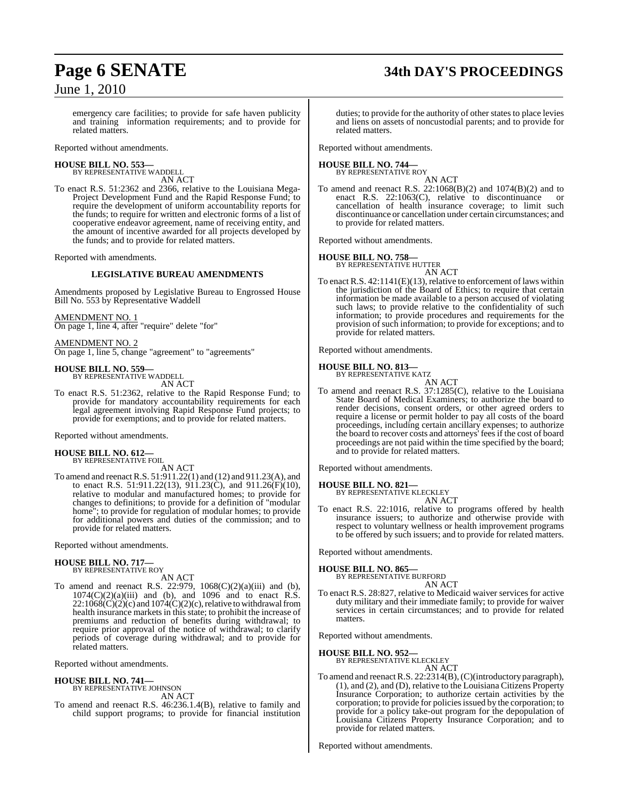# **Page 6 SENATE 34th DAY'S PROCEEDINGS**

emergency care facilities; to provide for safe haven publicity and training information requirements; and to provide for related matters.

Reported without amendments.

**HOUSE BILL NO. 553—** BY REPRESENTATIVE WADDELL

AN ACT

To enact R.S. 51:2362 and 2366, relative to the Louisiana Mega-Project Development Fund and the Rapid Response Fund; to require the development of uniform accountability reports for the funds; to require for written and electronic forms of a list of cooperative endeavor agreement, name of receiving entity, and the amount of incentive awarded for all projects developed by the funds; and to provide for related matters.

Reported with amendments.

#### **LEGISLATIVE BUREAU AMENDMENTS**

Amendments proposed by Legislative Bureau to Engrossed House Bill No. 553 by Representative Waddell

AMENDMENT NO. 1

On page 1, line 4, after "require" delete "for"

#### AMENDMENT NO. 2

On page 1, line 5, change "agreement" to "agreements"

#### **HOUSE BILL NO. 559—**

BY REPRESENTATIVE WADDELL AN ACT

To enact R.S. 51:2362, relative to the Rapid Response Fund; to provide for mandatory accountability requirements for each legal agreement involving Rapid Response Fund projects; to provide for exemptions; and to provide for related matters.

Reported without amendments.

# **HOUSE BILL NO. 612—** BY REPRESENTATIVE FOIL

AN ACT

To amend and reenactR.S. 51:911.22(1) and (12) and 911.23(A), and to enact R.S. 51:911.22(13), 911.23(C), and 911.26(F)(10), relative to modular and manufactured homes; to provide for changes to definitions; to provide for a definition of "modular home"; to provide for regulation of modular homes; to provide for additional powers and duties of the commission; and to provide for related matters.

Reported without amendments.

#### **HOUSE BILL NO. 717—** BY REPRESENTATIVE ROY

AN ACT

To amend and reenact R.S. 22:979, 1068(C)(2)(a)(iii) and (b),  $1074(C)(2)(a)(iii)$  and (b), and 1096 and to enact R.S.  $22:1068(\dot{C})(2)(c)$  and  $1074(\dot{C})(2)(c)$ , relative to withdrawal from health insurance markets in this state; to prohibit the increase of premiums and reduction of benefits during withdrawal; to require prior approval of the notice of withdrawal; to clarify periods of coverage during withdrawal; and to provide for related matters.

Reported without amendments.

#### **HOUSE BILL NO. 741—** BY REPRESENTATIVE JOHNSON

AN ACT

To amend and reenact R.S. 46:236.1.4(B), relative to family and child support programs; to provide for financial institution

duties; to provide for the authority of other states to place levies and liens on assets of noncustodial parents; and to provide for related matters.

Reported without amendments.

# **HOUSE BILL NO. 744—** BY REPRESENTATIVE ROY

AN ACT

To amend and reenact R.S. 22:1068(B)(2) and 1074(B)(2) and to enact R.S. 22:1063(C), relative to discontinuance or cancellation of health insurance coverage; to limit such discontinuance or cancellation under certain circumstances; and to provide for related matters.

Reported without amendments.

#### **HOUSE BILL NO. 758—**

BY REPRESENTATIVE HUTTER AN ACT

To enact R.S. 42:1141(E)(13), relative to enforcement of laws within the jurisdiction of the Board of Ethics; to require that certain information be made available to a person accused of violating such laws; to provide relative to the confidentiality of such information; to provide procedures and requirements for the provision of such information; to provide for exceptions; and to provide for related matters.

Reported without amendments.

#### **HOUSE BILL NO. 813—**

BY REPRESENTATIVE KATZ

AN ACT To amend and reenact R.S. 37:1285(C), relative to the Louisiana State Board of Medical Examiners; to authorize the board to render decisions, consent orders, or other agreed orders to require a license or permit holder to pay all costs of the board proceedings, including certain ancillary expenses; to authorize the board to recover costs and attorneys' fees if the cost of board proceedings are not paid within the time specified by the board; and to provide for related matters.

Reported without amendments.

#### **HOUSE BILL NO. 821—**

BY REPRESENTATIVE KLECKLEY AN ACT

To enact R.S. 22:1016, relative to programs offered by health insurance issuers; to authorize and otherwise provide with respect to voluntary wellness or health improvement programs to be offered by such issuers; and to provide for related matters.

Reported without amendments.

#### **HOUSE BILL NO. 865—**

BY REPRESENTATIVE BURFORD

AN ACT To enact R.S. 28:827, relative to Medicaid waiver services for active duty military and their immediate family; to provide for waiver services in certain circumstances; and to provide for related matters.

Reported without amendments.

#### **HOUSE BILL NO. 952—**

BY REPRESENTATIVE KLECKLEY

AN ACT To amend and reenact R.S. 22:2314(B), (C)(introductory paragraph), (1), and (2), and (D), relative to the Louisiana Citizens Property Insurance Corporation; to authorize certain activities by the corporation; to provide for policies issued by the corporation; to provide for a policy take-out program for the depopulation of Louisiana Citizens Property Insurance Corporation; and to provide for related matters.

Reported without amendments.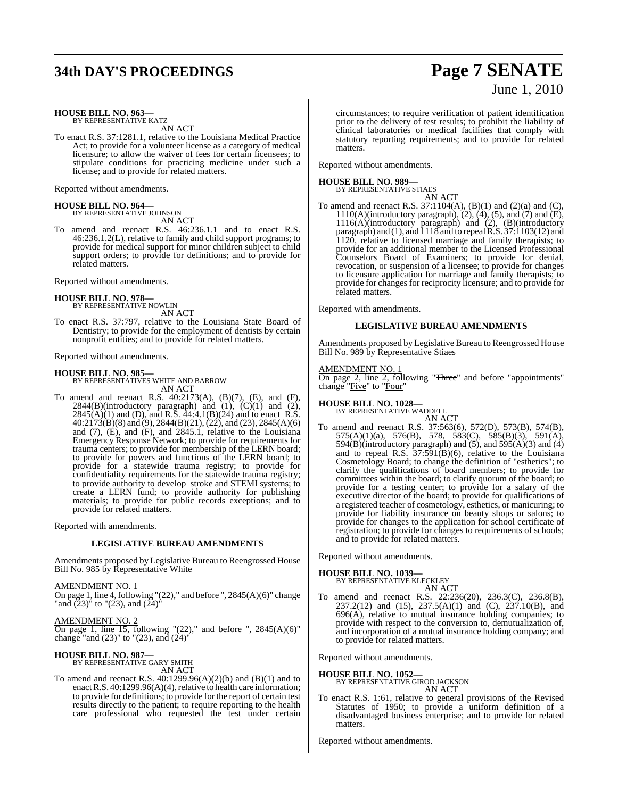# **34th DAY'S PROCEEDINGS Page 7 SENATE**

# June 1, 2010

#### **HOUSE BILL NO. 963—** BY REPRESENTATIVE KATZ

AN ACT

To enact R.S. 37:1281.1, relative to the Louisiana Medical Practice Act; to provide for a volunteer license as a category of medical licensure; to allow the waiver of fees for certain licensees; to stipulate conditions for practicing medicine under such a license; and to provide for related matters.

Reported without amendments.

# **HOUSE BILL NO. 964—** BY REPRESENTATIVE JOHNSON

AN ACT

To amend and reenact R.S. 46:236.1.1 and to enact R.S. 46:236.1.2(L), relative to family and child support programs; to provide for medical support for minor children subject to child support orders; to provide for definitions; and to provide for related matters.

Reported without amendments.

**HOUSE BILL NO. 978—** BY REPRESENTATIVE NOWLIN

AN ACT To enact R.S. 37:797, relative to the Louisiana State Board of Dentistry; to provide for the employment of dentists by certain nonprofit entities; and to provide for related matters.

Reported without amendments.

**HOUSE BILL NO. 985—** BY REPRESENTATIVES WHITE AND BARROW AN ACT

To amend and reenact R.S. 40:2173(A), (B)(7), (E), and (F),  $2844(B)$ (introductory paragraph) and  $(1)$ ,  $(C)(1)$  and  $(2)$ ,  $2845(A)(1)$  and (D), and R.S.  $44:4.1(B)(24)$  and to enact R.S. 40:2173(B)(8) and (9), 2844(B)(21), (22), and (23), 2845(A)(6) and (7), (E), and (F), and 2845.1, relative to the Louisiana Emergency Response Network; to provide for requirements for trauma centers; to provide for membership of the LERN board; to provide for powers and functions of the LERN board; to provide for a statewide trauma registry; to provide for confidentiality requirements for the statewide trauma registry; to provide authority to develop stroke and STEMI systems; to create a LERN fund; to provide authority for publishing materials; to provide for public records exceptions; and to provide for related matters.

Reported with amendments.

#### **LEGISLATIVE BUREAU AMENDMENTS**

Amendments proposed by Legislative Bureau to Reengrossed House Bill No. 985 by Representative White

AMENDMENT NO. 1

On page 1, line 4, following " $(22)$ ," and before ",  $2845(A)(6)$ " change "and  $(23)$ " to " $(23)$ , and  $(24)$ "

**AMENDMENT NO. 2** 

On page 1, line 15, following " $(22)$ ," and before ",  $2845(A)(6)$ " change "and (23)" to "(23), and (24)"

# **HOUSE BILL NO. 987—** BY REPRESENTATIVE GARY SMITH

AN ACT

To amend and reenact R.S. 40:1299.96(A)(2)(b) and (B)(1) and to enact R.S. 40:1299.96(A)(4), relative to health care information; to provide for definitions; to provide for the report of certain test results directly to the patient; to require reporting to the health care professional who requested the test under certain circumstances; to require verification of patient identification prior to the delivery of test results; to prohibit the liability of clinical laboratories or medical facilities that comply with statutory reporting requirements; and to provide for related matters.

Reported without amendments.

# **HOUSE BILL NO. 989—** BY REPRESENTATIVE STIAES

AN ACT

To amend and reenact R.S. 37:1104(A), (B)(1) and (2)(a) and (C), 1110(A)(introductory paragraph), (2), (4), (5), and (7) and (E), 1116(A)(introductory paragraph) and (2), (B)(introductory paragraph) and (1), and 1118 and to repealR.S. 37:1103(12) and 1120, relative to licensed marriage and family therapists; to provide for an additional member to the Licensed Professional Counselors Board of Examiners; to provide for denial, revocation, or suspension of a licensee; to provide for changes to licensure application for marriage and family therapists; to provide for changes for reciprocity licensure; and to provide for related matters.

Reported with amendments.

#### **LEGISLATIVE BUREAU AMENDMENTS**

Amendments proposed by Legislative Bureau to Reengrossed House Bill No. 989 by Representative Stiaes

AMENDMENT NO. 1

On page 2, line 2, following "Three" and before "appointments" change "Five" to "Four"

**HOUSE BILL NO. 1028—**

BY REPRESENTATIVE WADDELL AN ACT

To amend and reenact R.S. 37:563(6), 572(D), 573(B), 574(B), 575(A)(1)(a), 576(B), 578, 583(C), 585(B)(3), 591(A),  $594(B)$ (introductory paragraph) and (5), and  $595(A)(3)$  and (4) and to repeal R.S. 37:591(B)(6), relative to the Louisiana Cosmetology Board; to change the definition of "esthetics"; to clarify the qualifications of board members; to provide for committees within the board; to clarify quorum of the board; to provide for a testing center; to provide for a salary of the executive director of the board; to provide for qualifications of a registered teacher of cosmetology, esthetics, or manicuring; to provide for liability insurance on beauty shops or salons; to provide for changes to the application for school certificate of registration; to provide for changes to requirements of schools; and to provide for related matters.

Reported without amendments.

# **HOUSE BILL NO. 1039—** BY REPRESENTATIVE KLECKLEY

AN ACT

To amend and reenact R.S. 22:236(20), 236.3(C), 236.8(B), 237.2(12) and (15), 237.5(A)(1) and (C), 237.10(B), and 696(A), relative to mutual insurance holding companies; to provide with respect to the conversion to, demutualization of, and incorporation of a mutual insurance holding company; and to provide for related matters.

Reported without amendments.

**HOUSE BILL NO. 1052—** BY REPRESENTATIVE GIROD JACKSON AN ACT

To enact R.S. 1:61, relative to general provisions of the Revised Statutes of 1950; to provide a uniform definition of a disadvantaged business enterprise; and to provide for related matters.

Reported without amendments.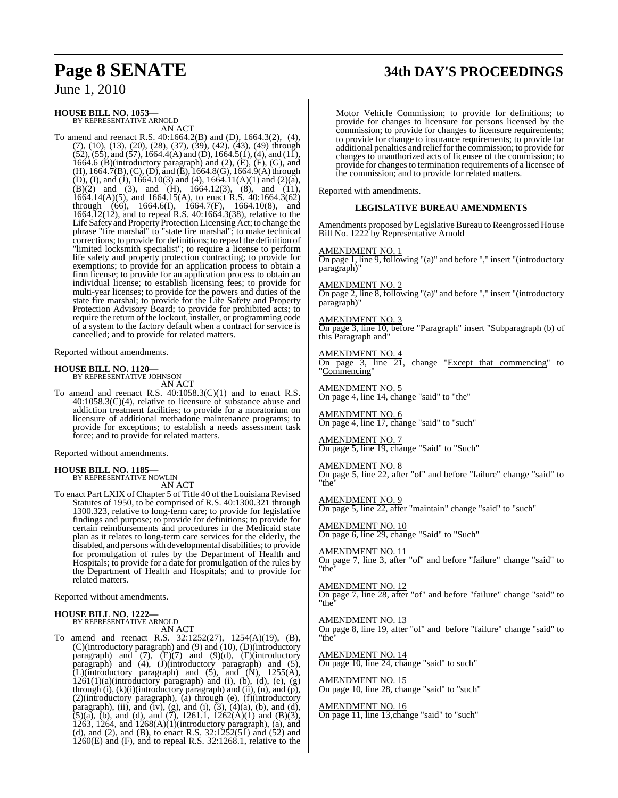# **Page 8 SENATE 34th DAY'S PROCEEDINGS**

June 1, 2010

### **HOUSE BILL NO. 1053—**

BY REPRESENTATIVE ARNOLD AN ACT

To amend and reenact R.S. 40:1664.2(B) and (D), 1664.3(2), (4),  $(7)$ ,  $(10)$ ,  $(13)$ ,  $(20)$ ,  $(28)$ ,  $(37)$ ,  $(39)$ ,  $(42)$ ,  $(43)$ ,  $(49)$  through  $(52)$ ,  $(55)$ , and  $(57)$ , 1664.4(A) and (D), 1664.5(1), (4), and (11), 1664.6 (B)(introductory paragraph) and  $(2)$ ,  $(E)$ ,  $(F)$ ,  $(G)$ , and  $(H)$ , 1664.7(B), (C), (D), and (E), 1664.8(G), 1664.9(A) through (D), (I), and (J), 1664.10(3) and (4), 1664.11(A)(1) and (2)(a),  $(B)(2)$  and  $(3)$ , and  $(H)$ , 1664.12(3),  $(8)$ , and  $(11)$ , 1664.14(A)(5), and 1664.15(A), to enact R.S. 40:1664.3(62) through (66), 1664.6(I), 1664.7(F), 1664.10(8), and 1664.12(12), and to repeal R.S. 40:1664.3(38), relative to the Life Safety and Property Protection LicensingAct; to change the phrase "fire marshal" to "state fire marshal"; to make technical corrections; to provide for definitions; to repeal the definition of "limited locksmith specialist"; to require a license to perform life safety and property protection contracting; to provide for exemptions; to provide for an application process to obtain a firm license; to provide for an application process to obtain an individual license; to establish licensing fees; to provide for multi-year licenses; to provide for the powers and duties of the state fire marshal; to provide for the Life Safety and Property Protection Advisory Board; to provide for prohibited acts; to require the return of the lockout, installer, or programming code of a system to the factory default when a contract for service is cancelled; and to provide for related matters.

Reported without amendments.

# **HOUSE BILL NO. 1120—** BY REPRESENTATIVE JOHNSON

AN ACT

To amend and reenact R.S. 40:1058.3(C)(1) and to enact R.S. 40:1058.3(C)(4), relative to licensure of substance abuse and addiction treatment facilities; to provide for a moratorium on licensure of additional methadone maintenance programs; to provide for exceptions; to establish a needs assessment task force; and to provide for related matters.

Reported without amendments.

#### **HOUSE BILL NO. 1185—** BY REPRESENTATIVE NOWLIN

AN ACT

To enact Part LXIX of Chapter 5 of Title 40 of the Louisiana Revised Statutes of 1950, to be comprised of R.S. 40:1300.321 through 1300.323, relative to long-term care; to provide for legislative findings and purpose; to provide for definitions; to provide for certain reimbursements and procedures in the Medicaid state plan as it relates to long-term care services for the elderly, the disabled, and persons with developmental disabilities; to provide for promulgation of rules by the Department of Health and Hospitals; to provide for a date for promulgation of the rules by the Department of Health and Hospitals; and to provide for related matters.

Reported without amendments.

#### **HOUSE BILL NO. 1222—** BY REPRESENTATIVE ARNOLD

AN ACT

To amend and reenact R.S. 32:1252(27), 1254(A)(19), (B), (C)(introductory paragraph) and (9) and (10), (D)(introductory paragraph) and  $(7)$ ,  $(E)(7)$  and  $(9)(d)$ ,  $(F)(introductory)$ paragraph) and (4), (J)(introductory paragraph) and (5),  $\tilde{L}$ )(introductory paragraph) and (5), and  $\tilde{N}$ ), 1255(A),  $1261(1)(a)(introductory paragraph)$  and (i), (b), (d), (e), (g) through (i), (k)(i)(introductory paragraph) and (ii), (n), and (p), (2)(introductory paragraph), (a) through (e), (f)(introductory paragraph), (ii), and (iv), (g), and (i),  $(3)$ ,  $(4)(a)$ ,  $(b)$ , and  $(d)$ , (5)(a), (b), and (d), and (7), 1261.1, 1262(A)(1) and (B)(3), 1263, 1264, and 1268(A)(1)(introductory paragraph), (a), and (d), and (2), and (B), to enact R.S.  $32:1252(51)$  and  $(52)$  and 1260(E) and (F), and to repeal R.S. 32:1268.1, relative to the

Motor Vehicle Commission; to provide for definitions; to provide for changes to licensure for persons licensed by the commission; to provide for changes to licensure requirements; to provide for change to insurance requirements; to provide for additional penalties and reliefforthe commission; to provide for changes to unauthorized acts of licensee of the commission; to provide for changes to termination requirements of a licensee of the commission; and to provide for related matters.

Reported with amendments.

#### **LEGISLATIVE BUREAU AMENDMENTS**

Amendments proposed by Legislative Bureau to Reengrossed House Bill No. 1222 by Representative Arnold

#### AMENDMENT NO. 1

On page 1, line 9, following "(a)" and before "," insert "(introductory paragraph)"

AMENDMENT NO. 2

On page 2, line 8, following "(a)" and before "," insert "(introductory paragraph)"

#### AMENDMENT NO. 3

On page 3, line 10, before "Paragraph" insert "Subparagraph (b) of this Paragraph and"

AMENDMENT NO. 4

On page 3, line 21, change "Except that commencing" to "Commencing"

AMENDMENT NO. 5 On page 4, line 14, change "said" to "the"

AMENDMENT NO. 6 On page 4, line 17, change "said" to "such"

**MENDMENT NO. 7** On page 5, line 19, change "Said" to "Such"

#### AMENDMENT NO. 8

On page 5, line 22, after "of" and before "failure" change "said" to "the"

AMENDMENT NO. 9 On page 5, line 22, after "maintain" change "said" to "such"

AMENDMENT NO. 10 On page 6, line 29, change "Said" to "Such"

AMENDMENT NO. 11 On page 7, line 3, after "of" and before "failure" change "said" to "the"

AMENDMENT NO. 12 On page 7, line 28, after "of" and before "failure" change "said" to "the"

#### AMENDMENT NO. 13

On page 8, line 19, after "of" and before "failure" change "said" to "the"

AMENDMENT NO. 14 On page 10, line 24, change "said" to such"

AMENDMENT NO. 15 On page 10, line 28, change "said" to "such"

#### AMENDMENT NO. 16

On page 11, line 13,change "said" to "such"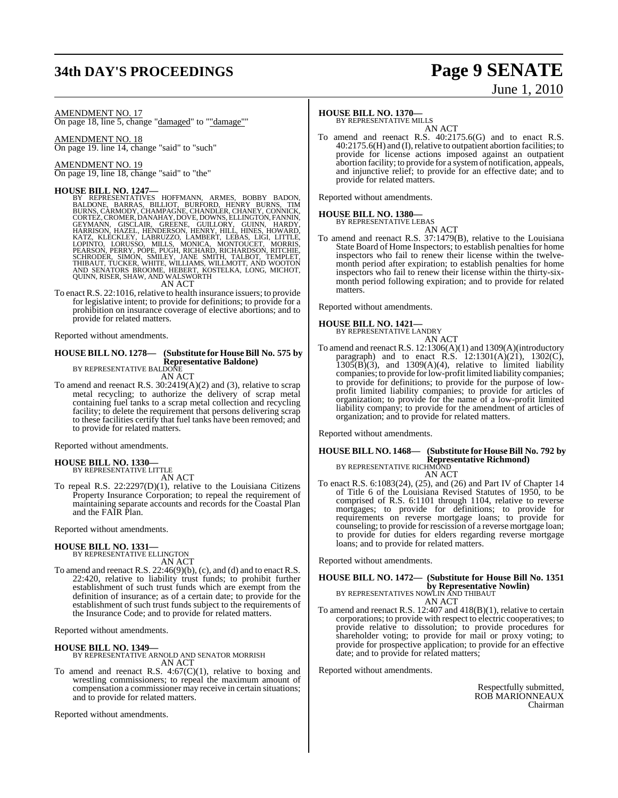# **34th DAY'S PROCEEDINGS Page 9 SENATE**

# June 1, 2010

AMENDMENT NO. 17

On page 18, line 5, change "damaged" to ""damage""

AMENDMENT NO. 18 On page 19. line 14, change "said" to "such"

AMENDMENT NO. 19 On page 19, line 18, change "said" to "the"

#### **HOUSE BILL NO. 1247—**

BY REPRESENTATIVES HOFFMANN, ARMES, BOBBY BADON,<br>BALDONE, BARRAS, BILLIOT, BURFORD, HENRY BURNS, TIM<br>BURNS,CARMODY,CHAMPAGNE,CHANDLER,CHANEY,CONNICK, CORTEZ, CROMER, DANAHAY, DOVE, DOWNS, ELLINGTON, FANNIN,<br>GEYMANN, GISCLAIR, GREENE, GUILLORY, GUINN, HARRISON, HAZDY,<br>HARRISON, HAZEL, HENDERSON, HENRY, HILL, HINES, HOWARD,<br>KATZ, KLECKLEY, LABRUZZO, LAMBERT, LEBAS, LIGI,

AN ACT

To enact R.S. 22:1016, relative to health insurance issuers; to provide for legislative intent; to provide for definitions; to provide for a prohibition on insurance coverage of elective abortions; and to provide for related matters.

Reported without amendments.

#### **HOUSE BILL NO. 1278— (Substitute for HouseBill No. 575 by Representative Baldone)** BY REPRESENTATIVE BALDONE

AN ACT

To amend and reenact R.S. 30:2419(A)(2) and (3), relative to scrap metal recycling; to authorize the delivery of scrap metal containing fuel tanks to a scrap metal collection and recycling facility; to delete the requirement that persons delivering scrap to these facilities certify that fuel tanks have been removed; and to provide for related matters.

Reported without amendments.

#### **HOUSE BILL NO. 1330—** BY REPRESENTATIVE LITTLE

AN ACT To repeal R.S. 22:2297(D)(1), relative to the Louisiana Citizens Property Insurance Corporation; to repeal the requirement of maintaining separate accounts and records for the Coastal Plan and the FAIR Plan.

Reported without amendments.

## **HOUSE BILL NO. 1331—** BY REPRESENTATIVE ELLINGTON AN ACT

To amend and reenact R.S. 22:46(9)(b), (c), and (d) and to enact R.S. 22:420, relative to liability trust funds; to prohibit further establishment of such trust funds which are exempt from the definition of insurance; as of a certain date; to provide for the establishment of such trust funds subject to the requirements of the Insurance Code; and to provide for related matters.

Reported without amendments.

**HOUSE BILL NO. 1349—** BY REPRESENTATIVE ARNOLD AND SENATOR MORRISH AN ACT

To amend and reenact R.S. 4:67(C)(1), relative to boxing and wrestling commissioners; to repeal the maximum amount of compensation a commissioner may receive in certain situations; and to provide for related matters.

Reported without amendments.

#### **HOUSE BILL NO. 1370—**

BY REPRESENTATIVE MILLS

AN ACT To amend and reenact R.S. 40:2175.6(G) and to enact R.S. 40:2175.6(H) and (I),relative to outpatient abortion facilities; to provide for license actions imposed against an outpatient abortion facility; to provide for a systemof notification, appeals, and injunctive relief; to provide for an effective date; and to provide for related matters.

Reported without amendments.

## **HOUSE BILL NO. 1380—**

BY REPRESENTATIVE LEBAS AN ACT

To amend and reenact R.S. 37:1479(B), relative to the Louisiana State Board of Home Inspectors; to establish penalties for home inspectors who fail to renew their license within the twelvemonth period after expiration; to establish penalties for home inspectors who fail to renew their license within the thirty-sixmonth period following expiration; and to provide for related matters.

Reported without amendments.

#### **HOUSE BILL NO. 1421—**



To amend and reenact R.S. 12:1306(A)(1) and 1309(A)(introductory paragraph) and to enact R.S.  $12:1301(A)(21)$ ,  $1302(C)$ ,  $1305(B)(3)$ , and  $1309(A)(4)$ , relative to limited liability companies; to provide forlow-profit limited liability companies; to provide for definitions; to provide for the purpose of lowprofit limited liability companies; to provide for articles of organization; to provide for the name of a low-profit limited liability company; to provide for the amendment of articles of organization; and to provide for related matters.

Reported without amendments.

#### **HOUSE BILL NO. 1468— (Substitute for HouseBill No. 792 by Representative Richmond)** BY REPRESENTATIVE RICHMOND

AN ACT To enact R.S. 6:1083(24), (25), and (26) and Part IV of Chapter 14 of Title 6 of the Louisiana Revised Statutes of 1950, to be comprised of R.S. 6:1101 through 1104, relative to reverse mortgages; to provide for definitions; to provide for requirements on reverse mortgage loans; to provide for counseling; to provide for rescission of a reverse mortgage loan; to provide for duties for elders regarding reverse mortgage loans; and to provide for related matters.

Reported without amendments.

## **HOUSE BILL NO. 1472— (Substitute for House Bill No. 1351 by Representative Nowlin)**<br>BY REPRESENTATIVES NOWLIN AND THIBAUT

AN ACT

To amend and reenact R.S. 12:407 and 418(B)(1), relative to certain corporations; to provide with respect to electric cooperatives; to provide relative to dissolution; to provide procedures for shareholder voting; to provide for mail or proxy voting; to provide for prospective application; to provide for an effective date; and to provide for related matters;

Reported without amendments.

Respectfully submitted, ROB MARIONNEAUX Chairman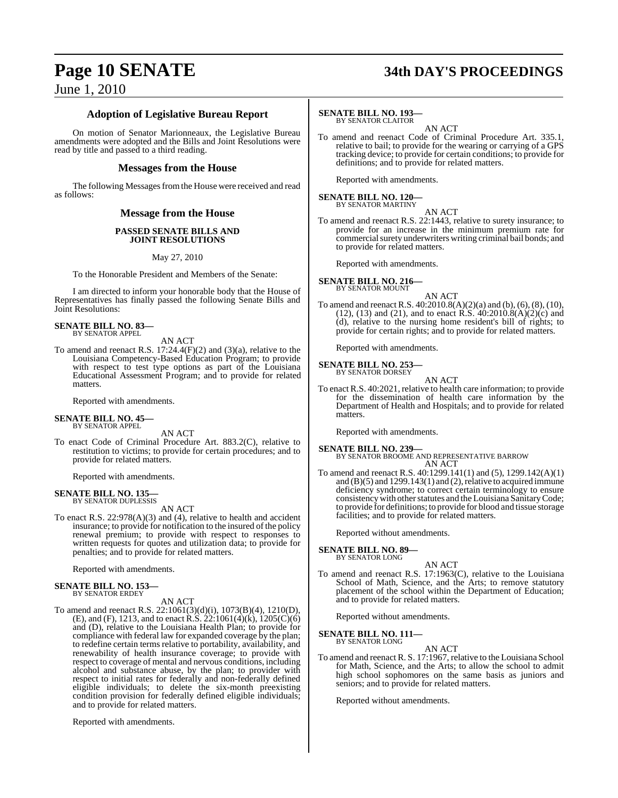### **Adoption of Legislative Bureau Report**

On motion of Senator Marionneaux, the Legislative Bureau amendments were adopted and the Bills and Joint Resolutions were read by title and passed to a third reading.

#### **Messages from the House**

The following Messages from the House were received and read as follows:

#### **Message from the House**

#### **PASSED SENATE BILLS AND JOINT RESOLUTIONS**

May 27, 2010

To the Honorable President and Members of the Senate:

I am directed to inform your honorable body that the House of Representatives has finally passed the following Senate Bills and Joint Resolutions:

#### **SENATE BILL NO. 83—** BY SENATOR APPEL

AN ACT

To amend and reenact R.S.  $17:24.4(F)(2)$  and  $(3)(a)$ , relative to the Louisiana Competency-Based Education Program; to provide with respect to test type options as part of the Louisiana Educational Assessment Program; and to provide for related matters.

Reported with amendments.

# **SENATE BILL NO. 45—** BY SENATOR APPEL

AN ACT

To enact Code of Criminal Procedure Art. 883.2(C), relative to restitution to victims; to provide for certain procedures; and to provide for related matters.

Reported with amendments.

# **SENATE BILL NO. 135—** BY SENATOR DUPLESSIS

AN ACT

To enact R.S. 22:978(A)(3) and (4), relative to health and accident insurance; to provide for notification to the insured of the policy renewal premium; to provide with respect to responses to written requests for quotes and utilization data; to provide for penalties; and to provide for related matters.

Reported with amendments.

# **SENATE BILL NO. 153—** BY SENATOR ERDEY

#### AN ACT

To amend and reenact R.S. 22:1061(3)(d)(i), 1073(B)(4), 1210(D), (E), and (F), 1213, and to enact R.S. 22:1061(4)(k), 1205(C)(6) and (D), relative to the Louisiana Health Plan; to provide for compliance with federal law for expanded coverage by the plan; to redefine certain terms relative to portability, availability, and renewability of health insurance coverage; to provide with respect to coverage of mental and nervous conditions, including alcohol and substance abuse, by the plan; to provider with respect to initial rates for federally and non-federally defined eligible individuals; to delete the six-month preexisting condition provision for federally defined eligible individuals; and to provide for related matters.

Reported with amendments.

# **Page 10 SENATE 34th DAY'S PROCEEDINGS**

#### **SENATE BILL NO. 193—**

BY SENATOR CLAITOR

AN ACT To amend and reenact Code of Criminal Procedure Art. 335.1, relative to bail; to provide for the wearing or carrying of a GPS tracking device; to provide for certain conditions; to provide for definitions; and to provide for related matters.

Reported with amendments.

# **SENATE BILL NO. 120—** BY SENATOR MARTINY

AN ACT

To amend and reenact R.S. 22:1443, relative to surety insurance; to provide for an increase in the minimum premium rate for commercial surety underwriters writing criminal bail bonds; and to provide for related matters.

Reported with amendments.

## **SENATE BILL NO. 216—**

BY SENATOR MOUNT

AN ACT To amend and reenact R.S. 40:2010.8(A)(2)(a) and (b), (6), (8), (10),  $(12)$ ,  $(13)$  and  $(21)$ , and to enact R.S.  $40:2010.8(A)(2)(c)$  and (d), relative to the nursing home resident's bill of rights; to provide for certain rights; and to provide for related matters.

Reported with amendments.

#### **SENATE BILL NO. 253—** BY SENATOR DORSEY

AN ACT

To enact R.S. 40:2021, relative to health care information; to provide for the dissemination of health care information by the Department of Health and Hospitals; and to provide for related matters.

Reported with amendments.

#### **SENATE BILL NO. 239—**

BY SENATOR BROOME AND REPRESENTATIVE BARROW AN ACT

To amend and reenact R.S. 40:1299.141(1) and (5), 1299.142(A)(1) and  $(B)(5)$  and  $1299.143(1)$  and  $(2)$ , relative to acquired immune deficiency syndrome; to correct certain terminology to ensure consistency with other statutes and the Louisiana Sanitary Code; to provide for definitions; to provide for blood and tissue storage facilities; and to provide for related matters.

Reported without amendments.

**SENATE BILL NO. 89—**

BY SENATOR LONG

- AN ACT
- To amend and reenact R.S. 17:1963(C), relative to the Louisiana School of Math, Science, and the Arts; to remove statutory placement of the school within the Department of Education; and to provide for related matters.

Reported without amendments.

**SENATE BILL NO. 111—** BY SENATOR LONG

AN ACT

To amend and reenact R. S. 17:1967, relative to the Louisiana School for Math, Science, and the Arts; to allow the school to admit high school sophomores on the same basis as juniors and seniors; and to provide for related matters.

Reported without amendments.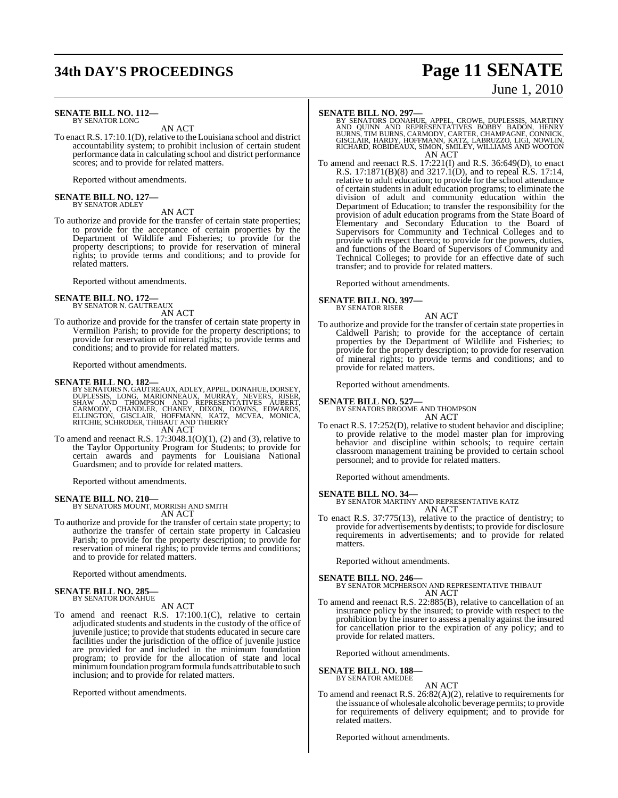# **34th DAY'S PROCEEDINGS Page 11 SENATE**

#### **SENATE BILL NO. 112—** BY SENATOR LONG

AN ACT

To enact R.S. 17:10.1(D), relative to the Louisiana school and district accountability system; to prohibit inclusion of certain student performance data in calculating school and district performance scores; and to provide for related matters.

Reported without amendments.

# **SENATE BILL NO. 127—** BY SENATOR ADLEY

AN ACT

To authorize and provide for the transfer of certain state properties; to provide for the acceptance of certain properties by the Department of Wildlife and Fisheries; to provide for the property descriptions; to provide for reservation of mineral rights; to provide terms and conditions; and to provide for related matters.

Reported without amendments.

#### **SENATE BILL NO. 172—** BY SENATOR N. GAUTREAUX

AN ACT

To authorize and provide for the transfer of certain state property in Vermilion Parish; to provide for the property descriptions; to provide for reservation of mineral rights; to provide terms and conditions; and to provide for related matters.

Reported without amendments.

#### **SENATE BILL NO. 182—**

BY SENATORS N. GAUTREAUX, ADLEY, APPEL, DONAHUE, DORSEY,<br>DUPLESSIS, LONG, MARIONNEAUX, MURRAY, NEVERS, RISER,<br>SHAW AND THOMPSON AND REPRESENTATIVES AUBERT,<br>CARMODY, CHANDLER, CHANEY, DIXON, DOWN AN ACT

To amend and reenact R.S.  $17:3048.1(O)(1)$ ,  $(2)$  and  $(3)$ , relative to the Taylor Opportunity Program for Students; to provide for certain awards and payments for Louisiana National Guardsmen; and to provide for related matters.

Reported without amendments.

**SENATE BILL NO. 210—** BY SENATORS MOUNT, MORRISH AND SMITH AN ACT

To authorize and provide for the transfer of certain state property; to authorize the transfer of certain state property in Calcasieu Parish; to provide for the property description; to provide for reservation of mineral rights; to provide terms and conditions; and to provide for related matters.

Reported without amendments.

# **SENATE BILL NO. 285—** BY SENATOR DONAHUE

#### AN ACT

To amend and reenact R.S. 17:100.1(C), relative to certain adjudicated students and students in the custody of the office of juvenile justice; to provide that students educated in secure care facilities under the jurisdiction of the office of juvenile justice are provided for and included in the minimum foundation program; to provide for the allocation of state and local minimumfoundation programformula funds attributable to such inclusion; and to provide for related matters.

Reported without amendments.

**SENATE BILL NO. 297—**<br>BY SENATORS DONAHUE, APPEL, CROWE, DUPLESSIS, MARTINY<br>AND QUINN AND REPRESENTATIVES BOBBY BADON, HENRY<br>BURNS, TIM BURNS, CARMODY, CARTER, CHAMPAGNE, CONNICK,<br>GISCLAIR, HARDY, HOFFMANN, KATZ, LABRUZZO AN ACT

To amend and reenact R.S. 17:221(I) and R.S. 36:649(D), to enact R.S. 17:1871(B)(8) and 3217.1(D), and to repeal R.S. 17:14, relative to adult education; to provide for the school attendance of certain students in adult education programs; to eliminate the division of adult and community education within the Department of Education; to transfer the responsibility for the provision of adult education programs from the State Board of Elementary and Secondary Education to the Board of Supervisors for Community and Technical Colleges and to provide with respect thereto; to provide for the powers, duties, and functions of the Board of Supervisors of Community and Technical Colleges; to provide for an effective date of such transfer; and to provide for related matters.

Reported without amendments.

**SENATE BILL NO. 397—** BY SENATOR RISER

AN ACT

To authorize and provide for the transfer of certain state properties in Caldwell Parish; to provide for the acceptance of certain properties by the Department of Wildlife and Fisheries; to provide for the property description; to provide for reservation of mineral rights; to provide terms and conditions; and to provide for related matters.

Reported without amendments.

**SENATE BILL NO. 527—**

BY SENATORS BROOME AND THOMPSON AN ACT

To enact R.S. 17:252(D), relative to student behavior and discipline; to provide relative to the model master plan for improving behavior and discipline within schools; to require certain classroom management training be provided to certain school personnel; and to provide for related matters.

Reported without amendments.

#### **SENATE BILL NO. 34—**

BY SENATOR MARTINY AND REPRESENTATIVE KATZ AN ACT

To enact R.S. 37:775(13), relative to the practice of dentistry; to provide for advertisements by dentists; to provide for disclosure requirements in advertisements; and to provide for related matters.

Reported without amendments.

#### **SENATE BILL NO. 246—**

BY SENATOR MCPHERSON AND REPRESENTATIVE THIBAUT AN ACT

To amend and reenact R.S. 22:885(B), relative to cancellation of an insurance policy by the insured; to provide with respect to the prohibition by the insurer to assess a penalty against the insured for cancellation prior to the expiration of any policy; and to provide for related matters.

Reported without amendments.

**SENATE BILL NO. 188—** BY SENATOR AMEDEE

AN ACT

To amend and reenact R.S. 26:82(A)(2), relative to requirements for the issuance of wholesale alcoholic beverage permits; to provide for requirements of delivery equipment; and to provide for related matters.

Reported without amendments.

June 1, 2010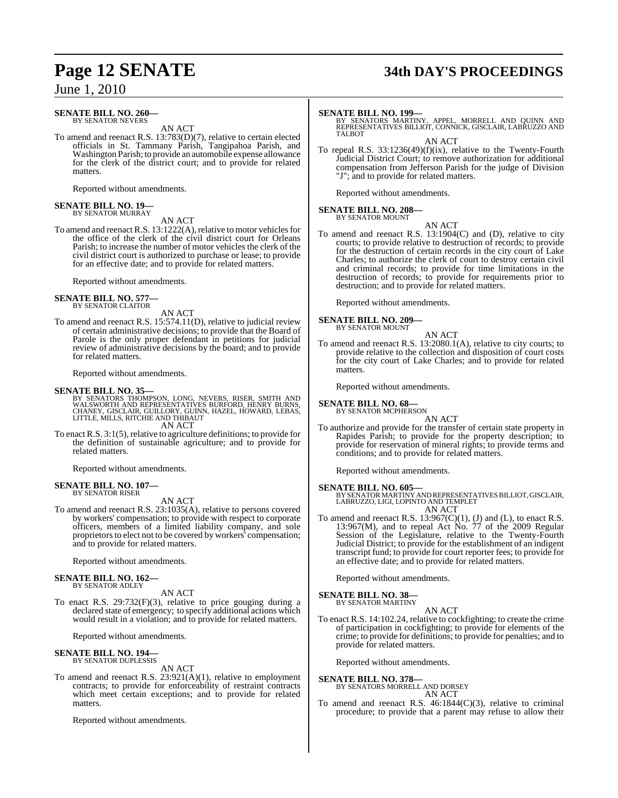#### **SENATE BILL NO. 260—** BY SENATOR NEVERS

AN ACT

To amend and reenact R.S. 13:783(D)(7), relative to certain elected officials in St. Tammany Parish, Tangipahoa Parish, and Washington Parish; to provide an automobile expense allowance for the clerk of the district court; and to provide for related matters.

Reported without amendments.

# **SENATE BILL NO. 19—** BY SENATOR MURRAY

AN ACT

To amend and reenact R.S.  $13:1222(A)$ , relative to motor vehicles for the office of the clerk of the civil district court for Orleans Parish; to increase the number of motor vehicles the clerk of the civil district court is authorized to purchase or lease; to provide for an effective date; and to provide for related matters.

Reported without amendments.

#### **SENATE BILL NO. 577** BY SENATOR CLAITOR

AN ACT

To amend and reenact R.S. 15:574.11(D), relative to judicial review of certain administrative decisions; to provide that the Board of Parole is the only proper defendant in petitions for judicial review of administrative decisions by the board; and to provide for related matters.

Reported without amendments.

#### **SENATE BILL NO. 35—**

BY SENATORS THOMPSON, LONG, NEVERS, RISER, SMITH AND WALSWORTH AND REPRESENTATIVES BURFORD, HENRY BURNS, CHANEY, GISCLAIR, GUILLORY, GUINN, HAZEL, HOWARD, LEBAS, LITTLE, MILLS, RITCHIE AND THIBAUT AN ACT

To enact R.S. 3:1(5), relative to agriculture definitions; to provide for the definition of sustainable agriculture; and to provide for related matters.

Reported without amendments.

#### **SENATE BILL NO. 107—** BY SENATOR RISER

AN ACT

To amend and reenact R.S. 23:1035(A), relative to persons covered by workers' compensation; to provide with respect to corporate officers, members of a limited liability company, and sole proprietors to elect not to be covered by workers' compensation; and to provide for related matters.

Reported without amendments.

#### **SENATE BILL NO. 162—** BY SENATOR ADLEY

AN ACT

To enact R.S. 29:732(F)(3), relative to price gouging during a declared state of emergency; to specify additional actions which would result in a violation; and to provide for related matters.

Reported without amendments.

#### **SENATE BILL NO. 194—** BY SENATOR DUPLESSIS

AN ACT

To amend and reenact R.S. 23:921(A)(1), relative to employment contracts; to provide for enforceability of restraint contracts which meet certain exceptions; and to provide for related matters.

Reported without amendments.

# **Page 12 SENATE 34th DAY'S PROCEEDINGS**

#### **SENATE BILL NO. 199—**

BY SENATORS MARTINY, APPEL, MORRELL AND QUINN AND<br>REPRESENTATIVES BILLIOT, CONNICK, GISCLAIR, LABRUZZO AND<br>TALBOT

AN ACT

To repeal R.S.  $33:1236(49)(f)(ix)$ , relative to the Twenty-Fourth Judicial District Court; to remove authorization for additional compensation from Jefferson Parish for the judge of Division "J"; and to provide for related matters.

Reported without amendments.

#### **SENATE BILL NO. 208—**

BY SENATOR MOUNT

AN ACT To amend and reenact R.S. 13:1904(C) and (D), relative to city courts; to provide relative to destruction of records; to provide for the destruction of certain records in the city court of Lake Charles; to authorize the clerk of court to destroy certain civil and criminal records; to provide for time limitations in the destruction of records; to provide for requirements prior to destruction; and to provide for related matters.

Reported without amendments.

**SENATE BILL NO. 209—** BY SENATOR MOUNT

AN ACT

To amend and reenact R.S. 13:2080.1(A), relative to city courts; to provide relative to the collection and disposition of court costs for the city court of Lake Charles; and to provide for related matters.

Reported without amendments.

**SENATE BILL NO. 68—**

BY SENATOR MCPHERSON AN ACT

To authorize and provide for the transfer of certain state property in Rapides Parish; to provide for the property description; to provide for reservation of mineral rights; to provide terms and conditions; and to provide for related matters.

Reported without amendments.

- **SENATE BILL NO. 605—** BY SENATOR MARTINY AND REPRESENTATIVES BILLIOT, GISCLAIR, LABRUZZO, LIGI, LOPINTO AND TEMPLET AN ACT
- To amend and reenact R.S.  $13:967(C)(1)$ , (J) and (L), to enact R.S. 13:967(M), and to repeal Act No. 77 of the 2009 Regular Session of the Legislature, relative to the Twenty-Fourth Judicial District; to provide for the establishment of an indigent transcript fund; to provide for court reporter fees; to provide for an effective date; and to provide for related matters.

Reported without amendments.

**SENATE BILL NO. 38—** BY SENATOR MARTINY

AN ACT

To enact R.S. 14:102.24, relative to cockfighting; to create the crime of participation in cockfighting; to provide for elements of the crime; to provide for definitions; to provide for penalties; and to provide for related matters.

Reported without amendments.

#### **SENATE BILL NO. 378—**

BY SENATORS MORRELL AND DORSEY AN ACT

To amend and reenact R.S. 46:1844(C)(3), relative to criminal procedure; to provide that a parent may refuse to allow their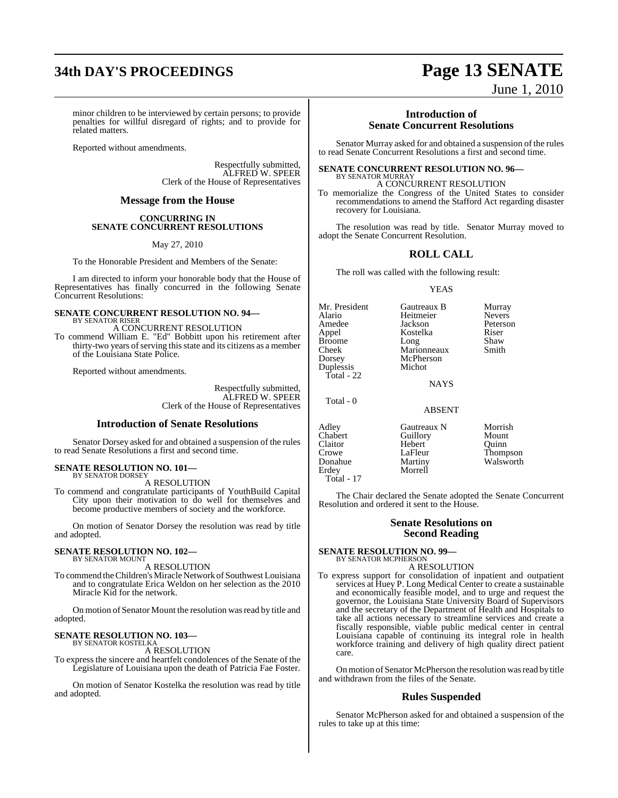# **34th DAY'S PROCEEDINGS Page 13 SENATE**

June 1, 2010

minor children to be interviewed by certain persons; to provide penalties for willful disregard of rights; and to provide for related matters.

Reported without amendments.

Respectfully submitted, ALFRED W. SPEER Clerk of the House of Representatives

#### **Message from the House**

#### **CONCURRING IN SENATE CONCURRENT RESOLUTIONS**

May 27, 2010

To the Honorable President and Members of the Senate:

I am directed to inform your honorable body that the House of Representatives has finally concurred in the following Senate Concurrent Resolutions:

#### **SENATE CONCURRENT RESOLUTION NO. 94—** BY SENATOR RISER

#### A CONCURRENT RESOLUTION

To commend William E. "Ed" Bobbitt upon his retirement after thirty-two years of serving this state and its citizens as a member of the Louisiana State Police.

Reported without amendments.

Respectfully submitted, ALFRED W. SPEER Clerk of the House of Representatives

#### **Introduction of Senate Resolutions**

Senator Dorsey asked for and obtained a suspension of the rules to read Senate Resolutions a first and second time.

#### **SENATE RESOLUTION NO. 101—** BY SENATOR DORSEY

A RESOLUTION

To commend and congratulate participants of YouthBuild Capital City upon their motivation to do well for themselves and become productive members of society and the workforce.

On motion of Senator Dorsey the resolution was read by title and adopted.

#### **SENATE RESOLUTION NO. 102—** BY SENATOR MOUNT

A RESOLUTION

To commend the Children's Miracle Network of Southwest Louisiana and to congratulate Erica Weldon on her selection as the 2010 Miracle Kid for the network.

On motion of Senator Mount the resolution was read by title and adopted.

#### **SENATE RESOLUTION NO. 103—** BY SENATOR KOSTELKA

A RESOLUTION

To express the sincere and heartfelt condolences of the Senate of the Legislature of Louisiana upon the death of Patricia Fae Foster.

On motion of Senator Kostelka the resolution was read by title and adopted.

#### **Introduction of Senate Concurrent Resolutions**

Senator Murray asked for and obtained a suspension of the rules to read Senate Concurrent Resolutions a first and second time.

#### **SENATE CONCURRENT RESOLUTION NO. 96—**

BY SENATOR MURRAY A CONCURRENT RESOLUTION

To memorialize the Congress of the United States to consider recommendations to amend the Stafford Act regarding disaster recovery for Louisiana.

The resolution was read by title. Senator Murray moved to adopt the Senate Concurrent Resolution.

#### **ROLL CALL**

The roll was called with the following result:

#### YEAS

Mr. President Gautreaux B Murray<br>Alario Heitmeier Nevers Alario Heitmeier<br>Amedee Jackson Amedee Jackson Peterson<br>Appel Kostelka Riser Broome Long Shaw<br>Cheek Marionneaux Smith Dorsey McPherson<br>
Duplessis Michot Duplessis Total - 22

Total - 0

Total - 17

Kostelka Riser<br>Long Shaw Marionneaux

**NAYS** 

#### ABSENT

Adley Gautreaux N Morrish<br>
Chabert Guillory Mount Chabert Guillory Mount Hebert<br>LaFleur Donahue Martiny Walsworth<br>Erdey Morrell Morrell

Crowe LaFleur Thompson

The Chair declared the Senate adopted the Senate Concurrent Resolution and ordered it sent to the House.

#### **Senate Resolutions on Second Reading**

**SENATE RESOLUTION NO. 99—** BY SENATOR MCPHERSON

### A RESOLUTION

To express support for consolidation of inpatient and outpatient services at Huey P. Long Medical Center to create a sustainable and economically feasible model, and to urge and request the governor, the Louisiana State University Board of Supervisors and the secretary of the Department of Health and Hospitals to take all actions necessary to streamline services and create a fiscally responsible, viable public medical center in central Louisiana capable of continuing its integral role in health workforce training and delivery of high quality direct patient care.

On motion of Senator McPherson the resolution was read by title and withdrawn from the files of the Senate.

#### **Rules Suspended**

Senator McPherson asked for and obtained a suspension of the rules to take up at this time: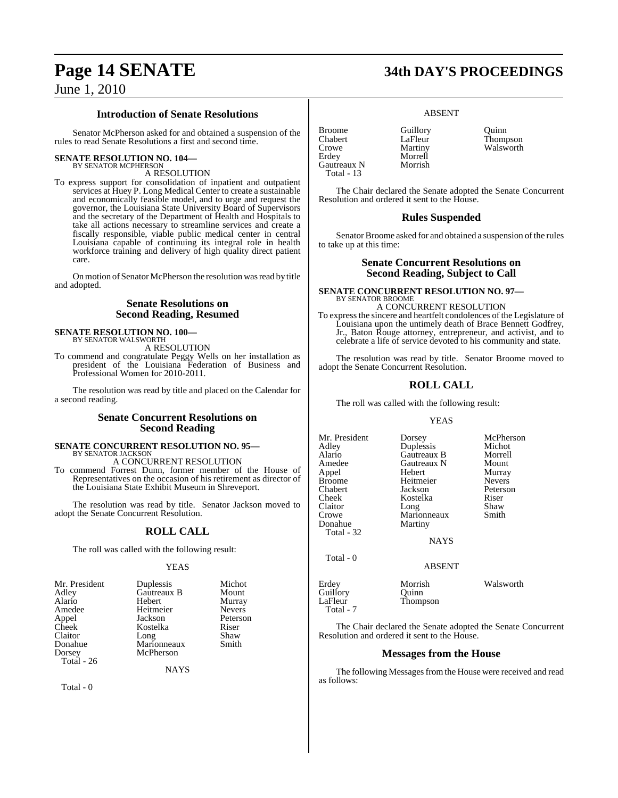#### **Introduction of Senate Resolutions**

Senator McPherson asked for and obtained a suspension of the rules to read Senate Resolutions a first and second time.

#### **SENATE RESOLUTION NO. 104—**

BY SENATOR MCPHERSON A RESOLUTION

To express support for consolidation of inpatient and outpatient services at Huey P. Long Medical Center to create a sustainable and economically feasible model, and to urge and request the governor, the Louisiana State University Board of Supervisors and the secretary of the Department of Health and Hospitals to take all actions necessary to streamline services and create a fiscally responsible, viable public medical center in central Louisiana capable of continuing its integral role in health workforce training and delivery of high quality direct patient care.

On motion of Senator McPherson the resolution was read by title and adopted.

#### **Senate Resolutions on Second Reading, Resumed**

**SENATE RESOLUTION NO. 100—** BY SENATOR WALSWORTH

A RESOLUTION

To commend and congratulate Peggy Wells on her installation as president of the Louisiana Federation of Business and Professional Women for 2010-2011.

The resolution was read by title and placed on the Calendar for a second reading.

#### **Senate Concurrent Resolutions on Second Reading**

# **SENATE CONCURRENT RESOLUTION NO. 95—**

BY SENATOR JACKSON A CONCURRENT RESOLUTION To commend Forrest Dunn, former member of the House of

Representatives on the occasion of his retirement as director of the Louisiana State Exhibit Museum in Shreveport.

The resolution was read by title. Senator Jackson moved to adopt the Senate Concurrent Resolution.

#### **ROLL CALL**

The roll was called with the following result:

#### **YEAS**

| Mr. President | Duplessis   | Michot        |
|---------------|-------------|---------------|
| Adley         | Gautreaux B | Mount         |
| Alario        | Hebert      | Murray        |
| Amedee        | Heitmeier   | <b>Nevers</b> |
| Appel         | Jackson     | Peterson      |
| Cheek         | Kostelka    | Riser         |
| Claitor       | Long        | Shaw          |
| Donahue       | Marionneaux | Smith         |
| Dorsey        | McPherson   |               |
| $Total - 26$  |             |               |

NAYS

Total - 0

# **Page 14 SENATE 34th DAY'S PROCEEDINGS**

#### ABSENT

Broome Guillory Quinn Chabert LaFleur Thompson<br>Crowe Martiny Walsworth Erdey Morrell<br>Gautreaux N Morrish Gautreaux N Total - 13

Walsworth

The Chair declared the Senate adopted the Senate Concurrent Resolution and ordered it sent to the House.

#### **Rules Suspended**

Senator Broome asked for and obtained a suspension of the rules to take up at this time:

#### **Senate Concurrent Resolutions on Second Reading, Subject to Call**

**SENATE CONCURRENT RESOLUTION NO. 97—** BY SENATOR BROOME A CONCURRENT RESOLUTION

To expressthe sincere and heartfelt condolences of the Legislature of Louisiana upon the untimely death of Brace Bennett Godfrey, Jr., Baton Rouge attorney, entrepreneur, and activist, and to celebrate a life of service devoted to his community and state.

The resolution was read by title. Senator Broome moved to adopt the Senate Concurrent Resolution.

#### **ROLL CALL**

The roll was called with the following result:

Kostelka

Thompson

#### YEAS

Mr. President Dorsey McPherson<br>Adley Duplessis Michot Adley Duplessis Michot Alario Gautreaux B Morrell Appel Hebert Murray Broome Heitmeier<br>Chabert Jackson Chabert Jackson Peterson Claitor Long Shaw<br>Crowe Marionneaux Smith Donahue Total - 32

Gautreaux N Mount<br>
Hebert Murray Marionneaux<br>Martiny

Total - 0

ABSENT

NAYS

Erdey Morrish Walsworth Guillory<br>LaFleur Total - 7

The Chair declared the Senate adopted the Senate Concurrent Resolution and ordered it sent to the House.

#### **Messages from the House**

The following Messages from the House were received and read as follows: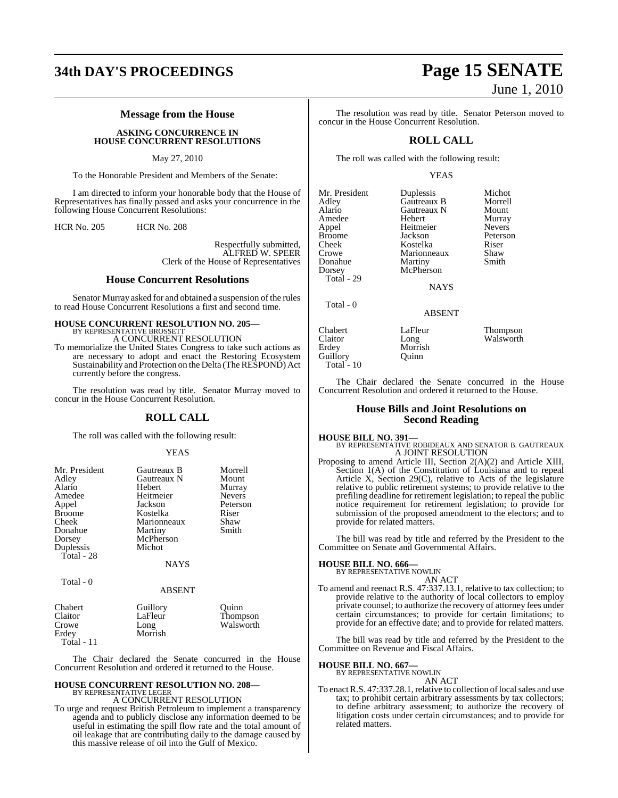#### **Message from the House**

**ASKING CONCURRENCE IN HOUSE CONCURRENT RESOLUTIONS**

May 27, 2010

To the Honorable President and Members of the Senate:

I am directed to inform your honorable body that the House of Representatives has finally passed and asks your concurrence in the following House Concurrent Resolutions:

HCR No. 205 HCR No. 208

Respectfully submitted, ALFRED W. SPEER Clerk of the House of Representatives

#### **House Concurrent Resolutions**

Senator Murray asked for and obtained a suspension of the rules to read House Concurrent Resolutions a first and second time.

# **HOUSE CONCURRENT RESOLUTION NO. 205—**

BY REPRESENTATIVE BROSSETT A CONCURRENT RESOLUTION

To memorialize the United States Congress to take such actions as are necessary to adopt and enact the Restoring Ecosystem Sustainability and Protection on the Delta (The RESPOND) Act currently before the congress.

The resolution was read by title. Senator Murray moved to concur in the House Concurrent Resolution.

#### **ROLL CALL**

The roll was called with the following result:

#### YEAS

| Mr. President<br>Adley | Gautreaux B<br>Gautreaux N | Morrell<br>Mount     |
|------------------------|----------------------------|----------------------|
| Alario                 | Hebert                     | Murray               |
| Amedee                 | Heitmeier                  | <b>Nevers</b>        |
| Appel                  | Jackson                    | Peterson             |
| <b>Broome</b>          | Kostelka                   | Riser                |
| Cheek                  | Marionneaux                | Shaw                 |
| Donahue                | Martiny                    | Smith                |
| Dorsey                 | McPherson                  |                      |
| Duplessis              | Michot                     |                      |
| Total - 28             |                            |                      |
|                        | NAYS                       |                      |
| Total - 0              |                            |                      |
|                        | <b>ABSENT</b>              |                      |
| Chabert                | Guillory                   | Quinn                |
| Claitor                | LaFleur<br>$\mathbf{r}$    | Thompson<br>$\cdots$ |

Crowe Long Walsworth<br>
Erdev Morrish Morrish Total - 11 The Chair declared the Senate concurred in the House

# Concurrent Resolution and ordered it returned to the House.

## **HOUSE CONCURRENT RESOLUTION NO. 208—** BY REPRESENTATIVE LEGER A CONCURRENT RESOLUTION

To urge and request British Petroleum to implement a transparency agenda and to publicly disclose any information deemed to be useful in estimating the spill flow rate and the total amount of oil leakage that are contributing daily to the damage caused by this massive release of oil into the Gulf of Mexico.

# **34th DAY'S PROCEEDINGS Page 15 SENATE** June 1, 2010

The resolution was read by title. Senator Peterson moved to concur in the House Concurrent Resolution.

#### **ROLL CALL**

The roll was called with the following result:

YEAS

| Mr. President | Duplessis   | Michot        |
|---------------|-------------|---------------|
| Adley         | Gautreaux B | Morrell       |
| Alario        | Gautreaux N | Mount         |
| Amedee        | Hebert      | Murray        |
| Appel         | Heitmeier   | <b>Nevers</b> |
| <b>Broome</b> | Jackson     | Peterson      |
| Cheek         | Kostelka    | Riser         |
| Crowe         | Marionneaux | Shaw          |
| Donahue       | Martiny     | Smith         |
| Dorsey        | McPherson   |               |
| Total - 29    |             |               |
|               | <b>NAYS</b> |               |
| Total - 0     |             |               |
|               | ABSENT      |               |
| Chabert       | LaFleur     | Thompson      |
| Claitor       | Long        | Walsworth     |
| Erdey         | Morrish     |               |
| Guillory      | Ouinn       |               |

The Chair declared the Senate concurred in the House Concurrent Resolution and ordered it returned to the House.

#### **House Bills and Joint Resolutions on Second Reading**

Guillory Total - 10

**HOUSE BILL NO. 391—** BY REPRESENTATIVE ROBIDEAUX AND SENATOR B. GAUTREAUX A JOINT RESOLUTION

Proposing to amend Article III, Section 2(A)(2) and Article XIII, Section 1(A) of the Constitution of Louisiana and to repeal Article X, Section 29(C), relative to Acts of the legislature relative to public retirement systems; to provide relative to the prefiling deadline for retirement legislation; to repeal the public notice requirement for retirement legislation; to provide for submission of the proposed amendment to the electors; and to provide for related matters.

The bill was read by title and referred by the President to the Committee on Senate and Governmental Affairs.

#### **HOUSE BILL NO. 666—**

BY REPRESENTATIVE NOWLIN AN ACT

To amend and reenact R.S. 47:337.13.1, relative to tax collection; to provide relative to the authority of local collectors to employ private counsel; to authorize the recovery of attorney fees under certain circumstances; to provide for certain limitations; to provide for an effective date; and to provide for related matters.

The bill was read by title and referred by the President to the Committee on Revenue and Fiscal Affairs.

**HOUSE BILL NO. 667—** BY REPRESENTATIVE NOWLIN

AN ACT

To enact R.S. 47:337.28.1, relative to collection of local sales and use tax; to prohibit certain arbitrary assessments by tax collectors; to define arbitrary assessment; to authorize the recovery of litigation costs under certain circumstances; and to provide for related matters.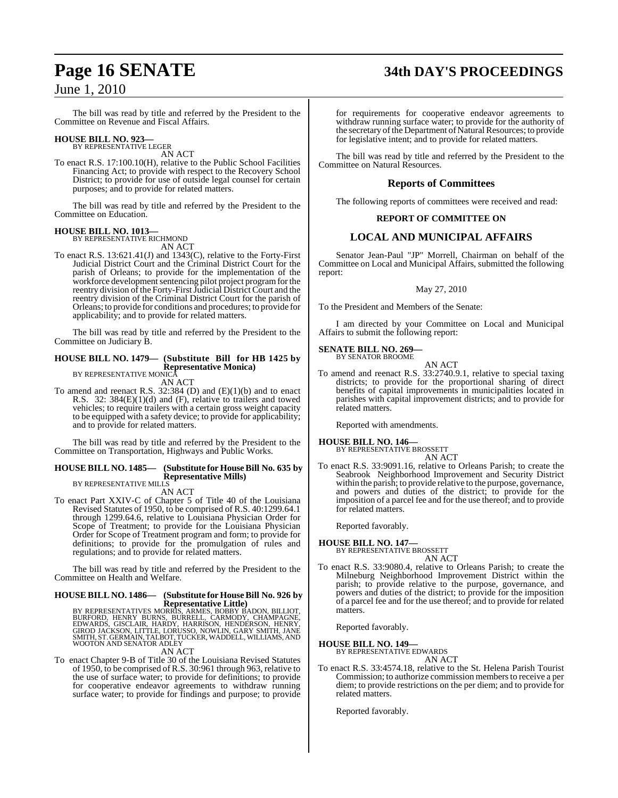The bill was read by title and referred by the President to the Committee on Revenue and Fiscal Affairs.

#### **HOUSE BILL NO. 923—** BY REPRESENTATIVE LEGER

AN ACT

To enact R.S. 17:100.10(H), relative to the Public School Facilities Financing Act; to provide with respect to the Recovery School District; to provide for use of outside legal counsel for certain purposes; and to provide for related matters.

The bill was read by title and referred by the President to the Committee on Education.

#### **HOUSE BILL NO. 1013—** BY REPRESENTATIVE RICHMOND

AN ACT

To enact R.S. 13:621.41(J) and 1343(C), relative to the Forty-First Judicial District Court and the Criminal District Court for the parish of Orleans; to provide for the implementation of the workforce development sentencing pilot project program for the reentry division of the Forty-First Judicial District Court and the reentry division of the Criminal District Court for the parish of Orleans; to provide for conditions and procedures; to provide for applicability; and to provide for related matters.

The bill was read by title and referred by the President to the Committee on Judiciary B.

#### **HOUSE BILL NO. 1479— (Substitute Bill for HB 1425 by Representative Monica)** BY REPRESENTATIVE MONICA

AN ACT

To amend and reenact R.S. 32:384 (D) and (E)(1)(b) and to enact R.S. 32: 384(E)(1)(d) and (F), relative to trailers and towed vehicles; to require trailers with a certain gross weight capacity to be equipped with a safety device; to provide for applicability; and to provide for related matters.

The bill was read by title and referred by the President to the Committee on Transportation, Highways and Public Works.

#### **HOUSE BILL NO. 1485— (Substitute for HouseBill No. 635 by Representative Mills)** BY REPRESENTATIVE MILLS

AN ACT

To enact Part XXIV-C of Chapter 5 of Title 40 of the Louisiana Revised Statutes of 1950, to be comprised of R.S. 40:1299.64.1 through 1299.64.6, relative to Louisiana Physician Order for Scope of Treatment; to provide for the Louisiana Physician Order for Scope of Treatment program and form; to provide for definitions; to provide for the promulgation of rules and regulations; and to provide for related matters.

The bill was read by title and referred by the President to the Committee on Health and Welfare.

# **HOUSE BILL NO. 1486— (Substitute for HouseBill No. 926 by**

Representative Little)<br>BURFORD, HENRY BURNS, ARMES, BOBBY BADON, BILLIOT,<br>BURFORD, HENRY BURNS, BURRELL, CARMODY, CHAMPAGNE,<br>EDWARDS, GISCLAIR, HARDY, HARRISON, HENDERSON, HENRY,<br>GIROD JACKSON, LITTLE, LORUSSO, NOWLIN, GAR

#### AN ACT

To enact Chapter 9-B of Title 30 of the Louisiana Revised Statutes of 1950, to be comprised of R.S. 30:961 through 963, relative to the use of surface water; to provide for definitions; to provide for cooperative endeavor agreements to withdraw running surface water; to provide for findings and purpose; to provide

for requirements for cooperative endeavor agreements to withdraw running surface water; to provide for the authority of the secretary of the Department of Natural Resources; to provide

The bill was read by title and referred by the President to the Committee on Natural Resources.

for legislative intent; and to provide for related matters.

#### **Reports of Committees**

The following reports of committees were received and read:

#### **REPORT OF COMMITTEE ON**

#### **LOCAL AND MUNICIPAL AFFAIRS**

Senator Jean-Paul "JP" Morrell, Chairman on behalf of the Committee on Local and Municipal Affairs, submitted the following report:

#### May 27, 2010

To the President and Members of the Senate:

I am directed by your Committee on Local and Municipal Affairs to submit the following report:

# **SENATE BILL NO. 269—** BY SENATOR BROOME

AN ACT

To amend and reenact R.S. 33:2740.9.1, relative to special taxing districts; to provide for the proportional sharing of direct benefits of capital improvements in municipalities located in parishes with capital improvement districts; and to provide for related matters.

Reported with amendments.

#### **HOUSE BILL NO. 146—**

BY REPRESENTATIVE BROSSETT AN ACT

To enact R.S. 33:9091.16, relative to Orleans Parish; to create the Seabrook Neighborhood Improvement and Security District within the parish; to provide relative to the purpose, governance, and powers and duties of the district; to provide for the imposition of a parcel fee and for the use thereof; and to provide for related matters.

Reported favorably.

#### **HOUSE BILL NO. 147—**

BY REPRESENTATIVE BROSSETT AN ACT

To enact R.S. 33:9080.4, relative to Orleans Parish; to create the Milneburg Neighborhood Improvement District within the parish; to provide relative to the purpose, governance, and powers and duties of the district; to provide for the imposition of a parcel fee and for the use thereof; and to provide for related matters.

Reported favorably.

# **HOUSE BILL NO. 149—** BY REPRESENTATIVE EDWARDS

AN ACT

To enact R.S. 33:4574.18, relative to the St. Helena Parish Tourist Commission; to authorize commission members to receive a per diem; to provide restrictions on the per diem; and to provide for related matters.

Reported favorably.

# **Page 16 SENATE 34th DAY'S PROCEEDINGS**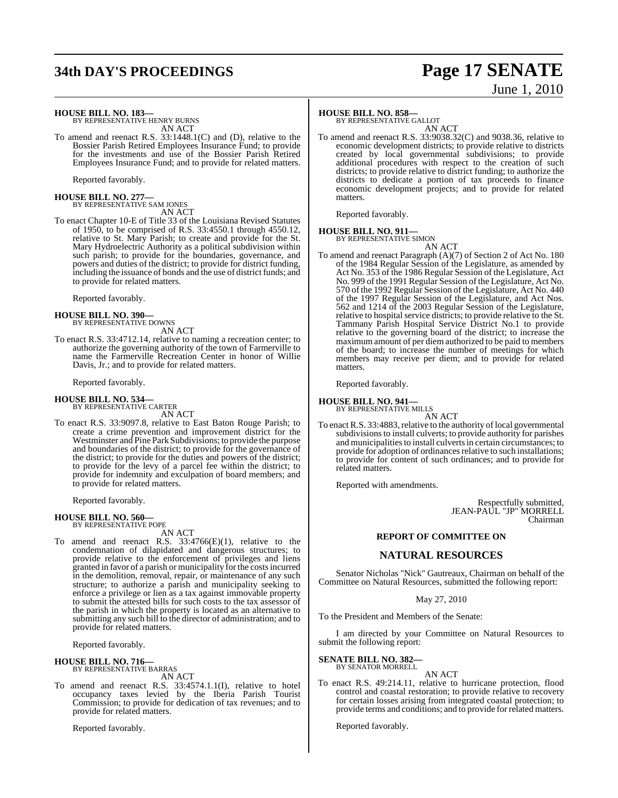# **34th DAY'S PROCEEDINGS Page 17 SENATE**

# June 1, 2010

**HOUSE BILL NO. 183—**

BY REPRESENTATIVE HENRY BURNS AN ACT

To amend and reenact R.S. 33:1448.1(C) and (D), relative to the Bossier Parish Retired Employees Insurance Fund; to provide for the investments and use of the Bossier Parish Retired Employees Insurance Fund; and to provide for related matters.

Reported favorably.

# **HOUSE BILL NO. 277—** BY REPRESENTATIVE SAM JONES

AN ACT

To enact Chapter 10-E of Title 33 of the Louisiana Revised Statutes of 1950, to be comprised of R.S. 33:4550.1 through 4550.12, relative to St. Mary Parish; to create and provide for the St. Mary Hydroelectric Authority as a political subdivision within such parish; to provide for the boundaries, governance, and powers and duties of the district; to provide for district funding, including the issuance of bonds and the use of district funds; and to provide for related matters.

Reported favorably.

**HOUSE BILL NO. 390—** BY REPRESENTATIVE DOWNS

AN ACT

To enact R.S. 33:4712.14, relative to naming a recreation center; to authorize the governing authority of the town of Farmerville to name the Farmerville Recreation Center in honor of Willie Davis, Jr.; and to provide for related matters.

Reported favorably.

#### **HOUSE BILL NO. 534—** BY REPRESENTATIVE CARTER

AN ACT

To enact R.S. 33:9097.8, relative to East Baton Rouge Parish; to create a crime prevention and improvement district for the Westminster and Pine Park Subdivisions; to provide the purpose and boundaries of the district; to provide for the governance of the district; to provide for the duties and powers of the district; to provide for the levy of a parcel fee within the district; to provide for indemnity and exculpation of board members; and to provide for related matters.

Reported favorably.

#### **HOUSE BILL NO. 560—** BY REPRESENTATIVE POPE

AN ACT

To amend and reenact R.S. 33:4766(E)(1), relative to the condemnation of dilapidated and dangerous structures; to provide relative to the enforcement of privileges and liens granted in favor of a parish or municipality for the costsincurred in the demolition, removal, repair, or maintenance of any such structure; to authorize a parish and municipality seeking to enforce a privilege or lien as a tax against immovable property to submit the attested bills for such costs to the tax assessor of the parish in which the property is located as an alternative to submitting any such bill to the director of administration; and to provide for related matters.

Reported favorably.

**HOUSE BILL NO. 716—** BY REPRESENTATIVE BARRAS

AN ACT

To amend and reenact R.S. 33:4574.1.1(I), relative to hotel occupancy taxes levied by the Iberia Parish Tourist Commission; to provide for dedication of tax revenues; and to provide for related matters.

Reported favorably.

## **HOUSE BILL NO. 858—**

BY REPRESENTATIVE GALLOT AN ACT

To amend and reenact R.S. 33:9038.32(C) and 9038.36, relative to economic development districts; to provide relative to districts created by local governmental subdivisions; to provide additional procedures with respect to the creation of such districts; to provide relative to district funding; to authorize the districts to dedicate a portion of tax proceeds to finance economic development projects; and to provide for related matters.

Reported favorably.

#### **HOUSE BILL NO. 911—** BY REPRESENTATIVE SIMON

AN ACT

To amend and reenact Paragraph (A)(7) of Section 2 of Act No. 180 of the 1984 Regular Session of the Legislature, as amended by Act No. 353 of the 1986 Regular Session of the Legislature, Act No. 999 of the 1991 Regular Session of the Legislature, Act No. 570 of the 1992 Regular Session of the Legislature, Act No. 440 of the 1997 Regular Session of the Legislature, and Act Nos. 562 and 1214 of the 2003 Regular Session of the Legislature, relative to hospital service districts; to provide relative to the St. Tammany Parish Hospital Service District No.1 to provide relative to the governing board of the district; to increase the maximum amount of per diem authorized to be paid to members of the board; to increase the number of meetings for which members may receive per diem; and to provide for related matters.

Reported favorably.

**HOUSE BILL NO. 941—**

BY REPRESENTATIVE MILLS AN ACT

To enact R.S. 33:4883, relative to the authority of local governmental subdivisions to install culverts; to provide authority for parishes and municipalities to install culverts in certain circumstances; to provide for adoption of ordinances relative to such installations; to provide for content of such ordinances; and to provide for related matters.

Reported with amendments.

Respectfully submitted, JEAN-PAUL "JP" MORRELL Chairman

#### **REPORT OF COMMITTEE ON**

#### **NATURAL RESOURCES**

Senator Nicholas "Nick" Gautreaux, Chairman on behalf of the Committee on Natural Resources, submitted the following report:

May 27, 2010

To the President and Members of the Senate:

I am directed by your Committee on Natural Resources to submit the following report:

**SENATE BILL NO. 382—** BY SENATOR MORRELL

AN ACT

To enact R.S. 49:214.11, relative to hurricane protection, flood control and coastal restoration; to provide relative to recovery for certain losses arising from integrated coastal protection; to provide terms and conditions; and to provide for related matters.

Reported favorably.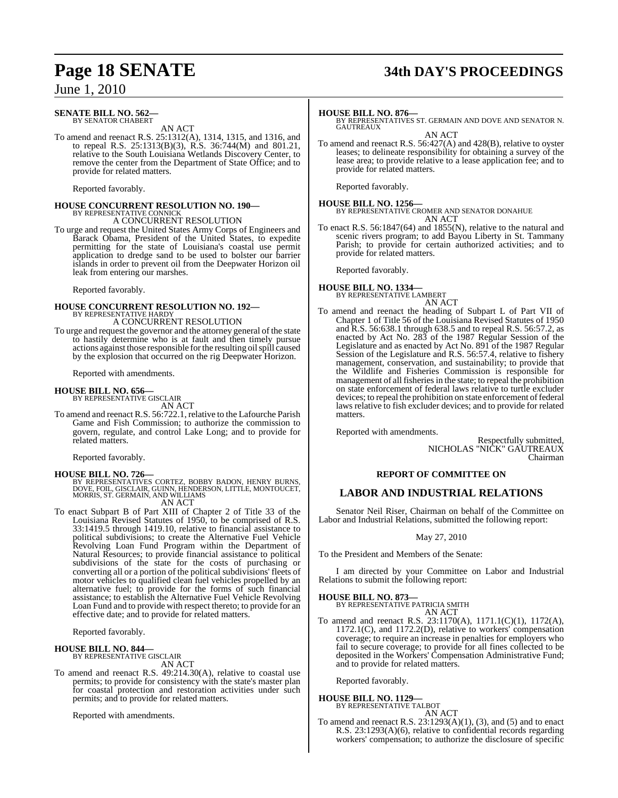#### **SENATE BILL NO. 562—** BY SENATOR CHABERT

AN ACT

To amend and reenact R.S. 25:1312(A), 1314, 1315, and 1316, and to repeal R.S. 25:1313(B)(3), R.S. 36:744(M) and 801.21, relative to the South Louisiana Wetlands Discovery Center, to remove the center from the Department of State Office; and to provide for related matters.

Reported favorably.

# **HOUSE CONCURRENT RESOLUTION NO. 190—** BY REPRESENTATIVE CONNICK

A CONCURRENT RESOLUTION

To urge and request the United States Army Corps of Engineers and Barack Obama, President of the United States, to expedite permitting for the state of Louisiana's coastal use permit application to dredge sand to be used to bolster our barrier islands in order to prevent oil from the Deepwater Horizon oil leak from entering our marshes.

Reported favorably.

# **HOUSE CONCURRENT RESOLUTION NO. 192—** BY REPRESENTATIVE HARDY

A CONCURRENT RESOLUTION

To urge and request the governor and the attorney general of the state to hastily determine who is at fault and then timely pursue actions against those responsible for the resulting oil spill caused by the explosion that occurred on the rig Deepwater Horizon.

Reported with amendments.

#### **HOUSE BILL NO. 656—**

BY REPRESENTATIVE GISCLAIR AN ACT

To amend and reenact R.S. 56:722.1, relative to the Lafourche Parish Game and Fish Commission; to authorize the commission to govern, regulate, and control Lake Long; and to provide for related matters.

Reported favorably.

**HOUSE BILL NO. 726—**<br>BY REPRESENTATIVES CORTEZ, BOBBY BADON, HENRY BURNS,<br>DOVE, FOIL, GISCLAIR, GUINN, HENDERSON, LITTLE, MONTOUCET,<br>MORRIS, ST. GERMAIN, AND WILLIAMS

AN ACT

To enact Subpart B of Part XIII of Chapter 2 of Title 33 of the Louisiana Revised Statutes of 1950, to be comprised of R.S. 33:1419.5 through 1419.10, relative to financial assistance to political subdivisions; to create the Alternative Fuel Vehicle Revolving Loan Fund Program within the Department of Natural Resources; to provide financial assistance to political subdivisions of the state for the costs of purchasing or converting all or a portion of the political subdivisions' fleets of motor vehicles to qualified clean fuel vehicles propelled by an alternative fuel; to provide for the forms of such financial assistance; to establish the Alternative Fuel Vehicle Revolving Loan Fund and to provide with respect thereto; to provide for an effective date; and to provide for related matters.

Reported favorably.

#### **HOUSE BILL NO. 844—**

BY REPRESENTATIVE GISCLAIR

AN ACT

To amend and reenact R.S. 49:214.30(A), relative to coastal use permits; to provide for consistency with the state's master plan for coastal protection and restoration activities under such permits; and to provide for related matters.

Reported with amendments.

# **Page 18 SENATE 34th DAY'S PROCEEDINGS**

#### **HOUSE BILL NO. 876—**

BY REPRESENTATIVES ST. GERMAIN AND DOVE AND SENATOR N. **GAUTREAUX** 

AN ACT

To amend and reenact R.S. 56:427(A) and 428(B), relative to oyster leases; to delineate responsibility for obtaining a survey of the lease area; to provide relative to a lease application fee; and to provide for related matters.

Reported favorably.

**HOUSE BILL NO. 1256—** BY REPRESENTATIVE CROMER AND SENATOR DONAHUE AN ACT

To enact R.S. 56:1847(64) and 1855(N), relative to the natural and scenic rivers program; to add Bayou Liberty in St. Tammany Parish; to provide for certain authorized activities; and to provide for related matters.

Reported favorably.

#### **HOUSE BILL NO. 1334—** BY REPRESENTATIVE LAMBERT

#### AN ACT To amend and reenact the heading of Subpart L of Part VII of Chapter 1 of Title 56 of the Louisiana Revised Statutes of 1950 and R.S. 56:638.1 through 638.5 and to repeal R.S. 56:57.2, as enacted by Act No. 283 of the 1987 Regular Session of the Legislature and as enacted by Act No. 891 of the 1987 Regular Session of the Legislature and R.S. 56:57.4, relative to fishery management, conservation, and sustainability; to provide that the Wildlife and Fisheries Commission is responsible for management of all fisheries in the state; to repeal the prohibition on state enforcement of federal laws relative to turtle excluder

devices; to repeal the prohibition on state enforcement of federal laws relative to fish excluder devices; and to provide for related

Reported with amendments.

matters.

Respectfully submitted, NICHOLAS "NICK" GAUTREAUX Chairman

#### **REPORT OF COMMITTEE ON**

#### **LABOR AND INDUSTRIAL RELATIONS**

Senator Neil Riser, Chairman on behalf of the Committee on Labor and Industrial Relations, submitted the following report:

May 27, 2010

To the President and Members of the Senate:

I am directed by your Committee on Labor and Industrial Relations to submit the following report:

#### **HOUSE BILL NO. 873—**

BY REPRESENTATIVE PATRICIA SMITH AN ACT

To amend and reenact R.S. 23:1170(A), 1171.1(C)(1), 1172(A), 1172.1(C), and 1172.2(D), relative to workers' compensation coverage; to require an increase in penalties for employers who fail to secure coverage; to provide for all fines collected to be deposited in the Workers' Compensation Administrative Fund; and to provide for related matters.

Reported favorably.

# **HOUSE BILL NO. 1129—** BY REPRESENTATIVE TALBOT

AN ACT

To amend and reenact R.S.  $23:1293(A)(1)$ , (3), and (5) and to enact R.S. 23:1293(A)(6), relative to confidential records regarding workers' compensation; to authorize the disclosure of specific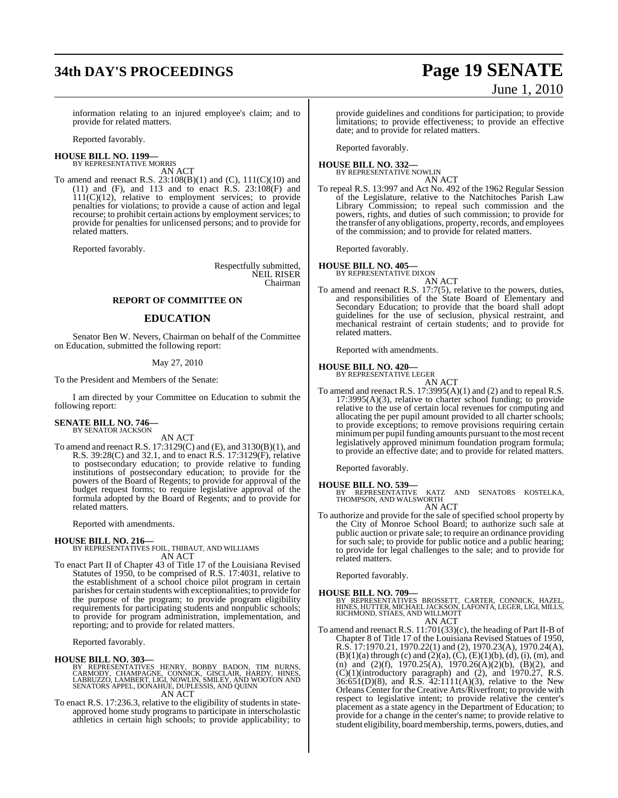# **34th DAY'S PROCEEDINGS Page 19 SENATE**

# June 1, 2010

information relating to an injured employee's claim; and to provide for related matters.

Reported favorably.

# **HOUSE BILL NO. 1199—** BY REPRESENTATIVE MORRIS

AN ACT

To amend and reenact R.S. 23:108(B)(1) and (C), 111(C)(10) and (11) and (F), and 113 and to enact  $\hat{R}$ .  $\hat{S}$ ,  $\hat{C}$  and  $\hat{S}$  and  $\hat{S}$  $111(C)(12)$ , relative to employment services; to provide penalties for violations; to provide a cause of action and legal recourse; to prohibit certain actions by employment services; to provide for penalties for unlicensed persons; and to provide for related matters.

Reported favorably.

Respectfully submitted, NEIL RISER Chairman

#### **REPORT OF COMMITTEE ON**

#### **EDUCATION**

Senator Ben W. Nevers, Chairman on behalf of the Committee on Education, submitted the following report:

#### May 27, 2010

To the President and Members of the Senate:

I am directed by your Committee on Education to submit the following report:

#### **SENATE BILL NO. 746—** BY SENATOR JACKSON

AN ACT

To amend and reenact R.S. 17:3129(C) and (E), and 3130(B)(1), and R.S. 39:28(C) and 32.1, and to enact R.S. 17:3129(F), relative to postsecondary education; to provide relative to funding institutions of postsecondary education; to provide for the powers of the Board of Regents; to provide for approval of the budget request forms; to require legislative approval of the formula adopted by the Board of Regents; and to provide for related matters.

Reported with amendments.

**HOUSE BILL NO. 216—** BY REPRESENTATIVES FOIL, THIBAUT, AND WILLIAMS AN ACT

To enact Part II of Chapter 43 of Title 17 of the Louisiana Revised Statutes of 1950, to be comprised of R.S. 17:4031, relative to the establishment of a school choice pilot program in certain parishes for certain students with exceptionalities; to provide for the purpose of the program; to provide program eligibility requirements for participating students and nonpublic schools; to provide for program administration, implementation, and reporting; and to provide for related matters.

Reported favorably.

#### **HOUSE BILL NO. 303—**

BY REPRESENTATIVES HENRY, BOBBY BADON, TIM BURNS,<br>CARMODY, CHAMPAGNE, CONNICK, GISCLAIR, HARDY, HINES,<br>LABRUZZO, LAMBERT, LIGI, NOWLIN, SMILEY, AND WOOTON AND<br>SENATORS APPEL, DONAHUE, DUPLESSIS, AND QUINN AN ACT

To enact R.S. 17:236.3, relative to the eligibility of students in stateapproved home study programs to participate in interscholastic athletics in certain high schools; to provide applicability; to

provide guidelines and conditions for participation; to provide limitations; to provide effectiveness; to provide an effective date; and to provide for related matters.

Reported favorably.

#### **HOUSE BILL NO. 332—** BY REPRESENTATIVE NOWLIN

AN ACT

To repeal R.S. 13:997 and Act No. 492 of the 1962 Regular Session of the Legislature, relative to the Natchitoches Parish Law Library Commission; to repeal such commission and the powers, rights, and duties of such commission; to provide for the transfer of any obligations, property, records, and employees of the commission; and to provide for related matters.

Reported favorably.

**HOUSE BILL NO. 405—**

BY REPRESENTATIVE DIXON

- AN ACT
- To amend and reenact R.S. 17:7(5), relative to the powers, duties, and responsibilities of the State Board of Elementary and Secondary Education; to provide that the board shall adopt guidelines for the use of seclusion, physical restraint, and mechanical restraint of certain students; and to provide for related matters.

Reported with amendments.

**HOUSE BILL NO. 420—** BY REPRESENTATIVE LEGER

AN ACT To amend and reenact R.S. 17:3995(A)(1) and (2) and to repeal R.S. 17:3995(A)(3), relative to charter school funding; to provide relative to the use of certain local revenues for computing and allocating the per pupil amount provided to all charter schools; to provide exceptions; to remove provisions requiring certain minimumper pupil funding amounts pursuant to the mostrecent legislatively approved minimum foundation program formula; to provide an effective date; and to provide for related matters.

Reported favorably.

**HOUSE BILL NO. 539—** BY REPRESENTATIVE KATZ AND SENATORS KOSTELKA, THOMPSON, AND WALSWORTH AN ACT

To authorize and provide for the sale of specified school property by the City of Monroe School Board; to authorize such sale at public auction or private sale; to require an ordinance providing for such sale; to provide for public notice and a public hearing; to provide for legal challenges to the sale; and to provide for related matters.

Reported favorably.

#### **HOUSE BILL NO. 709—**

BY REPRESENTATIVES BROSSETT, CARTER, CONNICK, HAZEL,<br>HINES,HUTTER,MICHAEL JACKSON,LAFONTA,LEGER,LIGI,MILLS,<br>RICHMOND,STIAES,AND WILLMOTT AN ACT

To amend and reenact R.S. 11:701(33)(c), the heading of Part II-B of Chapter 8 of Title 17 of the Louisiana Revised Statues of 1950, R.S. 17:1970.21, 1970.22(1) and (2), 1970.23(A), 1970.24(A),  $(B)(1)(a)$  through (c) and  $(2)(a)$ ,  $(C)$ ,  $(E)(1)(b)$ ,  $(d)$ ,  $(i)$ ,  $(m)$ , and (n) and  $(2)(f)$ , 1970.25(A), 1970.26(A)(2)(b), (B)(2), and  $(C)(1)$ (introductory paragraph) and  $(2)$ , and  $1970.27$ , R.S.  $36:651(D)(8)$ , and R.S. 42:1111(A)(3), relative to the New Orleans Center for the Creative Arts/Riverfront; to provide with respect to legislative intent; to provide relative the center's placement as a state agency in the Department of Education; to provide for a change in the center's name; to provide relative to student eligibility, board membership, terms, powers, duties, and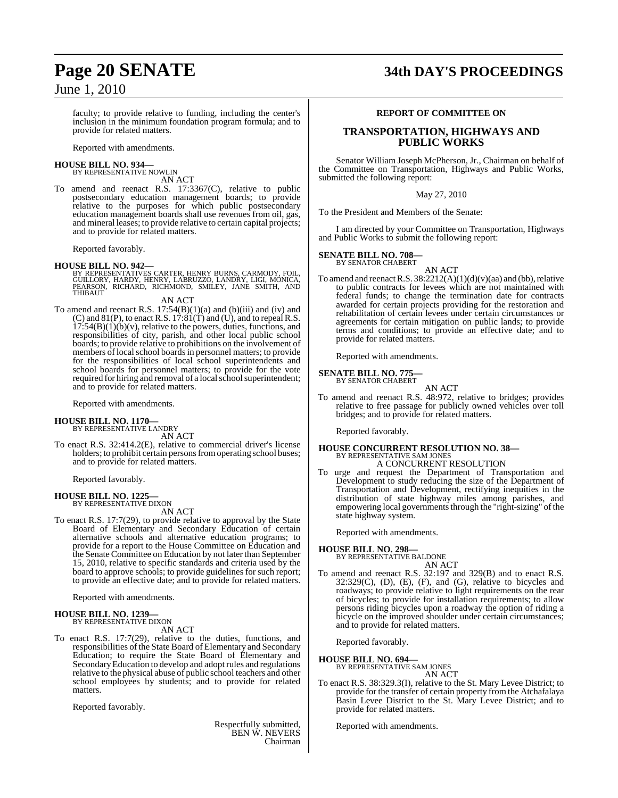faculty; to provide relative to funding, including the center's inclusion in the minimum foundation program formula; and to provide for related matters.

Reported with amendments.

#### **HOUSE BILL NO. 934—** BY REPRESENTATIVE NOWLIN

AN ACT

To amend and reenact R.S. 17:3367(C), relative to public postsecondary education management boards; to provide relative to the purposes for which public postsecondary education management boards shall use revenues from oil, gas, and mineral leases; to provide relative to certain capital projects; and to provide for related matters.

Reported favorably.

#### **HOUSE BILL NO. 942—**

BY REPRESENTATIVES CARTER, HENRY BURNS, CARMODY, FOIL,<br>GUILLORY, HARDY, HENRY, LABRUZZO, LANDRY, LIGI, MONICA,<br>PEARSON, RICHARD, RICHMOND, SMILEY, JANE SMITH, AND THIBAUT

AN ACT

To amend and reenact R.S.  $17:54(B)(1)(a)$  and  $(b)(iii)$  and  $(iv)$  and  $(C)$  and  $81(P)$ , to enact R.S.  $17:81(T)$  and  $(U)$ , and to repeal R.S.  $17:54(B)(1)(b)(v)$ , relative to the powers, duties, functions, and responsibilities of city, parish, and other local public school boards; to provide relative to prohibitions on the involvement of members of local school boards in personnel matters; to provide for the responsibilities of local school superintendents and school boards for personnel matters; to provide for the vote required for hiring and removal of a local school superintendent; and to provide for related matters.

Reported with amendments.

# **HOUSE BILL NO. 1170—** BY REPRESENTATIVE LANDRY

AN ACT

To enact R.S. 32:414.2(E), relative to commercial driver's license holders; to prohibit certain persons from operating school buses; and to provide for related matters.

Reported favorably.

# **HOUSE BILL NO. 1225—** BY REPRESENTATIVE DIXON

AN ACT

To enact R.S. 17:7(29), to provide relative to approval by the State Board of Elementary and Secondary Education of certain alternative schools and alternative education programs; to provide for a report to the House Committee on Education and the Senate Committee on Education by not later than September 15, 2010, relative to specific standards and criteria used by the board to approve schools; to provide guidelines for such report; to provide an effective date; and to provide for related matters.

Reported with amendments.

#### **HOUSE BILL NO. 1239—** BY REPRESENTATIVE DIXON

AN ACT

To enact R.S. 17:7(29), relative to the duties, functions, and responsibilities of the State Board of Elementary and Secondary Education; to require the State Board of Elementary and Secondary Education to develop and adopt rules and regulations relative to the physical abuse of public school teachers and other school employees by students; and to provide for related matters.

Reported favorably.

Respectfully submitted, BEN W. NEVERS Chairman

# **Page 20 SENATE 34th DAY'S PROCEEDINGS**

#### **REPORT OF COMMITTEE ON**

#### **TRANSPORTATION, HIGHWAYS AND PUBLIC WORKS**

Senator William Joseph McPherson, Jr., Chairman on behalf of the Committee on Transportation, Highways and Public Works, submitted the following report:

May 27, 2010

To the President and Members of the Senate:

I am directed by your Committee on Transportation, Highways and Public Works to submit the following report:

#### **SENATE BILL NO. 708—** BY SENATOR CHABERT

AN ACT

To amend and reenact R.S.  $38:2212(A)(1)(d)(v)(aa)$  and (bb), relative to public contracts for levees which are not maintained with federal funds; to change the termination date for contracts awarded for certain projects providing for the restoration and rehabilitation of certain levees under certain circumstances or agreements for certain mitigation on public lands; to provide terms and conditions; to provide an effective date; and to provide for related matters.

Reported with amendments.

# **SENATE BILL NO. 775—** BY SENATOR CHABERT

AN ACT

To amend and reenact R.S. 48:972, relative to bridges; provides relative to free passage for publicly owned vehicles over toll bridges; and to provide for related matters.

Reported favorably.

## **HOUSE CONCURRENT RESOLUTION NO. 38—** BY REPRESENTATIVE SAM JONES A CONCURRENT RESOLUTION

To urge and request the Department of Transportation and Development to study reducing the size of the Department of Transportation and Development, rectifying inequities in the distribution of state highway miles among parishes, and empowering local governments through the "right-sizing" of the state highway system.

Reported with amendments.

#### **HOUSE BILL NO. 298—**

BY REPRESENTATIVE BALDONE AN ACT

To amend and reenact R.S. 32:197 and 329(B) and to enact R.S.  $32:329(C)$ ,  $(D)$ ,  $(E)$ ,  $(F)$ , and  $(G)$ , relative to bicycles and roadways; to provide relative to light requirements on the rear of bicycles; to provide for installation requirements; to allow persons riding bicycles upon a roadway the option of riding a bicycle on the improved shoulder under certain circumstances; and to provide for related matters.

Reported favorably.

#### **HOUSE BILL NO. 694—**

BY REPRESENTATIVE SAM JONES AN ACT

To enact R.S. 38:329.3(I), relative to the St. Mary Levee District; to provide for the transfer of certain property from the Atchafalaya Basin Levee District to the St. Mary Levee District; and to provide for related matters.

Reported with amendments.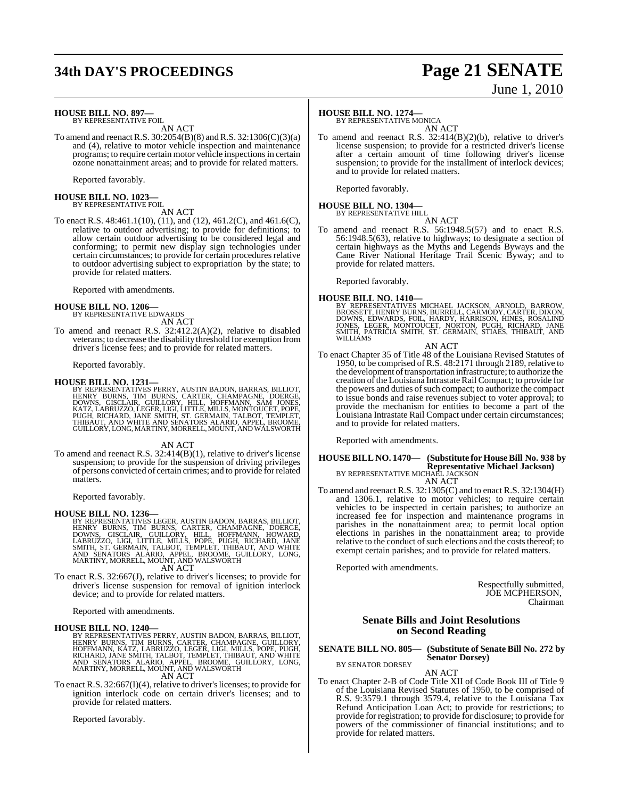# **34th DAY'S PROCEEDINGS Page 21 SENATE** June 1, 2010

#### **HOUSE BILL NO. 897—**

BY REPRESENTATIVE FOIL AN ACT

To amend and reenactR.S. 30:2054(B)(8) andR.S. 32:1306(C)(3)(a) and (4), relative to motor vehicle inspection and maintenance programs; to require certain motor vehicle inspections in certain ozone nonattainment areas; and to provide for related matters.

Reported favorably.

# **HOUSE BILL NO. 1023—** BY REPRESENTATIVE FOIL

AN ACT

To enact R.S. 48:461.1(10), (11), and (12), 461.2(C), and 461.6(C), relative to outdoor advertising; to provide for definitions; to allow certain outdoor advertising to be considered legal and conforming; to permit new display sign technologies under certain circumstances; to provide for certain procedures relative to outdoor advertising subject to expropriation by the state; to provide for related matters.

Reported with amendments.

# **HOUSE BILL NO. 1206—** BY REPRESENTATIVE EDWARDS

AN ACT

To amend and reenact R.S. 32:412.2(A)(2), relative to disabled veterans; to decrease the disability threshold for exemption from driver's license fees; and to provide for related matters.

Reported favorably.

**HOUSE BILL NO. 1231—**<br>BY REPRESENTATIVES PERRY, AUSTIN BADON, BARRAS, BILLIOT,<br>HENRY BURNS, TIM BURNS, CARTER, CHAMPAGNE, DOERGE,<br>DOWNS, GISCLAIR, GUILLORY, HILL, HOFFMANN, SAM JONES,<br>KATZ, LABRUZZO, LEGER, LIGI, LITTLE,

#### AN ACT

To amend and reenact R.S. 32:414(B)(1), relative to driver's license suspension; to provide for the suspension of driving privileges of persons convicted of certain crimes; and to provide forrelated matters.

Reported favorably.

#### **HOUSE BILL NO. 1236—**

BY REPRESENTATIVES LEGER, AUSTIN BADON, BARRAS, BILLIOT,<br>HENRY BURNS, TIM BURNS, CARTER, CHAMPAGNE, DOERGE,<br>DOWNS, GISCLAIR, GUILLORY, HILL, HOFFMANN, HOWARD,<br>LABRUZZO, LIGI, LITTLE, MILLS, POPE, PUGH, RICHARD, JANE<br>SMITH, AN ACT

To enact R.S. 32:667(J), relative to driver's licenses; to provide for driver's license suspension for removal of ignition interlock device; and to provide for related matters.

Reported with amendments.

#### **HOUSE BILL NO. 1240—**

BY REPRESENTATIVES PERRY, AUSTIN BADON, BARRAS, BILLIOT, HENRY BURNS, TIM BURNS, CARTER, CHAMPAGNE, GUILLORY,<br>HOFFMANN, KATZ, LABRUZZO, LEGER, LIGI, MILLS, POPE, PUGH,<br>RICHARD, JANE SMITH, TALBOT, TEMPLET, THIBAUT, AND WHITE<br>AND SENATORS ALARIO, APPEL, BROOME, GUILLORY, LONG,<br>MA AN ACT

To enact R.S.  $32:667(I)(4)$ , relative to driver's licenses; to provide for ignition interlock code on certain driver's licenses; and to provide for related matters.

Reported favorably.

## **HOUSE BILL NO. 1274—**

BY REPRESENTATIVE MONICA AN ACT

To amend and reenact R.S. 32:414(B)(2)(b), relative to driver's license suspension; to provide for a restricted driver's license after a certain amount of time following driver's license suspension; to provide for the installment of interlock devices; and to provide for related matters.

Reported favorably.

#### **HOUSE BILL NO. 1304—**

BY REPRESENTATIVE HILL

AN ACT To amend and reenact R.S. 56:1948.5(57) and to enact R.S. 56:1948.5(63), relative to highways; to designate a section of certain highways as the Myths and Legends Byways and the Cane River National Heritage Trail Scenic Byway; and to provide for related matters.

Reported favorably.

**HOUSE BILL NO. 1410—**<br>BY REPRESENTATIVES MICHAEL JACKSON, ARNOLD, BARROW,<br>BROSSETT, HENRY BURNS, BURRELL, CARMODY, CARTER, DIXON,<br>DOWNS, EDWARDS, FOIL, HARDY, HARRISON, HINES, ROSALIND<br>JONES, LEGER, MONTOUCET, NORTON, PUG WILLIAMS

AN ACT

To enact Chapter 35 of Title 48 of the Louisiana Revised Statutes of 1950, to be comprised of R.S. 48:2171 through 2189, relative to the development of transportation infrastructure; to authorize the creation of the Louisiana Intrastate Rail Compact; to provide for the powers and duties of such compact; to authorize the compact to issue bonds and raise revenues subject to voter approval; to provide the mechanism for entities to become a part of the Louisiana Intrastate Rail Compact under certain circumstances; and to provide for related matters.

Reported with amendments.

#### **HOUSE BILL NO. 1470— (Substitute for HouseBill No. 938 by Representative Michael Jackson)** BY REPRESENTATIVE MICHAEL JACKSON

AN ACT

To amend and reenact R.S. 32:1305(C) and to enact R.S. 32:1304(H) and 1306.1, relative to motor vehicles; to require certain vehicles to be inspected in certain parishes; to authorize an increased fee for inspection and maintenance programs in parishes in the nonattainment area; to permit local option elections in parishes in the nonattainment area; to provide relative to the conduct of such elections and the costs thereof; to exempt certain parishes; and to provide for related matters.

Reported with amendments.

Respectfully submitted, JOE MCPHERSON. Chairman

#### **Senate Bills and Joint Resolutions on Second Reading**

#### **SENATE BILL NO. 805— (Substitute of Senate Bill No. 272 by Senator Dorsey)** BY SENATOR DORSEY

AN ACT

To enact Chapter 2-B of Code Title XII of Code Book III of Title 9 of the Louisiana Revised Statutes of 1950, to be comprised of R.S. 9:3579.1 through 3579.4, relative to the Louisiana Tax Refund Anticipation Loan Act; to provide for restrictions; to provide for registration; to provide for disclosure; to provide for powers of the commissioner of financial institutions; and to provide for related matters.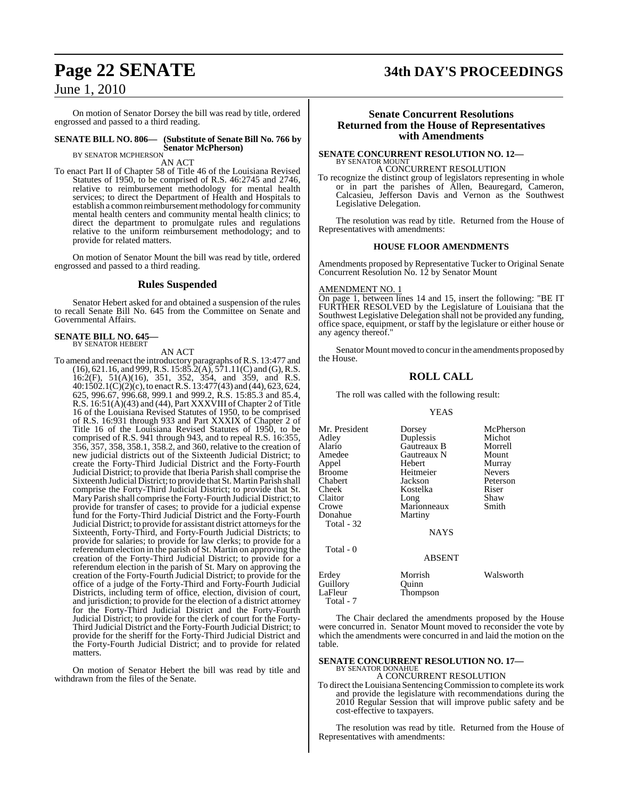On motion of Senator Dorsey the bill was read by title, ordered engrossed and passed to a third reading.

## **SENATE BILL NO. 806— (Substitute of Senate Bill No. 766 by Senator McPherson)** BY SENATOR MCPHERSON

AN ACT

To enact Part II of Chapter 58 of Title 46 of the Louisiana Revised Statutes of 1950, to be comprised of R.S. 46:2745 and 2746, relative to reimbursement methodology for mental health services; to direct the Department of Health and Hospitals to establish a common reimbursement methodology for community mental health centers and community mental health clinics; to direct the department to promulgate rules and regulations relative to the uniform reimbursement methodology; and to provide for related matters.

On motion of Senator Mount the bill was read by title, ordered engrossed and passed to a third reading.

## **Rules Suspended**

Senator Hebert asked for and obtained a suspension of the rules to recall Senate Bill No. 645 from the Committee on Senate and Governmental Affairs.

#### **SENATE BILL NO. 645—** BY SENATOR HEBERT

AN ACT

To amend and reenact the introductory paragraphs ofR.S. 13:477 and  $(16)$ , 621.16, and 999, R.S. 15:85.2(A), 571.11(C) and (G), R.S. 16:2(F), 51(A)(16), 351, 352, 354, and 359, and R.S. 40:1502.1(C)(2)(c), to enactR.S. 13:477(43) and (44), 623, 624, 625, 996.67, 996.68, 999.1 and 999.2, R.S. 15:85.3 and 85.4, R.S. 16:51(A)(43) and (44), Part XXXVIII of Chapter 2 of Title 16 of the Louisiana Revised Statutes of 1950, to be comprised of R.S. 16:931 through 933 and Part XXXIX of Chapter 2 of Title 16 of the Louisiana Revised Statutes of 1950, to be comprised of R.S. 941 through 943, and to repeal R.S. 16:355, 356, 357, 358, 358.1, 358.2, and 360, relative to the creation of new judicial districts out of the Sixteenth Judicial District; to create the Forty-Third Judicial District and the Forty-Fourth Judicial District; to provide that Iberia Parish shall comprise the Sixteenth Judicial District; to provide that St. Martin Parish shall comprise the Forty-Third Judicial District; to provide that St. MaryParish shall comprise the Forty-Fourth Judicial District; to provide for transfer of cases; to provide for a judicial expense fund for the Forty-Third Judicial District and the Forty-Fourth Judicial District; to provide for assistant district attorneys for the Sixteenth, Forty-Third, and Forty-Fourth Judicial Districts; to provide for salaries; to provide for law clerks; to provide for a referendum election in the parish of St. Martin on approving the creation of the Forty-Third Judicial District; to provide for a referendum election in the parish of St. Mary on approving the creation of the Forty-Fourth Judicial District; to provide for the office of a judge of the Forty-Third and Forty-Fourth Judicial Districts, including term of office, election, division of court, and jurisdiction; to provide for the election of a district attorney for the Forty-Third Judicial District and the Forty-Fourth Judicial District; to provide for the clerk of court for the Forty-Third Judicial District and the Forty-Fourth Judicial District; to provide for the sheriff for the Forty-Third Judicial District and the Forty-Fourth Judicial District; and to provide for related matters.

On motion of Senator Hebert the bill was read by title and withdrawn from the files of the Senate.

# **Page 22 SENATE 34th DAY'S PROCEEDINGS**

#### **Senate Concurrent Resolutions Returned from the House of Representatives with Amendments**

#### **SENATE CONCURRENT RESOLUTION NO. 12—** BY SENATOR MOUNT A CONCURRENT RESOLUTION

To recognize the distinct group of legislators representing in whole or in part the parishes of Allen, Beauregard, Cameron, Calcasieu, Jefferson Davis and Vernon as the Southwest Legislative Delegation.

The resolution was read by title. Returned from the House of Representatives with amendments:

#### **HOUSE FLOOR AMENDMENTS**

Amendments proposed by Representative Tucker to Original Senate Concurrent Resolution No. 12 by Senator Mount

#### AMENDMENT NO. 1

On page 1, between lines 14 and 15, insert the following: "BE IT FURTHER RESOLVED by the Legislature of Louisiana that the Southwest Legislative Delegation shall not be provided any funding, office space, equipment, or staff by the legislature or either house or any agency thereof."

Senator Mount moved to concur in the amendments proposed by the House.

#### **ROLL CALL**

The roll was called with the following result:

#### YEAS

| Mr. President | Dorsey        | McPherson     |
|---------------|---------------|---------------|
| Adley         | Duplessis     | Michot        |
| Alario        | Gautreaux B   | Morrell       |
| Amedee        | Gautreaux N   | Mount         |
| Appel         | Hebert        | Murray        |
| Broome        | Heitmeier     | <b>Nevers</b> |
| Chabert       | Jackson       | Peterson      |
| Cheek         | Kostelka      | Riser         |
| Claitor       | Long          | Shaw          |
| Crowe         | Marionneaux   | Smith         |
| Donahue       | Martiny       |               |
| Total - 32    |               |               |
|               | <b>NAYS</b>   |               |
| Total - 0     |               |               |
|               | <b>ABSENT</b> |               |
| Erdev         | Morrish       | Walsworth     |
| Guillory      | Quinn         |               |
| LaFleur       | Thompson      |               |
| Total - 7     |               |               |

The Chair declared the amendments proposed by the House were concurred in. Senator Mount moved to reconsider the vote by which the amendments were concurred in and laid the motion on the table.

## **SENATE CONCURRENT RESOLUTION NO. 17—** BY SENATOR DONAHUE A CONCURRENT RESOLUTION

To direct the Louisiana SentencingCommission to complete its work and provide the legislature with recommendations during the 2010 Regular Session that will improve public safety and be cost-effective to taxpayers.

The resolution was read by title. Returned from the House of Representatives with amendments: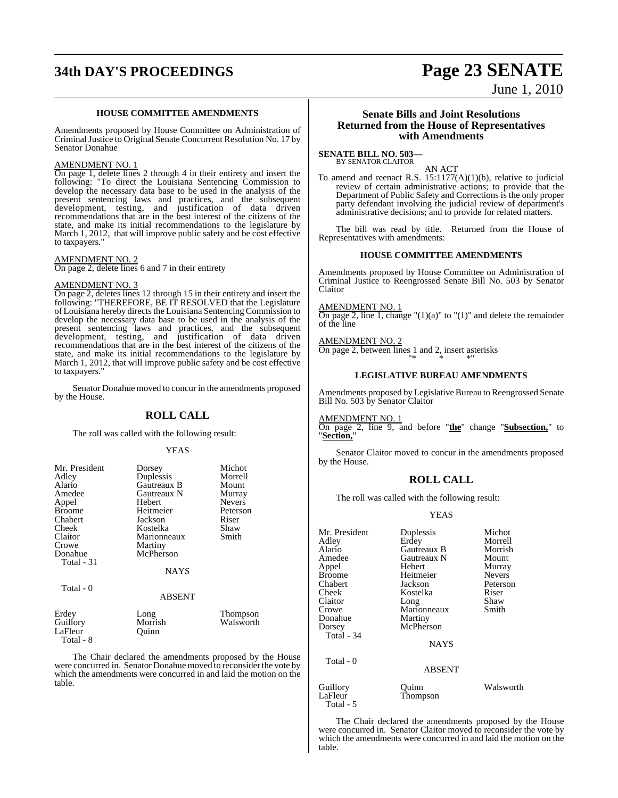# **34th DAY'S PROCEEDINGS Page 23 SENATE**

June 1, 2010

#### **HOUSE COMMITTEE AMENDMENTS**

Amendments proposed by House Committee on Administration of CriminalJustice to Original Senate Concurrent Resolution No. 17 by Senator Donahue

#### AMENDMENT NO. 1

On page 1, delete lines 2 through 4 in their entirety and insert the following: "To direct the Louisiana Sentencing Commission to develop the necessary data base to be used in the analysis of the present sentencing laws and practices, and the subsequent development, testing, and justification of data driven recommendations that are in the best interest of the citizens of the state, and make its initial recommendations to the legislature by March 1, 2012, that will improve public safety and be cost effective to taxpayers."

#### AMENDMENT NO. 2

On page 2, delete lines 6 and 7 in their entirety

#### AMENDMENT NO. 3

Total - 8

On page 2, deletes lines 12 through 15 in their entirety and insert the following: "THEREFORE, BE IT RESOLVED that the Legislature of Louisiana hereby directs the Louisiana Sentencing Commission to develop the necessary data base to be used in the analysis of the present sentencing laws and practices, and the subsequent development, testing, and justification of data driven recommendations that are in the best interest of the citizens of the state, and make its initial recommendations to the legislature by March 1, 2012, that will improve public safety and be cost effective to taxpayers."

Senator Donahue moved to concur in the amendments proposed by the House.

#### **ROLL CALL**

The roll was called with the following result:

#### YEAS

| Mr. President | Dorsey        | Michot        |
|---------------|---------------|---------------|
| Adley         | Duplessis     | Morrell       |
| Alario        | Gautreaux B   | Mount         |
| Amedee        | Gautreaux N   | Murray        |
| Appel         | Hebert        | <b>Nevers</b> |
| <b>Broome</b> | Heitmeier     | Peterson      |
| Chabert       | Jackson       | Riser         |
| Cheek         | Kostelka      | Shaw          |
| Claitor       | Marionneaux   | Smith         |
| Crowe         | Martiny       |               |
| Donahue       | McPherson     |               |
| Total - 31    |               |               |
|               | <b>NAYS</b>   |               |
|               |               |               |
| Total - 0     | <b>ABSENT</b> |               |
|               |               |               |
| Erdey         | Long          | Thompson      |
| Guillory      | Morrish       | Walsworth     |
| LaFleur       | Ouinn         |               |

The Chair declared the amendments proposed by the House were concurred in. Senator Donahue moved to reconsider the vote by which the amendments were concurred in and laid the motion on the table.

#### **Senate Bills and Joint Resolutions Returned from the House of Representatives with Amendments**

**SENATE BILL NO. 503—** BY SENATOR CLAITOR

AN ACT

To amend and reenact R.S. 15:1177(A)(1)(b), relative to judicial review of certain administrative actions; to provide that the Department of Public Safety and Corrections is the only proper party defendant involving the judicial review of department's administrative decisions; and to provide for related matters.

The bill was read by title. Returned from the House of Representatives with amendments:

#### **HOUSE COMMITTEE AMENDMENTS**

Amendments proposed by House Committee on Administration of Criminal Justice to Reengrossed Senate Bill No. 503 by Senator Claitor

AMENDMENT NO. 1

On page 2, line 1, change " $(1)(a)$ " to " $(1)$ " and delete the remainder of the line

## AMENDMENT NO. 2

On page 2, between lines 1 and 2, insert asterisks "\* \* \*"

#### **LEGISLATIVE BUREAU AMENDMENTS**

Amendments proposed by Legislative Bureau to Reengrossed Senate Bill No. 503 by Senator Claitor

AMENDMENT NO. 1

Total - 5

On page 2, line 9, and before "**the**" change "**Subsection,**" to "**Section,**"

Senator Claitor moved to concur in the amendments proposed by the House.

#### **ROLL CALL**

The roll was called with the following result:

#### YEAS

| Mr. President | Duplessis     | Michot        |
|---------------|---------------|---------------|
| Adley         | Erdey         | Morrell       |
| Alario        | Gautreaux B   | Morrish       |
| Amedee        | Gautreaux N   | Mount         |
| Appel         | Hebert        | Murray        |
| <b>Broome</b> | Heitmeier     | <b>Nevers</b> |
| Chabert       | Jackson       | Peterson      |
| Cheek         | Kostelka      | Riser         |
| Claitor       | Long          | Shaw          |
| Crowe         | Marionneaux   | Smith         |
| Donahue       | Martiny       |               |
| Dorsey        | McPherson     |               |
| Total - 34    |               |               |
|               | <b>NAYS</b>   |               |
| Total - 0     |               |               |
|               | <b>ABSENT</b> |               |
| Guillory      | Ouinn         | Walsworth     |
| LaFleur       | Thompson      |               |

The Chair declared the amendments proposed by the House were concurred in. Senator Claitor moved to reconsider the vote by which the amendments were concurred in and laid the motion on the table.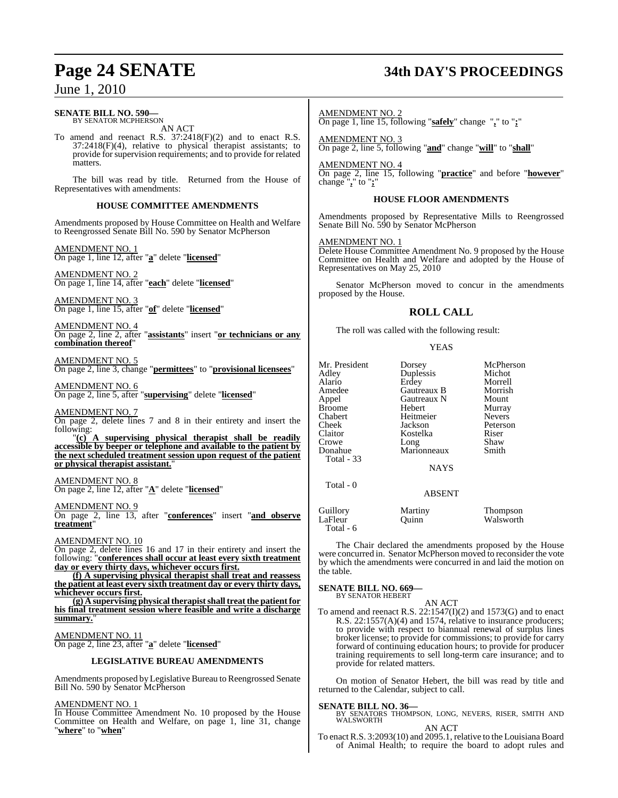#### **SENATE BILL NO. 590—** BY SENATOR MCPHERSON

AN ACT

To amend and reenact R.S. 37:2418(F)(2) and to enact R.S. 37:2418(F)(4), relative to physical therapist assistants; to provide for supervision requirements; and to provide for related matters.

The bill was read by title. Returned from the House of Representatives with amendments:

#### **HOUSE COMMITTEE AMENDMENTS**

Amendments proposed by House Committee on Health and Welfare to Reengrossed Senate Bill No. 590 by Senator McPherson

AMENDMENT NO. 1 On page 1, line 12, after "**a**" delete "**licensed**"

AMENDMENT NO. 2 On page 1, line 14, after "**each**" delete "**licensed**"

AMENDMENT NO. 3 On page 1, line 15, after "**of**" delete "**licensed**"

AMENDMENT NO. 4 On page 2, line 2, after "**assistants**" insert "**or technicians or any combination thereof**"

AMENDMENT NO. 5 On page 2, line 3, change "**permittees**" to "**provisional licensees**"

AMENDMENT NO. 6 On page 2, line 5, after "**supervising**" delete "**licensed**"

AMENDMENT NO. 7 On page 2, delete lines 7 and 8 in their entirety and insert the following:

"**(c) A supervising physical therapist shall be readily accessible by beeper or telephone and available to the patient by the next scheduled treatment session upon request of the patient or physical therapist assistant.**"

AMENDMENT NO. 8 On page 2, line 12, after "**A**" delete "**licensed**"

AMENDMENT NO. 9

On page 2, line 13, after "**conferences**" insert "**and observe treatment**"

AMENDMENT NO. 10

On page 2, delete lines 16 and 17 in their entirety and insert the following: "**conferences shall occur at least every sixth treatment day or every thirty days, whichever occurs first.**

**(f) A supervising physical therapist shall treat and reassess the patient at least every sixth treatment day or every thirty days, whichever occurs first.**

**(g) A supervising physicaltherapistshalltreatthe patient for his final treatment session where feasible and write a discharge** summary.

AMENDMENT NO. 11 On page 2, line 23, after "**a**" delete "**licensed**"

#### **LEGISLATIVE BUREAU AMENDMENTS**

Amendments proposed by Legislative Bureau to Reengrossed Senate Bill No. 590 by Senator McPherson

#### AMENDMENT NO. 1

In House Committee Amendment No. 10 proposed by the House Committee on Health and Welfare, on page 1, line 31, change "**where**" to "**when**"

# **Page 24 SENATE 34th DAY'S PROCEEDINGS**

#### AMENDMENT NO. 2 On page 1, line 15, following "**safely**" change "**,**" to "**;**"

AMENDMENT NO. 3 On page 2, line 5, following "**and**" change "**will**" to "**shall**"

#### AMENDMENT NO. 4

On page 2, line 15, following "**practice**" and before "**however**" change "**,**" to "**;**"

#### **HOUSE FLOOR AMENDMENTS**

Amendments proposed by Representative Mills to Reengrossed Senate Bill No. 590 by Senator McPherson

#### AMENDMENT NO. 1

Delete House Committee Amendment No. 9 proposed by the House Committee on Health and Welfare and adopted by the House of Representatives on May 25, 2010

Senator McPherson moved to concur in the amendments proposed by the House.

## **ROLL CALL**

The roll was called with the following result:

#### **YEAS**

| Mr. President<br>Adley<br>Alario<br>Amedee<br>Appel<br><b>Broome</b><br>Chabert<br><b>Cheek</b><br>Claitor<br>Crowe<br>Donahue<br><b>Total</b> - 33 | Dorsey<br>Duplessis<br>Erdey<br>Gautreaux B<br>Gautreaux N<br>Hebert<br>Heitmeier<br>Jackson<br>Kostelka<br>Long<br>Marionneaux<br><b>NAYS</b> | McPherson<br>Michot<br>Morrell<br>Morrish<br>Mount<br>Murray<br><b>Nevers</b><br>Peterson<br>Riser<br>Shaw<br>Smith |
|-----------------------------------------------------------------------------------------------------------------------------------------------------|------------------------------------------------------------------------------------------------------------------------------------------------|---------------------------------------------------------------------------------------------------------------------|
| Total - 0                                                                                                                                           | <b>ABSENT</b>                                                                                                                                  |                                                                                                                     |
| Guillory<br>LaFleur<br>Total - 6                                                                                                                    | Martiny<br>Ouınn                                                                                                                               | Thompson<br>Walsworth                                                                                               |

The Chair declared the amendments proposed by the House

were concurred in. Senator McPherson moved to reconsider the vote by which the amendments were concurred in and laid the motion on the table.

#### **SENATE BILL NO. 669—**

BY SENATOR HEBERT

AN ACT To amend and reenact R.S.  $22:1547(I)(2)$  and 1573(G) and to enact R.S. 22:1557(A)(4) and 1574, relative to insurance producers; to provide with respect to biannual renewal of surplus lines broker license; to provide for commissions; to provide for carry forward of continuing education hours; to provide for producer training requirements to sell long-term care insurance; and to provide for related matters.

On motion of Senator Hebert, the bill was read by title and returned to the Calendar, subject to call.

**SENATE BILL NO. 36—**<br>BY SENATORS THOMPSON, LONG, NEVERS, RISER, SMITH AND WALSWORTH

AN ACT

To enact R.S. 3:2093(10) and 2095.1, relative to the Louisiana Board of Animal Health; to require the board to adopt rules and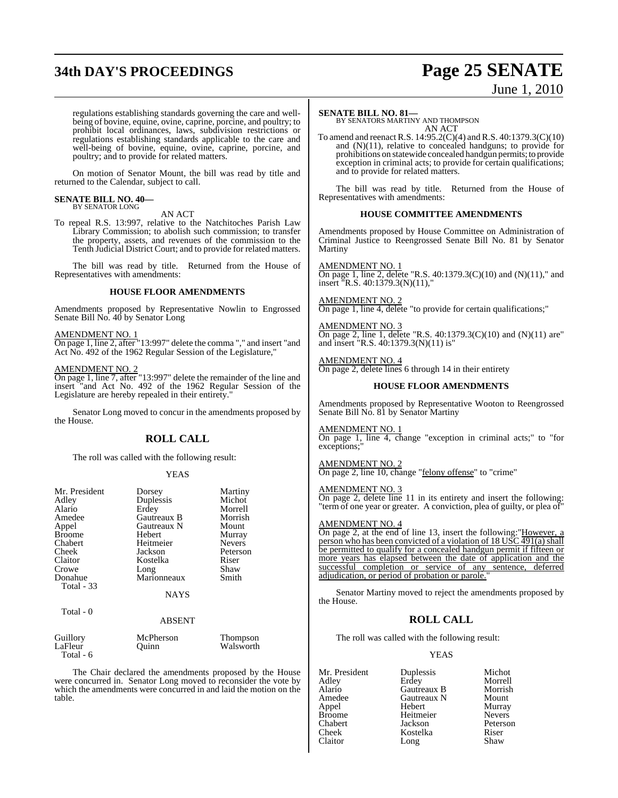# **34th DAY'S PROCEEDINGS Page 25 SENATE**

# June 1, 2010

regulations establishing standards governing the care and wellbeing of bovine, equine, ovine, caprine, porcine, and poultry; to prohibit local ordinances, laws, subdivision restrictions or regulations establishing standards applicable to the care and well-being of bovine, equine, ovine, caprine, porcine, and poultry; and to provide for related matters.

On motion of Senator Mount, the bill was read by title and returned to the Calendar, subject to call.

#### **SENATE BILL NO. 40—** BY SENATOR LONG

AN ACT

To repeal R.S. 13:997, relative to the Natchitoches Parish Law Library Commission; to abolish such commission; to transfer the property, assets, and revenues of the commission to the Tenth Judicial District Court; and to provide for related matters.

The bill was read by title. Returned from the House of Representatives with amendments:

#### **HOUSE FLOOR AMENDMENTS**

Amendments proposed by Representative Nowlin to Engrossed Senate Bill No. 40 by Senator Long

#### AMENDMENT NO. 1

On page 1, line 2, after "13:997" delete the comma "," and insert "and Act No. 492 of the 1962 Regular Session of the Legislature,"

#### AMENDMENT NO. 2

Total - 6

On page 1, line 7, after "13:997" delete the remainder of the line and insert "and Act No. 492 of the 1962 Regular Session of the Legislature are hereby repealed in their entirety."

Senator Long moved to concur in the amendments proposed by the House.

### **ROLL CALL**

The roll was called with the following result:

#### YEAS

| Mr. President | Dorsey        | Martiny       |
|---------------|---------------|---------------|
| Adley         | Duplessis     | Michot        |
| Alario        | Erdey         | Morrell       |
| Amedee        | Gautreaux B   | Morrish       |
| Appel         | Gautreaux N   | Mount         |
| <b>Broome</b> | Hebert        | Murray        |
| Chabert       | Heitmeier     | <b>Nevers</b> |
| Cheek         | Jackson       | Peterson      |
| Claitor       | Kostelka      | Riser         |
| Crowe         | Long          | Shaw          |
| Donahue       | Marionneaux   | Smith         |
| Total - 33    | <b>NAYS</b>   |               |
| Total - 0     | <b>ABSENT</b> |               |
| Guillory      | McPherson     | Thompson      |
| LaFleur       | Ouinn         | Walsworth     |

The Chair declared the amendments proposed by the House were concurred in. Senator Long moved to reconsider the vote by which the amendments were concurred in and laid the motion on the table.

#### **SENATE BILL NO. 81—**

BY SENATORS MARTINY AND THOMPSON AN ACT

To amend and reenact R.S. 14:95.2(C)(4) and R.S. 40:1379.3(C)(10) and  $(N)(11)$ , relative to concealed handguns; to provide for prohibitions on statewide concealed handgun permits; to provide exception in criminal acts; to provide for certain qualifications; and to provide for related matters.

The bill was read by title. Returned from the House of Representatives with amendments:

#### **HOUSE COMMITTEE AMENDMENTS**

Amendments proposed by House Committee on Administration of Criminal Justice to Reengrossed Senate Bill No. 81 by Senator Martiny

AMENDMENT NO. 1 On page 1, line 2, delete "R.S.  $40:1379.3(C)(10)$  and  $(N)(11)$ ," and insert "R.S. 40:1379.3(N)(11),"

AMENDMENT NO. 2 On page 1, line 4, delete "to provide for certain qualifications;"

AMENDMENT NO. 3 On page 2, line 1, delete "R.S. 40:1379.3(C)(10) and (N)(11) are" and insert "R.S. 40:1379.3(N)(11) is"

#### AMENDMENT NO. 4

On page 2, delete lines 6 through 14 in their entirety

#### **HOUSE FLOOR AMENDMENTS**

Amendments proposed by Representative Wooton to Reengrossed Senate Bill No. 81 by Senator Martiny

#### AMENDMENT NO. 1

On page 1, line 4, change "exception in criminal acts;" to "for exceptions;"

#### AMENDMENT NO. 2

On page 2, line 10, change "felony offense" to "crime"

#### AMENDMENT NO. 3

On page 2, delete line 11 in its entirety and insert the following: "term of one year or greater. A conviction, plea of guilty, or plea of"

#### AMENDMENT NO. 4

On page 2, at the end of line 13, insert the following:"However, a person who has been convicted of a violation of 18 USC 491(a) shall be permitted to qualify for a concealed handgun permit if fifteen or more years has elapsed between the date of application and the successful completion or service of any sentence, deferred adjudication, or period of probation or parole.

Senator Martiny moved to reject the amendments proposed by the House.

#### **ROLL CALL**

The roll was called with the following result:

#### YEAS

Mr. President Duplessis Michot<br>Adley Erdey Morrell Adley Erdey Morrell Alario Gautreaux B Morrish Amedee Gautreaux N<br>Appel Hebert Appel Hebert Murray Broome Heitmeier Nevers Chabert Jackson Peterson Cheek Kostelka Riser<br>Claitor Long Shaw Long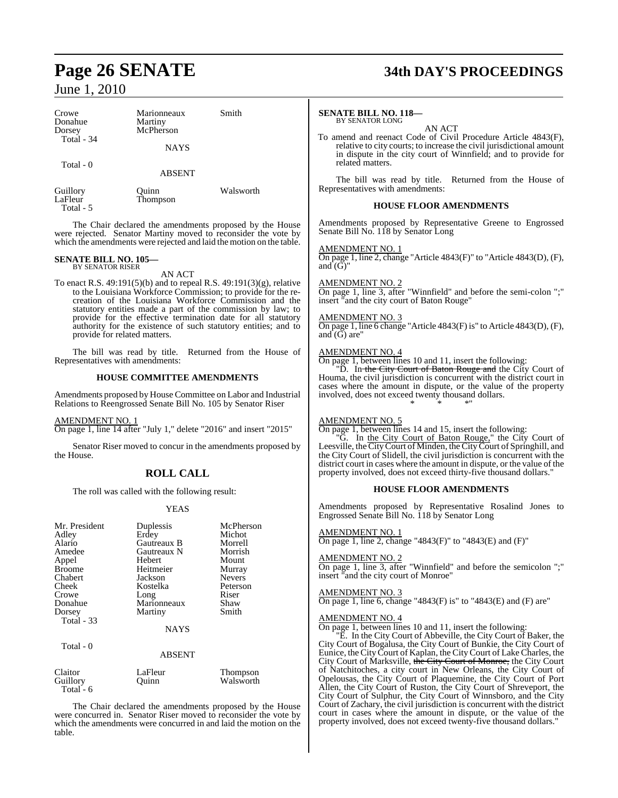| Crowe<br>Donahue<br>Dorsey<br>Total - 34 | Marionneaux<br>Martiny<br>McPherson<br><b>NAYS</b> | Smith     |
|------------------------------------------|----------------------------------------------------|-----------|
| Total - 0                                | <b>ABSENT</b>                                      |           |
| Guillory<br>LaFleur<br>Total - 5         | Ouinn<br>Thompson                                  | Walsworth |

The Chair declared the amendments proposed by the House were rejected. Senator Martiny moved to reconsider the vote by which the amendments were rejected and laid the motion on the table.

#### **SENATE BILL NO. 105—** BY SENATOR RISER

AN ACT

To enact R.S. 49:191(5)(b) and to repeal R.S. 49:191(3)(g), relative to the Louisiana Workforce Commission; to provide for the recreation of the Louisiana Workforce Commission and the statutory entities made a part of the commission by law; to provide for the effective termination date for all statutory authority for the existence of such statutory entities; and to provide for related matters.

The bill was read by title. Returned from the House of Representatives with amendments:

#### **HOUSE COMMITTEE AMENDMENTS**

Amendments proposed by House Committee on Labor and Industrial Relations to Reengrossed Senate Bill No. 105 by Senator Riser

#### AMENDMENT NO. 1

On page 1, line 14 after "July 1," delete "2016" and insert "2015"

Senator Riser moved to concur in the amendments proposed by the House.

#### **ROLL CALL**

The roll was called with the following result:

#### YEAS

| Mr. President | Duplessis     | McPherson     |
|---------------|---------------|---------------|
| Adley         | Erdey         | Michot        |
| Alario        | Gautreaux B   | Morrell       |
| Amedee        | Gautreaux N   | Morrish       |
| Appel         | Hebert        | Mount         |
| <b>Broome</b> | Heitmeier     | Murray        |
| Chabert       | Jackson       | <b>Nevers</b> |
| Cheek         | Kostelka      | Peterson      |
| Crowe         | Long          | Riser         |
| Donahue       | Marionneaux   | Shaw          |
| Dorsey        | Martiny       | Smith         |
| Total - 33    |               |               |
|               | <b>NAYS</b>   |               |
| Total - 0     |               |               |
|               | <b>ABSENT</b> |               |

| Claitor     | LaFleur | Thompson  |
|-------------|---------|-----------|
| Guillory    | Ouinn   | Walsworth |
| Total - $6$ |         |           |

The Chair declared the amendments proposed by the House were concurred in. Senator Riser moved to reconsider the vote by which the amendments were concurred in and laid the motion on the table.

# **Page 26 SENATE 34th DAY'S PROCEEDINGS**

#### **SENATE BILL NO. 118—** BY SENATOR LONG

AN ACT

To amend and reenact Code of Civil Procedure Article 4843(F), relative to city courts; to increase the civil jurisdictional amount in dispute in the city court of Winnfield; and to provide for related matters.

The bill was read by title. Returned from the House of Representatives with amendments:

#### **HOUSE FLOOR AMENDMENTS**

Amendments proposed by Representative Greene to Engrossed Senate Bill No. 118 by Senator Long

#### AMENDMENT NO. 1

On page 1, line 2, change "Article 4843(F)" to "Article 4843(D), (F), and (G)"

#### AMENDMENT NO. 2

On page 1, line 3, after "Winnfield" and before the semi-colon ";" insert "and the city court of Baton Rouge"

#### **MENDMENT NO. 3**

On page 1, line 6 change "Article 4843(F) is" to Article 4843(D), (F), and  $(\breve{G})$  are"

#### AMENDMENT NO. 4

On page 1, between lines 10 and 11, insert the following:

"D. In the City Court of Baton Rouge and the City Court of Houma, the civil jurisdiction is concurrent with the district court in cases where the amount in dispute, or the value of the property involved, does not exceed twenty thousand dollars. \* \* \*"

#### AMENDMENT NO. 5

On page 1, between lines 14 and 15, insert the following:

"G. In the City Court of Baton Rouge," the City Court of Leesville, the City Court of Minden, the City Court of Springhill, and the City Court of Slidell, the civil jurisdiction is concurrent with the district court in cases where the amount in dispute, or the value of the property involved, does not exceed thirty-five thousand dollars."

#### **HOUSE FLOOR AMENDMENTS**

Amendments proposed by Representative Rosalind Jones to Engrossed Senate Bill No. 118 by Senator Long

#### AMENDMENT NO. 1

On page 1, line 2, change "4843(F)" to "4843(E) and (F)"

#### AMENDMENT NO. 2

On page 1, line 3, after "Winnfield" and before the semicolon ";" insert "and the city court of Monroe"

#### AMENDMENT NO. 3

On page 1, line 6, change "4843 $(F)$  is" to "4843 $(E)$  and  $(F)$  are"

#### AMENDMENT NO. 4

On page 1, between lines 10 and 11, insert the following:

"E. In the City Court of Abbeville, the City Court of Baker, the City Court of Bogalusa, the City Court of Bunkie, the City Court of Eunice, the CityCourt of Kaplan, the CityCourt of Lake Charles, the City Court of Marksville, the City Court of Monroe, the City Court of Natchitoches, a city court in New Orleans, the City Court of Opelousas, the City Court of Plaquemine, the City Court of Port Allen, the City Court of Ruston, the City Court of Shreveport, the City Court of Sulphur, the City Court of Winnsboro, and the City Court of Zachary, the civil jurisdiction is concurrent with the district court in cases where the amount in dispute, or the value of the property involved, does not exceed twenty-five thousand dollars."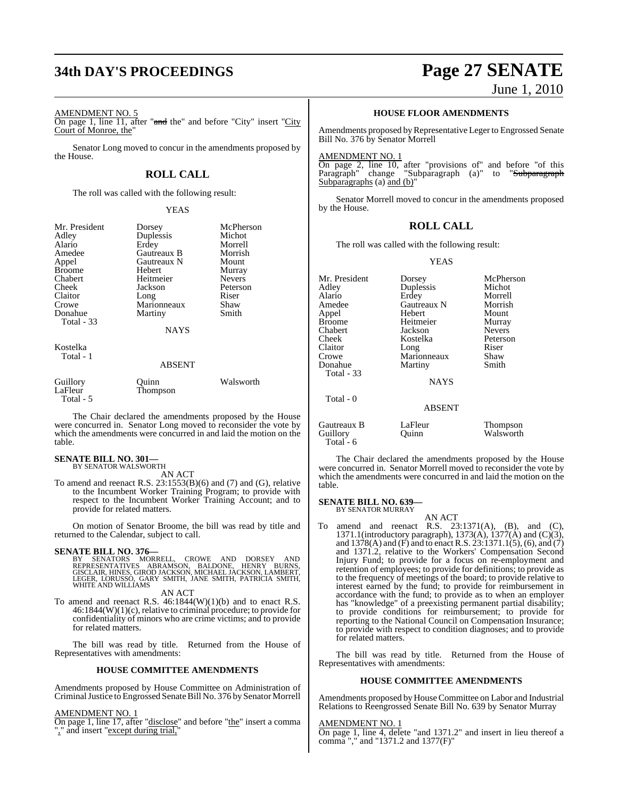# **34th DAY'S PROCEEDINGS Page 27 SENATE**

#### AMENDMENT NO. 5

On page 1, line 11, after "and the" and before "City" insert "City" Court of Monroe, the"

Senator Long moved to concur in the amendments proposed by the House.

#### **ROLL CALL**

The roll was called with the following result:

#### YEAS

| Mr. President<br>Adlev<br>Alario<br>Amedee<br>Appel<br>Broome<br>Chabert<br>Cheek<br>Claitor<br>Crowe<br>Donahue<br>Total - 33 | Dorsey<br>Duplessis<br>Erdey<br>Gautreaux B<br>Gautreaux N<br>Hebert<br>Heitmeier<br>Jackson<br>Long<br>Marionneaux<br>Martiny<br><b>NAYS</b> | McPherson<br>Michot<br>Morrell<br>Morrish<br>Mount<br>Murray<br><b>Nevers</b><br>Peterson<br>Riser<br>Shaw<br>Smith |
|--------------------------------------------------------------------------------------------------------------------------------|-----------------------------------------------------------------------------------------------------------------------------------------------|---------------------------------------------------------------------------------------------------------------------|
| Kostelka<br>Total - 1                                                                                                          | <b>ABSENT</b>                                                                                                                                 |                                                                                                                     |
| Guillory<br>LaFleur                                                                                                            | Ouinn<br>Thompson                                                                                                                             | Walsworth                                                                                                           |

The Chair declared the amendments proposed by the House were concurred in. Senator Long moved to reconsider the vote by which the amendments were concurred in and laid the motion on the table.

# **SENATE BILL NO. 301—** BY SENATOR WALSWORTH

Total - 5

AN ACT

To amend and reenact R.S. 23:1553(B)(6) and (7) and (G), relative to the Incumbent Worker Training Program; to provide with respect to the Incumbent Worker Training Account; and to provide for related matters.

On motion of Senator Broome, the bill was read by title and returned to the Calendar, subject to call.

#### **SENATE BILL NO. 376—**

BY SENATORS MORRELL, CROWE AND DORSEY AND<br>REPRESENTATIVES ABRAMSON, BALDONE, HENRY BURNS,<br>GISCLAIR,HINES,GIRODJACKSON,MICHAELJACKSON,LAMBERT, LEGER, LORUSSO, GARY SMITH, JANE SMITH, PATRICIA SMITH, WHITE AND WILLIAMS

#### AN ACT

To amend and reenact R.S. 46:1844(W)(1)(b) and to enact R.S. 46:1844(W)(1)(c), relative to criminal procedure; to provide for confidentiality of minors who are crime victims; and to provide for related matters.

The bill was read by title. Returned from the House of Representatives with amendments:

#### **HOUSE COMMITTEE AMENDMENTS**

Amendments proposed by House Committee on Administration of Criminal Justice to Engrossed Senate Bill No. 376 by Senator Morrell

#### AMENDMENT NO. 1

On page 1, line 17, after "disclose" and before "the" insert a comma "," and insert "except during trial,"

June 1, 2010

#### **HOUSE FLOOR AMENDMENTS**

Amendments proposed by Representative Leger to Engrossed Senate Bill No. 376 by Senator Morrell

#### AMENDMENT NO. 1

On page 2, line 10, after "provisions of" and before "of this Paragraph" change "Subparagraph (a)" to "<del>Subparagraph</del> Subparagraphs (a) and  $(b)$ "

Senator Morrell moved to concur in the amendments proposed by the House.

#### **ROLL CALL**

The roll was called with the following result:

#### YEAS

| Mr. President<br>Adley<br>Alario<br>Amedee | Dorsey<br>Duplessis<br>Erdey<br>Gautreaux N | McPherson<br>Michot<br>Morrell<br>Morrish |
|--------------------------------------------|---------------------------------------------|-------------------------------------------|
| Appel                                      | Hebert                                      | Mount                                     |
| <b>Broome</b>                              | Heitmeier                                   | Murray                                    |
| Chabert                                    | Jackson                                     | <b>Nevers</b>                             |
| Cheek                                      | Kostelka                                    | Peterson                                  |
| Claitor                                    | Long                                        | Riser                                     |
| Crowe                                      | Marionneaux                                 | Shaw                                      |
| Donahue                                    | Martiny                                     | Smith                                     |
| <b>Total - 33</b>                          |                                             |                                           |
|                                            | <b>NAYS</b>                                 |                                           |
| Total - 0                                  |                                             |                                           |
|                                            | <b>ABSENT</b>                               |                                           |
| Gautreaux B<br>Guillory<br>Total - 6       | LaFleur<br>Ouinn                            | <b>Thompson</b><br>Walsworth              |

The Chair declared the amendments proposed by the House were concurred in. Senator Morrell moved to reconsider the vote by which the amendments were concurred in and laid the motion on the table.

#### **SENATE BILL NO. 639—** BY SENATOR MURRAY

AN ACT To amend and reenact R.S.  $23:1371(A)$ ,  $(B)$ , and  $(C)$ , 1371.1(introductory paragraph), 1373(A), 1377(A) and (C)(3), and 1378(A) and (F) and to enact R.S. 23:1371.1(5), (6), and (7) and 1371.2, relative to the Workers' Compensation Second Injury Fund; to provide for a focus on re-employment and retention of employees; to provide for definitions; to provide as to the frequency of meetings of the board; to provide relative to interest earned by the fund; to provide for reimbursement in accordance with the fund; to provide as to when an employer has "knowledge" of a preexisting permanent partial disability; to provide conditions for reimbursement; to provide for reporting to the National Council on Compensation Insurance; to provide with respect to condition diagnoses; and to provide for related matters.

The bill was read by title. Returned from the House of Representatives with amendments:

#### **HOUSE COMMITTEE AMENDMENTS**

Amendments proposed by House Committee on Labor and Industrial Relations to Reengrossed Senate Bill No. 639 by Senator Murray

#### AMENDMENT NO. 1

On page 1, line 4, delete "and 1371.2" and insert in lieu thereof a comma "," and "1371.2 and 1377(F)"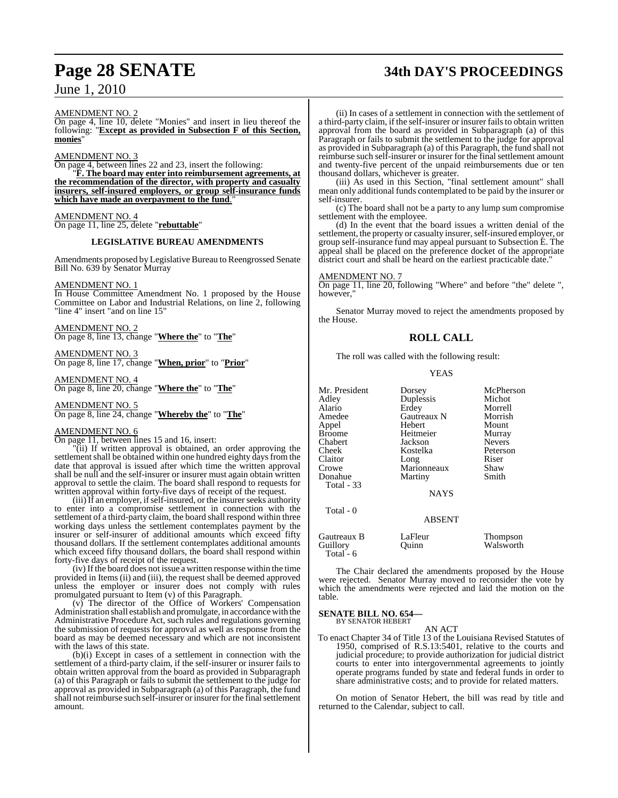# **Page 28 SENATE 34th DAY'S PROCEEDINGS**

AMENDMENT NO.

On page 4, line 10, delete "Monies" and insert in lieu thereof the following: "**Except as provided in Subsection F of this Section, monies**"

AMENDMENT NO. 3

On page 4, between lines 22 and 23, insert the following:

"**F. The board may enter into reimbursement agreements, at the recommendation of the director, with property and casualty insurers, self-insured employers, or group self-insurance funds which have made an overpayment to the fund**."

AMENDMENT NO. 4 On page 11, line 25, delete "**rebuttable**"

#### **LEGISLATIVE BUREAU AMENDMENTS**

Amendments proposed by Legislative Bureau to Reengrossed Senate Bill No. 639 by Senator Murray

## AMENDMENT NO. 1

In House Committee Amendment No. 1 proposed by the House Committee on Labor and Industrial Relations, on line 2, following "line 4" insert "and on line 15"

AMENDMENT NO. 2 On page 8, line 13, change "**Where the**" to "**The**"

AMENDMENT NO. 3 On page 8, line 17, change "**When, prior**" to "**Prior**"

AMENDMENT NO. 4 On page 8, line 20, change "**Where the**" to "**The**"

AMENDMENT NO. 5 On page 8, line 24, change "**Whereby the**" to "**The**"

#### AMENDMENT NO. 6

On page 11, between lines 15 and 16, insert:

"(ii) If written approval is obtained, an order approving the settlement shall be obtained within one hundred eighty days from the date that approval is issued after which time the written approval shall be null and the self-insurer or insurer must again obtain written approval to settle the claim. The board shall respond to requests for written approval within forty-five days of receipt of the request.

(iii) If an employer, if self-insured, or the insurer seeks authority to enter into a compromise settlement in connection with the settlement of a third-party claim, the board shall respond within three working days unless the settlement contemplates payment by the insurer or self-insurer of additional amounts which exceed fifty thousand dollars. If the settlement contemplates additional amounts which exceed fifty thousand dollars, the board shall respond within forty-five days of receipt of the request.

(iv) Ifthe board does not issue a written response within the time provided in Items (ii) and (iii), the request shall be deemed approved unless the employer or insurer does not comply with rules promulgated pursuant to Item (v) of this Paragraph.

(v) The director of the Office of Workers' Compensation Administration shall establish and promulgate, in accordance with the Administrative Procedure Act, such rules and regulations governing the submission of requests for approval as well as response from the board as may be deemed necessary and which are not inconsistent with the laws of this state.

(b)(i) Except in cases of a settlement in connection with the settlement of a third-party claim, if the self-insurer or insurer fails to obtain written approval from the board as provided in Subparagraph (a) of this Paragraph or fails to submit the settlement to the judge for approval as provided in Subparagraph (a) of this Paragraph, the fund shall not reimburse such self-insurer or insurer for the final settlement amount.

(ii) In cases of a settlement in connection with the settlement of a third-party claim, if the self-insurer or insurer failsto obtain written approval from the board as provided in Subparagraph (a) of this Paragraph or fails to submit the settlement to the judge for approval as provided in Subparagraph (a) of this Paragraph, the fund shall not reimburse such self-insurer or insurer for the final settlement amount and twenty-five percent of the unpaid reimbursements due or ten thousand dollars, whichever is greater.

(iii) As used in this Section, "final settlement amount" shall mean only additional funds contemplated to be paid by the insurer or self-insurer.

(c) The board shall not be a party to any lump sum compromise settlement with the employee.

(d) In the event that the board issues a written denial of the settlement, the property or casualty insurer, self-insured employer, or group self-insurance fund may appeal pursuant to Subsection E. The appeal shall be placed on the preference docket of the appropriate district court and shall be heard on the earliest practicable date.

#### AMENDMENT NO

On page 11, line 20, following "Where" and before "the" delete ", however.

Senator Murray moved to reject the amendments proposed by the House.

#### **ROLL CALL**

The roll was called with the following result:

#### YEAS

| Mr. President<br>Adley<br>Alario<br>Amedee<br>Appel<br><b>Broome</b><br>Chabert<br>Cheek<br>Claitor<br>Crowe<br>Donahue<br>Total - 33 | Dorsey<br>Duplessis<br>Erdey<br>Gautreaux N<br>Hebert<br>Heitmeier<br>Jackson<br>Kostelka<br>Long<br>Marionneaux<br>Martiny<br><b>NAYS</b> | McPherson<br>Michot<br>Morrell<br>Morrish<br>Mount<br>Murray<br><b>Nevers</b><br>Peterson<br>Riser<br>Shaw<br>Smith |
|---------------------------------------------------------------------------------------------------------------------------------------|--------------------------------------------------------------------------------------------------------------------------------------------|---------------------------------------------------------------------------------------------------------------------|
| Total - 0                                                                                                                             | <b>ABSENT</b>                                                                                                                              |                                                                                                                     |
| Gautreaux B<br>Guillory<br>Total - 6                                                                                                  | LaFleur<br>Ouınn                                                                                                                           | <b>Thompson</b><br>Walsworth                                                                                        |

The Chair declared the amendments proposed by the House were rejected. Senator Murray moved to reconsider the vote by which the amendments were rejected and laid the motion on the table.

#### **SENATE BILL NO. 654—** BY SENATOR HEBERT

AN ACT

To enact Chapter 34 of Title 13 of the Louisiana Revised Statutes of 1950, comprised of R.S.13:5401, relative to the courts and judicial procedure; to provide authorization for judicial district courts to enter into intergovernmental agreements to jointly operate programs funded by state and federal funds in order to share administrative costs; and to provide for related matters.

On motion of Senator Hebert, the bill was read by title and returned to the Calendar, subject to call.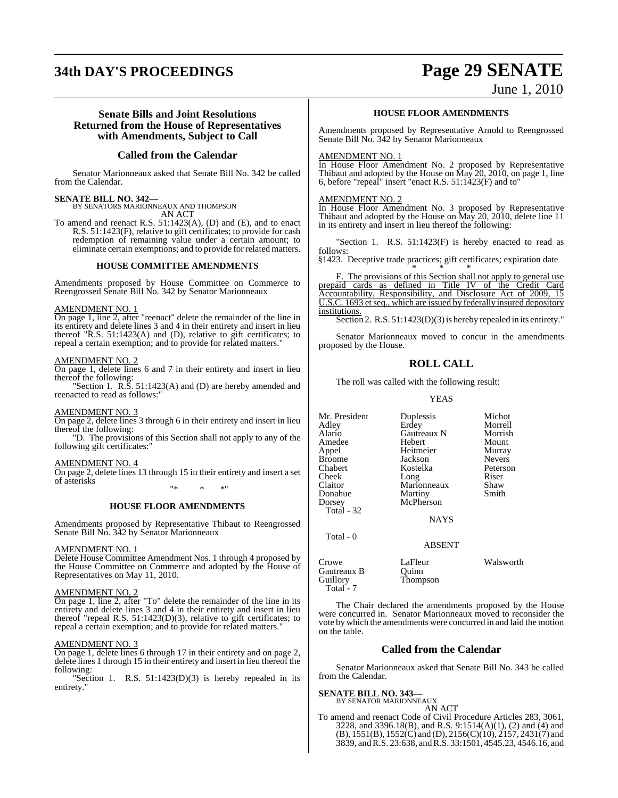# **34th DAY'S PROCEEDINGS Page 29 SENATE**

## June 1, 2010

#### **Senate Bills and Joint Resolutions Returned from the House of Representatives with Amendments, Subject to Call**

#### **Called from the Calendar**

Senator Marionneaux asked that Senate Bill No. 342 be called from the Calendar.

**SENATE BILL NO. 342—** BY SENATORS MARIONNEAUX AND THOMPSON AN ACT

To amend and reenact R.S. 51:1423(A), (D) and (E), and to enact R.S. 51:1423(F), relative to gift certificates; to provide for cash redemption of remaining value under a certain amount; to eliminate certain exemptions; and to provide for related matters.

#### **HOUSE COMMITTEE AMENDMENTS**

Amendments proposed by House Committee on Commerce to Reengrossed Senate Bill No. 342 by Senator Marionneaux

#### AMENDMENT NO. 1

On page 1, line 2, after "reenact" delete the remainder of the line in its entirety and delete lines 3 and 4 in their entirety and insert in lieu thereof " $R.S. 51:1423(A)$  and (D), relative to gift certificates; to repeal a certain exemption; and to provide for related matters."

#### AMENDMENT NO. 2

On page 1, delete lines 6 and 7 in their entirety and insert in lieu thereof the following:

Section 1. R.S. 51:1423(A) and (D) are hereby amended and reenacted to read as follows:"

#### AMENDMENT NO. 3

On page 2, delete lines 3 through 6 in their entirety and insert in lieu thereof the following:

"D. The provisions of this Section shall not apply to any of the following gift certificates:"

#### AMENDMENT NO. 4

On page 2, delete lines 13 through 15 in their entirety and insert a set of asterisks

"\* \* \*"

#### **HOUSE FLOOR AMENDMENTS**

Amendments proposed by Representative Thibaut to Reengrossed Senate Bill No. 342 by Senator Marionneaux

#### AMENDMENT NO. 1

Delete House Committee Amendment Nos. 1 through 4 proposed by the House Committee on Commerce and adopted by the House of Representatives on May 11, 2010.

#### AMENDMENT NO. 2

On page 1, line 2, after "To" delete the remainder of the line in its entirety and delete lines 3 and 4 in their entirety and insert in lieu thereof "repeal R.S. 51:1423(D)(3), relative to gift certificates; to repeal a certain exemption; and to provide for related matters."

#### AMENDMENT NO. 3

On page 1, delete lines 6 through 17 in their entirety and on page 2, delete lines 1 through 15 in their entirety and insert in lieu thereof the following:

"Section 1. R.S. 51:1423(D)(3) is hereby repealed in its entirety."

#### **HOUSE FLOOR AMENDMENTS**

Amendments proposed by Representative Arnold to Reengrossed Senate Bill No. 342 by Senator Marionneaux

#### AMENDMENT NO. 1

In House Floor Amendment No. 2 proposed by Representative Thibaut and adopted by the House on May 20, 2010, on page 1, line 6, before "repeal" insert "enact R.S. 51:1423(F) and to"

#### AMENDMENT NO. 2

In House Floor Amendment No. 3 proposed by Representative Thibaut and adopted by the House on May 20, 2010, delete line 11 in its entirety and insert in lieu thereof the following:

'Section 1. R.S. 51:1423(F) is hereby enacted to read as follows:

§1423. Deceptive trade practices; gift certificates; expiration date \* \* \*

F. The provisions of this Section shall not apply to general use prepaid cards as defined in Title IV of the Credit Card Accountability, Responsibility, and Disclosure Act of 2009, 15 U.S.C. 1693 et seq., which are issued by federally insured depository institutions.

Section 2. R.S. 51:1423(D)(3) is hereby repealed in its entirety."

Senator Marionneaux moved to concur in the amendments proposed by the House.

#### **ROLL CALL**

The roll was called with the following result:

YEAS

Mr. President Duplessis Michot<br>Adley Erdey Morrell Adley Erdey Morrell Amedee Hebert Mount Appel Heitmeier Murray Broome Jackson Nevers<br>Chabert Kostelka Peterson Chabert Kostelka Peterson Cheek Long Riser Claitor Marionneaux Shaw Donahue Martiny Smith<br>
Dorsey McPherson Total - 32

Total - 0

**Alaricaux N** Morrish<br> **Hebert** Mount **McPherson** 

NAYS

#### ABSENT

Thompson

Crowe LaFleur Walsworth<br>Cautreaux B Quinn Gautreaux B<br>Guillory Total - 7

The Chair declared the amendments proposed by the House were concurred in. Senator Marionneaux moved to reconsider the vote by which the amendments were concurred in and laid the motion on the table.

#### **Called from the Calendar**

Senator Marionneaux asked that Senate Bill No. 343 be called from the Calendar.

#### **SENATE BILL NO. 343—**

BY SENATOR MARIONNEAUX

AN ACT To amend and reenact Code of Civil Procedure Articles 283, 3061, 3228, and 3396.18(B), and R.S. 9:1514(A)(1), (2) and (4) and  $(B)$ , 1551(B), 1552(C) and (D), 2156(C)(10), 2157, 2431(7) and 3839, andR.S. 23:638, and R.S. 33:1501, 4545.23, 4546.16, and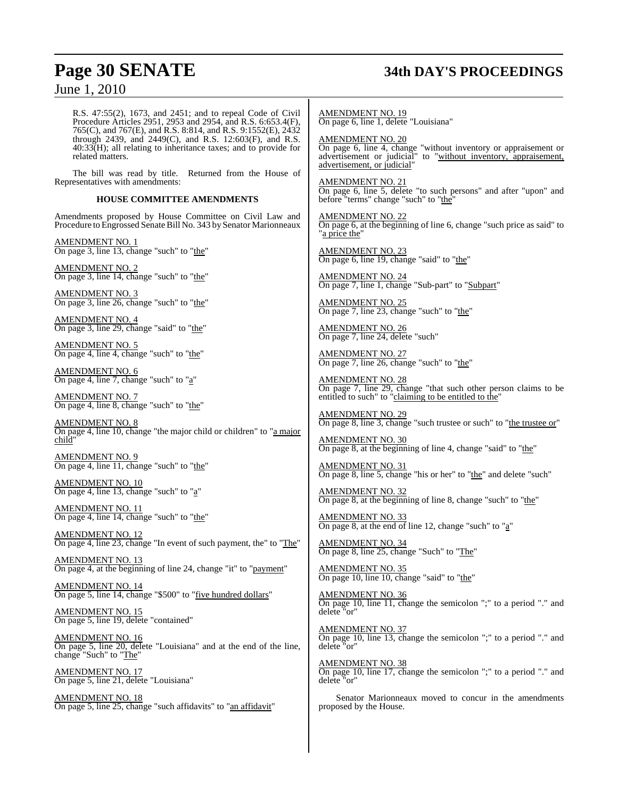# **Page 30 SENATE 34th DAY'S PROCEEDINGS**

June 1, 2010

R.S. 47:55(2), 1673, and 2451; and to repeal Code of Civil Procedure Articles 2951, 2953 and 2954, and R.S. 6:653.4(F), 765(C), and 767(E), and R.S. 8:814, and R.S. 9:1552(E), 2432 through 2439, and 2449(C), and R.S. 12:603(F), and R.S. 40:33(H); all relating to inheritance taxes; and to provide for related matters.

The bill was read by title. Returned from the House of Representatives with amendments:

#### **HOUSE COMMITTEE AMENDMENTS**

Amendments proposed by House Committee on Civil Law and Procedure to Engrossed Senate Bill No. 343 by Senator Marionneaux

AMENDMENT NO. 1 On page 3, line 13, change "such" to "the"

AMENDMENT NO. 2 On page 3, line 14, change "such" to "the"

AMENDMENT NO. 3 On page 3, line 26, change "such" to "the"

AMENDMENT NO. 4 On page 3, line 29, change "said" to "the"

AMENDMENT NO. 5 On page 4, line 4, change "such" to "the"

AMENDMENT NO. 6 On page 4, line 7, change "such" to "a"

AMENDMENT NO. 7 On page 4, line 8, change "such" to "the"

AMENDMENT NO. 8 On page 4, line 10, change "the major child or children" to "a major child"

AMENDMENT NO. 9 On page 4, line 11, change "such" to "the"

AMENDMENT NO. 10 On page 4, line 13, change "such" to "a"

AMENDMENT NO. 11 On page 4, line 14, change "such" to "the"

AMENDMENT NO. 12 On page 4, line 23, change "In event of such payment, the" to "The"

AMENDMENT NO. 13 On page 4, at the beginning of line 24, change "it" to "payment"

AMENDMENT NO. 14 On page 5, line 14, change "\$500" to "five hundred dollars"

AMENDMENT NO. 15 On page 5, line 19, delete "contained"

AMENDMENT NO. 16 On page 5, line 20, delete "Louisiana" and at the end of the line, change "Such" to "The"

AMENDMENT NO. 17 On page 5, line 21, delete "Louisiana"

AMENDMENT NO. 18 On page 5, line 25, change "such affidavits" to "an affidavit" AMENDMENT NO. 19 On page 6, line 1, delete "Louisiana"

AMENDMENT NO. 20 On page 6, line 4, change "without inventory or appraisement or advertisement or judicial" to "without inventory, appraisement, advertisement, or judicial"

AMENDMENT NO. 21 On page 6, line 5, delete "to such persons" and after "upon" and before "terms" change "such" to "the"

AMENDMENT NO. 22  $\overline{On}$  page 6, at the beginning of line 6, change "such price as said" to "a price the"

AMENDMENT NO. 23 On page 6, line 19, change "said" to "the"

AMENDMENT NO. 24 On page 7, line 1, change "Sub-part" to "Subpart"

AMENDMENT NO. 25 On page 7, line 23, change "such" to "the"

AMENDMENT NO. 26 On page 7, line 24, delete "such"

AMENDMENT NO. 27 On page 7, line 26, change "such" to "the"

AMENDMENT NO. 28 On page 7, line 29, change "that such other person claims to be entitled to such" to "claiming to be entitled to the"

AMENDMENT NO. 29 On page 8, line 3, change "such trustee or such" to "the trustee or"

AMENDMENT NO. 30 On page  $8$ , at the beginning of line 4, change "said" to "the"

AMENDMENT NO. 31 On page 8, line 5, change "his or her" to "the" and delete "such"

AMENDMENT NO. 32 On page 8, at the beginning of line 8, change "such" to "the"

AMENDMENT NO. 33 On page 8, at the end of line 12, change "such" to " $a$ "

AMENDMENT NO. 34 On page 8, line 25, change "Such" to "The"

AMENDMENT NO. 35 On page 10, line 10, change "said" to "the"

AMENDMENT NO. 36 On page 10, line 11, change the semicolon ";" to a period "." and delete "or"

AMENDMENT NO. 37 On page 10, line 13, change the semicolon ";" to a period "." and delete "or"

AMENDMENT NO. 38 On page 10, line 17, change the semicolon ";" to a period "." and delete "or"

Senator Marionneaux moved to concur in the amendments proposed by the House.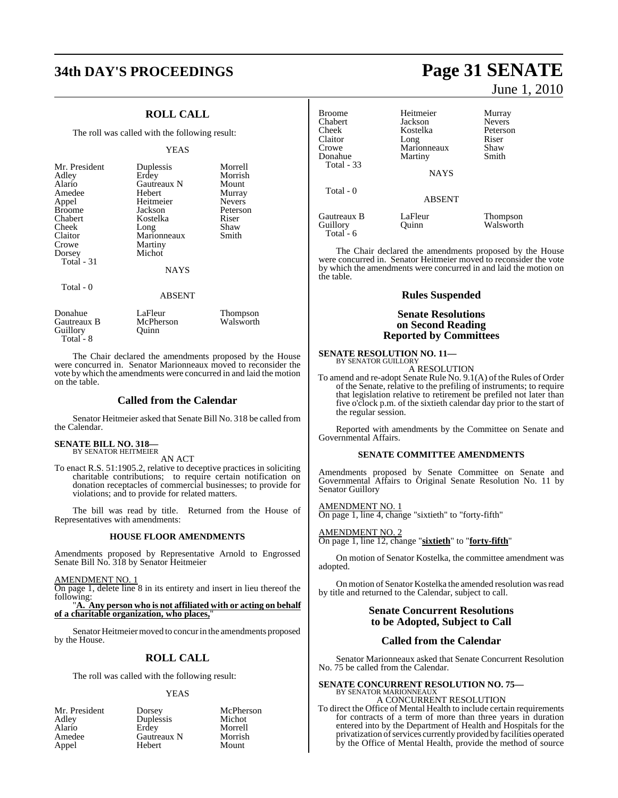# **34th DAY'S PROCEEDINGS Page 31 SENATE**

## **ROLL CALL**

The roll was called with the following result:

#### YEAS

| Mr. President<br>Adley<br>Alario<br>Amedee<br>Appel<br><b>Broome</b><br>Chabert<br>Cheek<br>Claitor<br>Crowe<br>Dorsey<br>Total $-31$<br>Total - 0 | Duplessis<br>Erdey<br>Gautreaux N<br>Hebert<br>Heitmeier<br>Jackson<br>Kostelka<br>Long<br>Marionneaux<br>Martiny<br>Michot<br><b>NAYS</b><br><b>ABSENT</b> | Morrell<br>Morrish<br>Mount<br>Murray<br><b>Nevers</b><br>Peterson<br>Riser<br>Shaw<br>Smith |
|----------------------------------------------------------------------------------------------------------------------------------------------------|-------------------------------------------------------------------------------------------------------------------------------------------------------------|----------------------------------------------------------------------------------------------|
| Donahue<br>Gautreaux B                                                                                                                             | LaFleur<br>McPherson                                                                                                                                        | Thompson<br>Walsworth                                                                        |

Total<sup>-</sup>8 The Chair declared the amendments proposed by the House were concurred in. Senator Marionneaux moved to reconsider the vote by which the amendments were concurred in and laid the motion on the table.

#### **Called from the Calendar**

Senator Heitmeier asked that Senate Bill No. 318 be called from the Calendar.

#### **SENATE BILL NO. 318—** BY SENATOR HEITMEIER

Guillory Quinn

AN ACT

To enact R.S. 51:1905.2, relative to deceptive practices in soliciting charitable contributions; to require certain notification on donation receptacles of commercial businesses; to provide for violations; and to provide for related matters.

The bill was read by title. Returned from the House of Representatives with amendments:

#### **HOUSE FLOOR AMENDMENTS**

Amendments proposed by Representative Arnold to Engrossed Senate Bill No. 318 by Senator Heitmeier

AMENDMENT NO. 1

On page 1, delete line 8 in its entirety and insert in lieu thereof the following:

"**A. Any person who is not affiliated with or acting on behalf of a charitable organization, who places,**"

Senator Heitmeier moved to concur in the amendments proposed by the House.

#### **ROLL CALL**

The roll was called with the following result:

#### YEAS

| Mr. President | Dorsey      |
|---------------|-------------|
| Adlev         | Duplessis   |
| Alario        | Erdev       |
| Amedee        | Gautreaux N |
| Appel         | Hebert      |

sey McPherson<br>
essis Michot Michot ey Morrell<br>treaux N Morrish ert Mount

June 1, 2010

| <b>Broome</b> | Heitmeier     | Murray          |
|---------------|---------------|-----------------|
| Chabert       | Jackson       | <b>Nevers</b>   |
| Cheek         | Kostelka      | Peterson        |
| Claitor       | Long          | Riser           |
| Crowe         | Marionneaux   | Shaw            |
| Donahue       | Martiny       | Smith           |
| Total - 33    | <b>NAYS</b>   |                 |
| Total - 0     | <b>ABSENT</b> |                 |
| Gautreaux B   | LaFleur       | <b>Thompson</b> |
| Guillory      | <b>Duinn</b>  | Walsworth       |

The Chair declared the amendments proposed by the House were concurred in. Senator Heitmeier moved to reconsider the vote by which the amendments were concurred in and laid the motion on the table.

#### **Rules Suspended**

#### **Senate Resolutions on Second Reading Reported by Committees**

**SENATE RESOLUTION NO. 11-**<br>BY SENATOR GUILLORY

Total - 6

A RESOLUTION

To amend and re-adopt Senate Rule No. 9.1(A) of the Rules of Order of the Senate, relative to the prefiling of instruments; to require that legislation relative to retirement be prefiled not later than five o'clock p.m. of the sixtieth calendar day prior to the start of the regular session.

Reported with amendments by the Committee on Senate and Governmental Affairs.

#### **SENATE COMMITTEE AMENDMENTS**

Amendments proposed by Senate Committee on Senate and Governmental Affairs to Original Senate Resolution No. 11 by Senator Guillory

<u>AMENDMENT NO. 1</u> On page 1, line 4, change "sixtieth" to "forty-fifth"

AMENDMENT NO. 2 On page 1, line 12, change "**sixtieth**" to "**forty-fifth**"

On motion of Senator Kostelka, the committee amendment was adopted.

On motion of Senator Kostelka the amended resolution was read by title and returned to the Calendar, subject to call.

#### **Senate Concurrent Resolutions to be Adopted, Subject to Call**

#### **Called from the Calendar**

Senator Marionneaux asked that Senate Concurrent Resolution No. 75 be called from the Calendar.

# **SENATE CONCURRENT RESOLUTION NO. 75—** BY SENATOR MARIONNEAUX

A CONCURRENT RESOLUTION To direct the Office of Mental Health to include certain requirements for contracts of a term of more than three years in duration entered into by the Department of Health and Hospitals for the privatization of services currently provided by facilities operated by the Office of Mental Health, provide the method of source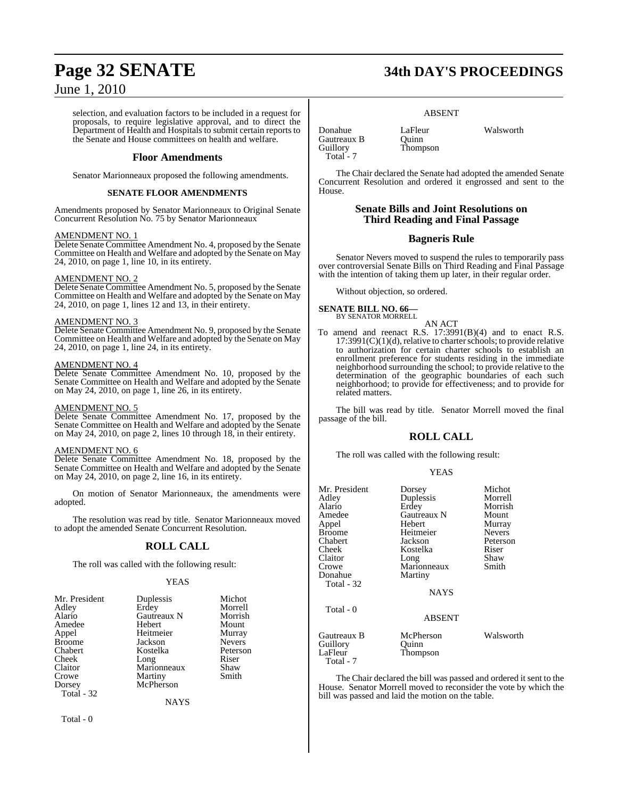selection, and evaluation factors to be included in a request for proposals, to require legislative approval, and to direct the Department of Health and Hospitals to submit certain reports to the Senate and House committees on health and welfare.

#### **Floor Amendments**

Senator Marionneaux proposed the following amendments.

#### **SENATE FLOOR AMENDMENTS**

Amendments proposed by Senator Marionneaux to Original Senate Concurrent Resolution No. 75 by Senator Marionneaux

#### AMENDMENT NO. 1

Delete Senate Committee Amendment No. 4, proposed by the Senate Committee on Health and Welfare and adopted by the Senate on May 24, 2010, on page 1, line 10, in its entirety.

#### AMENDMENT NO. 2

Delete Senate Committee Amendment No. 5, proposed by the Senate Committee on Health and Welfare and adopted by the Senate on May 24, 2010, on page 1, lines 12 and 13, in their entirety.

#### AMENDMENT NO. 3

Delete Senate Committee Amendment No. 9, proposed by the Senate Committee on Health and Welfare and adopted by the Senate on May 24, 2010, on page 1, line 24, in its entirety.

#### AMENDMENT NO. 4

Delete Senate Committee Amendment No. 10, proposed by the Senate Committee on Health and Welfare and adopted by the Senate on May 24, 2010, on page 1, line 26, in its entirety.

## AMENDMENT NO. 5

Delete Senate Committee Amendment No. 17, proposed by the Senate Committee on Health and Welfare and adopted by the Senate on May 24, 2010, on page 2, lines 10 through 18, in their entirety.

#### AMENDMENT NO. 6

Delete Senate Committee Amendment No. 18, proposed by the Senate Committee on Health and Welfare and adopted by the Senate on May 24, 2010, on page 2, line 16, in its entirety.

On motion of Senator Marionneaux, the amendments were adopted.

The resolution was read by title. Senator Marionneaux moved to adopt the amended Senate Concurrent Resolution.

#### **ROLL CALL**

The roll was called with the following result:

#### YEAS

| Mr. President | Duplessis   | Michot        |
|---------------|-------------|---------------|
| Adley         | Erdey       | Morrell       |
| Alario        | Gautreaux N | Morrish       |
| Amedee        | Hebert      | Mount         |
| Appel         | Heitmeier   | Murray        |
| Broome        | Jackson     | <b>Nevers</b> |
| Chabert       | Kostelka    | Peterson      |
| Cheek         | Long        | Riser         |
| Claitor       | Marionneaux | Shaw          |
| Crowe         | Martiny     | Smith         |
| Dorsey        | McPherson   |               |
| Total - 32    |             |               |
|               | <b>NAYS</b> |               |

Total - 0

# **Page 32 SENATE 34th DAY'S PROCEEDINGS**

#### ABSENT

Thompson

Donahue LaFleur Walsworth<br>Cautreaux B Ouinn Gautreaux B<br>Guillory Total<sup>-</sup>7

The Chair declared the Senate had adopted the amended Senate Concurrent Resolution and ordered it engrossed and sent to the House.

#### **Senate Bills and Joint Resolutions on Third Reading and Final Passage**

#### **Bagneris Rule**

Senator Nevers moved to suspend the rules to temporarily pass over controversial Senate Bills on Third Reading and Final Passage with the intention of taking them up later, in their regular order.

Without objection, so ordered.

#### **SENATE BILL NO. 66—** BY SENATOR MORRELL

AN ACT

To amend and reenact R.S. 17:3991(B)(4) and to enact R.S.  $17:3991(C)(1)(d)$ , relative to charter schools; to provide relative to authorization for certain charter schools to establish an enrollment preference for students residing in the immediate neighborhood surrounding the school; to provide relative to the determination of the geographic boundaries of each such neighborhood; to provide for effectiveness; and to provide for related matters.

The bill was read by title. Senator Morrell moved the final passage of the bill.

#### **ROLL CALL**

The roll was called with the following result:

#### YEAS

| Mr. President<br>Adley<br>Alario<br>Amedee<br>Appel<br><b>Broome</b><br>Chabert<br>Cheek<br>Claitor<br>Crowe<br>Donahue<br>Total - 32 | Dorsey<br>Duplessis<br>Erdey<br>Gautreaux N<br>Hebert<br>Heitmeier<br>Jackson<br>Kostelka<br>Long<br>Marionneaux<br>Martiny<br><b>NAYS</b> | Michot<br>Morrell<br>Morrish<br>Mount<br>Murray<br><b>Nevers</b><br>Peterson<br>Riser<br>Shaw<br>Smith |
|---------------------------------------------------------------------------------------------------------------------------------------|--------------------------------------------------------------------------------------------------------------------------------------------|--------------------------------------------------------------------------------------------------------|
| Total - 0<br>Gautreaux B<br>Guillory                                                                                                  | <b>ABSENT</b><br>McPherson<br>Ouinn                                                                                                        | Walsworth                                                                                              |
| LaFleur<br>Total - 7                                                                                                                  | Thompson                                                                                                                                   |                                                                                                        |

The Chair declared the bill was passed and ordered it sent to the House. Senator Morrell moved to reconsider the vote by which the bill was passed and laid the motion on the table.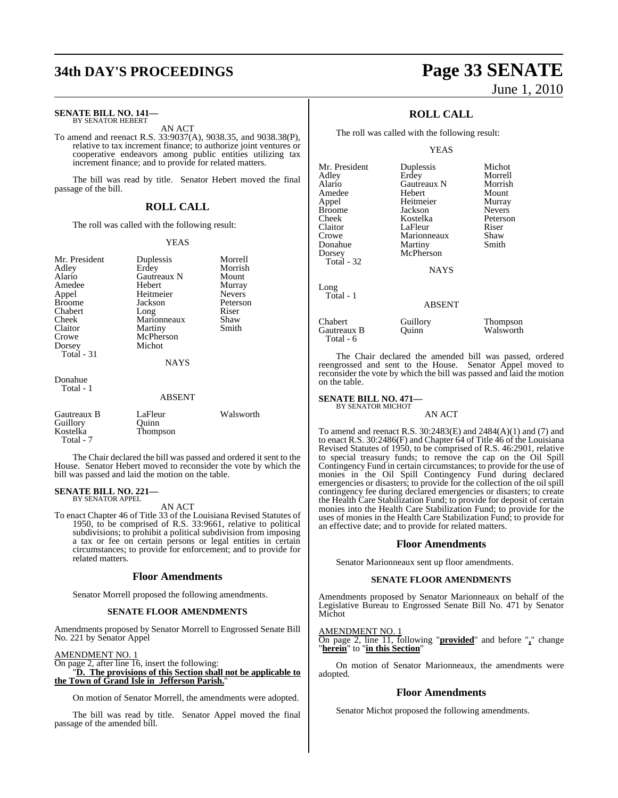# **34th DAY'S PROCEEDINGS Page 33 SENATE**

#### **SENATE BILL NO. 141—** BY SENATOR HEBERT

AN ACT

To amend and reenact R.S. 33:9037(A), 9038.35, and 9038.38(P), relative to tax increment finance; to authorize joint ventures or cooperative endeavors among public entities utilizing tax increment finance; and to provide for related matters.

The bill was read by title. Senator Hebert moved the final passage of the bill.

#### **ROLL CALL**

The roll was called with the following result:

#### YEAS

Morrell Morrish Mount Murray Nevers Peterson<br>Riser

| Mr. President     | Duplessis   | Morre  |
|-------------------|-------------|--------|
| Adley             | Erdey       | Morri  |
| Alario            | Gautreaux N | Moun   |
| Amedee            | Hebert      | Murra  |
| Appel             | Heitmeier   | Never  |
| <b>Broome</b>     | Jackson     | Peters |
| Chabert           | Long        | Riser  |
| Cheek             | Marionneaux | Shaw   |
| Claitor           | Martiny     | Smith  |
| Crowe             | McPherson   |        |
| Dorsey            | Michot      |        |
| <b>Total</b> - 31 |             |        |
|                   | <b>NAYS</b> |        |
| Donahue           |             |        |
| Total - 1         |             |        |

#### ABSENT

| Gautreaux B | LaFleur  | Walsworth |
|-------------|----------|-----------|
| Guillory    | Ouinn    |           |
| Kostelka    | Thompson |           |
| Total - 7   |          |           |

The Chair declared the bill was passed and ordered it sent to the House. Senator Hebert moved to reconsider the vote by which the bill was passed and laid the motion on the table.

#### **SENATE BILL NO. 221—** BY SENATOR APPEL

AN ACT

To enact Chapter 46 of Title 33 of the Louisiana Revised Statutes of 1950, to be comprised of R.S. 33:9661, relative to political subdivisions; to prohibit a political subdivision from imposing a tax or fee on certain persons or legal entities in certain circumstances; to provide for enforcement; and to provide for related matters.

#### **Floor Amendments**

Senator Morrell proposed the following amendments.

#### **SENATE FLOOR AMENDMENTS**

Amendments proposed by Senator Morrell to Engrossed Senate Bill No. 221 by Senator Appel

## AMENDMENT NO. 1

On page 2, after line 16, insert the following: "**D. The provisions of this Section shall not be applicable to the Town of Grand Isle in Jefferson Parish.**"

On motion of Senator Morrell, the amendments were adopted.

The bill was read by title. Senator Appel moved the final passage of the amended bill.

# June 1, 2010

## **ROLL CALL**

The roll was called with the following result:

#### YEAS

| Mr. President | Duplessis     | Michot          |
|---------------|---------------|-----------------|
| Adley         | Erdey         | Morrell         |
| Alario        | Gautreaux N   | Morrish         |
| Amedee        | Hebert        | Mount           |
| Appel         | Heitmeier     | Murray          |
| <b>Broome</b> | Jackson       | <b>Nevers</b>   |
| Cheek         | Kostelka      | Peterson        |
| Claitor       | LaFleur       | Riser           |
| Crowe         | Marionneaux   | Shaw            |
| Donahue       | Martiny       | Smith           |
| Dorsey        | McPherson     |                 |
| Total - 32    |               |                 |
|               | <b>NAYS</b>   |                 |
| Long          |               |                 |
| Total - 1     |               |                 |
|               | <b>ABSENT</b> |                 |
| Chabert       | Guillory      | <b>Thompson</b> |
| Gautreaux B   | Ouinn         | Walsworth       |
|               |               |                 |

The Chair declared the amended bill was passed, ordered reengrossed and sent to the House. Senator Appel moved to reconsider the vote by which the bill was passed and laid the motion on the table.

#### **SENATE BILL NO. 471—** BY SENATOR MICHOT

Total - 6

AN ACT

To amend and reenact R.S. 30:2483(E) and 2484(A)(1) and (7) and to enact R.S. 30:2486(F) and Chapter 64 of Title 46 of the Louisiana Revised Statutes of 1950, to be comprised of R.S. 46:2901, relative to special treasury funds; to remove the cap on the Oil Spill Contingency Fund in certain circumstances; to provide for the use of monies in the Oil Spill Contingency Fund during declared emergencies or disasters; to provide for the collection of the oil spill contingency fee during declared emergencies or disasters; to create the Health Care Stabilization Fund; to provide for deposit of certain monies into the Health Care Stabilization Fund; to provide for the uses of monies in the Health Care Stabilization Fund; to provide for an effective date; and to provide for related matters.

#### **Floor Amendments**

Senator Marionneaux sent up floor amendments.

#### **SENATE FLOOR AMENDMENTS**

Amendments proposed by Senator Marionneaux on behalf of the Legislative Bureau to Engrossed Senate Bill No. 471 by Senator Michot

AMENDMENT NO. 1

On page 2, line 11, following "**provided**" and before "**,**" change "**herein**" to "**in this Section**"

On motion of Senator Marionneaux, the amendments were adopted.

#### **Floor Amendments**

Senator Michot proposed the following amendments.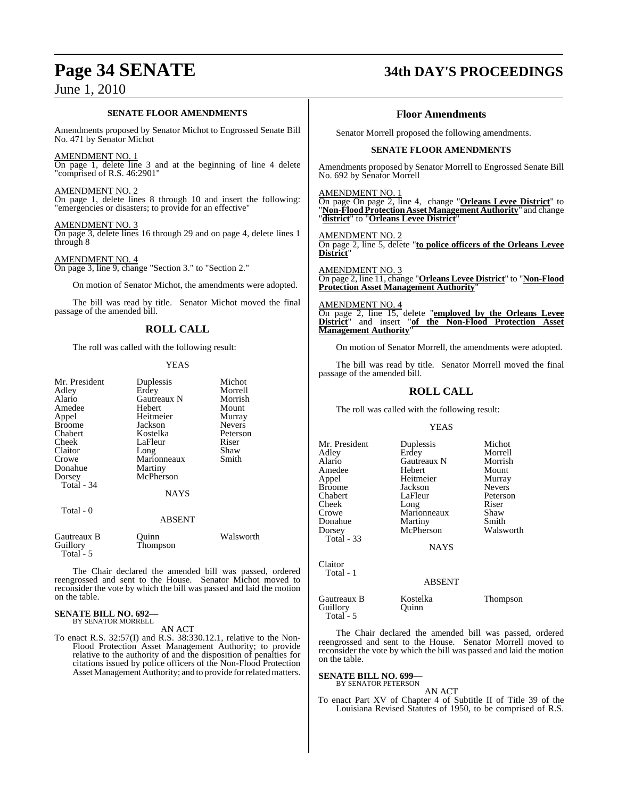#### **SENATE FLOOR AMENDMENTS**

Amendments proposed by Senator Michot to Engrossed Senate Bill No. 471 by Senator Michot

#### AMENDMENT NO. 1

On page 1, delete line 3 and at the beginning of line 4 delete "comprised of R.S. 46:2901"

#### AMENDMENT NO. 2

On page 1, delete lines 8 through 10 and insert the following: "emergencies or disasters; to provide for an effective"

#### AMENDMENT NO. 3

On page 3, delete lines 16 through 29 and on page 4, delete lines 1 through 8

AMENDMENT NO. 4 On page 3, line 9, change "Section 3." to "Section 2."

On motion of Senator Michot, the amendments were adopted.

The bill was read by title. Senator Michot moved the final passage of the amended bill.

## **ROLL CALL**

The roll was called with the following result:

#### YEAS

| Mr. President<br>Adley<br>Alario<br>Amedee<br>Appel<br><b>Broome</b><br>Chabert<br>Cheek | Duplessis<br>Erdey<br>Gautreaux N<br>Hebert<br>Heitmeier<br>Jackson<br>Kostelka<br>LaFleur | Michot<br>Morrell<br>Morrish<br>Mount<br>Murray<br><b>Nevers</b><br>Peterson<br>Riser |
|------------------------------------------------------------------------------------------|--------------------------------------------------------------------------------------------|---------------------------------------------------------------------------------------|
| Claitor                                                                                  | Long                                                                                       | Shaw                                                                                  |
| Crowe                                                                                    | Marionneaux                                                                                | Smith                                                                                 |
| Donahue                                                                                  | Martiny                                                                                    |                                                                                       |
| Dorsey<br>Total $-34$                                                                    | McPherson                                                                                  |                                                                                       |
|                                                                                          | <b>NAYS</b>                                                                                |                                                                                       |
| Total - 0                                                                                | <b>ABSENT</b>                                                                              |                                                                                       |
| Gautreaux B<br>Guillory<br>Total - 5                                                     | Ouinn<br>Thompson                                                                          | Walsworth                                                                             |

The Chair declared the amended bill was passed, ordered reengrossed and sent to the House. Senator Michot moved to reconsider the vote by which the bill was passed and laid the motion on the table.

#### **SENATE BILL NO. 692—** BY SENATOR MORRELL

AN ACT

To enact R.S. 32:57(I) and R.S. 38:330.12.1, relative to the Non-Flood Protection Asset Management Authority; to provide relative to the authority of and the disposition of penalties for citations issued by police officers of the Non-Flood Protection Asset Management Authority; and to provide for related matters.

# **Page 34 SENATE 34th DAY'S PROCEEDINGS**

#### **Floor Amendments**

Senator Morrell proposed the following amendments.

#### **SENATE FLOOR AMENDMENTS**

Amendments proposed by Senator Morrell to Engrossed Senate Bill No. 692 by Senator Morrell

AMENDMENT NO. 1

On page On page 2, line 4, change "**Orleans Levee District**" to "Non-Flood Protection Asset Management Authority" and change "**district**" to "**Orleans Levee District**"

AMENDMENT NO. 2 On page 2, line 5, delete "**to police officers of the Orleans Levee District**"

AMENDMENT NO. 3 On page 2, line 11, change "**Orleans Levee District**" to "**Non-Flood Protection Asset Management Authority**"

AMENDMENT NO. 4 On page 2, line 15, delete "**employed by the Orleans Levee District**" and insert "**of the Non-Flood Protection Asset Management Authority**"

On motion of Senator Morrell, the amendments were adopted.

The bill was read by title. Senator Morrell moved the final passage of the amended bill.

### **ROLL CALL**

The roll was called with the following result:

#### YEAS

| Mr. President     | Duplessis          | Michot        |
|-------------------|--------------------|---------------|
| Adley             | Erdey              | Morrell       |
| Alario            | <b>Gautreaux N</b> | Morrish       |
| Amedee            | Hebert             | Mount         |
| Appel             | Heitmeier          | Murray        |
| <b>Broome</b>     | Jackson            | <b>Nevers</b> |
| Chabert           | LaFleur            | Peterson      |
| Cheek             | Long               | Riser         |
| Crowe             | Marionneaux        | Shaw          |
| Donahue           | Martiny            | Smith         |
| Dorsey            | McPherson          | Walsworth     |
| <b>Total</b> - 33 |                    |               |
|                   | <b>NAYS</b>        |               |
| Claitor           |                    |               |
| Total - 1         |                    |               |
|                   | ABSENT             |               |

Gautreaux B Kostelka Thompson Guillory Quinn Total - 5

The Chair declared the amended bill was passed, ordered reengrossed and sent to the House. Senator Morrell moved to reconsider the vote by which the bill was passed and laid the motion on the table.

# **SENATE BILL NO. 699—** BY SENATOR PETERSON

AN ACT To enact Part XV of Chapter 4 of Subtitle II of Title 39 of the Louisiana Revised Statutes of 1950, to be comprised of R.S.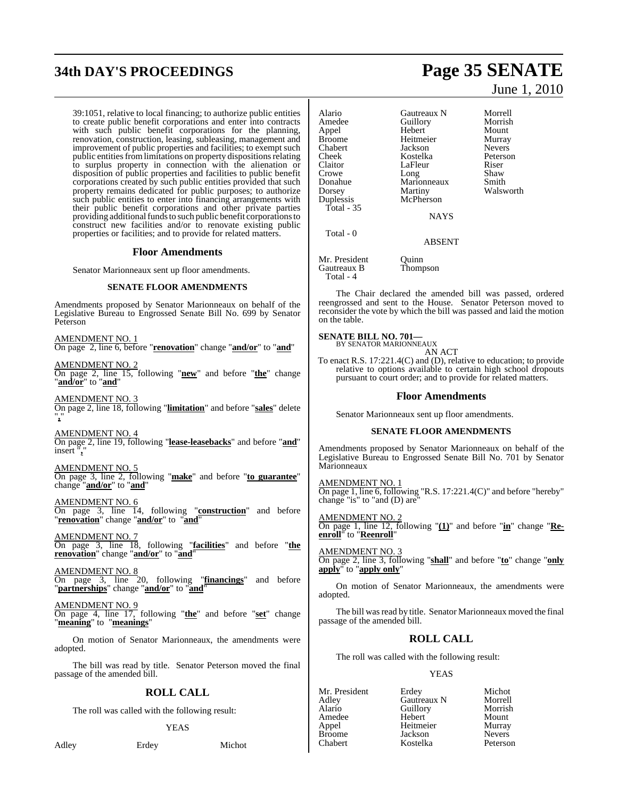# **34th DAY'S PROCEEDINGS Page 35 SENATE**

39:1051, relative to local financing; to authorize public entities to create public benefit corporations and enter into contracts with such public benefit corporations for the planning, renovation, construction, leasing, subleasing, management and improvement of public properties and facilities; to exempt such public entities from limitations on property dispositions relating to surplus property in connection with the alienation or disposition of public properties and facilities to public benefit corporations created by such public entities provided that such property remains dedicated for public purposes; to authorize such public entities to enter into financing arrangements with their public benefit corporations and other private parties providing additional funds to such public benefit corporations to construct new facilities and/or to renovate existing public properties or facilities; and to provide for related matters.

#### **Floor Amendments**

Senator Marionneaux sent up floor amendments.

#### **SENATE FLOOR AMENDMENTS**

Amendments proposed by Senator Marionneaux on behalf of the Legislative Bureau to Engrossed Senate Bill No. 699 by Senator Peterson

AMENDMENT NO. 1 On page 2, line 6, before "**renovation**" change "**and/or**" to "**and**"

AMENDMENT NO. 2 On page 2, line 15, following "**new**" and before "**the**" change "**and/or**" to "**and**"

AMENDMENT NO. On page 2, line 18, following "**limitation**" and before "**sales**" delete "**,**"

AMENDMENT NO. 4 On page 2, line 19, following "**lease-leasebacks**" and before "**and**" insert "**,**"

#### AMENDMENT NO. 5

On page 3, line 2, following "**make**" and before "**to guarantee**" change "**and/or**" to "**and**"

AMENDMENT NO. 6

On page 3, line 14, following "**construction**" and before "**renovation**" change "**and/or**" to "**and**"

AMENDMENT NO. 7 On page 3, line 18, following "**facilities**" and before "**the renovation**" change "**and/or**" to "**and**"

AMENDMENT NO. 8 On page 3, line 20, following "**financings**" and before "**partnerships**" change "**and/or**" to "**and**"

AMENDMENT NO. 9 On page 4, line 17, following "**the**" and before "**set**" change "**meaning**" to "**meanings**"

On motion of Senator Marionneaux, the amendments were adopted.

The bill was read by title. Senator Peterson moved the final passage of the amended bill.

## **ROLL CALL**

The roll was called with the following result:

#### YEAS

Adley Erdey Michot

June 1, 2010

Alario Gautreaux N Morrell<br>Amedee Guillory Morrish Amedee Guillory<br>Appel Hebert Appel Hebert Mount Heitmeier Murray<br>Iackson Nevers Chabert Jackson Nevers Cheek Kostelka Peterson Claitor LaFleur Riser<br>Crowe Long Shaw Crowe Long Shaw<br>Donahue Marionneaux Smith Donahue Marionneaux<br>Dorsey Martiny Dorsey Martiny Walsworth<br>
Duplessis McPherson McPherson Total - 35 **NAYS**  Total - 0 ABSENT

Mr. President Quinn<br>
Gautreaux B Thompson Gautreaux B Total - 4

The Chair declared the amended bill was passed, ordered reengrossed and sent to the House. Senator Peterson moved to reconsider the vote by which the bill was passed and laid the motion on the table.

# **SENATE BILL NO. 701—** BY SENATOR MARIONNEAUX

AN ACT

To enact R.S. 17:221.4(C) and (D), relative to education; to provide relative to options available to certain high school dropouts pursuant to court order; and to provide for related matters.

#### **Floor Amendments**

Senator Marionneaux sent up floor amendments.

#### **SENATE FLOOR AMENDMENTS**

Amendments proposed by Senator Marionneaux on behalf of the Legislative Bureau to Engrossed Senate Bill No. 701 by Senator **Marionneaux** 

AMENDMENT NO. 1 On page 1, line 6, following "R.S. 17:221.4(C)" and before "hereby" change "is" to "and (D) are

AMENDMENT NO. 2 On page 1, line 12, following "**(1)**" and before "**in**" change "**Reenroll**" to "**Reenroll**"

AMENDMENT NO. 3 On page 2, line 3, following "**shall**" and before "**to**" change "**only apply**" to "**apply only**"

On motion of Senator Marionneaux, the amendments were adopted.

The bill was read by title. Senator Marionneaux moved the final passage of the amended bill.

## **ROLL CALL**

The roll was called with the following result:

#### YEAS

Mr. President Erdey Michot<br>Adley Gautreaux N Morrell Adley Gautreaux N Morrell Amedee Hebert Mount Appel Heitmeier Murray Broome Jackson Nevers<br>Chabert Kostelka Peterson Kostelka

Alarian<br>
Hebert Mount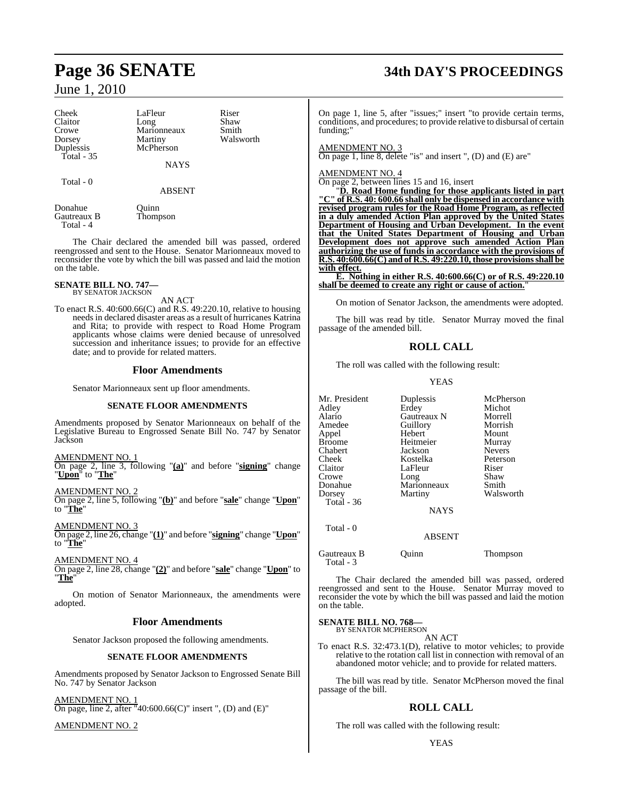Cheek LaFleur Riser<br>Claitor Long Shaw Claitor Long Shaw<br>Crowe Marionneaux Smith Crowe Marionneaux<br>Dorsey Martiny Duplessis Total - 35

Total - 0

**NAYS** 

ABSENT

Gautreaux B Total - 4

Donahue Quinn<br>Gautreaux B Thompson

The Chair declared the amended bill was passed, ordered reengrossed and sent to the House. Senator Marionneaux moved to reconsider the vote by which the bill was passed and laid the motion on the table.

# **SENATE BILL NO. 747—** BY SENATOR JACKSON

AN ACT

To enact R.S. 40:600.66(C) and R.S. 49:220.10, relative to housing needs in declared disaster areas as a result of hurricanes Katrina and Rita; to provide with respect to Road Home Program applicants whose claims were denied because of unresolved succession and inheritance issues; to provide for an effective date; and to provide for related matters.

#### **Floor Amendments**

Senator Marionneaux sent up floor amendments.

#### **SENATE FLOOR AMENDMENTS**

Amendments proposed by Senator Marionneaux on behalf of the Legislative Bureau to Engrossed Senate Bill No. 747 by Senator **Jackson** 

#### AMENDMENT NO. 1

On page 2, line 3, following "**(a)**" and before "**signing**" change "**Upon**" to "**The**"

AMENDMENT NO. 2

On page 2, line 5, following "**(b)**" and before "**sale**" change "**Upon**" to "**The**"

AMENDMENT NO. 3

On page 2, line 26, change "**(1)**" and before "**signing**" change "**Upon**" to "**The**"

#### AMENDMENT NO. 4

On page 2, line 28, change "**(2)**" and before "**sale**" change "**Upon**" to "**The**"

On motion of Senator Marionneaux, the amendments were adopted.

#### **Floor Amendments**

Senator Jackson proposed the following amendments.

#### **SENATE FLOOR AMENDMENTS**

Amendments proposed by Senator Jackson to Engrossed Senate Bill No. 747 by Senator Jackson

AMENDMENT NO. 1 On page, line 2, after "40:600.66(C)" insert ", (D) and (E)"

AMENDMENT NO. 2

# **Page 36 SENATE 34th DAY'S PROCEEDINGS**

On page 1, line 5, after "issues;" insert "to provide certain terms, conditions, and procedures; to provide relative to disbursal of certain funding;"

#### AMENDMENT NO. 3

On page 1, line 8, delete "is" and insert ", (D) and (E) are"

#### AMENDMENT NO. 4

On page 2, between lines 15 and 16, insert

"**D. Road Home funding for those applicants listed in part "C" of R.S. 40: 600.66 shall only be dispensed in accordance with revised program rules for the Road Home Program, as reflected in a duly amended Action Plan approved by the United States Department of Housing and Urban Development. In the event that the United States Department of Housing and Urban Development does not approve such amended Action Plan authorizing the use of funds in accordance with the provisions of R.S. 40:600.66(C) and of R.S. 49:220.10, those provisionsshall be with effect.**

**E. Nothing in either R.S. 40:600.66(C) or of R.S. 49:220.10 shall be deemed to create any right or cause of action.**"

On motion of Senator Jackson, the amendments were adopted.

The bill was read by title. Senator Murray moved the final passage of the amended bill.

## **ROLL CALL**

The roll was called with the following result:

#### YEAS

| Mr. President | Duplessis     | McPherson     |
|---------------|---------------|---------------|
| Adley         | Erdey         | Michot        |
| Alario        | Gautreaux N   | Morrell       |
| Amedee        | Guillory      | Morrish       |
| Appel         | Hebert        | Mount         |
| Broome        | Heitmeier     | Murray        |
| Chabert       | Jackson       | <b>Nevers</b> |
| Cheek         | Kostelka      | Peterson      |
| Claitor       | LaFleur       | Riser         |
| Crowe         | Long          | Shaw          |
| Donahue       | Marionneaux   | Smith         |
| Dorsey        | Martiny       | Walsworth     |
| Total - 36    |               |               |
|               | <b>NAYS</b>   |               |
| Total - 0     |               |               |
|               | <b>ABSENT</b> |               |

Gautreaux B Quinn Thompson Total - 3

The Chair declared the amended bill was passed, ordered reengrossed and sent to the House. Senator Murray moved to reconsider the vote by which the bill was passed and laid the motion on the table.

#### **SENATE BILL NO. 768—**

BY SENATOR MCPHERSON AN ACT

To enact R.S. 32:473.1(D), relative to motor vehicles; to provide relative to the rotation call list in connection with removal of an abandoned motor vehicle; and to provide for related matters.

The bill was read by title. Senator McPherson moved the final passage of the bill.

## **ROLL CALL**

The roll was called with the following result:

Martiny Walsworth<br>
McPherson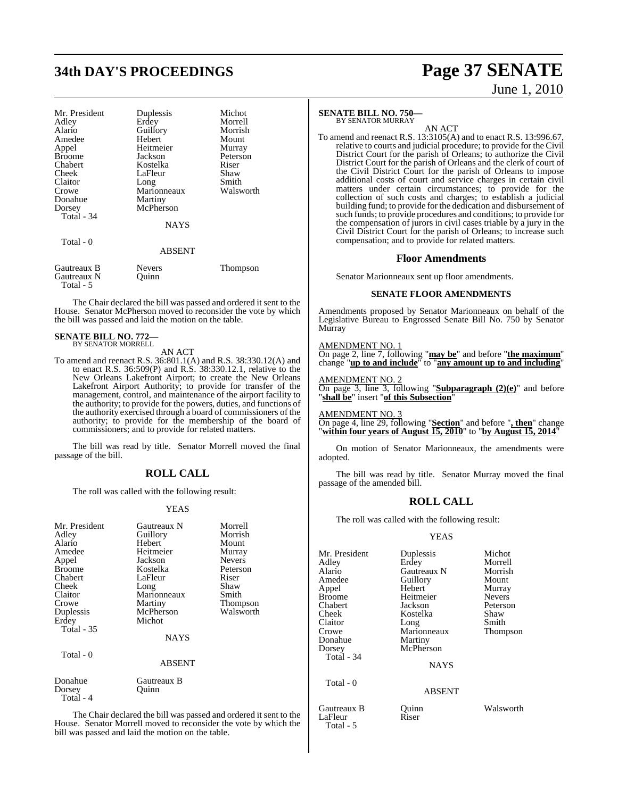# **34th DAY'S PROCEEDINGS Page 37 SENATE**

| Mr. President<br>Adley<br>Alario<br>Amedee<br>Appel<br><b>Broome</b><br>Chabert<br>Cheek<br>Claitor<br>Crowe<br>Donahue<br>Dorsey<br>Total - 34<br>Total - 0 | Duplessis<br>Erdey<br>Guillory<br>Hebert<br>Heitmeier<br>Jackson<br>Kostelka<br>LaFleur<br>Long<br>Marionneaux<br>Martiny<br>McPherson<br><b>NAYS</b> | Michot<br>Morrell<br>Morrish<br>Mount<br>Murray<br>Peterson<br>Riser<br>Shaw<br>Smith<br>Walsworth |
|--------------------------------------------------------------------------------------------------------------------------------------------------------------|-------------------------------------------------------------------------------------------------------------------------------------------------------|----------------------------------------------------------------------------------------------------|
|                                                                                                                                                              | <b>ABSENT</b>                                                                                                                                         |                                                                                                    |
| Gautreaux B<br>Gautreaux N                                                                                                                                   | Nevers<br>Ouinn                                                                                                                                       | Thompson                                                                                           |

The Chair declared the bill was passed and ordered it sent to the House. Senator McPherson moved to reconsider the vote by which the bill was passed and laid the motion on the table.

# **SENATE BILL NO. 772—** BY SENATOR MORRELL

Total - 5

AN ACT

To amend and reenact R.S. 36:801.1(A) and R.S. 38:330.12(A) and to enact R.S. 36:509(P) and R.S. 38:330.12.1, relative to the New Orleans Lakefront Airport; to create the New Orleans Lakefront Airport Authority; to provide for transfer of the management, control, and maintenance of the airport facility to the authority; to provide for the powers, duties, and functions of the authority exercised through a board of commissioners of the authority; to provide for the membership of the board of commissioners; and to provide for related matters.

The bill was read by title. Senator Morrell moved the final passage of the bill.

### **ROLL CALL**

The roll was called with the following result:

#### YEAS

| Mr. President<br>Adley<br>Alario<br>Amedee<br>Appel<br><b>Broome</b><br>Chabert<br>Cheek<br>Claitor<br>Crowe<br>Duplessis<br>Erdey<br><b>Total - 35</b><br>Total - 0 | Gautreaux N<br>Guillory<br>Hebert<br>Heitmeier<br>Jackson<br>Kostelka<br>LaFleur<br>Long<br>Marionneaux<br>Martiny<br>McPherson<br>Michot<br><b>NAYS</b><br><b>ABSENT</b> | Morrell<br>Morrish<br>Mount<br>Murray<br><b>Nevers</b><br>Peterson<br>Riser<br>Shaw<br>Smith<br>Thompson<br>Walsworth |
|----------------------------------------------------------------------------------------------------------------------------------------------------------------------|---------------------------------------------------------------------------------------------------------------------------------------------------------------------------|-----------------------------------------------------------------------------------------------------------------------|
| Donahue<br>Dorsey<br>Total - 4                                                                                                                                       | Gautreaux B<br>Ouınn                                                                                                                                                      |                                                                                                                       |
|                                                                                                                                                                      |                                                                                                                                                                           |                                                                                                                       |

The Chair declared the bill was passed and ordered it sent to the House. Senator Morrell moved to reconsider the vote by which the bill was passed and laid the motion on the table.

#### **SENATE BILL NO. 750—**

BY SENATOR MURRAY

AN ACT To amend and reenact R.S. 13:3105(A) and to enact R.S. 13:996.67, relative to courts and judicial procedure; to provide for the Civil District Court for the parish of Orleans; to authorize the Civil District Court for the parish of Orleans and the clerk of court of the Civil District Court for the parish of Orleans to impose additional costs of court and service charges in certain civil matters under certain circumstances; to provide for the collection of such costs and charges; to establish a judicial building fund; to provide for the dedication and disbursement of such funds; to provide procedures and conditions; to provide for the compensation of jurors in civil cases triable by a jury in the Civil District Court for the parish of Orleans; to increase such compensation; and to provide for related matters.

#### **Floor Amendments**

Senator Marionneaux sent up floor amendments.

#### **SENATE FLOOR AMENDMENTS**

Amendments proposed by Senator Marionneaux on behalf of the Legislative Bureau to Engrossed Senate Bill No. 750 by Senator Murray

AMENDMENT NO. 1

On page 2, line 7, following "**may be**" and before "**the maximum**" change "**up to and include**" to "**any amount up to and including**"

AMENDMENT NO. 2 On page 3, line 3, following "**Subparagraph (2)(e)**" and before "**shall be**" insert "**of this Subsection**"

AMENDMENT NO. 3 On page 4, line 29, following "**Section**" and before "**, then**" change "**within four years of August 15, 2010**" to "**by August 15, 2014**"

On motion of Senator Marionneaux, the amendments were adopted.

The bill was read by title. Senator Murray moved the final passage of the amended bill.

#### **ROLL CALL**

The roll was called with the following result:

#### YEAS

| Mr. President<br>Adlev<br>Alario<br>Amedee<br>Appel<br>Broome<br>Chabert<br>Cheek<br>Claitor<br>Crowe<br>Donahue<br>Dorsey<br>Total - 34 | Duplessis<br>Erdey<br><b>Gautreaux N</b><br>Guillory<br>Hebert<br>Heitmeier<br>Jackson<br>Kostelka<br>Long<br>Marionneaux<br>Martiny<br>McPherson<br><b>NAYS</b> | Michot<br>Morrell<br>Morrish<br>Mount<br>Murray<br><b>Nevers</b><br>Peterson<br>Shaw<br>Smith<br>Thompson |
|------------------------------------------------------------------------------------------------------------------------------------------|------------------------------------------------------------------------------------------------------------------------------------------------------------------|-----------------------------------------------------------------------------------------------------------|
| Total - 0                                                                                                                                | <b>ABSENT</b>                                                                                                                                                    |                                                                                                           |
| Gautreaux B<br>LaFleur<br>Total - 5                                                                                                      | Quinn<br>Riser                                                                                                                                                   | Walsworth                                                                                                 |

# June 1, 2010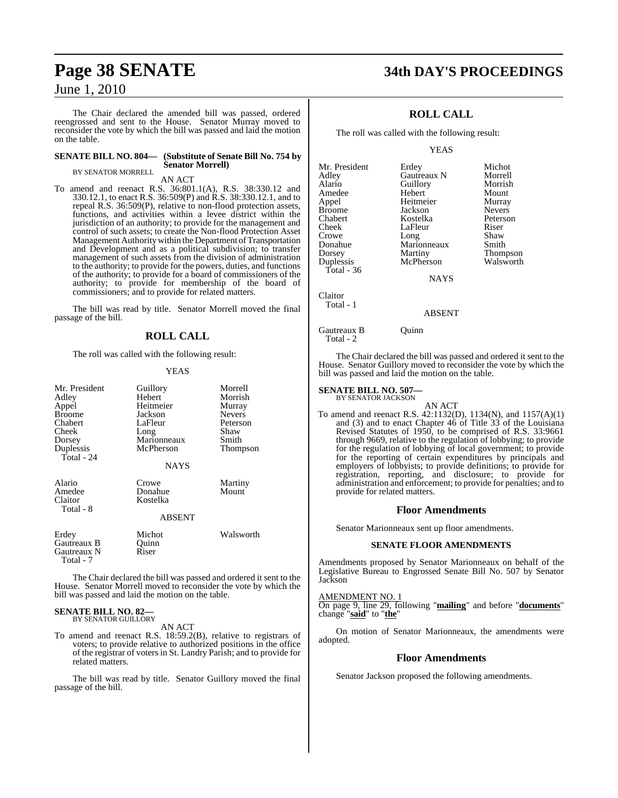The Chair declared the amended bill was passed, ordered reengrossed and sent to the House. Senator Murray moved to reconsider the vote by which the bill was passed and laid the motion on the table.

#### **SENATE BILL NO. 804— (Substitute of Senate Bill No. 754 by Senator Morrell)**

BY SENATOR MORRELL

AN ACT

To amend and reenact R.S. 36:801.1(A), R.S. 38:330.12 and 330.12.1, to enact R.S. 36:509(P) and R.S. 38:330.12.1, and to repeal R.S. 36:509(P), relative to non-flood protection assets, functions, and activities within a levee district within the jurisdiction of an authority; to provide for the management and control of such assets; to create the Non-flood Protection Asset Management Authoritywithin theDepartment of Transportation and Development and as a political subdivision; to transfer management of such assets from the division of administration to the authority; to provide for the powers, duties, and functions of the authority; to provide for a board of commissioners of the authority; to provide for membership of the board of commissioners; and to provide for related matters.

The bill was read by title. Senator Morrell moved the final passage of the bill.

#### **ROLL CALL**

The roll was called with the following result:

#### YEAS

| Mr. President<br>Adley<br>Appel<br><b>Broome</b><br>Chabert<br>Cheek<br>Dorsey<br>Duplessis<br>Total - 24 | Guillory<br>Hebert<br>Heitmeier<br>Jackson<br>LaFleur<br>Long<br>Marionneaux<br>McPherson | Morrell<br>Morrish<br>Murray<br><b>Nevers</b><br>Peterson<br>Shaw<br>Smith<br>Thompson |
|-----------------------------------------------------------------------------------------------------------|-------------------------------------------------------------------------------------------|----------------------------------------------------------------------------------------|
|                                                                                                           | <b>NAYS</b>                                                                               |                                                                                        |
| Alario<br>Amedee<br>Claitor<br>Total - 8                                                                  | Crowe<br>Donahue<br>Kostelka<br><b>ABSENT</b>                                             | Martiny<br>Mount                                                                       |
| Erdey<br>Gautreaux B<br>Gautreaux N<br>Total - 7                                                          | Michot<br>Quinn<br>Riser                                                                  | Walsworth                                                                              |

The Chair declared the bill was passed and ordered it sent to the House. Senator Morrell moved to reconsider the vote by which the bill was passed and laid the motion on the table.

#### **SENATE BILL NO. 82—** BY SENATOR GUILLORY

AN ACT

To amend and reenact R.S. 18:59.2(B), relative to registrars of voters; to provide relative to authorized positions in the office of the registrar of voters in St. Landry Parish; and to provide for related matters.

The bill was read by title. Senator Guillory moved the final passage of the bill.

# **Page 38 SENATE 34th DAY'S PROCEEDINGS**

## **ROLL CALL**

The roll was called with the following result:

YEAS

| Mr. President     | Erdey       | Michot        |
|-------------------|-------------|---------------|
| Adley             | Gautreaux N | Morrell       |
| Alario            | Guillory    | Morrish       |
| Amedee            | Hebert      | Mount         |
| Appel             | Heitmeier   | Murray        |
| <b>Broome</b>     | Jackson     | <b>Nevers</b> |
| Chabert           | Kostelka    | Peterson      |
| Cheek             | LaFleur     | Riser         |
| Crowe             | Long        | Shaw          |
| Donahue           | Marionneaux | Smith         |
| Dorsey            | Martiny     | Thompson      |
| Duplessis         | McPherson   | Walsworth     |
| Total - 36        |             |               |
|                   | <b>NAYS</b> |               |
| Cl <sub>air</sub> |             |               |

Total - 1

Gautreaux B Quinn Total - 2

The Chair declared the bill was passed and ordered it sent to the House. Senator Guillory moved to reconsider the vote by which the bill was passed and laid the motion on the table.

ABSENT

#### **SENATE BILL NO. 507—** BY SENATOR JACKSON

AN ACT To amend and reenact R.S. 42:1132(D), 1134(N), and 1157(A)(1) and  $(3)$  and to enact Chapter  $46$  of Title  $33$  of the Louisiana Revised Statutes of 1950, to be comprised of R.S. 33:9661 through 9669, relative to the regulation of lobbying; to provide for the regulation of lobbying of local government; to provide for the reporting of certain expenditures by principals and employers of lobbyists; to provide definitions; to provide for registration, reporting, and disclosure; to provide for administration and enforcement; to provide for penalties; and to provide for related matters.

#### **Floor Amendments**

Senator Marionneaux sent up floor amendments.

#### **SENATE FLOOR AMENDMENTS**

Amendments proposed by Senator Marionneaux on behalf of the Legislative Bureau to Engrossed Senate Bill No. 507 by Senator Jackson

AMENDMENT NO. 1

On page 9, line 29, following "**mailing**" and before "**documents**" change "**said**" to "**the**"

On motion of Senator Marionneaux, the amendments were adopted.

#### **Floor Amendments**

Senator Jackson proposed the following amendments.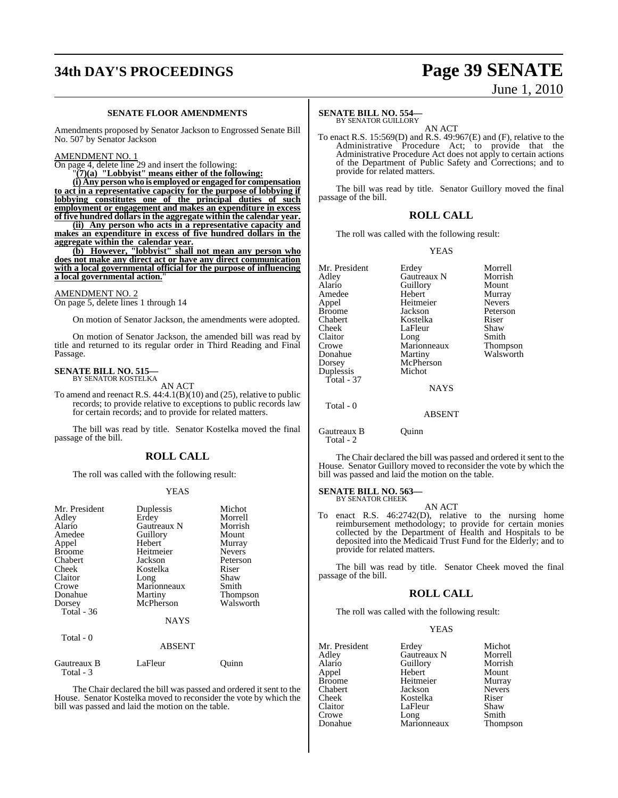# **34th DAY'S PROCEEDINGS Page 39 SENATE**

# June 1, 2010

#### **SENATE FLOOR AMENDMENTS**

Amendments proposed by Senator Jackson to Engrossed Senate Bill No. 507 by Senator Jackson

#### AMENDMENT NO. 1

On page 4, delete line 29 and insert the following:

"**(7)(a) "Lobbyist" means either of the following:**

**(i) Any person who is employed or engaged for compensation to act in a representative capacity for the purpose of lobbying if lobbying constitutes one of the principal duties of such employment or engagement and makes an expenditure in excess**

**of five hundred dollars in the aggregate within the calendar year. (ii) Any person who acts in a representative capacity and makes an expenditure in excess of five hundred dollars in the aggregate within the calendar year.**

**(b) However, "lobbyist" shall not mean any person who does not make any direct act or have any direct communication with a local governmental official for the purpose of influencing a local governmental action.**"

#### AMENDMENT NO. 2

On page 5, delete lines 1 through 14

On motion of Senator Jackson, the amendments were adopted.

On motion of Senator Jackson, the amended bill was read by title and returned to its regular order in Third Reading and Final Passage.

#### **SENATE BILL NO. 515—** BY SENATOR KOSTELKA

AN ACT

To amend and reenact R.S.  $44:4.1(B)(10)$  and  $(25)$ , relative to public records; to provide relative to exceptions to public records law for certain records; and to provide for related matters.

The bill was read by title. Senator Kostelka moved the final passage of the bill.

#### **ROLL CALL**

The roll was called with the following result:

#### YEAS

| Mr. President<br>Adley<br>Alario<br>Amedee<br>Appel<br><b>Broome</b><br>Chabert<br>Cheek<br>Claitor<br>Crowe<br>Donahue<br>Dorsey<br>Total - 36 | Duplessis<br>Erdey<br>Gautreaux N<br>Guillory<br>Hebert<br>Heitmeier<br>Jackson<br>Kostelka<br>Long<br>Marionneaux<br>Martiny<br>McPherson | Michot<br>Morrell<br>Morrish<br>Mount<br>Murray<br><b>Nevers</b><br>Peterson<br>Riser<br>Shaw<br>Smith<br>Thompson<br>Walsworth |
|-------------------------------------------------------------------------------------------------------------------------------------------------|--------------------------------------------------------------------------------------------------------------------------------------------|---------------------------------------------------------------------------------------------------------------------------------|
|                                                                                                                                                 | <b>NAYS</b>                                                                                                                                |                                                                                                                                 |
| Total - 0                                                                                                                                       | <b>ABSENT</b>                                                                                                                              |                                                                                                                                 |
| Gautreaux B<br>Total - 3                                                                                                                        | LaFleur                                                                                                                                    | Juınn                                                                                                                           |

The Chair declared the bill was passed and ordered it sent to the House. Senator Kostelka moved to reconsider the vote by which the bill was passed and laid the motion on the table.

#### **SENATE BILL NO. 554—**

BY SENATOR GUILLORY AN ACT

To enact R.S. 15:569(D) and R.S. 49:967(E) and (F), relative to the Administrative Procedure Act; to provide that the Administrative Procedure Act does not apply to certain actions of the Department of Public Safety and Corrections; and to provide for related matters.

The bill was read by title. Senator Guillory moved the final passage of the bill.

#### **ROLL CALL**

The roll was called with the following result:

#### YEAS

| Mr. President | Erdey         | Morrell       |
|---------------|---------------|---------------|
| Adley         | Gautreaux N   | Morrish       |
| Alario        | Guillory      | Mount         |
| Amedee        | Hebert        | Murray        |
| Appel         | Heitmeier     | <b>Nevers</b> |
| <b>Broome</b> | Jackson       | Peterson      |
| Chabert       | Kostelka      | Riser         |
| Cheek         | LaFleur       | Shaw          |
| Claitor       | Long          | Smith         |
| Crowe         | Marionneaux   | Thompson      |
| Donahue       | Martiny       | Walsworth     |
| Dorsey        | McPherson     |               |
| Duplessis     | Michot        |               |
| Total - 37    |               |               |
|               | NAYS          |               |
| Total - 0     |               |               |
|               | <b>ABSENT</b> |               |
| Gautreaux B   | Ouinn)        |               |

Total - 2

The Chair declared the bill was passed and ordered it sent to the House. Senator Guillory moved to reconsider the vote by which the bill was passed and laid the motion on the table.

#### **SENATE BILL NO. 563—**

BY SENATOR CHEEK AN ACT

To enact R.S. 46:2742(D), relative to the nursing home reimbursement methodology; to provide for certain monies collected by the Department of Health and Hospitals to be deposited into the Medicaid Trust Fund for the Elderly; and to provide for related matters.

The bill was read by title. Senator Cheek moved the final passage of the bill.

#### **ROLL CALL**

The roll was called with the following result:

#### YEAS

| Mr. President | Erdey               | Michot        |
|---------------|---------------------|---------------|
| Adley         | Gautreaux N         | Morrell       |
| Alario        | Guillory            | Morrish       |
| Appel         | Hebert              | Mount         |
| Broome        | Heitmeier           | Murray        |
| Chabert       | Jackson             | <b>Nevers</b> |
| Cheek         | Kostelka            | Riser         |
| Claitor       | LaFleur             | Shaw          |
| Crowe         |                     | Smith         |
| Donahue       | Long<br>Marionneaux | Thompson      |
|               |                     |               |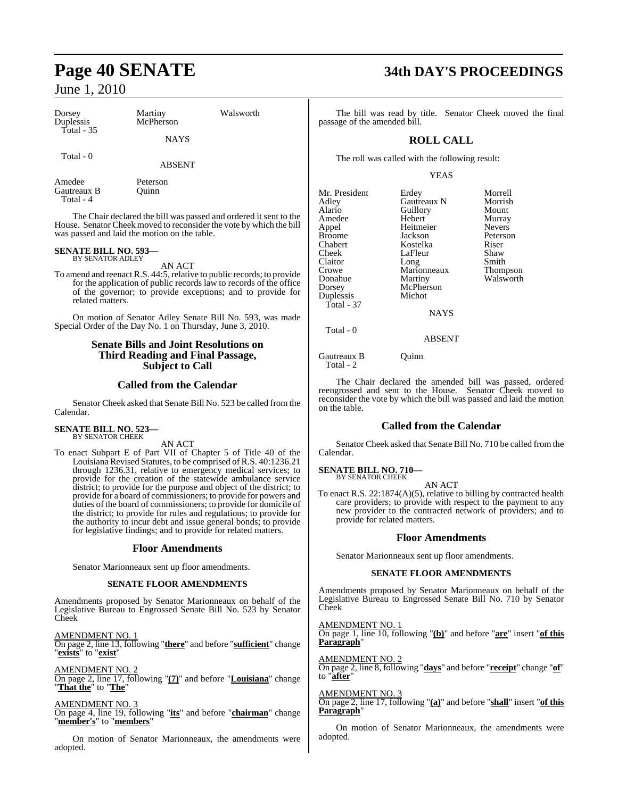| Dorsey<br>Duplessis<br>Total - $35$ | Martiny<br>McPherson | Walsworth |
|-------------------------------------|----------------------|-----------|
|                                     | <b>NAYS</b>          |           |
| Total - 0                           | <b>ABSENT</b>        |           |

Amedee Peterson<br>Gautreaux B Quinn Gautreaux B Total - 4

The Chair declared the bill was passed and ordered it sent to the House. Senator Cheek moved to reconsider the vote by which the bill was passed and laid the motion on the table.

# **SENATE BILL NO. 593—** BY SENATOR ADLEY

AN ACT

To amend and reenact R.S. 44:5, relative to public records; to provide for the application of public records law to records of the office of the governor; to provide exceptions; and to provide for related matters.

On motion of Senator Adley Senate Bill No. 593, was made Special Order of the Day No. 1 on Thursday, June 3, 2010.

#### **Senate Bills and Joint Resolutions on Third Reading and Final Passage, Subject to Call**

#### **Called from the Calendar**

Senator Cheek asked that Senate Bill No. 523 be called from the Calendar.

#### **SENATE BILL NO. 523—** BY SENATOR CHEEK

AN ACT

To enact Subpart E of Part VII of Chapter 5 of Title 40 of the Louisiana Revised Statutes, to be comprised of R.S. 40:1236.21 through 1236.31, relative to emergency medical services; to provide for the creation of the statewide ambulance service district; to provide for the purpose and object of the district; to provide for a board of commissioners; to provide for powers and duties of the board of commissioners; to provide for domicile of the district; to provide for rules and regulations; to provide for the authority to incur debt and issue general bonds; to provide for legislative findings; and to provide for related matters.

#### **Floor Amendments**

Senator Marionneaux sent up floor amendments.

#### **SENATE FLOOR AMENDMENTS**

Amendments proposed by Senator Marionneaux on behalf of the Legislative Bureau to Engrossed Senate Bill No. 523 by Senator Cheek

AMENDMENT NO. 1 On page 2, line 13, following "**there**" and before "**sufficient**" change "**exists**" to "**exist**"

AMENDMENT NO. 2 On page 2, line 17, following "**(7)**" and before "**Louisiana**" change "**That the**" to "**The**"

AMENDMENT NO. 3 On page 4, line 19, following "**its**" and before "**chairman**" change

"**member's**" to "**members**"

On motion of Senator Marionneaux, the amendments were adopted.

# **Page 40 SENATE 34th DAY'S PROCEEDINGS**

The bill was read by title. Senator Cheek moved the final passage of the amended bill.

## **ROLL CALL**

The roll was called with the following result:

#### YEAS

| Mr. President | Erdey       | Morrell       |
|---------------|-------------|---------------|
| Adley         | Gautreaux N | Morrish       |
| Alario        | Guillory    | Mount         |
| Amedee        | Hebert      | Murray        |
| Appel         | Heitmeier   | <b>Nevers</b> |
| <b>Broome</b> | Jackson     | Peterson      |
| Chabert       | Kostelka    | Riser         |
| Cheek         | LaFleur     | Shaw          |
| Claitor       | Long        | Smith         |
| Crowe         | Marionneaux | Thompson      |
| Donahue       | Martiny     | Walsworth     |
| Dorsey        | McPherson   |               |
| Duplessis     | Michot      |               |
| Total - 37    |             |               |
|               | <b>NAYS</b> |               |
| Total - 0     |             |               |
|               | ARSENT      |               |

Gautreaux B Quinn

Total - 2

The Chair declared the amended bill was passed, ordered reengrossed and sent to the House. Senator Cheek moved to reconsider the vote by which the bill was passed and laid the motion on the table.

#### **Called from the Calendar**

Senator Cheek asked that Senate Bill No. 710 be called from the Calendar.

#### **SENATE BILL NO. 710—** BY SENATOR CHEEK

AN ACT

To enact R.S. 22:1874(A)(5), relative to billing by contracted health care providers; to provide with respect to the payment to any new provider to the contracted network of providers; and to provide for related matters.

#### **Floor Amendments**

Senator Marionneaux sent up floor amendments.

#### **SENATE FLOOR AMENDMENTS**

Amendments proposed by Senator Marionneaux on behalf of the Legislative Bureau to Engrossed Senate Bill No. 710 by Senator Cheek

#### AMENDMENT NO. 1

On page 1, line 10, following "**(b)**" and before "**are**" insert "**of this Paragraph**"

AMENDMENT NO. 2

On page 2, line 8, following "**days**" and before "**receipt**" change "**of**" to "**after**"

#### AMENDMENT NO. 3

On page 2, line 17, following "**(a)**" and before "**shall**" insert "**of this Paragraph**"

On motion of Senator Marionneaux, the amendments were adopted.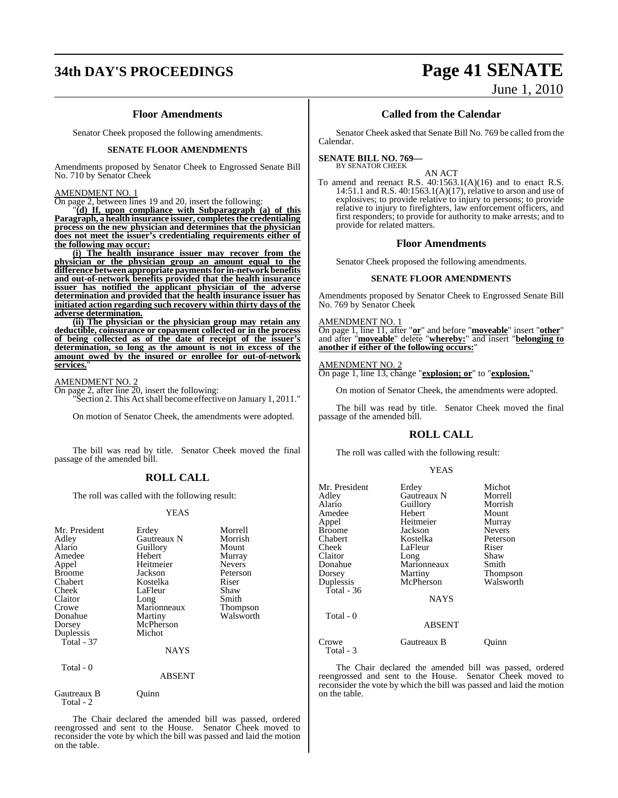# **34th DAY'S PROCEEDINGS Page 41 SENATE**

#### **Floor Amendments**

Senator Cheek proposed the following amendments.

#### **SENATE FLOOR AMENDMENTS**

Amendments proposed by Senator Cheek to Engrossed Senate Bill No. 710 by Senator Cheek

#### AMENDMENT NO. 1

On page 2, between lines 19 and 20, insert the following:

"**(d) If, upon compliance with Subparagraph (a) of this Paragraph, a health insurance issuer, completesthe credentialing process on the new physician and determines that the physician does not meet the issuer's credentialing requirements either of the following may occur:**

**(i) The health insurance issuer may recover from the physician or the physician group an amount equal to the difference between appropriate paymentsfor in-networkbenefits and out-of-network benefits provided that the health insurance issuer has notified the applicant physician of the adverse determination and provided that the health insurance issuer has initiated action regarding such recovery within thirty days of the adverse determination.**

**(ii) The physician or the physician group may retain any deductible, coinsurance or copayment collected or in the process of being collected as of the date of receipt of the issuer's determination, so long as the amount is not in excess of the amount owed by the insured or enrollee for out-of-network** services.

#### AMENDMENT NO. 2

On page 2, after line 20, insert the following: "Section 2. This Actshall become effective on January 1, 2011."

On motion of Senator Cheek, the amendments were adopted.

The bill was read by title. Senator Cheek moved the final passage of the amended bill.

#### **ROLL CALL**

The roll was called with the following result:

#### YEAS

| Mr. President<br>Adley<br>Alario<br>Amedee<br>Appel<br><b>Broome</b><br>Chabert<br>Cheek<br>Claitor<br>Crowe<br>Donahue<br>Dorsey<br>Duplessis<br>Total - 37 | Erdey<br>Gautreaux N<br>Guillory<br>Hebert<br>Heitmeier<br>Jackson<br>Kostelka<br>LaFleur<br>Long<br>Marionneaux<br>Martiny<br>McPherson<br>Michot<br><b>NAYS</b> | Morrell<br>Morrish<br>Mount<br>Murray<br><b>Nevers</b><br>Peterson<br>Riser<br>Shaw<br>Smith<br>Thompson<br>Walsworth |
|--------------------------------------------------------------------------------------------------------------------------------------------------------------|-------------------------------------------------------------------------------------------------------------------------------------------------------------------|-----------------------------------------------------------------------------------------------------------------------|
| Total - 0                                                                                                                                                    | <b>ABSENT</b>                                                                                                                                                     |                                                                                                                       |

Gautreaux B Quinn Total - 2

The Chair declared the amended bill was passed, ordered reengrossed and sent to the House. Senator Cheek moved to reconsider the vote by which the bill was passed and laid the motion on the table.

#### **Called from the Calendar**

Senator Cheek asked that Senate Bill No. 769 be called from the Calendar.

#### **SENATE BILL NO. 769—** BY SENATOR CHEEK

AN ACT

To amend and reenact R.S. 40:1563.1(A)(16) and to enact R.S. 14:51.1 and R.S. 40:1563.1(A)(17), relative to arson and use of explosives; to provide relative to injury to persons; to provide relative to injury to firefighters, law enforcement officers, and first responders; to provide for authority to make arrests; and to provide for related matters.

#### **Floor Amendments**

Senator Cheek proposed the following amendments.

#### **SENATE FLOOR AMENDMENTS**

Amendments proposed by Senator Cheek to Engrossed Senate Bill No. 769 by Senator Cheek

#### AMENDMENT NO. 1

On page 1, line 11, after "**or**" and before "**moveable**" insert "**other**" and after "**moveable**" delete "**whereby:**" and insert "**belonging to another if either of the following occurs:**"

#### AMENDMENT NO. 2

On page 1, line 13, change "**explosion; or**" to "**explosion.**"

On motion of Senator Cheek, the amendments were adopted.

The bill was read by title. Senator Cheek moved the final passage of the amended bill.

#### **ROLL CALL**

The roll was called with the following result:

#### YEAS

| Mr. President<br>Adley<br>Alario<br>Amedee<br>Appel<br>Broome<br>Chabert<br>Cheek<br>Claitor<br>Donahue<br>Dorsey<br>Duplessis<br>Total - 36<br>Total - 0 | Erdey<br>Gautreaux N<br>Guillory<br>Hebert<br>Heitmeier<br>Jackson<br>Kostelka<br>LaFleur<br>Long<br>Marionneaux<br>Martiny<br>McPherson<br><b>NAYS</b> | Michot<br>Morrell<br>Morrish<br>Mount<br>Murray<br><b>Nevers</b><br>Peterson<br>Riser<br>Shaw<br>Smith<br>Thompson<br>Walsworth |
|-----------------------------------------------------------------------------------------------------------------------------------------------------------|---------------------------------------------------------------------------------------------------------------------------------------------------------|---------------------------------------------------------------------------------------------------------------------------------|
|                                                                                                                                                           | <b>ABSENT</b>                                                                                                                                           |                                                                                                                                 |
| Crowe<br>Total - 3                                                                                                                                        | Gautreaux B                                                                                                                                             | Ouınn                                                                                                                           |

The Chair declared the amended bill was passed, ordered reengrossed and sent to the House. Senator Cheek moved to reconsider the vote by which the bill was passed and laid the motion on the table.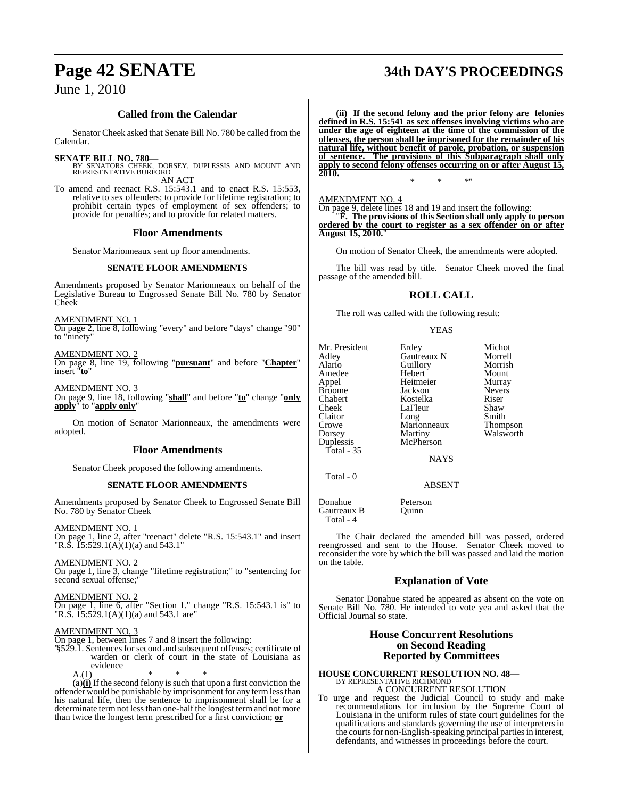# **Page 42 SENATE 34th DAY'S PROCEEDINGS**

## **Called from the Calendar**

Senator Cheek asked that Senate Bill No. 780 be called from the Calendar.

## **SENATE BILL NO. 780—**

- BY SENATORS CHEEK, DORSEY, DUPLESSIS AND MOUNT AND REPRESENTATIVE BURFORD AN ACT
- To amend and reenact R.S. 15:543.1 and to enact R.S. 15:553, relative to sex offenders; to provide for lifetime registration; to prohibit certain types of employment of sex offenders; to provide for penalties; and to provide for related matters.

#### **Floor Amendments**

Senator Marionneaux sent up floor amendments.

#### **SENATE FLOOR AMENDMENTS**

Amendments proposed by Senator Marionneaux on behalf of the Legislative Bureau to Engrossed Senate Bill No. 780 by Senator Cheek

AMENDMENT NO. 1 On page 2, line 8, following "every" and before "days" change "90" to "ninety"

AMENDMENT NO. 2

On page 8, line 19, following "**pursuant**" and before "**Chapter**" insert "**to**"

AMENDMENT NO. 3

On page 9, line 18, following "**shall**" and before "**to**" change "**only apply**" to "**apply only**"

On motion of Senator Marionneaux, the amendments were adopted.

#### **Floor Amendments**

Senator Cheek proposed the following amendments.

#### **SENATE FLOOR AMENDMENTS**

Amendments proposed by Senator Cheek to Engrossed Senate Bill No. 780 by Senator Cheek

AMENDMENT NO. 1

On page 1, line 2, after "reenact" delete "R.S. 15:543.1" and insert "R.S. 15:529.1(A)(1)(a) and 543.1"

AMENDMENT NO. 2

On page 1, line 3, change "lifetime registration;" to "sentencing for second sexual offense;

AMENDMENT NO. 2

On page 1, line 6, after "Section 1." change "R.S. 15:543.1 is" to "R.S.  $15:529.1(A)(1)(a)$  and 543.1 are"

#### AMENDMENT NO. 3

On page 1, between lines 7 and 8 insert the following:

"§529.1. Sentences for second and subsequent offenses; certificate of warden or clerk of court in the state of Louisiana as evidence

 $A.(1)$ 

 $(a)$  $(i)$  If the second felony is such that upon a first conviction the offender would be punishable by imprisonment for any termlessthan his natural life, then the sentence to imprisonment shall be for a determinate term not less than one-half the longest term and not more than twice the longest term prescribed for a first conviction; **or**

**(ii) If the second felony and the prior felony are felonies defined in R.S. 15:541 as sex offenses involving victims who are under the age of eighteen at the time of the commission of the offenses, the person shall be imprisoned for the remainder of his natural life, without benefit of parole, probation, or suspension of sentence. The provisions of this Subparagraph shall only apply to second felony offenses occurring on or after August 15, 2010.**

\* \* \*"

#### AMENDMENT NO. 4

On page 9, delete lines 18 and 19 and insert the following: "**F. The provisions of this Section shall only apply to person ordered by the court to register as a sex offender on or after August 15, 2010.**"

On motion of Senator Cheek, the amendments were adopted.

The bill was read by title. Senator Cheek moved the final passage of the amended bill.

## **ROLL CALL**

The roll was called with the following result:

YEAS

| Mr. President | Erdey         | Michot        |
|---------------|---------------|---------------|
| Adley         | Gautreaux N   | Morrell       |
| Alario        | Guillory      | Morrish       |
| Amedee        | Hebert        | Mount         |
| Appel         | Heitmeier     | Murray        |
| <b>Broome</b> | Jackson       | <b>Nevers</b> |
| Chabert       | Kostelka      | Riser         |
| Cheek         | LaFleur       | Shaw          |
| Claitor       | Long          | Smith         |
| Crowe         | Marionneaux   | Thompson      |
| Dorsey        | Martiny       | Walsworth     |
| Duplessis     | McPherson     |               |
| Total - $35$  |               |               |
|               | <b>NAYS</b>   |               |
| Total - 0     |               |               |
|               | <b>ABSENT</b> |               |
|               |               |               |

Donahue Peterson<br>Gautreaux B Quinn Gautreaux B Total - 4

The Chair declared the amended bill was passed, ordered reengrossed and sent to the House. Senator Cheek moved to reconsider the vote by which the bill was passed and laid the motion on the table.

## **Explanation of Vote**

Senator Donahue stated he appeared as absent on the vote on Senate Bill No. 780. He intended to vote yea and asked that the Official Journal so state.

### **House Concurrent Resolutions on Second Reading Reported by Committees**

## **HOUSE CONCURRENT RESOLUTION NO. 48—** BY REPRESENTATIVE RICHMOND A CONCURRENT RESOLUTION

To urge and request the Judicial Council to study and make recommendations for inclusion by the Supreme Court of Louisiana in the uniform rules of state court guidelines for the qualifications and standards governing the use of interpreters in the courts for non-English-speaking principal parties in interest, defendants, and witnesses in proceedings before the court.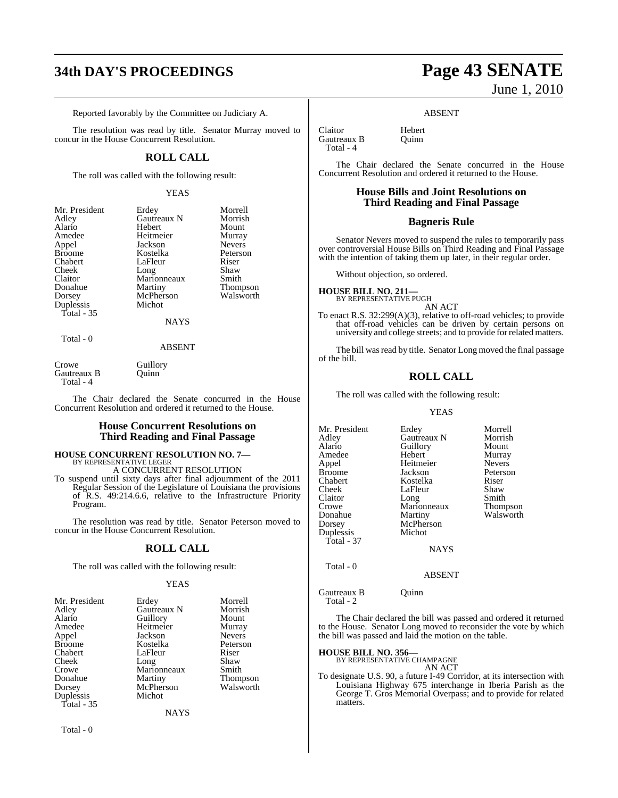# **34th DAY'S PROCEEDINGS Page 43 SENATE**

Reported favorably by the Committee on Judiciary A.

The resolution was read by title. Senator Murray moved to concur in the House Concurrent Resolution.

#### **ROLL CALL**

The roll was called with the following result:

#### YEAS

| Mr. President | Erdey       | Morrell         |
|---------------|-------------|-----------------|
| Adley         | Gautreaux N | Morrish         |
| Alario        | Hebert      | Mount           |
| Amedee        | Heitmeier   | Murray          |
| Appel         | Jackson     | <b>Nevers</b>   |
| <b>Broome</b> | Kostelka    | Peterson        |
| Chabert       | LaFleur     | Riser           |
| Cheek         | Long        | Shaw            |
| Claitor       | Marionneaux | Smith           |
| Donahue       | Martiny     | <b>Thompson</b> |
| Dorsey        | McPherson   | Walsworth       |
| Duplessis     | Michot      |                 |
| Total - 35    |             |                 |
|               | <b>NAYS</b> |                 |
|               |             |                 |

#### Total - 0

#### ABSENT

| Crowe       | Guillory |
|-------------|----------|
| Gautreaux B | Ouinn    |
| Total - 4   |          |

The Chair declared the Senate concurred in the House Concurrent Resolution and ordered it returned to the House.

#### **House Concurrent Resolutions on Third Reading and Final Passage**

## **HOUSE CONCURRENT RESOLUTION NO. 7—** BY REPRESENTATIVE LEGER A CONCURRENT RESOLUTION

To suspend until sixty days after final adjournment of the 2011 Regular Session of the Legislature of Louisiana the provisions of R.S. 49:214.6.6, relative to the Infrastructure Priority Program.

The resolution was read by title. Senator Peterson moved to concur in the House Concurrent Resolution.

#### **ROLL CALL**

The roll was called with the following result:

#### YEAS

| Mr. President     | Erdey       | Morrell       |
|-------------------|-------------|---------------|
| Adley             | Gautreaux N | Morrish       |
| Alario            | Guillory    | Mount         |
| Amedee            | Heitmeier   | Murray        |
| Appel             | Jackson     | <b>Nevers</b> |
| <b>Broome</b>     | Kostelka    | Peterson      |
| Chabert           | LaFleur     | Riser         |
| Cheek             | Long        | Shaw          |
| Crowe             | Marionneaux | Smith         |
| Donahue           | Martiny     | Thompson      |
| Dorsey            | McPherson   | Walsworth     |
| Duplessis         | Michot      |               |
| <b>Total - 35</b> |             |               |
|                   | NAYS        |               |

Total - 0

# June 1, 2010

#### ABSENT

Claitor Hebert<br>Gautreaux B Ouinn Gautreaux B Total - 4

The Chair declared the Senate concurred in the House Concurrent Resolution and ordered it returned to the House.

## **House Bills and Joint Resolutions on Third Reading and Final Passage**

#### **Bagneris Rule**

Senator Nevers moved to suspend the rules to temporarily pass over controversial House Bills on Third Reading and Final Passage with the intention of taking them up later, in their regular order.

Without objection, so ordered.

# **HOUSE BILL NO. 211—** BY REPRESENTATIVE PUGH

AN ACT

To enact R.S. 32:299(A)(3), relative to off-road vehicles; to provide that off-road vehicles can be driven by certain persons on university and college streets; and to provide for related matters.

The bill was read by title. Senator Long moved the final passage of the bill.

#### **ROLL CALL**

The roll was called with the following result:

#### YEAS

| Erdey         | Morrell                          |
|---------------|----------------------------------|
| Gautreaux N   | Morrish                          |
|               | Mount                            |
| Hebert        | Murray                           |
| Heitmeier     | <b>Nevers</b>                    |
| Jackson       | Peterson                         |
| Kostelka      | Riser                            |
| LaFleur       | Shaw                             |
| Long          | Smith                            |
| Marionneaux   | Thompson                         |
|               | Walsworth                        |
|               |                                  |
| Michot        |                                  |
|               |                                  |
| <b>NAYS</b>   |                                  |
|               |                                  |
| <b>ABSENT</b> |                                  |
|               | Guillory<br>Martiny<br>McPherson |

Gautreaux B Quinn

Total - 2

The Chair declared the bill was passed and ordered it returned to the House. Senator Long moved to reconsider the vote by which the bill was passed and laid the motion on the table.

# **HOUSE BILL NO. 356—** BY REPRESENTATIVE CHAMPAGNE

AN ACT

To designate U.S. 90, a future I-49 Corridor, at its intersection with Louisiana Highway 675 interchange in Iberia Parish as the George T. Gros Memorial Overpass; and to provide for related matters.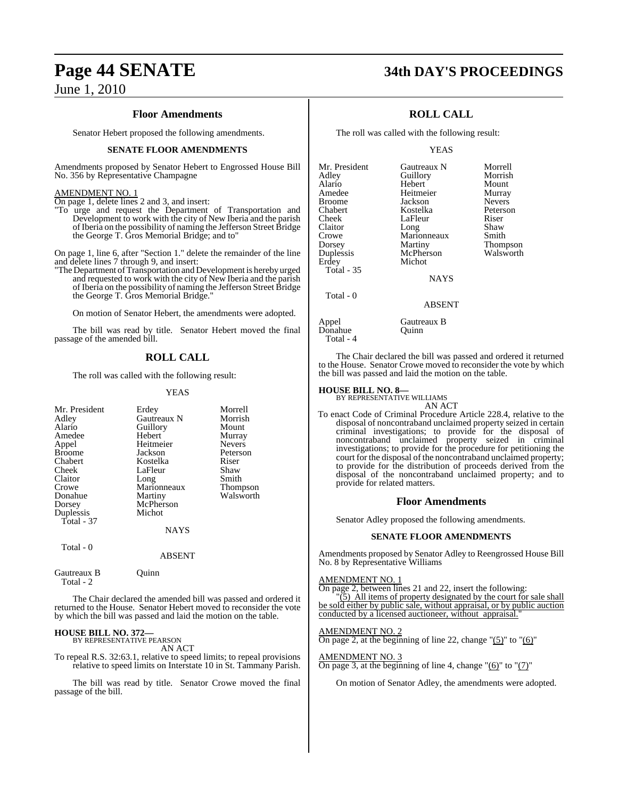#### **Floor Amendments**

Senator Hebert proposed the following amendments.

#### **SENATE FLOOR AMENDMENTS**

Amendments proposed by Senator Hebert to Engrossed House Bill No. 356 by Representative Champagne

#### AMENDMENT NO. 1

On page 1, delete lines 2 and 3, and insert:

"To urge and request the Department of Transportation and Development to work with the city of New Iberia and the parish of Iberia on the possibility of naming the Jefferson Street Bridge the George T. Gros Memorial Bridge; and to"

On page 1, line 6, after "Section 1." delete the remainder of the line and delete lines 7 through 9, and insert:

"The Department of Transportation and Development is hereby urged and requested to work with the city of New Iberia and the parish of Iberia on the possibility of naming the Jefferson Street Bridge the George T. Gros Memorial Bridge."

On motion of Senator Hebert, the amendments were adopted.

The bill was read by title. Senator Hebert moved the final passage of the amended bill.

#### **ROLL CALL**

The roll was called with the following result:

#### YEAS

| Mr. President | Erdey         | Morrell         |
|---------------|---------------|-----------------|
| Adley         | Gautreaux N   | Morrish         |
| Alario        | Guillory      | Mount           |
| Amedee        | Hebert        | Murray          |
| Appel         | Heitmeier     | <b>Nevers</b>   |
| <b>Broome</b> | Jackson       | Peterson        |
| Chabert       | Kostelka      | Riser           |
| Cheek         | LaFleur       | Shaw            |
| Claitor       | Long          | Smith           |
| Crowe         | Marionneaux   | <b>Thompson</b> |
| Donahue       | Martiny       | Walsworth       |
| Dorsey        | McPherson     |                 |
| Duplessis     | Michot        |                 |
| Total - $37$  |               |                 |
|               | <b>NAYS</b>   |                 |
| Total - 0     |               |                 |
|               | <b>ABSENT</b> |                 |

Gautreaux B Quinn Total - 2

The Chair declared the amended bill was passed and ordered it returned to the House. Senator Hebert moved to reconsider the vote by which the bill was passed and laid the motion on the table.

# **HOUSE BILL NO. 372—** BY REPRESENTATIVE PEARSON

AN ACT

To repeal R.S. 32:63.1, relative to speed limits; to repeal provisions relative to speed limits on Interstate 10 in St. Tammany Parish.

The bill was read by title. Senator Crowe moved the final passage of the bill.

# **Page 44 SENATE 34th DAY'S PROCEEDINGS**

### **ROLL CALL**

The roll was called with the following result:

#### YEAS

| Mr. President     | Gautreaux N   | Morrell         |
|-------------------|---------------|-----------------|
| Adley             | Guillory      | Morrish         |
| Alario            | Hebert        | Mount           |
| Amedee            | Heitmeier     | Murray          |
| Broome            | Jackson       | <b>Nevers</b>   |
| Chabert           | Kostelka      | Peterson        |
| Cheek             | LaFleur       | Riser           |
| Claitor           | Long          | Shaw            |
| Crowe             | Marionneaux   | Smith           |
| Dorsey            | Martiny       | <b>Thompson</b> |
| Duplessis         | McPherson     | Walsworth       |
| Erdey             | Michot        |                 |
| <b>Total - 35</b> |               |                 |
|                   | <b>NAYS</b>   |                 |
| Total - 0         |               |                 |
|                   | <b>ABSENT</b> |                 |
|                   |               |                 |

Appel Gautreaux B<br>Donahue Quinn Donahue Total - 4

The Chair declared the bill was passed and ordered it returned to the House. Senator Crowe moved to reconsider the vote by which the bill was passed and laid the motion on the table.

# **HOUSE BILL NO. 8—** BY REPRESENTATIVE WILLIAMS

AN ACT

To enact Code of Criminal Procedure Article 228.4, relative to the disposal of noncontraband unclaimed property seized in certain criminal investigations; to provide for the disposal of noncontraband unclaimed property seized in criminal investigations; to provide for the procedure for petitioning the court for the disposal of the noncontraband unclaimed property; to provide for the distribution of proceeds derived from the disposal of the noncontraband unclaimed property; and to provide for related matters.

#### **Floor Amendments**

Senator Adley proposed the following amendments.

#### **SENATE FLOOR AMENDMENTS**

Amendments proposed by Senator Adley to Reengrossed House Bill No. 8 by Representative Williams

#### AMENDMENT NO. 1

On page 2, between lines 21 and 22, insert the following:

5) All items of property designated by the court for sale shall be sold either by public sale, without appraisal, or by public auction conducted by a licensed auctioneer, without appraisal."

#### AMENDMENT NO. 2

On page 2, at the beginning of line 22, change " $(5)$ " to " $(6)$ "

# AMENDMENT NO. 3

On page 3, at the beginning of line 4, change " $(6)$ " to " $(7)$ "

On motion of Senator Adley, the amendments were adopted.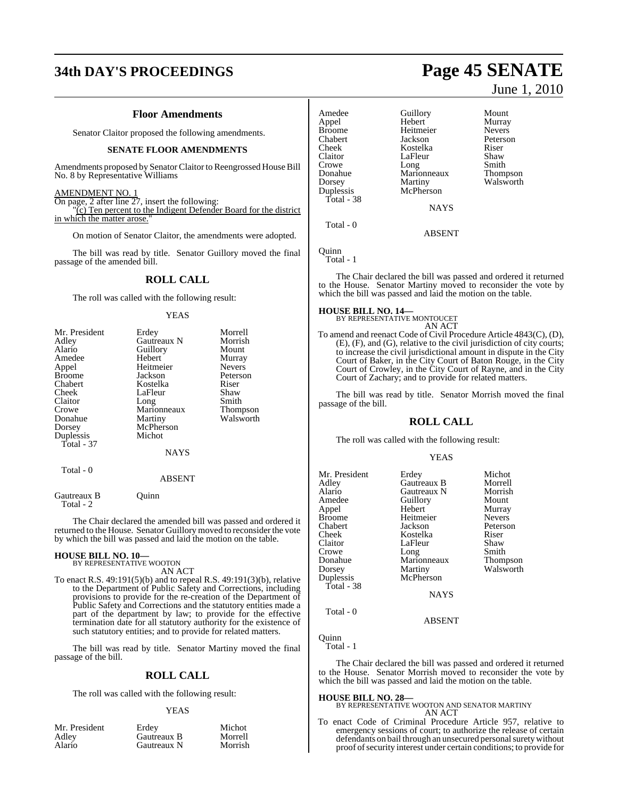# **34th DAY'S PROCEEDINGS Page 45 SENATE**

#### **Floor Amendments**

Senator Claitor proposed the following amendments.

#### **SENATE FLOOR AMENDMENTS**

Amendments proposed by Senator Claitor to Reengrossed House Bill No. 8 by Representative Williams

#### AMENDMENT NO. 1

On page, 2 after line 27, insert the following: "(c) Ten percent to the Indigent Defender Board for the district in which the matter arose.

On motion of Senator Claitor, the amendments were adopted.

The bill was read by title. Senator Guillory moved the final passage of the amended bill.

#### **ROLL CALL**

The roll was called with the following result:

#### YEAS

| Mr. President | Erdey              | Morrell       |
|---------------|--------------------|---------------|
| Adley         | <b>Gautreaux N</b> | Morrish       |
| Alario        | Guillory           | Mount         |
| Amedee        | Hebert             | Murray        |
| Appel         | Heitmeier          | <b>Nevers</b> |
| <b>Broome</b> | Jackson            | Peterson      |
| Chabert       | Kostelka           | Riser         |
| Cheek         | LaFleur            | Shaw          |
| Claitor       | Long               | Smith         |
| Crowe         | Marionneaux        | Thompson      |
| Donahue       | Martiny            | Walsworth     |
| Dorsey        | McPherson          |               |
| Duplessis     | Michot             |               |
| Total - 37    |                    |               |
|               | NAYS               |               |
| Total - 0     |                    |               |
|               | <b>ABSENT</b>      |               |
|               |                    |               |

Gautreaux B Quinn

Total - 2

The Chair declared the amended bill was passed and ordered it returned to the House. Senator Guillory moved to reconsider the vote by which the bill was passed and laid the motion on the table.

#### **HOUSE BILL NO. 10—**

BY REPRESENTATIVE WOOTON AN ACT

To enact R.S. 49:191(5)(b) and to repeal R.S. 49:191(3)(b), relative to the Department of Public Safety and Corrections, including provisions to provide for the re-creation of the Department of Public Safety and Corrections and the statutory entities made a part of the department by law; to provide for the effective termination date for all statutory authority for the existence of such statutory entities; and to provide for related matters.

The bill was read by title. Senator Martiny moved the final passage of the bill.

#### **ROLL CALL**

The roll was called with the following result:

#### YEAS

| Mr. President | Erdev       | Michot  |
|---------------|-------------|---------|
| Adlev         | Gautreaux B | Morrell |
| Alario        | Gautreaux N | Morrish |

June 1, 2010

| Amedee        | Guillory    | Mount         |
|---------------|-------------|---------------|
| Appel         | Hebert      | Murray        |
| <b>Broome</b> | Heitmeier   | <b>Nevers</b> |
| Chabert       | Jackson     | Peterson      |
| Cheek         | Kostelka    | Riser         |
| Claitor       | LaFleur     | Shaw          |
| Crowe         | Long        | Smith         |
| Donahue       | Marionneaux | Thompson      |
| Dorsey        | Martiny     | Walsworth     |
| Duplessis     | McPherson   |               |
| Total - 38    |             |               |
|               | <b>NAYS</b> |               |
| $Total - 0$   |             |               |

ABSENT

Quinn Total - 1

The Chair declared the bill was passed and ordered it returned to the House. Senator Martiny moved to reconsider the vote by which the bill was passed and laid the motion on the table.

#### **HOUSE BILL NO. 14—**

BY REPRESENTATIVE MONTOUCET AN ACT

To amend and reenact Code of Civil Procedure Article 4843(C), (D), (E), (F), and (G), relative to the civil jurisdiction of city courts; to increase the civil jurisdictional amount in dispute in the City Court of Baker, in the City Court of Baton Rouge, in the City Court of Crowley, in the City Court of Rayne, and in the City Court of Zachary; and to provide for related matters.

The bill was read by title. Senator Morrish moved the final passage of the bill.

#### **ROLL CALL**

The roll was called with the following result:

#### YEAS

| Mr. President<br>Adley<br>Alario<br>Amedee<br>Appel<br><b>Broome</b><br>Chabert | Erdey<br>Gautreaux B<br>Gautreaux N<br>Guillory<br>Hebert<br>Heitmeier<br>Jackson | Michot<br>Morrell<br>Morrish<br>Mount<br>Murray<br><b>Nevers</b><br>Peterson |
|---------------------------------------------------------------------------------|-----------------------------------------------------------------------------------|------------------------------------------------------------------------------|
| Cheek                                                                           | Kostelka                                                                          | Riser                                                                        |
| Claitor                                                                         | LaFleur                                                                           | Shaw                                                                         |
| Crowe                                                                           | Long                                                                              | Smith                                                                        |
| Donahue                                                                         | Marionneaux                                                                       | Thompson                                                                     |
| Dorsey                                                                          | Martiny                                                                           | Walsworth                                                                    |
| Duplessis                                                                       | McPherson                                                                         |                                                                              |
| Total - 38                                                                      |                                                                                   |                                                                              |
|                                                                                 | <b>NAYS</b>                                                                       |                                                                              |
| Total - 0                                                                       |                                                                                   |                                                                              |

Quinn Total - 1

The Chair declared the bill was passed and ordered it returned to the House. Senator Morrish moved to reconsider the vote by which the bill was passed and laid the motion on the table.

ABSENT

## **HOUSE BILL NO. 28—** BY REPRESENTATIVE WOOTON AND SENATOR MARTINY AN ACT

To enact Code of Criminal Procedure Article 957, relative to emergency sessions of court; to authorize the release of certain defendants on bail through an unsecured personal surety without proof of security interest under certain conditions; to provide for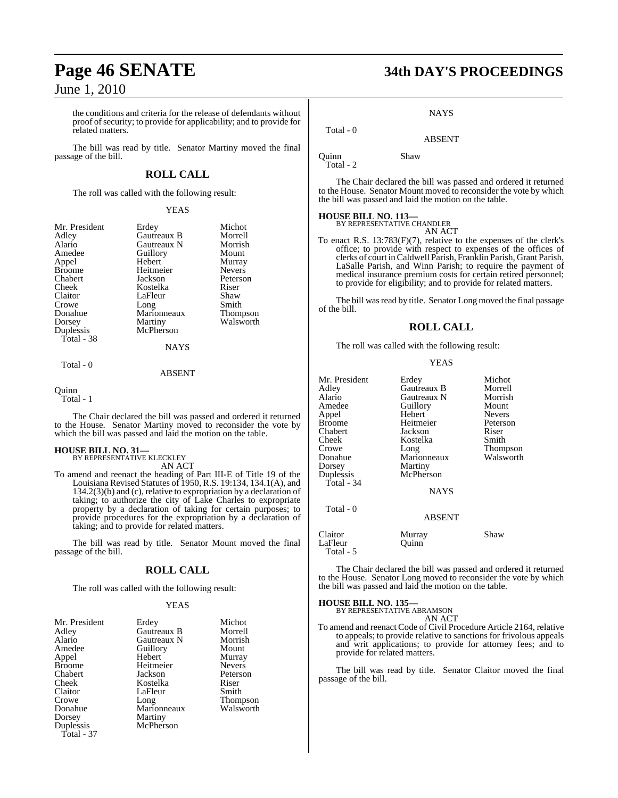the conditions and criteria for the release of defendants without proof of security; to provide for applicability; and to provide for related matters.

The bill was read by title. Senator Martiny moved the final passage of the bill.

#### **ROLL CALL**

The roll was called with the following result:

#### YEAS

| Mr. President | Erdey       | Michot          |
|---------------|-------------|-----------------|
| Adley         | Gautreaux B | Morrell         |
| Alario        | Gautreaux N | Morrish         |
| Amedee        | Guillory    | Mount           |
| Appel         | Hebert      | Murray          |
| <b>Broome</b> | Heitmeier   | <b>Nevers</b>   |
| Chabert       | Jackson     | Peterson        |
| Cheek         | Kostelka    | Riser           |
| Claitor       | LaFleur     | Shaw            |
| Crowe         | Long        | Smith           |
| Donahue       | Marionneaux | <b>Thompson</b> |
| Dorsey        | Martiny     | Walsworth       |
| Duplessis     | McPherson   |                 |
| Total - 38    |             |                 |
|               | <b>NAYS</b> |                 |
| Total - 0     |             |                 |

#### ABSENT

Quinn

Total - 1

The Chair declared the bill was passed and ordered it returned to the House. Senator Martiny moved to reconsider the vote by which the bill was passed and laid the motion on the table.

# **HOUSE BILL NO. 31—** BY REPRESENTATIVE KLECKLEY

AN ACT

To amend and reenact the heading of Part III-E of Title 19 of the Louisiana Revised Statutes of 1950, R.S. 19:134, 134.1(A), and 134.2(3)(b) and (c), relative to expropriation by a declaration of taking; to authorize the city of Lake Charles to expropriate property by a declaration of taking for certain purposes; to provide procedures for the expropriation by a declaration of taking; and to provide for related matters.

The bill was read by title. Senator Mount moved the final passage of the bill.

#### **ROLL CALL**

The roll was called with the following result:

#### YEAS

| Mr. President<br>Adley | Erdey<br>Gautreaux B | Michot<br>Morrell |
|------------------------|----------------------|-------------------|
| Alario                 | Gautreaux N          | Morrish           |
| Amedee                 | Guillory             | Mount             |
| Appel                  | Hebert               | Murray            |
| <b>Broome</b>          | Heitmeier            | <b>Nevers</b>     |
| Chabert                | Jackson              | Peterson          |
| Cheek                  | Kostelka             | Riser             |
| Claitor                | LaFleur              | Smith             |
| Crowe                  | Long                 | <b>Thompson</b>   |
| Donahue                | Marionneaux          | Walsworth         |
| Dorsey                 | Martiny              |                   |
| Duplessis              | McPherson            |                   |
| Total - 37             |                      |                   |

# **Page 46 SENATE 34th DAY'S PROCEEDINGS**

**NAYS** 

ABSENT

Quinn Shaw

Total - 2

Total - 0

The Chair declared the bill was passed and ordered it returned to the House. Senator Mount moved to reconsider the vote by which the bill was passed and laid the motion on the table.

# **HOUSE BILL NO. 113—** BY REPRESENTATIVE CHANDLER

AN ACT

To enact R.S. 13:783(F)(7), relative to the expenses of the clerk's office; to provide with respect to expenses of the offices of clerks of court inCaldwell Parish, Franklin Parish, Grant Parish, LaSalle Parish, and Winn Parish; to require the payment of medical insurance premium costs for certain retired personnel; to provide for eligibility; and to provide for related matters.

The bill was read by title. Senator Long moved the final passage of the bill.

#### **ROLL CALL**

The roll was called with the following result:

YEAS

| Mr. President<br>Adlev<br>Alario<br>Amedee<br>Appel<br>Broome<br>Chabert<br>Cheek<br>Crowe<br>Donahue<br>Dorsey<br>Duplessis | Erdey<br>Gautreaux B<br>Gautreaux N<br>Guillory<br>Hebert<br>Heitmeier<br>Jackson<br>Kostelka<br>Long<br>Marionneaux<br>Martiny<br>McPherson | Michot<br>Morrell<br>Morrish<br>Mount<br><b>Nevers</b><br>Peterson<br>Riser<br>Smith<br>Thompson<br>Walsworth |
|------------------------------------------------------------------------------------------------------------------------------|----------------------------------------------------------------------------------------------------------------------------------------------|---------------------------------------------------------------------------------------------------------------|
| Total - 34                                                                                                                   | <b>NAYS</b>                                                                                                                                  |                                                                                                               |
| Total - 0                                                                                                                    | <b>ABSENT</b>                                                                                                                                |                                                                                                               |
| Claitor<br>LaFleur<br>Total - 5                                                                                              | Murray<br>Ouinn                                                                                                                              | Shaw                                                                                                          |

The Chair declared the bill was passed and ordered it returned to the House. Senator Long moved to reconsider the vote by which the bill was passed and laid the motion on the table.

**HOUSE BILL NO. 135—**

BY REPRESENTATIVE ABRAMSON

AN ACT To amend and reenact Code of Civil Procedure Article 2164, relative to appeals; to provide relative to sanctions for frivolous appeals and writ applications; to provide for attorney fees; and to provide for related matters.

The bill was read by title. Senator Claitor moved the final passage of the bill.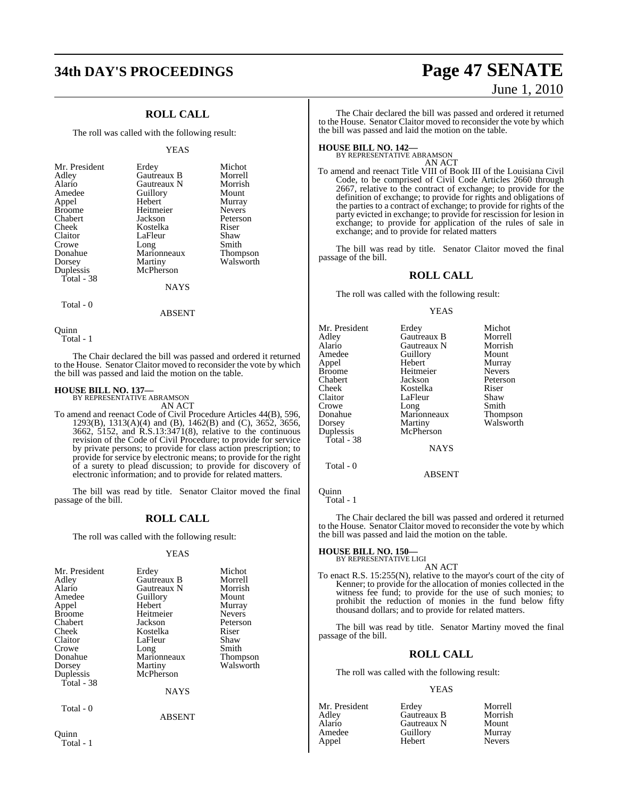# **34th DAY'S PROCEEDINGS Page 47 SENATE**

## **ROLL CALL**

The roll was called with the following result:

#### YEAS

|             | Michot            |
|-------------|-------------------|
| Gautreaux B | Morrell           |
| Gautreaux N | Morrish           |
|             | Mount             |
| Hebert      | Murray            |
| Heitmeier   | <b>Nevers</b>     |
| Jackson     | Peterson          |
| Kostelka    | Riser             |
| LaFleur     | Shaw              |
| Long        | Smith             |
| Marionneaux | Thompson          |
| Martiny     | Walsworth         |
| McPherson   |                   |
|             |                   |
| NAYS        |                   |
|             | Erdey<br>Guillory |

Total - 0

ABSENT

Quinn

Total - 1

The Chair declared the bill was passed and ordered it returned to the House. Senator Claitor moved to reconsider the vote by which the bill was passed and laid the motion on the table.

# **HOUSE BILL NO. 137—** BY REPRESENTATIVE ABRAMSON

AN ACT

To amend and reenact Code of Civil Procedure Articles 44(B), 596, 1293(B), 1313(A)(4) and (B), 1462(B) and (C), 3652, 3656, 3662, 5152, and R.S.13:3471(8), relative to the continuous revision of the Code of Civil Procedure; to provide for service by private persons; to provide for class action prescription; to provide for service by electronic means; to provide for the right of a surety to plead discussion; to provide for discovery of electronic information; and to provide for related matters.

The bill was read by title. Senator Claitor moved the final passage of the bill.

#### **ROLL CALL**

The roll was called with the following result:

#### YEAS

| Mr. President<br>Adley<br>Alario<br>Amedee<br>Appel<br><b>Broome</b><br>Chabert<br>Cheek | Erdey<br>Gautreaux B<br>Gautreaux N<br>Guillory<br>Hebert<br>Heitmeier<br>Jackson<br>Kostelka | Michot<br>Morrell<br>Morrish<br>Mount<br>Murray<br><b>Nevers</b><br>Peterson<br>Riser |
|------------------------------------------------------------------------------------------|-----------------------------------------------------------------------------------------------|---------------------------------------------------------------------------------------|
| Claitor                                                                                  | LaFleur                                                                                       | Shaw                                                                                  |
| Crowe                                                                                    | Long                                                                                          | Smith                                                                                 |
| Donahue                                                                                  | Marionneaux                                                                                   | <b>Thompson</b>                                                                       |
| Dorsey                                                                                   | Martiny                                                                                       | Walsworth                                                                             |
| Duplessis                                                                                | McPherson                                                                                     |                                                                                       |
| Total - 38                                                                               |                                                                                               |                                                                                       |
|                                                                                          | <b>NAYS</b>                                                                                   |                                                                                       |
| Total - 0                                                                                |                                                                                               |                                                                                       |
|                                                                                          | <b>ABSENT</b>                                                                                 |                                                                                       |

#### Quinn Total - 1

# June 1, 2010

Morrish Mount Murray Nevers Peterson<br>Riser

Thompson Walsworth

The Chair declared the bill was passed and ordered it returned to the House. Senator Claitor moved to reconsider the vote by which the bill was passed and laid the motion on the table.

# **HOUSE BILL NO. 142—** BY REPRESENTATIVE ABRAMSON

AN ACT

To amend and reenact Title VIII of Book III of the Louisiana Civil Code, to be comprised of Civil Code Articles 2660 through  $2667$ , relative to the contract of exchange; to provide for the definition of exchange; to provide for rights and obligations of the parties to a contract of exchange; to provide for rights of the party evicted in exchange; to provide for rescission for lesion in exchange; to provide for application of the rules of sale in exchange; and to provide for related matters

The bill was read by title. Senator Claitor moved the final passage of the bill.

#### **ROLL CALL**

The roll was called with the following result:

#### YEAS

| Mr. President<br>Adley<br>Alario<br>Amedee<br>Appel<br><b>Broome</b><br>Chabert<br>Cheek<br>Claitor<br>Crowe<br>Donahue<br>Dorsey<br>Duplessis<br>Total - 38 | Erdey<br>Gautreaux B<br>Gautreaux N<br>Guillory<br>Hebert<br>Heitmeier<br>Jackson<br>Kostelka<br>LaFleur<br>Long<br>Marionneaux<br>Martiny<br>McPherson<br><b>NAYS</b> | Michot<br>Morrell<br>Morrish<br>Mount<br>Murray<br><b>Nevers</b><br>Peterso<br>Riser<br>Shaw<br>Smith<br><b>Thomps</b><br>Walswo |
|--------------------------------------------------------------------------------------------------------------------------------------------------------------|------------------------------------------------------------------------------------------------------------------------------------------------------------------------|----------------------------------------------------------------------------------------------------------------------------------|
|                                                                                                                                                              |                                                                                                                                                                        |                                                                                                                                  |

ABSENT

Quinn Total - 1

Total - 0

The Chair declared the bill was passed and ordered it returned to the House. Senator Claitor moved to reconsider the vote by which the bill was passed and laid the motion on the table.

#### **HOUSE BILL NO. 150—**

BY REPRESENTATIVE LIGI AN ACT

To enact R.S. 15:255(N), relative to the mayor's court of the city of Kenner; to provide for the allocation of monies collected in the witness fee fund; to provide for the use of such monies; to prohibit the reduction of monies in the fund below fifty thousand dollars; and to provide for related matters.

The bill was read by title. Senator Martiny moved the final passage of the bill.

#### **ROLL CALL**

The roll was called with the following result:

#### YEAS

| Mr. President | Erdev       | Morrell       |
|---------------|-------------|---------------|
| Adlev         | Gautreaux B | Morrish       |
| Alario        | Gautreaux N | Mount         |
| Amedee        | Guillory    | Murray        |
| Appel         | Hebert      | <b>Nevers</b> |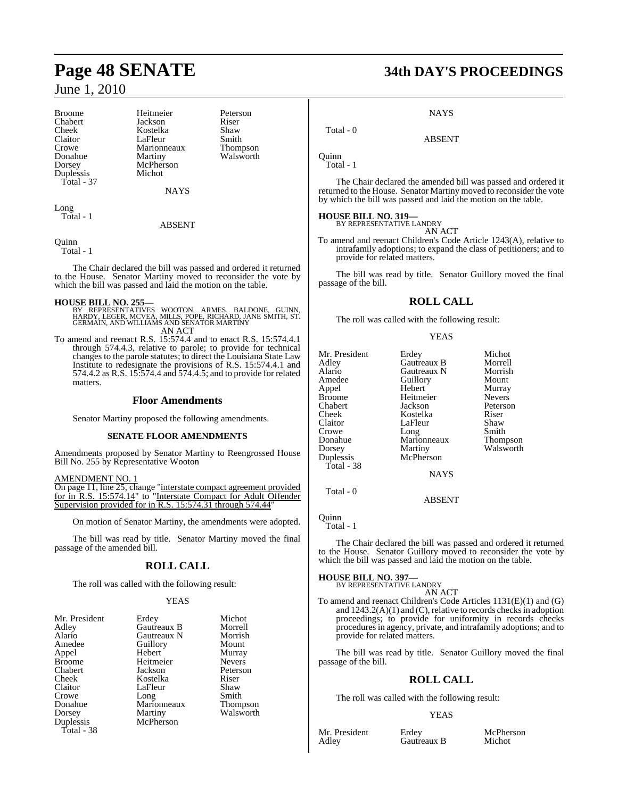Broome Heitmeier Peterson<br>Chabert Jackson Riser Crowe Marionneaux<br>
Donahue Martiny Duplessis Total - 37

Chabert Jackson Riser Cheek Kostelka Shaw<br>Claitor LaFleur Smith Claitor LaFleur Smith<br>Crowe Marionneaux Thompson Donahue Martiny Walsworth<br>Dorsey McPherson McPherson<br>Michot

**NAYS** 

Long Total - 1

#### ABSENT

Quinn

Total - 1

The Chair declared the bill was passed and ordered it returned to the House. Senator Martiny moved to reconsider the vote by which the bill was passed and laid the motion on the table.

- **HOUSE BILL NO. 255—** BY REPRESENTATIVES WOOTON, ARMES, BALDONE, GUINN, HARDY, LEGER, MCVEA, MILLS, POPE, RICHARD, JANE SMITH, ST. GERMAIN, AND WILLIAMS AND SENATOR MARTINY AN ACT
- To amend and reenact R.S. 15:574.4 and to enact R.S. 15:574.4.1 through 574.4.3, relative to parole; to provide for technical changes to the parole statutes; to direct the Louisiana State Law Institute to redesignate the provisions of R.S. 15:574.4.1 and 574.4.2 as R.S. 15:574.4 and 574.4.5; and to provide for related matters.

#### **Floor Amendments**

Senator Martiny proposed the following amendments.

#### **SENATE FLOOR AMENDMENTS**

Amendments proposed by Senator Martiny to Reengrossed House Bill No. 255 by Representative Wooton

#### AMENDMENT NO. 1

On page 11, line 25, change "interstate compact agreement provided for in R.S. 15:574.14" to "Interstate Compact for Adult Offender Supervision provided for in R.S. 15:574.31 through 574.44

On motion of Senator Martiny, the amendments were adopted.

The bill was read by title. Senator Martiny moved the final passage of the amended bill.

### **ROLL CALL**

The roll was called with the following result:

#### YEAS

| Mr. President | Erdey       | Michot        |
|---------------|-------------|---------------|
| Adley         | Gautreaux B | Morrell       |
| Alario        | Gautreaux N | Morrish       |
| Amedee        | Guillory    | Mount         |
| Appel         | Hebert      | Murray        |
| <b>Broome</b> | Heitmeier   | <b>Nevers</b> |
| Chabert       | Jackson     | Peterso       |
| Cheek         | Kostelka    | Riser         |
| Claitor       | LaFleur     | Shaw          |
| Crowe         | Long        | Smith         |
| Donahue       | Marionneaux | <b>Thomps</b> |
| Dorsey        | Martiny     | Walswo        |
| Duplessis     | McPherson   |               |
| Total - 38    |             |               |

Gautreaux N Morrish<br>
Guillory Mount Murray<br>Nevers Peterson<br>Riser Marionneaux Thompson<br>Martiny Walsworth Walsworth

# **Page 48 SENATE 34th DAY'S PROCEEDINGS**

**NAYS** 

ABSENT

Quinn Total - 1

Total - 0

The Chair declared the amended bill was passed and ordered it returned to the House. Senator Martiny moved to reconsider the vote by which the bill was passed and laid the motion on the table.

# **HOUSE BILL NO. 319—** BY REPRESENTATIVE LANDRY

AN ACT

To amend and reenact Children's Code Article 1243(A), relative to intrafamily adoptions; to expand the class of petitioners; and to provide for related matters.

The bill was read by title. Senator Guillory moved the final passage of the bill.

## **ROLL CALL**

The roll was called with the following result:

#### YEAS

| Mr. President<br>Adley<br>Alario<br>Amedee<br>Appel<br><b>Broome</b><br>Chabert<br>Cheek<br>Claitor | Erdey<br>Gautreaux B<br>Gautreaux N<br>Guillory<br>Hebert<br>Heitmeier<br>Jackson<br>Kostelka<br>LaFleur | Michot<br>Morrell<br>Morrish<br>Mount<br>Murray<br><b>Nevers</b><br>Peterson<br>Riser<br>Shaw |
|-----------------------------------------------------------------------------------------------------|----------------------------------------------------------------------------------------------------------|-----------------------------------------------------------------------------------------------|
|                                                                                                     |                                                                                                          |                                                                                               |
|                                                                                                     |                                                                                                          |                                                                                               |
| Crowe                                                                                               | Long                                                                                                     | Smith                                                                                         |
| Donahue                                                                                             | Marionneaux                                                                                              | Thompson                                                                                      |
| Dorsey                                                                                              | Martiny                                                                                                  | Walsworth                                                                                     |
| Duplessis                                                                                           | McPherson                                                                                                |                                                                                               |
| Total - 38                                                                                          | <b>NAYS</b>                                                                                              |                                                                                               |

ABSENT

Quinn

Total - 0

Total - 1

The Chair declared the bill was passed and ordered it returned to the House. Senator Guillory moved to reconsider the vote by which the bill was passed and laid the motion on the table.

### **HOUSE BILL NO. 397—**

BY REPRESENTATIVE LANDRY AN ACT

To amend and reenact Children's Code Articles 1131(E)(1) and (G) and  $1243.2(A)(1)$  and  $(C)$ , relative to records checks in adoption proceedings; to provide for uniformity in records checks proceduresin agency, private, and intrafamily adoptions; and to provide for related matters.

The bill was read by title. Senator Guillory moved the final passage of the bill.

## **ROLL CALL**

The roll was called with the following result:

#### YEAS

Mr. President Erdey McPherson<br>Adley Gautreaux B Michot Gautreaux B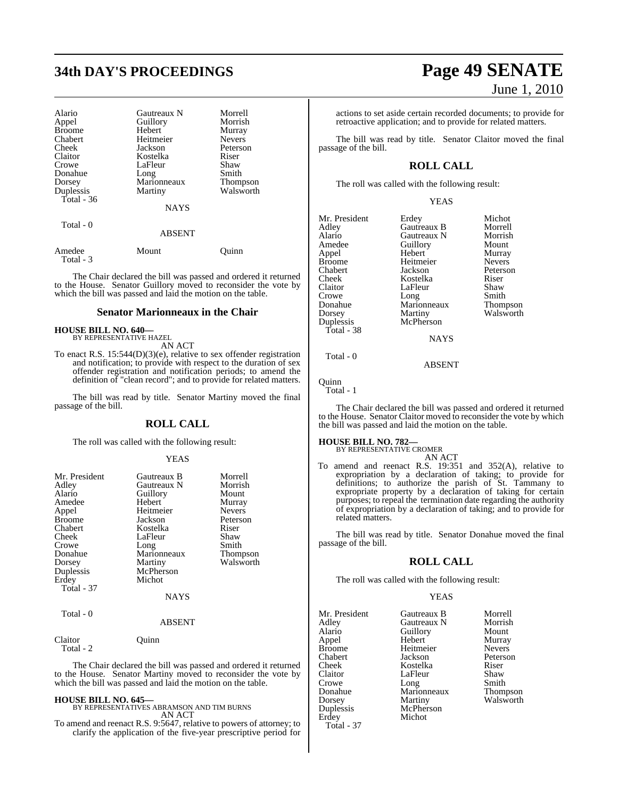# **34th DAY'S PROCEEDINGS Page 49 SENATE**

| Alario              | Gautreaux N   | Morrell       |
|---------------------|---------------|---------------|
| Appel               | Guillory      | Morrish       |
| <b>Broome</b>       | Hebert        | Murray        |
| Chabert             | Heitmeier     | <b>Nevers</b> |
| Cheek               | Jackson       | Peterson      |
| Claitor             | Kostelka      | Riser         |
| Crowe               | LaFleur       | Shaw          |
| Donahue             | Long          | Smith         |
| Dorsey              | Marionneaux   | Thompson      |
| Duplessis           | Martiny       | Walsworth     |
| Total $-36$         |               |               |
|                     | <b>NAYS</b>   |               |
| Total $-0$          |               |               |
|                     | <b>ABSENT</b> |               |
| Amedee<br>Total - 3 | Mount         | Ouinn         |

The Chair declared the bill was passed and ordered it returned to the House. Senator Guillory moved to reconsider the vote by which the bill was passed and laid the motion on the table.

#### **Senator Marionneaux in the Chair**

# **HOUSE BILL NO. 640—** BY REPRESENTATIVE HAZEL

AN ACT

To enact R.S. 15:544(D)(3)(e), relative to sex offender registration and notification; to provide with respect to the duration of sex offender registration and notification periods; to amend the definition of "clean record"; and to provide for related matters.

The bill was read by title. Senator Martiny moved the final passage of the bill.

#### **ROLL CALL**

The roll was called with the following result:

#### YEAS

| Mr. President<br>Adley<br>Alario<br>Amedee<br>Appel<br><b>Broome</b><br>Chabert<br>Cheek<br>Crowe<br>Donahue<br>Dorsey<br>Duplessis | Gautreaux B<br>Gautreaux N<br>Guillory<br>Hebert<br>Heitmeier<br>Jackson<br>Kostelka<br>LaFleur<br>Long<br>Marionneaux<br>Martiny<br>McPherson<br>Michot | Morrell<br>Morrish<br>Mount<br>Murray<br><b>Nevers</b><br>Peterson<br>Riser<br>Shaw<br>Smith<br>Thompson<br>Walsworth |
|-------------------------------------------------------------------------------------------------------------------------------------|----------------------------------------------------------------------------------------------------------------------------------------------------------|-----------------------------------------------------------------------------------------------------------------------|
| Erdey                                                                                                                               |                                                                                                                                                          |                                                                                                                       |
| <b>Total - 37</b>                                                                                                                   | <b>NAYS</b>                                                                                                                                              |                                                                                                                       |
| Total - 0                                                                                                                           | <b>ABSENT</b>                                                                                                                                            |                                                                                                                       |

Claitor Quinn Total - 2

The Chair declared the bill was passed and ordered it returned to the House. Senator Martiny moved to reconsider the vote by which the bill was passed and laid the motion on the table.

#### **HOUSE BILL NO. 645—**

BY REPRESENTATIVES ABRAMSON AND TIM BURNS AN ACT

To amend and reenact R.S. 9:5647, relative to powers of attorney; to clarify the application of the five-year prescriptive period for

# June 1, 2010

actions to set aside certain recorded documents; to provide for retroactive application; and to provide for related matters.

The bill was read by title. Senator Claitor moved the final passage of the bill.

## **ROLL CALL**

The roll was called with the following result:

YEAS

| Erdey       | Michot        |
|-------------|---------------|
| Gautreaux B | Morrell       |
| Gautreaux N | Morrish       |
| Guillory    | Mount         |
| Hebert      | Murray        |
| Heitmeier   | <b>Nevers</b> |
| Jackson     | Peterson      |
| Kostelka    | Riser         |
| LaFleur     | Shaw          |
| Long        | Smith         |
| Marionneaux | Thompson      |
| Martiny     | Walsworth     |
| McPherson   |               |
|             |               |
| <b>NAYS</b> |               |
|             |               |

Total - 0

Quinn Total - 1

The Chair declared the bill was passed and ordered it returned to the House. Senator Claitor moved to reconsider the vote by which the bill was passed and laid the motion on the table.

ABSENT

#### **HOUSE BILL NO. 782—**

BY REPRESENTATIVE CROMER AN ACT

To amend and reenact R.S. 19:351 and 352(A), relative to expropriation by a declaration of taking; to provide for definitions; to authorize the parish of St. Tammany to expropriate property by a declaration of taking for certain purposes; to repeal the termination date regarding the authority of expropriation by a declaration of taking; and to provide for related matters.

The bill was read by title. Senator Donahue moved the final passage of the bill.

#### **ROLL CALL**

The roll was called with the following result:

YEAS

| Mr. President<br>Adley<br>Alario<br>Appel<br><b>Broome</b><br>Chabert<br>Cheek<br>Claitor<br>Crowe<br>Donahue<br>Dorsey<br>Duplessis<br>Erdey<br><b>Total - 37</b> | Gautreaux B<br>Gautreaux N<br>Guillory<br>Hebert<br>Heitmeier<br>Jackson<br>Kostelka<br>LaFleur<br>Long<br>Marionneaux<br>Martiny<br>McPherson<br>Michot | Morrell<br>Morrish<br>Mount<br>Murray<br><b>Nevers</b><br>Peterson<br>Riser<br>Shaw<br>Smith<br>Thompson<br>Walsworth |
|--------------------------------------------------------------------------------------------------------------------------------------------------------------------|----------------------------------------------------------------------------------------------------------------------------------------------------------|-----------------------------------------------------------------------------------------------------------------------|
|--------------------------------------------------------------------------------------------------------------------------------------------------------------------|----------------------------------------------------------------------------------------------------------------------------------------------------------|-----------------------------------------------------------------------------------------------------------------------|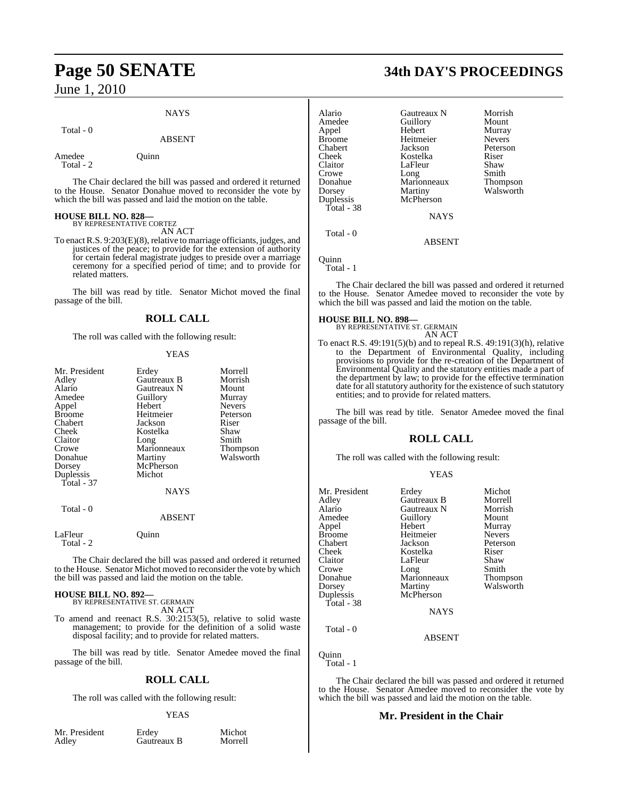# **Page 50 SENATE 34th DAY'S PROCEEDINGS**

June 1, 2010

#### **NAYS**

#### Total - 0

## ABSENT

Amedee Quinn Total - 2

The Chair declared the bill was passed and ordered it returned to the House. Senator Donahue moved to reconsider the vote by which the bill was passed and laid the motion on the table.

# **HOUSE BILL NO. 828—** BY REPRESENTATIVE CORTEZ

AN ACT

To enactR.S. 9:203(E)(8), relative to marriage officiants, judges, and justices of the peace; to provide for the extension of authority for certain federal magistrate judges to preside over a marriage ceremony for a specified period of time; and to provide for related matters.

The bill was read by title. Senator Michot moved the final passage of the bill.

#### **ROLL CALL**

The roll was called with the following result:

#### YEAS

| Mr. President<br>Adley<br>Alario<br>Amedee<br>Appel<br>Broome<br>Chabert<br>Cheek<br>Claitor<br>Crowe<br>Donahue<br>Dorsey<br>Duplessis<br><b>Total - 37</b> | Erdey<br>Gautreaux B<br>Gautreaux N<br>Guillory<br>Hebert<br>Heitmeier<br>Jackson<br>Kostelka<br>Long<br>Marionneaux<br>Martiny<br>McPherson<br>Michot<br><b>NAYS</b> | Morrell<br>Morrish<br>Mount<br>Murray<br><b>Nevers</b><br>Peterson<br>Riser<br>Shaw<br>Smith<br>Thompson<br>Walsworth |
|--------------------------------------------------------------------------------------------------------------------------------------------------------------|-----------------------------------------------------------------------------------------------------------------------------------------------------------------------|-----------------------------------------------------------------------------------------------------------------------|
| Total - 0                                                                                                                                                    | ABSENT                                                                                                                                                                |                                                                                                                       |
| LaFleur<br>Total - 2                                                                                                                                         | Ouinn                                                                                                                                                                 |                                                                                                                       |
|                                                                                                                                                              | The Chair declared the bill was nassed and ordered it re                                                                                                              |                                                                                                                       |

e Chair declared the bill was passed and ordered it returned to the House. Senator Michot moved to reconsider the vote by which the bill was passed and laid the motion on the table.

## **HOUSE BILL NO. 892—**

BY REPRESENTATIVE ST. GERMAIN AN ACT

To amend and reenact R.S. 30:2153(5), relative to solid waste management; to provide for the definition of a solid waste disposal facility; and to provide for related matters.

The bill was read by title. Senator Amedee moved the final passage of the bill.

#### **ROLL CALL**

The roll was called with the following result:

#### YEAS

Mr. President Erdey Michot<br>Adley Gautreaux B Morrell Gautreaux B

| Alario<br>Amedee<br>Appel<br>Broome<br>Chabert<br>Cheek<br>Claitor<br>Crowe<br>Donahue<br>Dorsey<br>Duplessis | Gautreaux N<br>Guillory<br>Hebert<br>Heitmeier<br>Jackson<br>Kostelka<br>LaFleur<br>Long<br>Marionneaux<br>Martiny<br>McPherson | Morrish<br>Mount<br>Murray<br><b>Nevers</b><br>Peterson<br>Riser<br>Shaw<br>Smith<br>Thompson<br>Walsworth |
|---------------------------------------------------------------------------------------------------------------|---------------------------------------------------------------------------------------------------------------------------------|------------------------------------------------------------------------------------------------------------|
|                                                                                                               |                                                                                                                                 |                                                                                                            |
| Total - 38                                                                                                    |                                                                                                                                 |                                                                                                            |
|                                                                                                               | <b>NAYS</b>                                                                                                                     |                                                                                                            |
| Total - 0                                                                                                     | ABSENT                                                                                                                          |                                                                                                            |

Quinn

Total - 1

The Chair declared the bill was passed and ordered it returned to the House. Senator Amedee moved to reconsider the vote by which the bill was passed and laid the motion on the table.

#### **HOUSE BILL NO. 898**

BY REPRESENTATIVE ST. GERMAIN AN ACT

To enact R.S. 49:191(5)(b) and to repeal R.S. 49:191(3)(h), relative to the Department of Environmental Quality, including provisions to provide for the re-creation of the Department of Environmental Quality and the statutory entities made a part of the department by law; to provide for the effective termination date for all statutory authority for the existence of such statutory entities; and to provide for related matters.

The bill was read by title. Senator Amedee moved the final passage of the bill.

### **ROLL CALL**

The roll was called with the following result:

#### YEAS

| Mr. President | Erdey              | Michot          |
|---------------|--------------------|-----------------|
| Adley         | <b>Gautreaux B</b> | Morrell         |
| Alario        | Gautreaux N        | Morrish         |
|               |                    |                 |
| Amedee        | Guillory           | Mount           |
| Appel         | Hebert             | Murray          |
| <b>Broome</b> | Heitmeier          | <b>Nevers</b>   |
| Chabert       | Jackson            | Peterson        |
| Cheek         | Kostelka           | Riser           |
| Claitor       | LaFleur            | Shaw            |
| Crowe         | Long               | Smith           |
| Donahue       | Marionneaux        | <b>Thompson</b> |
| Dorsey        | Martiny            | Walsworth       |
| Duplessis     | McPherson          |                 |
| Total - 38    |                    |                 |
|               | NAYS               |                 |
| Total - 0     |                    |                 |

ABSENT

Total - 1

The Chair declared the bill was passed and ordered it returned to the House. Senator Amedee moved to reconsider the vote by which the bill was passed and laid the motion on the table.

#### **Mr. President in the Chair**

Quinn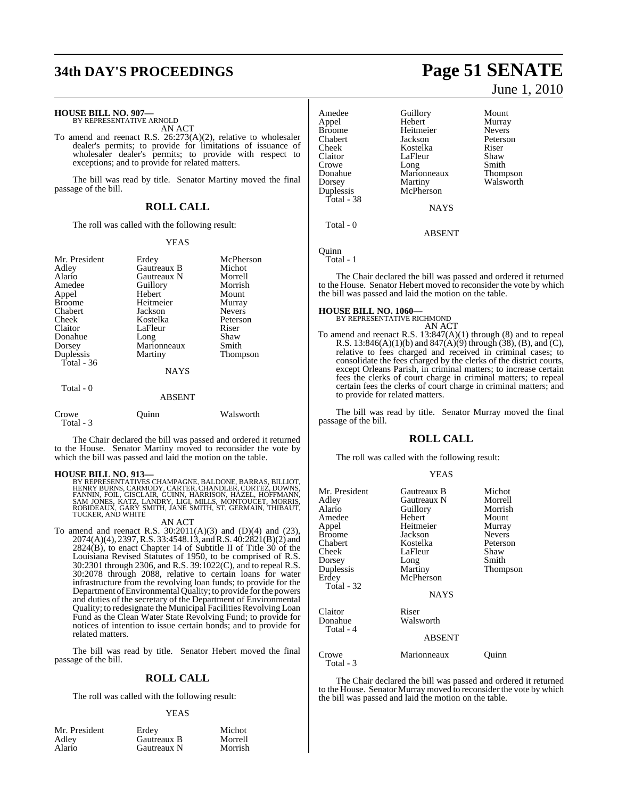# **34th DAY'S PROCEEDINGS Page 51 SENATE**

#### **HOUSE BILL NO. 907—**

BY REPRESENTATIVE ARNOLD AN ACT

To amend and reenact R.S. 26:273(A)(2), relative to wholesaler dealer's permits; to provide for limitations of issuance of wholesaler dealer's permits; to provide with respect to exceptions; and to provide for related matters.

The bill was read by title. Senator Martiny moved the final passage of the bill.

#### **ROLL CALL**

The roll was called with the following result:

#### YEAS

| Mr. President      | Erdey       | McPherson       |
|--------------------|-------------|-----------------|
| Adley              | Gautreaux B | Michot          |
| Alario             | Gautreaux N | Morrell         |
| Amedee             | Guillory    | Morrish         |
| Appel              | Hebert      | Mount           |
| <b>Broome</b>      | Heitmeier   | Murray          |
| Chabert            | Jackson     | <b>Nevers</b>   |
| Cheek              | Kostelka    | Peterson        |
| Claitor            | LaFleur     | Riser           |
| Donahue            | Long        | Shaw            |
| Dorsey             | Marionneaux | Smith           |
| Duplessis          | Martiny     | <b>Thompson</b> |
| Total - 36         |             |                 |
|                    | <b>NAYS</b> |                 |
| Total - 0          |             |                 |
|                    | ABSENT      |                 |
| Crowe<br>Total - 3 | Ouınn       | Walsworth       |

The Chair declared the bill was passed and ordered it returned to the House. Senator Martiny moved to reconsider the vote by which the bill was passed and laid the motion on the table.

**HOUSE BILL NO. 913—**<br>BY REPRESENTATIVES CHAMPAGNE, BALDONE, BARRAS, BILLIOT,<br>HENRY BURNS, CARMODY, CARTER, CHANDLER, CORTEZ, DOWNS,<br>FANNIN, FOIL, GISCLAIR, GUINN, HARRISON, HAZEL, HOFFMANN,<br>SAM JONES, KATZ, LANDRY, LIGI, TUCKER, AND WHITE

#### AN ACT

To amend and reenact R.S.  $30:2011(A)(3)$  and  $(D)(4)$  and  $(23)$ , 2074(A)(4), 2397,R.S. 33:4548.13, and R.S. 40:2821(B)(2) and  $2824(B)$ , to enact Chapter 14 of Subtitle II of Title 30 of the Louisiana Revised Statutes of 1950, to be comprised of R.S. 30:2301 through 2306, and R.S. 39:1022(C), and to repeal R.S. 30:2078 through 2088, relative to certain loans for water infrastructure from the revolving loan funds; to provide for the Department of Environmental Quality; to provide for the powers and duties of the secretary of the Department of Environmental Quality; to redesignate the Municipal Facilities Revolving Loan Fund as the Clean Water State Revolving Fund; to provide for notices of intention to issue certain bonds; and to provide for related matters.

The bill was read by title. Senator Hebert moved the final passage of the bill.

#### **ROLL CALL**

The roll was called with the following result:

#### YEAS

| Mr. President | Erdev       | Michot  |
|---------------|-------------|---------|
| Adley         | Gautreaux B | Morrell |
| Alario        | Gautreaux N | Morrish |

Amedee Guillory Mount<br>Appel Hebert Murray Appel Hebert Murray Broome Heitmeier<br>Chabert Iackson Chabert Jackson Peterson Claitor LaFleur Shaw<br>Crowe Long Smith Crowe Long Smith<br>Donahue Marionneaux Thompson Dorsey Martiny Walsworth<br>
Duplessis McPherson Total - 38

Kostelka Marionneaux McPherson **NAYS** 

Total - 0

ABSENT

Quinn Total - 1

The Chair declared the bill was passed and ordered it returned to the House. Senator Hebert moved to reconsider the vote by which the bill was passed and laid the motion on the table.

#### **HOUSE BILL NO. 1060—**

BY REPRESENTATIVE RICHMOND AN ACT

To amend and reenact R.S.  $13:847(A)(1)$  through (8) and to repeal R.S. 13:846(A)(1)(b) and  $847(A)(9)$  through (38), (B), and (C), relative to fees charged and received in criminal cases; to consolidate the fees charged by the clerks of the district courts, except Orleans Parish, in criminal matters; to increase certain fees the clerks of court charge in criminal matters; to repeal certain fees the clerks of court charge in criminal matters; and to provide for related matters.

The bill was read by title. Senator Murray moved the final passage of the bill.

#### **ROLL CALL**

The roll was called with the following result:

#### YEAS

| Mr. President      | Gautreaux B        | Michot        |
|--------------------|--------------------|---------------|
| Adley              | Gautreaux N        | Morrell       |
| Alario             | Guillory           | Morrish       |
| Amedee             | Hebert             | Mount         |
| Appel              | Heitmeier          | Murray        |
| Broome             | Jackson            | <b>Nevers</b> |
| Chabert            | Kostelka           | Peterson      |
| Cheek              | LaFleur            | Shaw          |
| Dorsey             | Long               | Smith         |
| Duplessis          | Martiny            | Thompson      |
| Erdey              | McPherson          |               |
| Total - 32         | <b>NAYS</b>        |               |
| Claitor<br>Donahue | Riser<br>Walsworth |               |
| Total - 4          | <b>ABSENT</b>      |               |
| Crowe<br>Total - 3 | Marionneaux        | Ouınn         |

The Chair declared the bill was passed and ordered it returned to the House. Senator Murray moved to reconsider the vote by which

the bill was passed and laid the motion on the table.

June 1, 2010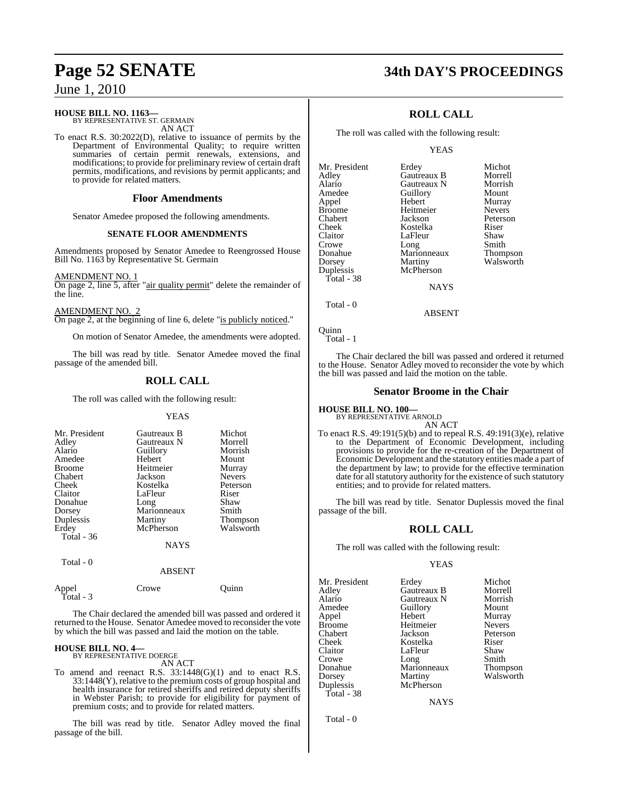#### **HOUSE BILL NO. 1163—**

BY REPRESENTATIVE ST. GERMAIN AN ACT

To enact R.S. 30:2022(D), relative to issuance of permits by the Department of Environmental Quality; to require written summaries of certain permit renewals, extensions, and modifications; to provide for preliminary review of certain draft permits, modifications, and revisions by permit applicants; and to provide for related matters.

#### **Floor Amendments**

Senator Amedee proposed the following amendments.

#### **SENATE FLOOR AMENDMENTS**

Amendments proposed by Senator Amedee to Reengrossed House Bill No. 1163 by Representative St. Germain

#### AMENDMENT NO

On page 2, line 5, after "air quality permit" delete the remainder of the line.

#### AMENDMENT NO. 2

On page 2, at the beginning of line 6, delete "is publicly noticed."

On motion of Senator Amedee, the amendments were adopted.

The bill was read by title. Senator Amedee moved the final passage of the amended bill.

## **ROLL CALL**

The roll was called with the following result:

#### **YEAS**

| Mr. President<br>Adley<br>Alario<br>Amedee<br><b>Broome</b><br><b>Chabert</b><br>Cheek<br>Claitor<br>Donahue | Gautreaux B<br>Gautreaux N<br>Guillory<br>Hebert<br>Heitmeier<br>Jackson<br>Kostelka<br>LaFleur<br>Long | Michot<br>Morrell<br>Morrish<br>Mount<br>Murray<br><b>Nevers</b><br>Peterson<br>Riser<br>Shaw |
|--------------------------------------------------------------------------------------------------------------|---------------------------------------------------------------------------------------------------------|-----------------------------------------------------------------------------------------------|
|                                                                                                              |                                                                                                         |                                                                                               |
|                                                                                                              |                                                                                                         |                                                                                               |
|                                                                                                              |                                                                                                         |                                                                                               |
|                                                                                                              |                                                                                                         |                                                                                               |
| Dorsey                                                                                                       | Marionneaux                                                                                             | Smith                                                                                         |
| Duplessis                                                                                                    | Martiny                                                                                                 | <b>Thompson</b>                                                                               |
| Erdey                                                                                                        | McPherson                                                                                               | Walsworth                                                                                     |
| Total - 36                                                                                                   |                                                                                                         |                                                                                               |
|                                                                                                              | <b>NAYS</b>                                                                                             |                                                                                               |
|                                                                                                              |                                                                                                         |                                                                                               |

Total - 0

Total - 3

#### ABSENT

Appel Crowe Quinn

The Chair declared the amended bill was passed and ordered it returned to the House. Senator Amedee moved to reconsider the vote by which the bill was passed and laid the motion on the table.

# **HOUSE BILL NO. 4—** BY REPRESENTATIVE DOERGE

AN ACT

To amend and reenact R.S. 33:1448(G)(1) and to enact R.S.  $33:1448(Y)$ , relative to the premium costs of group hospital and health insurance for retired sheriffs and retired deputy sheriffs in Webster Parish; to provide for eligibility for payment of premium costs; and to provide for related matters.

The bill was read by title. Senator Adley moved the final passage of the bill.

# **Page 52 SENATE 34th DAY'S PROCEEDINGS**

## **ROLL CALL**

The roll was called with the following result:

#### YEAS

| Mr. President | Erdey       | Michot        |
|---------------|-------------|---------------|
| Adley         | Gautreaux B | Morrell       |
| Alario        | Gautreaux N | Morrish       |
| Amedee        | Guillory    | Mount         |
| Appel         | Hebert      | Murray        |
| <b>Broome</b> | Heitmeier   | <b>Nevers</b> |
| Chabert       | Jackson     | Peterson      |
| Cheek         | Kostelka    | Riser         |
| Claitor       | LaFleur     | Shaw          |
| Crowe         | Long        | Smith         |
| Donahue       | Marionneaux | Thompson      |
| Dorsey        | Martiny     | Walsworth     |
| Duplessis     | McPherson   |               |
| Total - 38    |             |               |
|               | <b>NAYS</b> |               |

Total - 0

Quinn Total - 1

The Chair declared the bill was passed and ordered it returned to the House. Senator Adley moved to reconsider the vote by which the bill was passed and laid the motion on the table.

ABSENT

#### **Senator Broome in the Chair**

#### **HOUSE BILL NO. 100—**

BY REPRESENTATIVE ARNOLD AN ACT

To enact R.S. 49:191(5)(b) and to repeal R.S. 49:191(3)(e), relative to the Department of Economic Development, including provisions to provide for the re-creation of the Department of Economic Development and the statutory entities made a part of the department by law; to provide for the effective termination date for all statutory authority for the existence of such statutory entities; and to provide for related matters.

The bill was read by title. Senator Duplessis moved the final passage of the bill.

## **ROLL CALL**

The roll was called with the following result:

#### YEAS

Mr. President Erdey Michot<br>Adley Gautreaux B Morrell Adley Gautreaux B Morrell Amedee Guillory Mount<br>Appel Hebert Murray Appel Hebert Murray Broome Heitmeier<br>Chabert Jackson Chabert Jackson Peterson Cheek Kostelka Riser Crowe Long Smith<br>Donahue Marionneaux Thompson Donahue Marionneaux<br>Dorsey Martiny Duplessis McPherson Total - 38

Gautreaux N LaFleur Shaw<br>Long Smith

Walsworth

**NAYS** 

Total - 0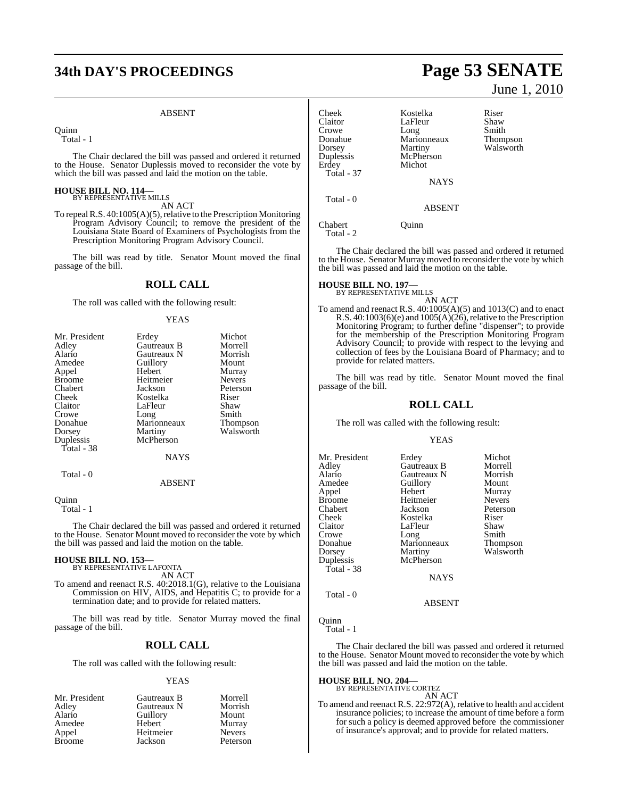# **34th DAY'S PROCEEDINGS Page 53 SENATE**

#### ABSENT

**Ouinn** 

Total - 1

The Chair declared the bill was passed and ordered it returned to the House. Senator Duplessis moved to reconsider the vote by which the bill was passed and laid the motion on the table.

#### **HOUSE BILL NO. 114—** BY REPRESENTATIVE MILLS

AN ACT

To repeal R.S. 40:1005(A)(5), relative to the Prescription Monitoring Program Advisory Council; to remove the president of the Louisiana State Board of Examiners of Psychologists from the Prescription Monitoring Program Advisory Council.

The bill was read by title. Senator Mount moved the final passage of the bill.

#### **ROLL CALL**

The roll was called with the following result:

#### YEAS

| Mr. President | Erdey       | Michot          |
|---------------|-------------|-----------------|
| Adley         | Gautreaux B | Morrell         |
| Alario        | Gautreaux N | Morrish         |
| Amedee        | Guillory    | Mount           |
| Appel         | Hebert      | Murray          |
| <b>Broome</b> | Heitmeier   | <b>Nevers</b>   |
| Chabert       | Jackson     | Peterson        |
| Cheek         | Kostelka    | Riser           |
| Claitor       | LaFleur     | Shaw            |
| Crowe         | Long        | Smith           |
| Donahue       | Marionneaux | <b>Thompson</b> |
| Dorsey        | Martiny     | Walsworth       |
| Duplessis     | McPherson   |                 |
| Total - 38    |             |                 |
|               | <b>NAYS</b> |                 |
| Total - 0     |             |                 |

#### ABSENT

**Ouinn** 

Total - 1

The Chair declared the bill was passed and ordered it returned to the House. Senator Mount moved to reconsider the vote by which the bill was passed and laid the motion on the table.

#### **HOUSE BILL NO. 153—** BY REPRESENTATIVE LAFONTA

AN ACT

To amend and reenact R.S. 40:2018.1(G), relative to the Louisiana Commission on HIV, AIDS, and Hepatitis C; to provide for a termination date; and to provide for related matters.

The bill was read by title. Senator Murray moved the final passage of the bill.

### **ROLL CALL**

The roll was called with the following result:

#### YEAS

| Mr. President | Gautreaux B | Morrell       |
|---------------|-------------|---------------|
| Adley         | Gautreaux N | Morrish       |
| Alario        | Guillory    | Mount         |
| Amedee        | Hebert      | Murray        |
| Appel         | Heitmeier   | <b>Nevers</b> |
| <b>Broome</b> | Jackson     | Peterson      |

June 1, 2010

| Cheek      | Kostelka      | Riser           |
|------------|---------------|-----------------|
| Claitor    | LaFleur       | Shaw            |
| Crowe      | Long          | Smith           |
| Donahue    | Marionneaux   | <b>Thompson</b> |
| Dorsey     | Martiny       | Walsworth       |
| Duplessis  | McPherson     |                 |
| Erdey      | Michot        |                 |
| Total - 37 |               |                 |
|            | <b>NAYS</b>   |                 |
| Total - 0  |               |                 |
|            | <b>ABSENT</b> |                 |
| Chabert    | )uinn         |                 |

Total - 2

The Chair declared the bill was passed and ordered it returned to the House. Senator Murray moved to reconsider the vote by which the bill was passed and laid the motion on the table.

# **HOUSE BILL NO. 197—** BY REPRESENTATIVE MILLS

AN ACT To amend and reenact R.S. 40:1005(A)(5) and 1013(C) and to enact R.S.  $40:1003(6)(e)$  and  $1005(A)(26)$ , relative to the Prescription Monitoring Program; to further define "dispenser"; to provide for the membership of the Prescription Monitoring Program Advisory Council; to provide with respect to the levying and collection of fees by the Louisiana Board of Pharmacy; and to provide for related matters.

The bill was read by title. Senator Mount moved the final passage of the bill.

#### **ROLL CALL**

The roll was called with the following result:

#### YEAS

| Mr. President<br>Adley<br>Alario<br>Amedee<br>Appel<br>Broome<br>Chabert<br>Cheek<br>Claitor<br>Crowe<br>Donahue<br>Dorsey<br>Duplessis<br>Total - 38 | Erdey<br>Gautreaux B<br>Gautreaux N<br>Guillory<br>Hebert<br>Heitmeier<br>Jackson<br>Kostelka<br>LaFleur<br>Long<br>Marionneaux<br>Martiny<br>McPherson | Michot<br>Morrell<br>Morrish<br>Mount<br>Murray<br><b>Nevers</b><br>Peterson<br>Riser<br>Shaw<br>Smith<br>Thompson<br>Walsworth |
|-------------------------------------------------------------------------------------------------------------------------------------------------------|---------------------------------------------------------------------------------------------------------------------------------------------------------|---------------------------------------------------------------------------------------------------------------------------------|
|                                                                                                                                                       | <b>NAYS</b>                                                                                                                                             |                                                                                                                                 |
| Total - 0                                                                                                                                             |                                                                                                                                                         |                                                                                                                                 |

ABSENT

**Ouinn** 

Total - 1

The Chair declared the bill was passed and ordered it returned to the House. Senator Mount moved to reconsider the vote by which the bill was passed and laid the motion on the table.

#### **HOUSE BILL NO. 204—**

BY REPRESENTATIVE CORTEZ AN ACT

To amend and reenact R.S. 22:972(A), relative to health and accident insurance policies; to increase the amount of time before a form for such a policy is deemed approved before the commissioner of insurance's approval; and to provide for related matters.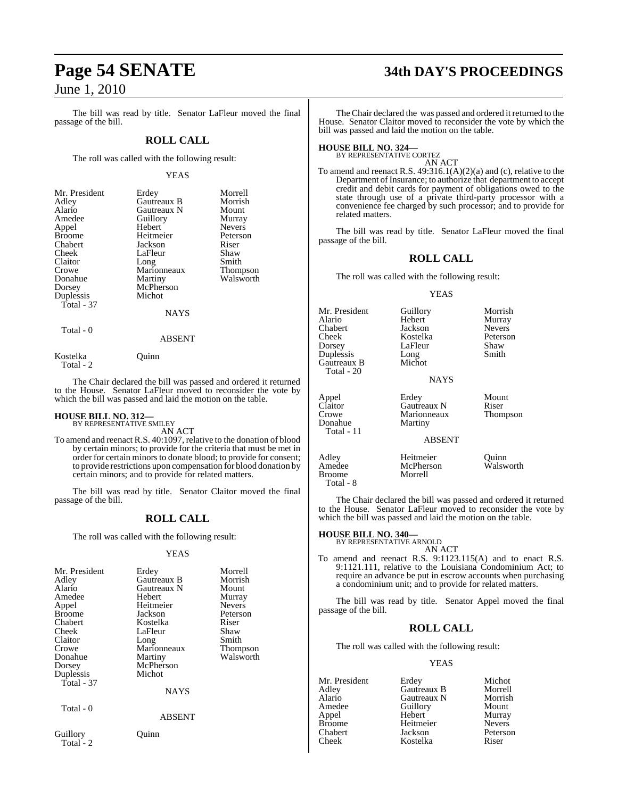The bill was read by title. Senator LaFleur moved the final passage of the bill.

#### **ROLL CALL**

The roll was called with the following result:

#### YEAS

| Mr. President | Erdey               | Morrell       |
|---------------|---------------------|---------------|
| Adley         | Gautreaux B         | Morrish       |
| Alario        | Gautreaux N         | Mount         |
| Amedee        | Guillory            | Murray        |
| Appel         | Hebert              | <b>Nevers</b> |
| <b>Broome</b> | Heitmeier           | Peterson      |
| Chabert       | Jackson             | Riser         |
| Cheek         | LaFleur             | Shaw          |
| Claitor       |                     | Smith         |
| Crowe         | Long<br>Marionneaux | Thompson      |
| Donahue       | Martiny             | Walsworth     |
| Dorsey        | McPherson           |               |
| Duplessis     | Michot              |               |
| Total - 37    |                     |               |
|               | <b>NAYS</b>         |               |

Total - 0

# ABSENT

Kostelka Quinn Total - 2

The Chair declared the bill was passed and ordered it returned to the House. Senator LaFleur moved to reconsider the vote by which the bill was passed and laid the motion on the table.

# **HOUSE BILL NO. 312—** BY REPRESENTATIVE SMILEY

AN ACT

To amend and reenact R.S. 40:1097, relative to the donation of blood by certain minors; to provide for the criteria that must be met in order for certain minors to donate blood; to provide for consent; to provide restrictions upon compensation for blood donation by certain minors; and to provide for related matters.

The bill was read by title. Senator Claitor moved the final passage of the bill.

## **ROLL CALL**

The roll was called with the following result:

#### YEAS

| Mr. President         | Erdey         | Morrell       |
|-----------------------|---------------|---------------|
| Adley                 | Gautreaux B   | Morrish       |
| Alario                | Gautreaux N   | Mount         |
| Amedee                | Hebert        | Murray        |
| Appel                 | Heitmeier     | <b>Nevers</b> |
| <b>Broome</b>         | Jackson       | Peterson      |
| Chabert               | Kostelka      | Riser         |
| Cheek                 | LaFleur       | Shaw          |
| Claitor               | Long          | Smith         |
| Crowe                 | Marionneaux   | Thompson      |
| Donahue               | Martiny       | Walsworth     |
| Dorsey                | McPherson     |               |
| Duplessis             | Michot        |               |
| Total - 37            |               |               |
|                       | <b>NAYS</b>   |               |
| Total - 0             |               |               |
|                       | <b>ABSENT</b> |               |
| Guillory<br>Total - 2 | uınn          |               |

# **Page 54 SENATE 34th DAY'S PROCEEDINGS**

The Chair declared the was passed and ordered it returned to the House. Senator Claitor moved to reconsider the vote by which the bill was passed and laid the motion on the table.

# **HOUSE BILL NO. 324—** BY REPRESENTATIVE CORTEZ

AN ACT

To amend and reenact R.S. 49:316.1(A)(2)(a) and (c), relative to the Department of Insurance; to authorize that department to accept credit and debit cards for payment of obligations owed to the state through use of a private third-party processor with a convenience fee charged by such processor; and to provide for related matters.

The bill was read by title. Senator LaFleur moved the final passage of the bill.

#### **ROLL CALL**

The roll was called with the following result:

#### YEAS

| Mr. President<br>Alario<br>Chabert<br>Cheek<br>Dorsey<br>Duplessis<br>Gautreaux B<br>Total - 20 | Guillory<br>Hebert<br>Jackson<br>Kostelka<br>LaFleur<br>Long<br>Michot<br><b>NAYS</b> | Morrish<br>Murray<br><b>Nevers</b><br>Peterson<br>Shaw<br>Smith |
|-------------------------------------------------------------------------------------------------|---------------------------------------------------------------------------------------|-----------------------------------------------------------------|
| Appel<br>Claitor<br>Crowe<br>Donahue<br>Total - 11                                              | Erdey<br>Gautreaux N<br>Marionneaux<br>Martiny<br><b>ABSENT</b>                       | Mount<br>Riser<br>Thompson                                      |
| Adley<br>Amedee<br><b>Broome</b>                                                                | Heitmeier<br>McPherson<br>Morrell                                                     | Ouinn<br>Walsworth                                              |

The Chair declared the bill was passed and ordered it returned to the House. Senator LaFleur moved to reconsider the vote by which the bill was passed and laid the motion on the table.

#### **HOUSE BILL NO. 340—**

Total - 8

BY REPRESENTATIVE ARNOLD AN ACT

To amend and reenact R.S. 9:1123.115(A) and to enact R.S. 9:1121.111, relative to the Louisiana Condominium Act; to require an advance be put in escrow accounts when purchasing a condominium unit; and to provide for related matters.

The bill was read by title. Senator Appel moved the final passage of the bill.

### **ROLL CALL**

The roll was called with the following result:

#### YEAS

| Mr. President | Erdey       | Michot        |
|---------------|-------------|---------------|
| Adley         | Gautreaux B | Morrell       |
| Alario        | Gautreaux N | Morrish       |
| Amedee        | Guillory    | Mount         |
| Appel         | Hebert      | Murray        |
| <b>Broome</b> | Heitmeier   | <b>Nevers</b> |
| Chabert       | Jackson     | Peterson      |
| Cheek         | Kostelka    | Riser         |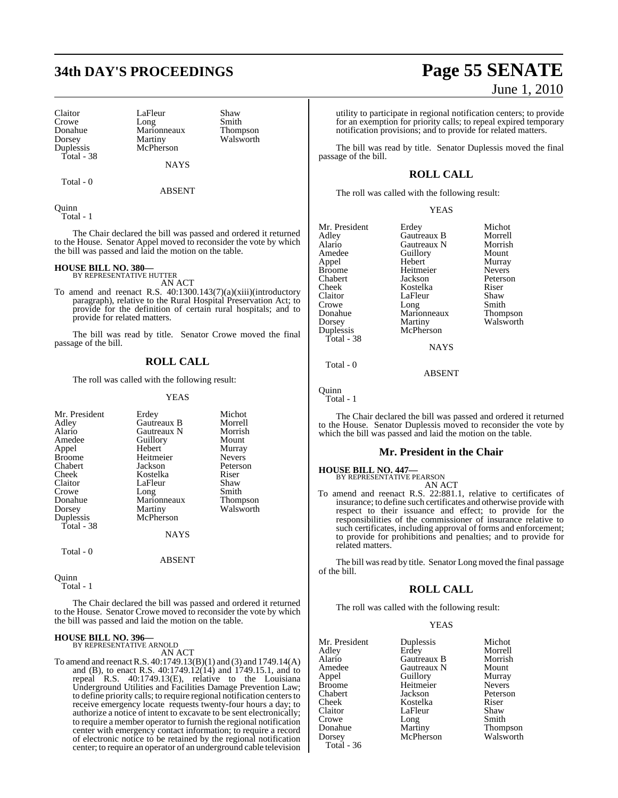# **34th DAY'S PROCEEDINGS Page 55 SENATE**

Donahue Marionneaux<br>Dorsey Martiny Duplessis Total - 38

Claitor LaFleur Shaw<br>Crowe Long Smith Crowe Long Smith<br>Donahue Marionneaux Thompson Martiny Walsworth

Total - 0

**NAYS** ABSENT

Quinn Total - 1

The Chair declared the bill was passed and ordered it returned to the House. Senator Appel moved to reconsider the vote by which the bill was passed and laid the motion on the table.

# **HOUSE BILL NO. 380—** BY REPRESENTATIVE HUTTER

AN ACT

To amend and reenact R.S. 40:1300.143(7)(a)(xiii)(introductory paragraph), relative to the Rural Hospital Preservation Act; to provide for the definition of certain rural hospitals; and to provide for related matters.

The bill was read by title. Senator Crowe moved the final passage of the bill.

### **ROLL CALL**

The roll was called with the following result:

YEAS

| Mr. President<br>Adley<br>Alario<br>Amedee<br>Appel<br><b>Broome</b><br>Chabert<br>Cheek<br>Claitor<br>Crowe<br>Donahue<br>Dorsey | Erdey<br>Gautreaux B<br>Gautreaux N<br>Guillory<br>Hebert<br>Heitmeier<br>Jackson<br>Kostelka<br>LaFleur<br>Long<br>Marionneaux<br>Martiny | Michot<br>Morrell<br>Morrish<br>Mount<br>Murray<br><b>Nevers</b><br>Peterson<br>Riser<br>Shaw<br>Smith<br>Thompson<br>Walsworth |
|-----------------------------------------------------------------------------------------------------------------------------------|--------------------------------------------------------------------------------------------------------------------------------------------|---------------------------------------------------------------------------------------------------------------------------------|
| Duplessis<br>Total - 38                                                                                                           | McPherson<br><b>NAYS</b>                                                                                                                   |                                                                                                                                 |
| Total - 0                                                                                                                         |                                                                                                                                            |                                                                                                                                 |

Quinn

Total - 1

The Chair declared the bill was passed and ordered it returned to the House. Senator Crowe moved to reconsider the vote by which the bill was passed and laid the motion on the table.

ABSENT

# **HOUSE BILL NO. 396—** BY REPRESENTATIVE ARNOLD

AN ACT

To amend and reenactR.S. 40:1749.13(B)(1) and (3) and 1749.14(A) and (B), to enact R.S. 40:1749.12(14) and 1749.15.1, and to repeal R.S. 40:1749.13(E), relative to the Louisiana Underground Utilities and Facilities Damage Prevention Law; to define priority calls; to require regional notification centers to receive emergency locate requests twenty-four hours a day; to authorize a notice of intent to excavate to be sent electronically; to require a member operator to furnish the regional notification center with emergency contact information; to require a record of electronic notice to be retained by the regional notification center; to require an operator of an underground cable television

# June 1, 2010

utility to participate in regional notification centers; to provide for an exemption for priority calls; to repeal expired temporary notification provisions; and to provide for related matters.

The bill was read by title. Senator Duplessis moved the final passage of the bill.

## **ROLL CALL**

The roll was called with the following result:

#### YEAS

Mr. President Erdey Michot<br>Adley Gautreaux B Morrell Adley Gautreaux B Morrell Alario Gautreaux N Morrish Amedee Guillory<br>Appel Hebert Appel Hebert Murray Broome Heitmeier<br>Chabert Jackson Chabert Jackson Peterson Cheek Kostelka Riser<br>Claitor LaEleur Shaw Crowe Long Smith<br>
Donahue Marionneaux Thompson Donahue Marionneaux<br>Dorsey Martiny Duplessis Total - 38

LaFleur Martiny Walsworth<br>
McPherson

ABSENT

NAYS

Quinn

Total - 0

Total - 1

The Chair declared the bill was passed and ordered it returned to the House. Senator Duplessis moved to reconsider the vote by which the bill was passed and laid the motion on the table.

#### **Mr. President in the Chair**

**HOUSE BILL NO. 447—** BY REPRESENTATIVE PEARSON

AN ACT To amend and reenact R.S. 22:881.1, relative to certificates of insurance; to define such certificates and otherwise provide with respect to their issuance and effect; to provide for the responsibilities of the commissioner of insurance relative to such certificates, including approval of forms and enforcement; to provide for prohibitions and penalties; and to provide for related matters.

The bill was read by title. Senator Long moved the final passage of the bill.

#### **ROLL CALL**

The roll was called with the following result:

#### YEAS

| Mr. President | Duplessis   | Michot        |
|---------------|-------------|---------------|
| Adley         | Erdey       | Morrell       |
| Alario        | Gautreaux B | Morrish       |
| Amedee        | Gautreaux N | Mount         |
| Appel         | Guillory    | Murray        |
| Broome        | Heitmeier   | <b>Nevers</b> |
| Chabert       | Jackson     | Peterson      |
| Cheek         | Kostelka    | Riser         |
| Claitor       | LaFleur     | Shaw          |
| Crowe         | Long        | Smith         |
| Donahue       | Martiny     | Thompson      |
| Dorsey        | McPherson   | Walsworth     |
| Total - 36    |             |               |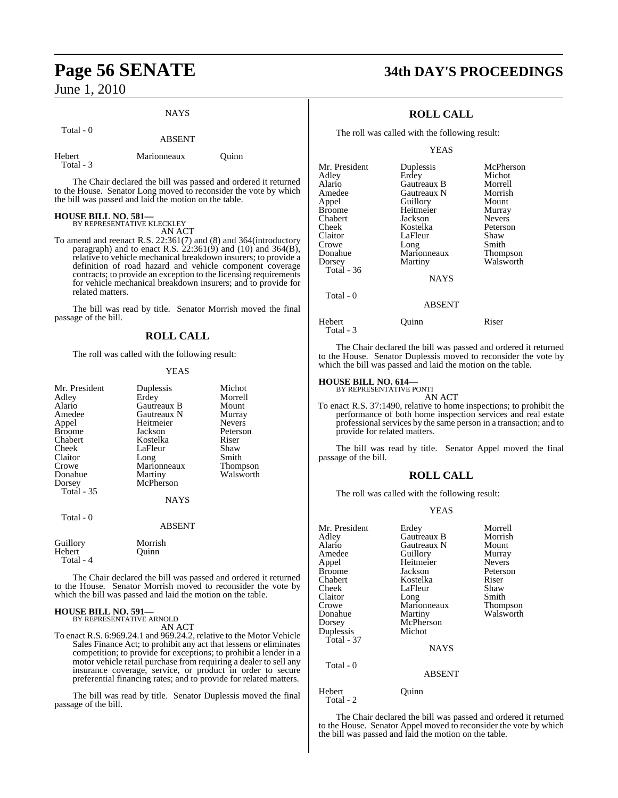Total - 0

# NAYS ABSENT

| Hebert    | Marionneaux | Ouinn |
|-----------|-------------|-------|
| Total - 3 |             |       |

The Chair declared the bill was passed and ordered it returned to the House. Senator Long moved to reconsider the vote by which the bill was passed and laid the motion on the table.

# **HOUSE BILL NO. 581—** BY REPRESENTATIVE KLECKLEY

AN ACT

To amend and reenact R.S. 22:361(7) and (8) and 364(introductory paragraph) and to enact R.S.  $22:361(9)$  and  $(10)$  and  $364(B)$ , relative to vehicle mechanical breakdown insurers; to provide a definition of road hazard and vehicle component coverage contracts; to provide an exception to the licensing requirements for vehicle mechanical breakdown insurers; and to provide for related matters.

The bill was read by title. Senator Morrish moved the final passage of the bill.

### **ROLL CALL**

The roll was called with the following result:

#### YEAS

| Mr. President       | Duplessis     | Michot        |
|---------------------|---------------|---------------|
| Adley               | Erdey         | Morrell       |
| Alario              | Gautreaux B   | Mount         |
| Amedee              | Gautreaux N   | Murray        |
| Appel               | Heitmeier     | <b>Nevers</b> |
| <b>Broome</b>       | Jackson       | Peterson      |
| Chabert             | Kostelka      | Riser         |
| Cheek               | LaFleur       | Shaw          |
| Claitor             | Long          | Smith         |
| Crowe               | Marionneaux   | Thompson      |
| Donahue             | Martiny       | Walsworth     |
| Dorsey              | McPherson     |               |
| <b>Total - 35</b>   |               |               |
|                     | NAYS          |               |
| Total - 0           |               |               |
|                     | <b>ABSENT</b> |               |
| Guillory            | Morrish       |               |
| Hebert<br>Total - 4 | Ouinn         |               |

The Chair declared the bill was passed and ordered it returned to the House. Senator Morrish moved to reconsider the vote by which the bill was passed and laid the motion on the table.

#### **HOUSE BILL NO. 591—** BY REPRESENTATIVE ARNOLD

AN ACT

To enact R.S. 6:969.24.1 and 969.24.2, relative to the Motor Vehicle Sales Finance Act; to prohibit any act that lessens or eliminates competition; to provide for exceptions; to prohibit a lender in a motor vehicle retail purchase from requiring a dealer to sell any insurance coverage, service, or product in order to secure preferential financing rates; and to provide for related matters.

The bill was read by title. Senator Duplessis moved the final passage of the bill.

# **Page 56 SENATE 34th DAY'S PROCEEDINGS**

## **ROLL CALL**

The roll was called with the following result:

#### YEAS

| Mr. President | Duplessis     | McPherson     |
|---------------|---------------|---------------|
| Adley         | Erdey         | Michot        |
| Alario        | Gautreaux B   | Morrell       |
| Amedee        | Gautreaux N   | Morrish       |
| Appel         | Guillory      | Mount         |
| Broome        | Heitmeier     | Murray        |
| Chabert       | Jackson       | <b>Nevers</b> |
| Cheek         | Kostelka      | Peterson      |
| Claitor       | LaFleur       | Shaw          |
| Crowe         | Long          | Smith         |
| Donahue       | Marionneaux   | Thompson      |
| Dorsey        | Martiny       | Walsworth     |
| Total - 36    |               |               |
|               | <b>NAYS</b>   |               |
| Total - 0     |               |               |
|               | <b>ABSENT</b> |               |

Hebert Ouinn Riser Total - 3

The Chair declared the bill was passed and ordered it returned to the House. Senator Duplessis moved to reconsider the vote by which the bill was passed and laid the motion on the table.

#### **HOUSE BILL NO. 614—**

BY REPRESENTATIVE PONTI AN ACT

To enact R.S. 37:1490, relative to home inspections; to prohibit the performance of both home inspection services and real estate professional services by the same person in a transaction; and to provide for related matters.

The bill was read by title. Senator Appel moved the final passage of the bill.

### **ROLL CALL**

The roll was called with the following result:

#### YEAS

| Mr. President<br>Adley<br>Alario<br>Amedee<br>Appel<br><b>Broome</b><br>Chabert<br>Cheek<br>Claitor<br>Crowe<br>Donahue | Erdey<br>Gautreaux B<br>Gautreaux N<br>Guillory<br>Heitmeier<br>Jackson<br>Kostelka<br>LaFleur<br>Long<br>Marionneaux<br>Martiny | Morrell<br>Morrish<br>Mount<br>Murray<br><b>Nevers</b><br>Peterson<br>Riser<br>Shaw<br>Smith<br>Thompson<br>Walsworth |
|-------------------------------------------------------------------------------------------------------------------------|----------------------------------------------------------------------------------------------------------------------------------|-----------------------------------------------------------------------------------------------------------------------|
| Dorsey<br>Duplessis<br>Total - $37$                                                                                     | McPherson<br>Michot<br><b>NAYS</b>                                                                                               |                                                                                                                       |
| Total - 0                                                                                                               | <b>ABSENT</b>                                                                                                                    |                                                                                                                       |
| Hebert<br>Total - 2                                                                                                     | Ouınn                                                                                                                            |                                                                                                                       |

The Chair declared the bill was passed and ordered it returned to the House. Senator Appel moved to reconsider the vote by which the bill was passed and laid the motion on the table.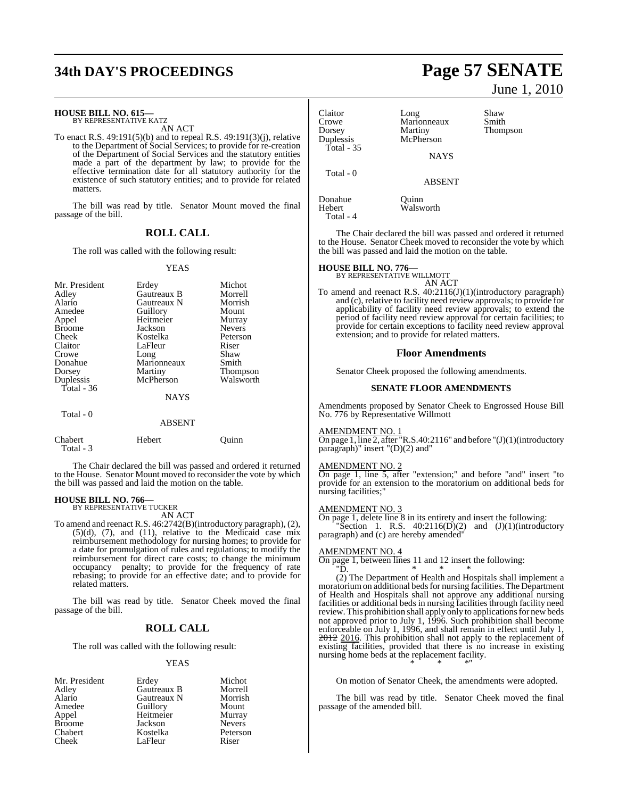#### **HOUSE BILL NO. 615—**

BY REPRESENTATIVE KATZ AN ACT

To enact R.S. 49:191(5)(b) and to repeal R.S. 49:191(3)(j), relative to the Department of Social Services; to provide for re-creation of the Department of Social Services and the statutory entities made a part of the department by law; to provide for the effective termination date for all statutory authority for the existence of such statutory entities; and to provide for related matters.

The bill was read by title. Senator Mount moved the final passage of the bill.

#### **ROLL CALL**

The roll was called with the following result:

#### YEAS

| Mr. President<br>Adley<br>Alario<br>Amedee<br>Appel<br><b>Broome</b><br>Cheek<br>Claitor<br>Crowe<br>Donahue<br>Dorsey<br>Duplessis<br>Total - $36$ | Erdey<br>Gautreaux B<br>Gautreaux N<br>Guillory<br>Heitmeier<br>Jackson<br>Kostelka<br>LaFleur<br>Long<br>Marionneaux<br>Martiny<br>McPherson | Michot<br>Morrell<br>Morrish<br>Mount<br>Murray<br><b>Nevers</b><br>Peterson<br>Riser<br>Shaw<br>Smith<br><b>Thompson</b><br>Walsworth |
|-----------------------------------------------------------------------------------------------------------------------------------------------------|-----------------------------------------------------------------------------------------------------------------------------------------------|----------------------------------------------------------------------------------------------------------------------------------------|
|                                                                                                                                                     | <b>NAYS</b>                                                                                                                                   |                                                                                                                                        |
| Total - 0                                                                                                                                           | <b>ABSENT</b>                                                                                                                                 |                                                                                                                                        |

The Chair declared the bill was passed and ordered it returned to the House. Senator Mount moved to reconsider the vote by which the bill was passed and laid the motion on the table.

#### **HOUSE BILL NO. 766—**

Total - 3

BY REPRESENTATIVE TUCKER

Chabert Hebert Quinn

- AN ACT
- To amend and reenact R.S. 46:2742(B)(introductory paragraph), (2), (5)(d), (7), and (11), relative to the Medicaid case mix reimbursement methodology for nursing homes; to provide for a date for promulgation of rules and regulations; to modify the reimbursement for direct care costs; to change the minimum occupancy penalty; to provide for the frequency of rate rebasing; to provide for an effective date; and to provide for related matters.

The bill was read by title. Senator Cheek moved the final passage of the bill.

#### **ROLL CALL**

The roll was called with the following result:

#### YEAS

| Mr. President | Erdey       | Michot        |
|---------------|-------------|---------------|
| Adley         | Gautreaux B | Morrell       |
| Alario        | Gautreaux N | Morrish       |
| Amedee        | Guillory    | Mount         |
| Appel         | Heitmeier   | Murray        |
| <b>Broome</b> | Jackson     | <b>Nevers</b> |
| Chabert       | Kostelka    | Peterson      |
| Cheek         | LaFleur     | Riser         |

# **34th DAY'S PROCEEDINGS Page 57 SENATE**

June 1, 2010

| Claitor<br>Crowe<br>Dorsey<br>Duplessis<br>Total - 35 | Long<br>Marionneaux<br>Martiny<br>McPherson | Shaw<br>Smith<br>Thompson |
|-------------------------------------------------------|---------------------------------------------|---------------------------|
|                                                       | <b>NAYS</b>                                 |                           |
| Total $-0$                                            | <b>ABSENT</b>                               |                           |

Donahue Quinn Total - 4

Walsworth

The Chair declared the bill was passed and ordered it returned to the House. Senator Cheek moved to reconsider the vote by which the bill was passed and laid the motion on the table.

# **HOUSE BILL NO. 776—** BY REPRESENTATIVE WILLMOTT

AN ACT

To amend and reenact R.S. 40:2116(J)(1)(introductory paragraph) and (c), relative to facility need review approvals; to provide for applicability of facility need review approvals; to extend the period of facility need review approval for certain facilities; to provide for certain exceptions to facility need review approval extension; and to provide for related matters.

#### **Floor Amendments**

Senator Cheek proposed the following amendments.

#### **SENATE FLOOR AMENDMENTS**

Amendments proposed by Senator Cheek to Engrossed House Bill No. 776 by Representative Willmott

#### AMENDMENT NO. 1

 $\overline{On}$  page 1, line 2, after "R.S.40:2116" and before "(J)(1)(introductory paragraph)" insert "(D)(2) and"

#### AMENDMENT NO. 2

On page 1, line 5, after "extension;" and before "and" insert "to provide for an extension to the moratorium on additional beds for nursing facilities;"

#### AMENDMENT NO. 3

On page 1, delete line 8 in its entirety and insert the following: "Section 1. R.S.  $40:2116(D)(2)$  and  $(J)(1)(introducing$ paragraph) and (c) are hereby amended"

#### AMENDMENT NO. 4

On page 1, between lines 11 and 12 insert the following: "D. \* \* \*

(2) The Department of Health and Hospitals shall implement a moratorium on additional beds for nursing facilities. The Department of Health and Hospitals shall not approve any additional nursing facilities or additional beds in nursing facilities through facility need review. This prohibition shall apply only to applications for new beds not approved prior to July 1, 1996. Such prohibition shall become enforceable on July 1, 1996, and shall remain in effect until July 1, 2012 2016. This prohibition shall not apply to the replacement of existing facilities, provided that there is no increase in existing nursing home beds at the replacement facility. \* \* \*"

On motion of Senator Cheek, the amendments were adopted.

The bill was read by title. Senator Cheek moved the final passage of the amended bill.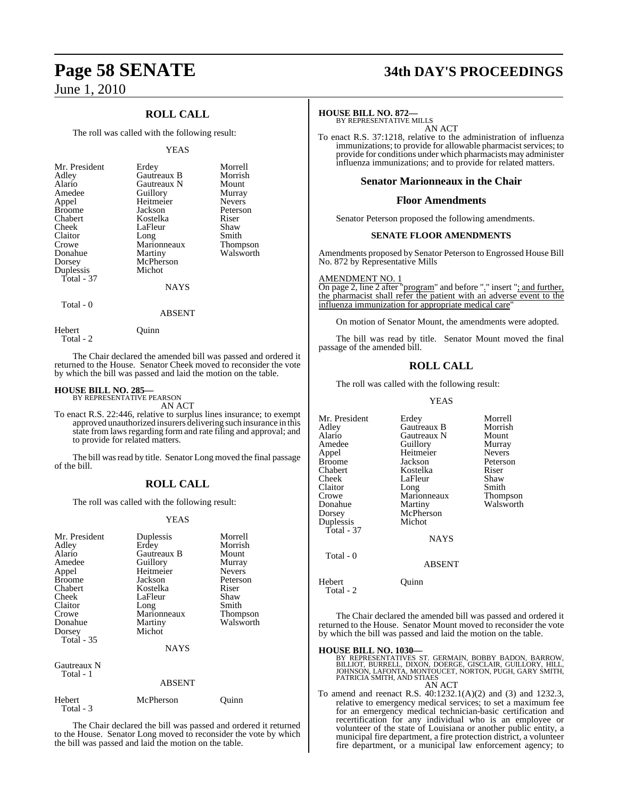## **ROLL CALL**

The roll was called with the following result:

#### YEAS

| Mr. President<br>Adley<br>Alario<br>Amedee<br>Appel<br><b>Broome</b><br>Chabert<br>Cheek<br>Claitor<br>Crowe<br>Donahue<br>Dorsey<br>Duplessis<br>Total - 37 | Erdey<br>Gautreaux B<br>Gautreaux N<br>Guillory<br>Heitmeier<br>Jackson<br>Kostelka<br>LaFleur<br>Long<br>Marionneaux<br>Martiny<br>McPherson<br>Michot | Morrell<br>Morrish<br>Mount<br>Murray<br><b>Nevers</b><br>Peterson<br>Riser<br>Shaw<br>Smith<br><b>Thompson</b><br>Walsworth |
|--------------------------------------------------------------------------------------------------------------------------------------------------------------|---------------------------------------------------------------------------------------------------------------------------------------------------------|------------------------------------------------------------------------------------------------------------------------------|
|                                                                                                                                                              | <b>NAYS</b>                                                                                                                                             |                                                                                                                              |
| Total - 0                                                                                                                                                    |                                                                                                                                                         |                                                                                                                              |

Hebert Quinn Total - 2

The Chair declared the amended bill was passed and ordered it returned to the House. Senator Cheek moved to reconsider the vote by which the bill was passed and laid the motion on the table.

ABSENT

# **HOUSE BILL NO. 285—** BY REPRESENTATIVE PEARSON

AN ACT

To enact R.S. 22:446, relative to surplus lines insurance; to exempt approved unauthorized insurers delivering such insurance in this state from laws regarding form and rate filing and approval; and to provide for related matters.

The bill was read by title. Senator Long moved the final passage of the bill.

#### **ROLL CALL**

The roll was called with the following result:

#### YEAS

| Mr. President<br>Adley<br>Alario<br>Amedee<br>Appel<br><b>Broome</b><br>Chabert<br>Cheek<br>Claitor<br>Crowe<br>Donahue<br>Dorsey<br>Total - 35 | Duplessis<br>Erdey<br>Gautreaux B<br>Guillory<br>Heitmeier<br>Jackson<br>Kostelka<br>LaFleur<br>Long<br>Marionneaux<br>Martiny<br>Michot<br><b>NAYS</b> | Morrell<br>Morrish<br>Mount<br>Murray<br><b>Nevers</b><br>Peterson<br>Riser<br>Shaw<br>Smith<br>Thompson<br>Walsworth |
|-------------------------------------------------------------------------------------------------------------------------------------------------|---------------------------------------------------------------------------------------------------------------------------------------------------------|-----------------------------------------------------------------------------------------------------------------------|
| Gautreaux N<br>Total - 1                                                                                                                        | <b>ABSENT</b>                                                                                                                                           |                                                                                                                       |
| Hebert<br>Total - 3                                                                                                                             | McPherson                                                                                                                                               | Juınn                                                                                                                 |

The Chair declared the bill was passed and ordered it returned to the House. Senator Long moved to reconsider the vote by which the bill was passed and laid the motion on the table.

# **Page 58 SENATE 34th DAY'S PROCEEDINGS**

#### **HOUSE BILL NO. 872—**

BY REPRESENTATIVE MILLS AN ACT

To enact R.S. 37:1218, relative to the administration of influenza immunizations; to provide for allowable pharmacist services; to provide for conditions under which pharmacists may administer influenza immunizations; and to provide for related matters.

#### **Senator Marionneaux in the Chair**

#### **Floor Amendments**

Senator Peterson proposed the following amendments.

#### **SENATE FLOOR AMENDMENTS**

Amendments proposed by Senator Peterson to Engrossed House Bill No. 872 by Representative Mills

AMENDMENT NO. 1 On page 2, line 2 after "program" and before "." insert "; and further, the pharmacist shall refer the patient with an adverse event to the influenza immunization for appropriate medical care

On motion of Senator Mount, the amendments were adopted.

The bill was read by title. Senator Mount moved the final passage of the amended bill.

#### **ROLL CALL**

The roll was called with the following result:

YEAS

| Mr. President       | Erdey         | Morrell       |
|---------------------|---------------|---------------|
| Adlev               | Gautreaux B   | Morrish       |
| Alario              | Gautreaux N   | Mount         |
| Amedee              | Guillory      | Murray        |
| Appel               | Heitmeier     | <b>Nevers</b> |
| Broome              | Jackson       | Peterson      |
| Chabert             | Kostelka      | Riser         |
| Cheek               | LaFleur       | Shaw          |
| Claitor             | Long          | Smith         |
| Crowe               | Marionneaux   | Thompson      |
| Donahue             | Martiny       | Walsworth     |
| Dorsey              | McPherson     |               |
| Duplessis           | Michot        |               |
| Total - 37          |               |               |
|                     | <b>NAYS</b>   |               |
| Total - 0           |               |               |
|                     | <b>ABSENT</b> |               |
| Hebert<br>Total - 2 | Ouınn         |               |
|                     |               |               |

The Chair declared the amended bill was passed and ordered it returned to the House. Senator Mount moved to reconsider the vote by which the bill was passed and laid the motion on the table.

- **HOUSE BILL NO. 1030—** BY REPRESENTATIVES ST. GERMAIN, BOBBY BADON, BARROW, BILLIOT, BURRELL, DIXON, DOERGE, GISCLAIR, GUILLORY, HILL, JOHNSON, LAFONTA, MONTOUCET, NORTON, PUGH, GARY SMITH, PATRICIA SMITH, AND STIAES AN ACT
- To amend and reenact R.S. 40:1232.1(A)(2) and (3) and 1232.3, relative to emergency medical services; to set a maximum fee for an emergency medical technician-basic certification and recertification for any individual who is an employee or volunteer of the state of Louisiana or another public entity, a municipal fire department, a fire protection district, a volunteer fire department, or a municipal law enforcement agency; to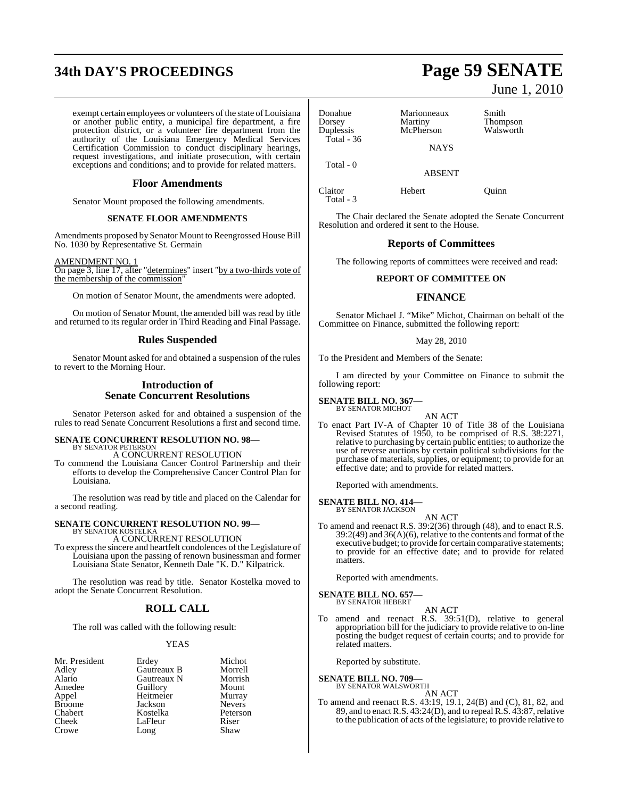# **34th DAY'S PROCEEDINGS Page 59 SENATE**

exempt certain employees or volunteers of the state of Louisiana or another public entity, a municipal fire department, a fire protection district, or a volunteer fire department from the authority of the Louisiana Emergency Medical Services Certification Commission to conduct disciplinary hearings, request investigations, and initiate prosecution, with certain exceptions and conditions; and to provide for related matters.

#### **Floor Amendments**

Senator Mount proposed the following amendments.

#### **SENATE FLOOR AMENDMENTS**

Amendments proposed by Senator Mount to Reengrossed House Bill No. 1030 by Representative St. Germain

#### AMENDMENT NO. 1

On page 3, line 17, after "determines" insert "by a two-thirds vote of the membership of the commission"

On motion of Senator Mount, the amendments were adopted.

On motion of Senator Mount, the amended bill was read by title and returned to its regular order in Third Reading and Final Passage.

#### **Rules Suspended**

Senator Mount asked for and obtained a suspension of the rules to revert to the Morning Hour.

#### **Introduction of Senate Concurrent Resolutions**

Senator Peterson asked for and obtained a suspension of the rules to read Senate Concurrent Resolutions a first and second time.

## **SENATE CONCURRENT RESOLUTION NO. 98—**

BY SENATOR PETERSON A CONCURRENT RESOLUTION

To commend the Louisiana Cancer Control Partnership and their efforts to develop the Comprehensive Cancer Control Plan for Louisiana.

The resolution was read by title and placed on the Calendar for a second reading.

#### **SENATE CONCURRENT RESOLUTION NO. 99—** BY SENATOR KOSTELKA

A CONCURRENT RESOLUTION

To expressthe sincere and heartfelt condolences of the Legislature of Louisiana upon the passing of renown businessman and former Louisiana State Senator, Kenneth Dale "K. D." Kilpatrick.

The resolution was read by title. Senator Kostelka moved to adopt the Senate Concurrent Resolution.

#### **ROLL CALL**

The roll was called with the following result:

#### YEAS

| Mr. President | Erdey       | Michot        |
|---------------|-------------|---------------|
| Adley         | Gautreaux B | Morrell       |
| Alario        | Gautreaux N | Morrish       |
| Amedee        | Guillory    | Mount         |
| Appel         | Heitmeier   | Murray        |
| <b>Broome</b> | Jackson     | <b>Nevers</b> |
| Chabert       | Kostelka    | Peterson      |
| Cheek         | LaFleur     | Riser         |
| Crowe         | Long        | Shaw          |

June 1, 2010

| Donahue<br>Dorsey         | Marionneaux<br>Martiny | Smith<br>Thompson |
|---------------------------|------------------------|-------------------|
| Duplessis<br>Total - $36$ | McPherson              | Walsworth         |
|                           | <b>NAYS</b>            |                   |
| Total $-0$                | <b>ABSENT</b>          |                   |
| Claitor<br>Total - 3      | Hebert                 | Ouinn             |

The Chair declared the Senate adopted the Senate Concurrent Resolution and ordered it sent to the House.

#### **Reports of Committees**

The following reports of committees were received and read:

#### **REPORT OF COMMITTEE ON**

#### **FINANCE**

Senator Michael J. "Mike" Michot, Chairman on behalf of the Committee on Finance, submitted the following report:

#### May 28, 2010

To the President and Members of the Senate:

I am directed by your Committee on Finance to submit the following report:

#### **SENATE BILL NO. 367—** BY SENATOR MICHOT

AN ACT

To enact Part IV-A of Chapter 10 of Title 38 of the Louisiana Revised Statutes of 1950, to be comprised of R.S. 38:2271, relative to purchasing by certain public entities; to authorize the use of reverse auctions by certain political subdivisions for the purchase of materials, supplies, or equipment; to provide for an effective date; and to provide for related matters.

Reported with amendments.

**SENATE BILL NO. 414—** BY SENATOR JACKSON

AN ACT

To amend and reenact R.S. 39:2(36) through (48), and to enact R.S. 39:2(49) and 36(A)(6), relative to the contents and format of the executive budget; to provide for certain comparative statements; to provide for an effective date; and to provide for related matters.

Reported with amendments.

# **SENATE BILL NO. 657—** BY SENATOR HEBERT

AN ACT

To amend and reenact R.S. 39:51(D), relative to general appropriation bill for the judiciary to provide relative to on-line posting the budget request of certain courts; and to provide for related matters.

Reported by substitute.

#### **SENATE BILL NO. 709—**

BY SENATOR WALSWORTH AN ACT

To amend and reenact R.S. 43:19, 19.1, 24(B) and (C), 81, 82, and 89, and to enact R.S. 43:24(D), and to repeal R.S. 43:87, relative to the publication of acts of the legislature; to provide relative to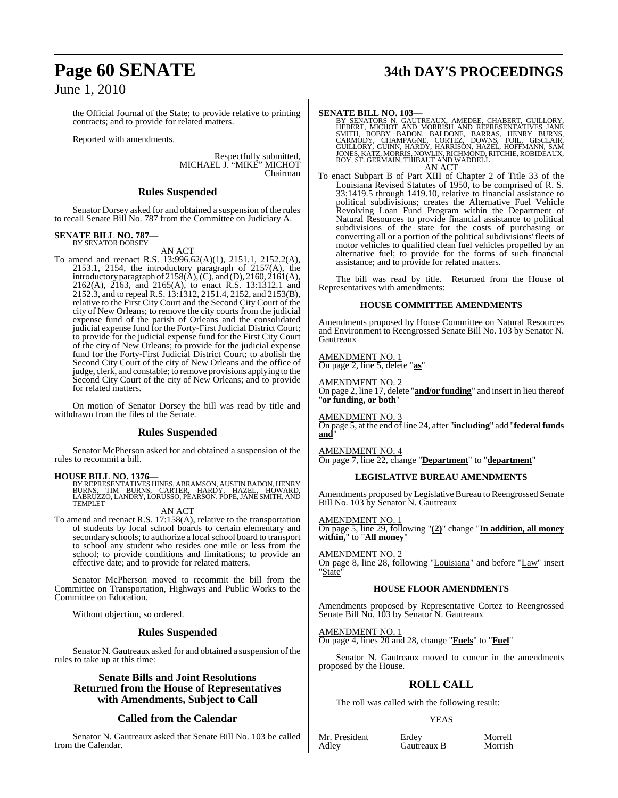the Official Journal of the State; to provide relative to printing contracts; and to provide for related matters.

Reported with amendments.

Respectfully submitted, MICHAEL J. "MIKE" MICHOT Chairman

#### **Rules Suspended**

Senator Dorsey asked for and obtained a suspension of the rules to recall Senate Bill No. 787 from the Committee on Judiciary A.

#### **SENATE BILL NO. 787—** BY SENATOR DORSEY

AN ACT

To amend and reenact R.S. 13:996.62(A)(1), 2151.1, 2152.2(A), 2153.1, 2154, the introductory paragraph of 2157(A), the introductory paragraph of 2158(A),  $(C)$ , and  $(D)$ , 2160, 2161(A), 2162(A), 2163, and 2165(A), to enact R.S. 13:1312.1 and 2152.3, and to repeal R.S. 13:1312, 2151.4, 2152, and 2153(B), relative to the First City Court and the Second City Court of the city of New Orleans; to remove the city courts from the judicial expense fund of the parish of Orleans and the consolidated judicial expense fund for the Forty-First Judicial District Court; to provide for the judicial expense fund for the First City Court of the city of New Orleans; to provide for the judicial expense fund for the Forty-First Judicial District Court; to abolish the Second City Court of the city of New Orleans and the office of judge, clerk, and constable; to remove provisions applying to the Second City Court of the city of New Orleans; and to provide for related matters.

On motion of Senator Dorsey the bill was read by title and withdrawn from the files of the Senate.

#### **Rules Suspended**

Senator McPherson asked for and obtained a suspension of the rules to recommit a bill.

#### **HOUSE BILL NO. 1376—**

BY REPRESENTATIVES HINES, ABRAMSON, AUSTIN BADON, HENRY<br>BURNS, TIM BURNS, CARTER, HARDY, HAZEL, HOWARD,<br>LABRUZZO, LANDRY, LORUSSO, PEARSON, POPE, JANE SMITH, AND TEMPLET

#### AN ACT

To amend and reenact R.S. 17:158(A), relative to the transportation of students by local school boards to certain elementary and secondary schools; to authorize a local school board to transport to school any student who resides one mile or less from the school; to provide conditions and limitations; to provide an effective date; and to provide for related matters.

Senator McPherson moved to recommit the bill from the Committee on Transportation, Highways and Public Works to the Committee on Education.

Without objection, so ordered.

#### **Rules Suspended**

Senator N. Gautreaux asked for and obtained a suspension of the rules to take up at this time:

#### **Senate Bills and Joint Resolutions Returned from the House of Representatives with Amendments, Subject to Call**

#### **Called from the Calendar**

Senator N. Gautreaux asked that Senate Bill No. 103 be called from the Calendar.

# **Page 60 SENATE 34th DAY'S PROCEEDINGS**

SENATE BILL NO. 103—<br>
BY SENATORS N. GAUTREAUX, AMEDEE, CHABERT, GUILLORY, HEBERT, MICHOT AND MORRISH AND REPRESENTATIVES JANE<br>
SMITH, BOBBY BADON, BALDONE, BARRAS, HENRY BURNS, CARMODY, CHAMPAGNE, CORTEZ, DOWNS, FOIL, GI

To enact Subpart B of Part XIII of Chapter 2 of Title 33 of the To enact Subpart B of Part XIII of Chapter 2 of Title 33 of the Louisiana Revised Statutes of 1950, to be comprised of R. S. 33:1419.5 through 1419.10, relative to financial assistance to political subdivisions; creates the Alternative Fuel Vehicle Revolving Loan Fund Program within the Department of Natural Resources to provide financial assistance to political subdivisions of the state for the costs of purchasing or converting all or a portion of the political subdivisions' fleets of motor vehicles to qualified clean fuel vehicles propelled by an alternative fuel; to provide for the forms of such financial assistance; and to provide for related matters.

The bill was read by title. Returned from the House of Representatives with amendments:

#### **HOUSE COMMITTEE AMENDMENTS**

Amendments proposed by House Committee on Natural Resources and Environment to Reengrossed Senate Bill No. 103 by Senator N. Gautreaux

AMENDMENT NO. 1 On page 2, line 5, delete "**as**"

AMENDMENT NO. 2 On page 2, line 17, delete "**and/or funding**" and insert in lieu thereof "**or funding, or both**"

AMENDMENT NO. 3 On page 5, at the end of line 24, after "**including**" add "**federal funds and**"

AMENDMENT NO. 4

On page 7, line 22, change "**Department**" to "**department**"

#### **LEGISLATIVE BUREAU AMENDMENTS**

Amendments proposed by Legislative Bureau to Reengrossed Senate Bill No. 103 by Senator N. Gautreaux

#### AMENDMENT NO. 1

On page 5, line 29, following "**(2)**" change "**In addition, all money within,**" to "**All money**"

#### **AMENDMENT NO.**

On page 8, line 28, following "Louisiana" and before "Law" insert "State'

## **HOUSE FLOOR AMENDMENTS**

Amendments proposed by Representative Cortez to Reengrossed Senate Bill No. 103 by Senator N. Gautreaux

#### AMENDMENT NO. 1

On page 4, lines 20 and 28, change "**Fuels**" to "**Fuel**"

Senator N. Gautreaux moved to concur in the amendments proposed by the House.

## **ROLL CALL**

The roll was called with the following result:

#### YEAS

Mr. President Erdey Morrell<br>Adley Gautreaux B Morrish

Gautreaux B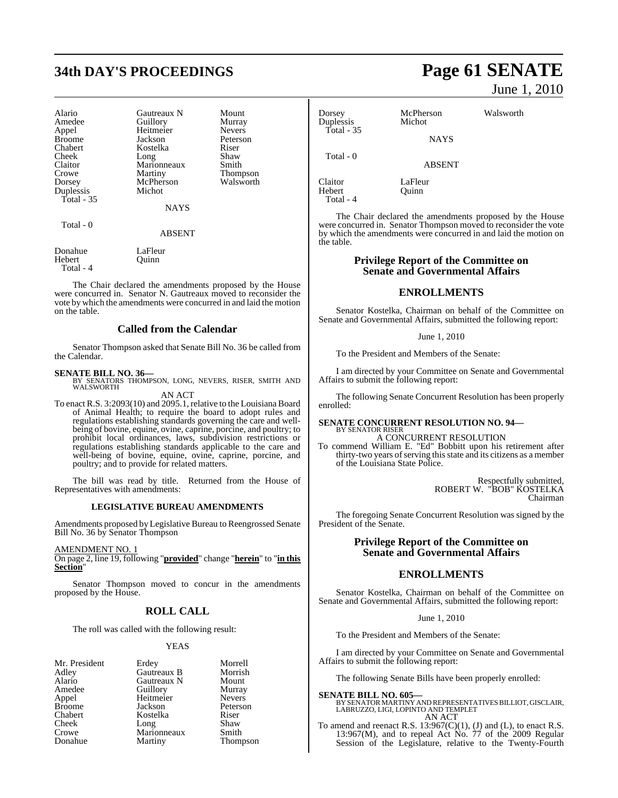# **34th DAY'S PROCEEDINGS Page 61 SENATE**

| Alario        | Gautreaux N | Mount           |
|---------------|-------------|-----------------|
| Amedee        | Guillory    | Murray          |
| Appel         | Heitmeier   | <b>Nevers</b>   |
| <b>Broome</b> | Jackson     | Peterson        |
| Chabert       | Kostelka    | Riser           |
| Cheek         | Long        | Shaw            |
| Claitor       | Marionneaux | Smith           |
| Crowe         | Martiny     | <b>Thompson</b> |
| Dorsey        | McPherson   | Walsworth       |
| Duplessis     | Michot      |                 |
| Total $-35$   |             |                 |
|               | <b>NAYS</b> |                 |
| m. 1 0        |             |                 |

Total - 0

ABSENT

Donahue LaFleur<br>Hebert Ouinn Quinn Total - 4

The Chair declared the amendments proposed by the House were concurred in. Senator N. Gautreaux moved to reconsider the vote by which the amendments were concurred in and laid the motion on the table.

#### **Called from the Calendar**

Senator Thompson asked that Senate Bill No. 36 be called from the Calendar.

**SENATE BILL NO. 36—**<br>BY SENATORS THOMPSON, LONG, NEVERS, RISER, SMITH AND WALSWORTH AN ACT

To enact R.S. 3:2093(10) and 2095.1, relative to the Louisiana Board of Animal Health; to require the board to adopt rules and regulations establishing standards governing the care and wellbeing of bovine, equine, ovine, caprine, porcine, and poultry; to prohibit local ordinances, laws, subdivision restrictions or regulations establishing standards applicable to the care and well-being of bovine, equine, ovine, caprine, porcine, and poultry; and to provide for related matters.

The bill was read by title. Returned from the House of Representatives with amendments:

#### **LEGISLATIVE BUREAU AMENDMENTS**

Amendments proposed by Legislative Bureau to Reengrossed Senate Bill No. 36 by Senator Thompson

AMENDMENT NO. 1

On page 2, line 19, following "**provided**" change "**herein**" to "**in this Section**"

Senator Thompson moved to concur in the amendments proposed by the House.

#### **ROLL CALL**

The roll was called with the following result:

#### YEAS

Mr. President Erdey Morrell<br>Adley Gautreaux B Morrish Adley Gautreaux B Morrish Crowe Marionneaux<br>Donahue Martiny

Alario Gautreaux N Mount<br>Amedee Guillory Murray Guillory Murray<br>
Heitmeier Nevers Appel Heitmeier Nevers<br>Broome Jackson Peterson Broome Jackson Peterson Chabert Kostelka Riser Long Shaw<br>Marionneaux Smith

Thompson

June 1, 2010

| Dorsey<br>Duplessis | McPherson<br>Michot | Walsworth |
|---------------------|---------------------|-----------|
| Total - $35$        | <b>NAYS</b>         |           |
| Total - 0           | <b>ABSENT</b>       |           |
| Claitor             | LaFleur             |           |

Hebert Quinn Total - 4

The Chair declared the amendments proposed by the House were concurred in. Senator Thompson moved to reconsider the vote by which the amendments were concurred in and laid the motion on the table.

#### **Privilege Report of the Committee on Senate and Governmental Affairs**

#### **ENROLLMENTS**

Senator Kostelka, Chairman on behalf of the Committee on Senate and Governmental Affairs, submitted the following report:

June 1, 2010

To the President and Members of the Senate:

I am directed by your Committee on Senate and Governmental Affairs to submit the following report:

The following Senate Concurrent Resolution has been properly enrolled:

#### **SENATE CONCURRENT RESOLUTION NO. 94—** BY SENATOR RISER

A CONCURRENT RESOLUTION

To commend William E. "Ed" Bobbitt upon his retirement after thirty-two years of serving this state and its citizens as a member of the Louisiana State Police.

> Respectfully submitted, ROBERT W. "BOB" KOSTELKA Chairman

The foregoing Senate Concurrent Resolution was signed by the President of the Senate.

#### **Privilege Report of the Committee on Senate and Governmental Affairs**

#### **ENROLLMENTS**

Senator Kostelka, Chairman on behalf of the Committee on Senate and Governmental Affairs, submitted the following report:

June 1, 2010

To the President and Members of the Senate:

I am directed by your Committee on Senate and Governmental Affairs to submit the following report:

The following Senate Bills have been properly enrolled:

**SENATE BILL NO. 605—** BY SENATOR MARTINY AND REPRESENTATIVES BILLIOT, GISCLAIR, LABRUZZO, LIGI, LOPINTO AND TEMPLET AN ACT

To amend and reenact R.S.  $13:967(C)(1)$ , (J) and (L), to enact R.S. 13:967(M), and to repeal Act No. 77 of the 2009 Regular Session of the Legislature, relative to the Twenty-Fourth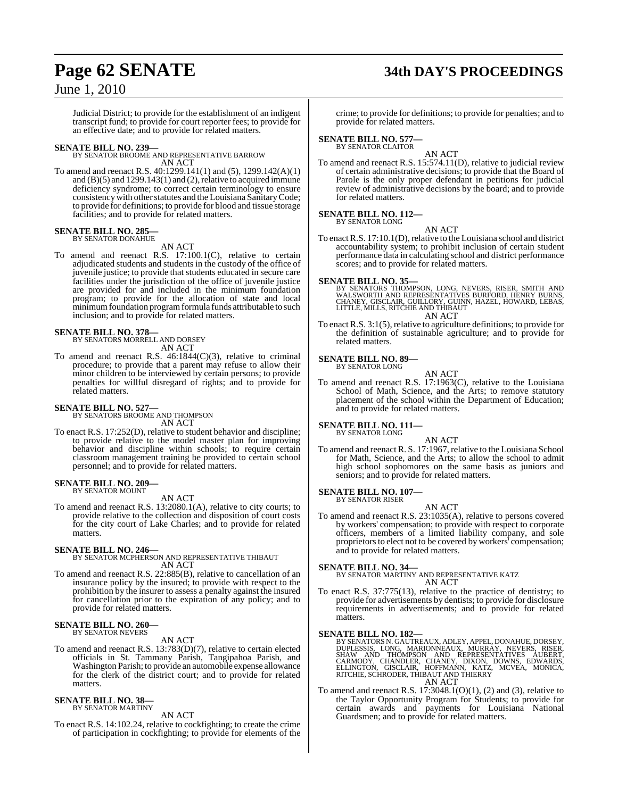# **Page 62 SENATE 34th DAY'S PROCEEDINGS**

## June 1, 2010

Judicial District; to provide for the establishment of an indigent transcript fund; to provide for court reporter fees; to provide for an effective date; and to provide for related matters.

**SENATE BILL NO. 239—** BY SENATOR BROOME AND REPRESENTATIVE BARROW AN ACT

To amend and reenact R.S. 40:1299.141(1) and (5), 1299.142(A)(1) and  $(B)(5)$  and  $1299.143(1)$  and  $(2)$ , relative to acquired immune deficiency syndrome; to correct certain terminology to ensure consistency with other statutes and the Louisiana Sanitary Code; to provide for definitions; to provide for blood and tissue storage facilities; and to provide for related matters.

#### **SENATE BILL NO. 285—** BY SENATOR DONAHUE

AN ACT

To amend and reenact R.S. 17:100.1(C), relative to certain adjudicated students and students in the custody of the office of juvenile justice; to provide that students educated in secure care facilities under the jurisdiction of the office of juvenile justice are provided for and included in the minimum foundation program; to provide for the allocation of state and local minimum foundation program formula funds attributable to such inclusion; and to provide for related matters.

# **SENATE BILL NO. 378—** BY SENATORS MORRELL AND DORSEY

AN ACT

To amend and reenact R.S. 46:1844(C)(3), relative to criminal procedure; to provide that a parent may refuse to allow their minor children to be interviewed by certain persons; to provide penalties for willful disregard of rights; and to provide for related matters.

# **SENATE BILL NO. 527—** BY SENATORS BROOME AND THOMPSON

AN ACT

To enact R.S. 17:252(D), relative to student behavior and discipline; to provide relative to the model master plan for improving behavior and discipline within schools; to require certain classroom management training be provided to certain school personnel; and to provide for related matters.

#### **SENATE BILL NO. 209—** BY SENATOR MOUNT

AN ACT

To amend and reenact R.S. 13:2080.1(A), relative to city courts; to provide relative to the collection and disposition of court costs for the city court of Lake Charles; and to provide for related matters.

**SENATE BILL NO. 246—** BY SENATOR MCPHERSON AND REPRESENTATIVE THIBAUT AN ACT

To amend and reenact R.S. 22:885(B), relative to cancellation of an insurance policy by the insured; to provide with respect to the prohibition by the insurer to assess a penalty against the insured for cancellation prior to the expiration of any policy; and to provide for related matters.

#### **SENATE BILL NO. 260—** BY SENATOR NEVERS

AN ACT

To amend and reenact R.S. 13:783(D)(7), relative to certain elected officials in St. Tammany Parish, Tangipahoa Parish, and Washington Parish; to provide an automobile expense allowance for the clerk of the district court; and to provide for related matters.

# **SENATE BILL NO. 38—** BY SENATOR MARTINY

AN ACT

To enact R.S. 14:102.24, relative to cockfighting; to create the crime of participation in cockfighting; to provide for elements of the

crime; to provide for definitions; to provide for penalties; and to provide for related matters.

# **SENATE BILL NO. 577—** BY SENATOR CLAITOR

AN ACT To amend and reenact R.S. 15:574.11(D), relative to judicial review of certain administrative decisions; to provide that the Board of Parole is the only proper defendant in petitions for judicial review of administrative decisions by the board; and to provide for related matters.

#### **SENATE BILL NO. 112—** BY SENATOR LONG

AN ACT

To enact R.S. 17:10.1(D), relative to the Louisiana school and district accountability system; to prohibit inclusion of certain student performance data in calculating school and district performance scores; and to provide for related matters.

**SENATE BILL NO. 35—**<br>BY SENATORS THOMPSON, LONG, NEVERS, RISER, SMITH AND<br>WALSWORTH AND REPRESENTATIVES BURFORD, HENRY BURNS,<br>CHANEY, GISCLAIR, GUILLORY, GUINN, HAZEL, HOWARD, LEBAS, LITTLE, MILLS, RITCHIE AND THIBAUT AN ACT

To enact R.S. 3:1(5), relative to agriculture definitions; to provide for the definition of sustainable agriculture; and to provide for related matters.

#### **SENATE BILL NO. 89—** BY SENATOR LONG

AN ACT

To amend and reenact R.S. 17:1963(C), relative to the Louisiana School of Math, Science, and the Arts; to remove statutory placement of the school within the Department of Education; and to provide for related matters.

#### **SENATE BILL NO. 111—** BY SENATOR LONG

AN ACT To amend and reenact R. S. 17:1967, relative to the Louisiana School for Math, Science, and the Arts; to allow the school to admit high school sophomores on the same basis as juniors and seniors; and to provide for related matters.

#### **SENATE BILL NO. 107—** BY SENATOR RISER

AN ACT

To amend and reenact R.S. 23:1035(A), relative to persons covered by workers' compensation; to provide with respect to corporate officers, members of a limited liability company, and sole proprietors to elect not to be covered by workers' compensation; and to provide for related matters.

**SENATE BILL NO. 34—** BY SENATOR MARTINY AND REPRESENTATIVE KATZ AN ACT

To enact R.S. 37:775(13), relative to the practice of dentistry; to provide for advertisements by dentists; to provide for disclosure requirements in advertisements; and to provide for related matters.

#### **SENATE BILL NO. 182—**

BY SENATORS N. GAUTREAUX, ADLEY, APPEL, DONAHUE, DORSEY,<br>DUPLESSIS, LONG, MARIONNEAUX, MURRAY, NEVERS, RISER,<br>SHAW AND THOMPSON AND REPRESENTATIVES AUBERT,<br>CARMODY, CHANDLER, CHANEY, DIXON, DOWNS AN ACT

To amend and reenact R.S. 17:3048.1(O)(1), (2) and (3), relative to the Taylor Opportunity Program for Students; to provide for certain awards and payments for Louisiana National Guardsmen; and to provide for related matters.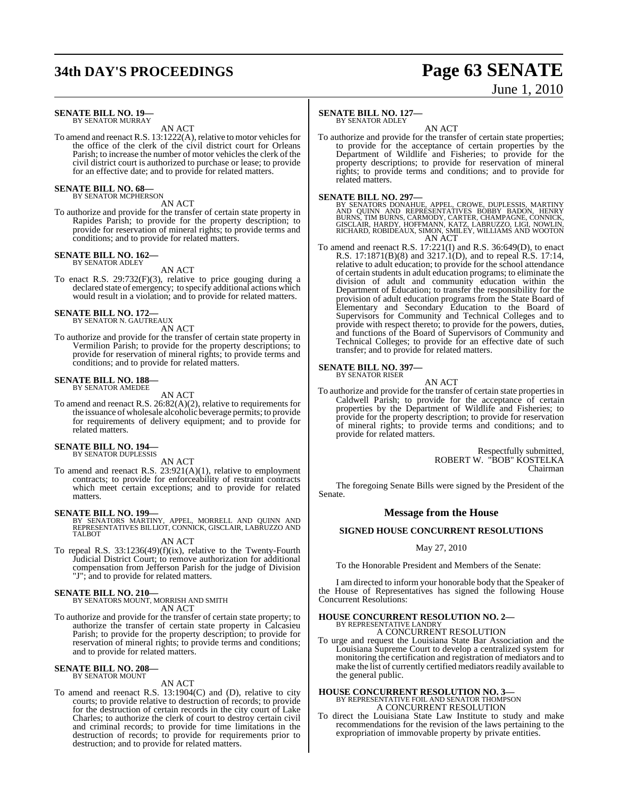# **34th DAY'S PROCEEDINGS Page 63 SENATE**

# June 1, 2010

#### **SENATE BILL NO. 19—** BY SENATOR MURRAY

AN ACT

To amend and reenact R.S. 13:1222(A), relative to motor vehicles for the office of the clerk of the civil district court for Orleans Parish; to increase the number of motor vehicles the clerk of the civil district court is authorized to purchase or lease; to provide for an effective date; and to provide for related matters.

#### **SENATE BILL NO. 68—** BY SENATOR MCPHERSON

## AN ACT

To authorize and provide for the transfer of certain state property in Rapides Parish; to provide for the property description; to provide for reservation of mineral rights; to provide terms and conditions; and to provide for related matters.

#### **SENATE BILL NO. 162—** BY SENATOR ADLEY

AN ACT

To enact R.S. 29:732(F)(3), relative to price gouging during a declared state of emergency; to specify additional actions which would result in a violation; and to provide for related matters.

# **SENATE BILL NO. 172—** BY SENATOR N. GAUTREAUX

AN ACT

To authorize and provide for the transfer of certain state property in Vermilion Parish; to provide for the property descriptions; to provide for reservation of mineral rights; to provide terms and conditions; and to provide for related matters.

#### **SENATE BILL NO. 188—** BY SENATOR AMEDEE

AN ACT

To amend and reenact R.S. 26:82(A)(2), relative to requirements for the issuance of wholesale alcoholic beverage permits; to provide for requirements of delivery equipment; and to provide for related matters.

#### **SENATE BILL NO. 194—**

BY SENATOR DUPLESSIS

AN ACT To amend and reenact R.S. 23:921(A)(1), relative to employment contracts; to provide for enforceability of restraint contracts which meet certain exceptions; and to provide for related matters.

#### **SENATE BILL NO. 199—**

BY SENATORS MARTINY, APPEL, MORRELL AND QUINN AND<br>REPRESENTATIVES BILLIOT, CONNICK, GISCLAIR, LABRUZZO AND<br>TALBOT

AN ACT

To repeal R.S. 33:1236(49)(f)(ix), relative to the Twenty-Fourth Judicial District Court; to remove authorization for additional compensation from Jefferson Parish for the judge of Division "J"; and to provide for related matters.

#### **SENATE BILL NO. 210—**

BY SENATORS MOUNT, MORRISH AND SMITH

AN ACT

To authorize and provide for the transfer of certain state property; to authorize the transfer of certain state property in Calcasieu Parish; to provide for the property description; to provide for reservation of mineral rights; to provide terms and conditions; and to provide for related matters.

# **SENATE BILL NO. 208—** BY SENATOR MOUNT

#### AN ACT

To amend and reenact R.S. 13:1904(C) and (D), relative to city courts; to provide relative to destruction of records; to provide for the destruction of certain records in the city court of Lake Charles; to authorize the clerk of court to destroy certain civil and criminal records; to provide for time limitations in the destruction of records; to provide for requirements prior to destruction; and to provide for related matters.

#### **SENATE BILL NO. 127—**

BY SENATOR ADLEY

AN ACT To authorize and provide for the transfer of certain state properties; to provide for the acceptance of certain properties by the Department of Wildlife and Fisheries; to provide for the property descriptions; to provide for reservation of mineral rights; to provide terms and conditions; and to provide for related matters.

**SENATE BILL NO. 297—**<br>BY SENATORS DONAHUE, APPEL, CROWE, DUPLESSIS, MARTINY<br>AND QUINN AND REPRESENTATIVES BOBBY BADON, HENRY<br>BURNS, TIM BURNS, CARMODY, CARTER, CHAMPAGNE, CONNICK,<br>GISCLAIR, HARDY, HOFFMANN, KATZ, LABRUZZO AN ACT

To amend and reenact R.S. 17:221(I) and R.S. 36:649(D), to enact R.S. 17:1871(B)(8) and 3217.1(D), and to repeal R.S. 17:14, relative to adult education; to provide for the school attendance of certain students in adult education programs; to eliminate the division of adult and community education within the Department of Education; to transfer the responsibility for the provision of adult education programs from the State Board of Elementary and Secondary Education to the Board of Supervisors for Community and Technical Colleges and to provide with respect thereto; to provide for the powers, duties, and functions of the Board of Supervisors of Community and Technical Colleges; to provide for an effective date of such transfer; and to provide for related matters.

# **SENATE BILL NO. 397—** BY SENATOR RISER

AN ACT

To authorize and provide for the transfer of certain state propertiesin Caldwell Parish; to provide for the acceptance of certain properties by the Department of Wildlife and Fisheries; to provide for the property description; to provide for reservation of mineral rights; to provide terms and conditions; and to provide for related matters.

> Respectfully submitted, ROBERT W. "BOB" KOSTELKA Chairman

The foregoing Senate Bills were signed by the President of the Senate.

#### **Message from the House**

#### **SIGNED HOUSE CONCURRENT RESOLUTIONS**

May 27, 2010

To the Honorable President and Members of the Senate:

I am directed to inform your honorable body that the Speaker of the House of Representatives has signed the following House Concurrent Resolutions:

#### **HOUSE CONCURRENT RESOLUTION NO. 2—**

BY REPRESENTATIVE LANDRY A CONCURRENT RESOLUTION

To urge and request the Louisiana State Bar Association and the Louisiana Supreme Court to develop a centralized system for monitoring the certification and registration of mediators and to make the list of currently certified mediators readily available to the general public.

# **HOUSE CONCURRENT RESOLUTION NO. 3—** BY REPRESENTATIVE FOIL AND SENATOR THOMPSON

A CONCURRENT RESOLUTION

To direct the Louisiana State Law Institute to study and make recommendations for the revision of the laws pertaining to the expropriation of immovable property by private entities.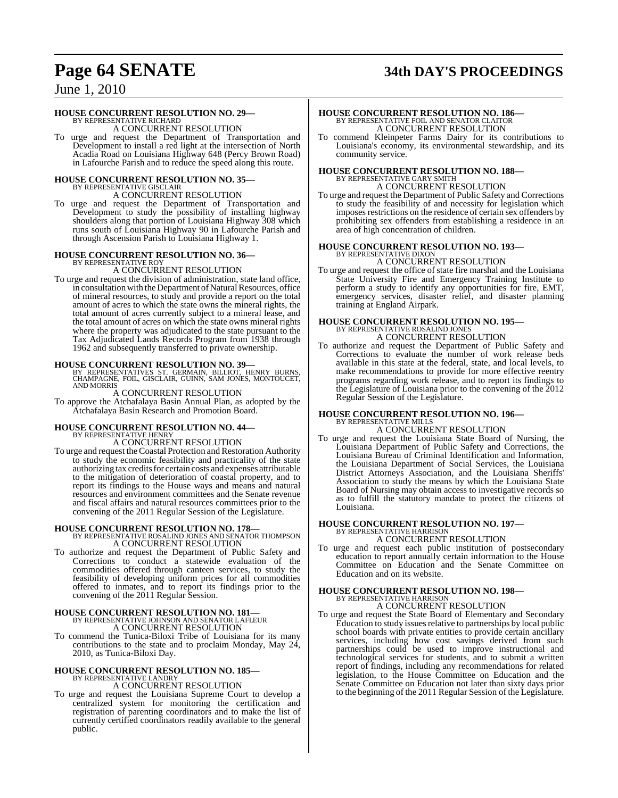# **Page 64 SENATE 34th DAY'S PROCEEDINGS**

June 1, 2010

#### **HOUSE CONCURRENT RESOLUTION NO. 29—**

BY REPRESENTATIVE RICHARD A CONCURRENT RESOLUTION

To urge and request the Department of Transportation and Development to install a red light at the intersection of North Acadia Road on Louisiana Highway 648 (Percy Brown Road) in Lafourche Parish and to reduce the speed along this route.

# **HOUSE CONCURRENT RESOLUTION NO. 35—** BY REPRESENTATIVE GISCLAIR A CONCURRENT RESOLUTION

To urge and request the Department of Transportation and Development to study the possibility of installing highway shoulders along that portion of Louisiana Highway 308 which runs south of Louisiana Highway 90 in Lafourche Parish and through Ascension Parish to Louisiana Highway 1.

#### **HOUSE CONCURRENT RESOLUTION NO. 36—**

BY REPRESENTATIVE ROY A CONCURRENT RESOLUTION

To urge and request the division of administration, state land office, in consultation with the Department of Natural Resources, office of mineral resources, to study and provide a report on the total amount of acres to which the state owns the mineral rights, the total amount of acres currently subject to a mineral lease, and the total amount of acres on which the state owns mineral rights where the property was adjudicated to the state pursuant to the Tax Adjudicated Lands Records Program from 1938 through 1962 and subsequently transferred to private ownership.

**HOUSE CONCURRENT RESOLUTION NO. 39—** BY REPRESENTATIVES ST. GERMAIN, BILLIOT, HENRY BURNS, CHAMPAGNE, FOIL, GISCLAIR, GUINN, SAM JONES, MONTOUCET, AND MORRIS

A CONCURRENT RESOLUTION

To approve the Atchafalaya Basin Annual Plan, as adopted by the Atchafalaya Basin Research and Promotion Board.

# **HOUSE CONCURRENT RESOLUTION NO. 44—** BY REPRESENTATIVE HENRY

A CONCURRENT RESOLUTION

To urge and request theCoastal Protection and Restoration Authority to study the economic feasibility and practicality of the state authorizing tax credits for certain costs and expenses attributable to the mitigation of deterioration of coastal property, and to report its findings to the House ways and means and natural resources and environment committees and the Senate revenue and fiscal affairs and natural resources committees prior to the convening of the 2011 Regular Session of the Legislature.

#### **HOUSE CONCURRENT RESOLUTION NO. 178—** BY REPRESENTATIVE ROSALIND JONES AND SENATOR THOMPSON A CONCURRENT RESOLUTION

To authorize and request the Department of Public Safety and Corrections to conduct a statewide evaluation of the commodities offered through canteen services, to study the feasibility of developing uniform prices for all commodities offered to inmates, and to report its findings prior to the convening of the 2011 Regular Session.

# **HOUSE CONCURRENT RESOLUTION NO. 181—** BY REPRESENTATIVE JOHNSON AND SENATOR LAFLEUR A CONCURRENT RESOLUTION

To commend the Tunica-Biloxi Tribe of Louisiana for its many contributions to the state and to proclaim Monday, May 24, 2010, as Tunica-Biloxi Day.

# **HOUSE CONCURRENT RESOLUTION NO. 185—** BY REPRESENTATIVE LANDRY

A CONCURRENT RESOLUTION

To urge and request the Louisiana Supreme Court to develop a centralized system for monitoring the certification and registration of parenting coordinators and to make the list of currently certified coordinators readily available to the general public.

# **HOUSE CONCURRENT RESOLUTION NO. 186—** BY REPRESENTATIVE FOIL AND SENATOR CLAITOR A CONCURRENT RESOLUTION

To commend Kleinpeter Farms Dairy for its contributions to Louisiana's economy, its environmental stewardship, and its community service.

## **HOUSE CONCURRENT RESOLUTION NO. 188—** BY REPRESENTATIVE GARY SMITH A CONCURRENT RESOLUTION

To urge and request the Department of Public Safety and Corrections to study the feasibility of and necessity for legislation which imposes restrictions on the residence of certain sex offenders by prohibiting sex offenders from establishing a residence in an area of high concentration of children.

## **HOUSE CONCURRENT RESOLUTION NO. 193—** BY REPRESENTATIVE DIXON A CONCURRENT RESOLUTION

To urge and request the office of state fire marshal and the Louisiana State University Fire and Emergency Training Institute to perform a study to identify any opportunities for fire, EMT, emergency services, disaster relief, and disaster planning training at England Airpark.

# **HOUSE CONCURRENT RESOLUTION NO. 195—** BY REPRESENTATIVE ROSALIND JONES

A CONCURRENT RESOLUTION

To authorize and request the Department of Public Safety and Corrections to evaluate the number of work release beds available in this state at the federal, state, and local levels, to make recommendations to provide for more effective reentry programs regarding work release, and to report its findings to the Legislature of Louisiana prior to the convening of the 2012 Regular Session of the Legislature.

#### **HOUSE CONCURRENT RESOLUTION NO. 196—** BY REPRESENTATIVE MILLS

A CONCURRENT RESOLUTION To urge and request the Louisiana State Board of Nursing, the Louisiana Department of Public Safety and Corrections, the Louisiana Bureau of Criminal Identification and Information, the Louisiana Department of Social Services, the Louisiana District Attorneys Association, and the Louisiana Sheriffs' Association to study the means by which the Louisiana State Board of Nursing may obtain access to investigative records so

as to fulfill the statutory mandate to protect the citizens of

#### Louisiana. **HOUSE CONCURRENT RESOLUTION NO. 197—** BY REPRESENTATIVE HARRISON

A CONCURRENT RESOLUTION

To urge and request each public institution of postsecondary education to report annually certain information to the House Committee on Education and the Senate Committee on Education and on its website.

#### **HOUSE CONCURRENT RESOLUTION NO. 198—** BY REPRESENTATIVE HARRISON A CONCURRENT RESOLUTION

To urge and request the State Board of Elementary and Secondary Education to study issuesrelative to partnerships by local public school boards with private entities to provide certain ancillary services, including how cost savings derived from such partnerships could be used to improve instructional and technological services for students, and to submit a written report of findings, including any recommendations for related legislation, to the House Committee on Education and the Senate Committee on Education not later than sixty days prior to the beginning of the 2011 Regular Session of the Legislature.